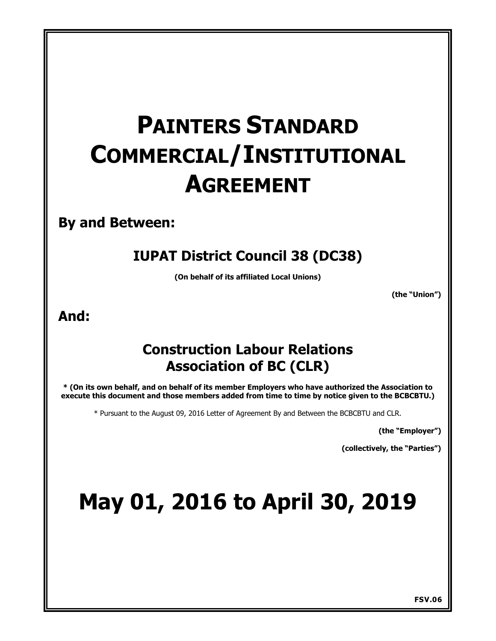# **PAINTERS STANDARD COMMERCIAL/INSTITUTIONAL AGREEMENT**

**By and Between:**

## **IUPAT District Council 38 (DC38)**

**(On behalf of its affiliated Local Unions)**

**(the "Union")** 

**And:**

## **Construction Labour Relations Association of BC (CLR)**

**\* (On its own behalf, and on behalf of its member Employers who have authorized the Association to execute this document and those members added from time to time by notice given to the BCBCBTU.)**

\* Pursuant to the August 09, 2016 Letter of Agreement By and Between the BCBCBTU and CLR.

**(the "Employer")** 

**(collectively, the "Parties")** 

# **May 01, 2016 to April 30, 2019**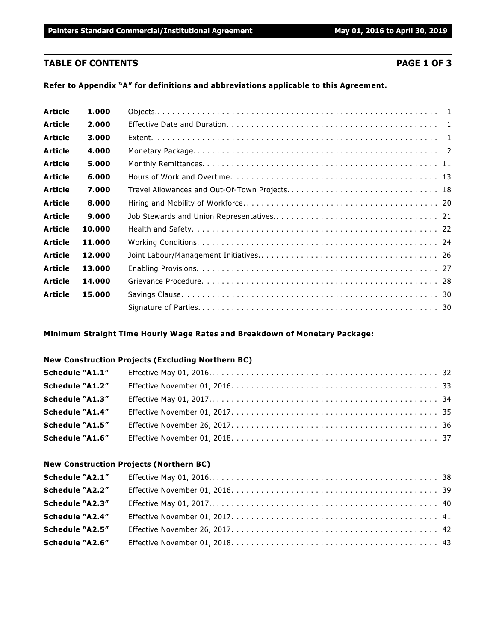#### **TABLE OF CONTENTS PAGE 1 OF 3**

**Refer to Appendix "A" for definitions and abbreviations applicable to this Agreement.**

| <b>Article</b> | 1.000  |                                               |
|----------------|--------|-----------------------------------------------|
| <b>Article</b> | 2.000  |                                               |
| <b>Article</b> | 3.000  |                                               |
| <b>Article</b> | 4.000  |                                               |
| <b>Article</b> | 5.000  |                                               |
| <b>Article</b> | 6.000  |                                               |
| <b>Article</b> | 7.000  | Travel Allowances and Out-Of-Town Projects 18 |
| <b>Article</b> | 8.000  |                                               |
| <b>Article</b> | 9.000  |                                               |
| <b>Article</b> | 10.000 |                                               |
| <b>Article</b> | 11.000 |                                               |
| <b>Article</b> | 12.000 |                                               |
| <b>Article</b> | 13.000 |                                               |
| <b>Article</b> | 14.000 |                                               |
| <b>Article</b> | 15.000 |                                               |
|                |        |                                               |

**Minimum Straight Time Hourly Wage Rates and Breakdown of Monetary Package:**

#### **New Construction Projects (Excluding Northern BC)**

| Schedule "A1.1"        |  |
|------------------------|--|
| <b>Schedule "A1.2"</b> |  |
| <b>Schedule "A1.3"</b> |  |
| <b>Schedule "A1.4"</b> |  |
| <b>Schedule "A1.5"</b> |  |
| <b>Schedule "A1.6"</b> |  |

#### **New Construction Projects (Northern BC)**

| Schedule "A2.1" |  |
|-----------------|--|
| Schedule "A2.2" |  |
| Schedule "A2.3" |  |
| Schedule "A2.4" |  |
| Schedule "A2.5" |  |
| Schedule "A2.6" |  |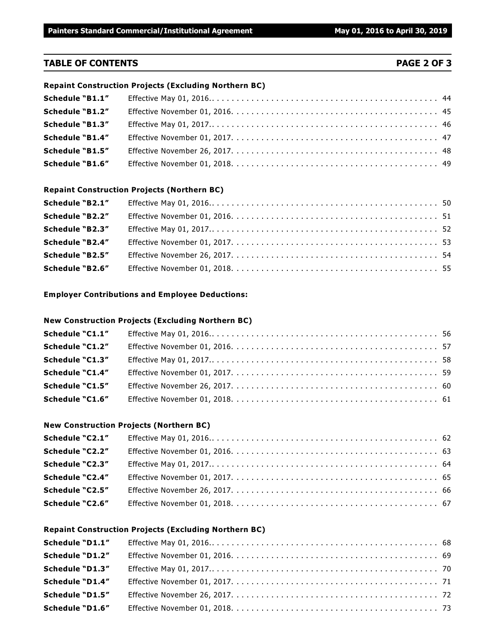#### **TABLE OF CONTENTS PAGE 2 OF 3**

#### **Repaint Construction Projects (Excluding Northern BC)**

| Schedule "B1.1"        |  |
|------------------------|--|
| <b>Schedule "B1.2"</b> |  |
| <b>Schedule "B1.3"</b> |  |
| <b>Schedule "B1.4"</b> |  |
| <b>Schedule "B1.5"</b> |  |
| <b>Schedule "B1.6"</b> |  |

#### **Repaint Construction Projects (Northern BC)**

| Schedule "B2.1" |  |
|-----------------|--|
| Schedule "B2.2" |  |
| Schedule "B2.3" |  |
| Schedule "B2.4" |  |
| Schedule "B2.5" |  |
| Schedule "B2.6" |  |

#### **Employer Contributions and Employee Deductions:**

#### **New Construction Projects (Excluding Northern BC)**

| Schedule "C1.1"        |  |
|------------------------|--|
| Schedule "C1.2"        |  |
| Schedule "C1.3"        |  |
| Schedule "C1.4"        |  |
| Schedule "C1.5"        |  |
| <b>Schedule "C1.6"</b> |  |

#### **New Construction Projects (Northern BC)**

| Schedule "C2.1" |  |
|-----------------|--|
| Schedule "C2.2" |  |
| Schedule "C2.3" |  |
| Schedule "C2.4" |  |
| Schedule "C2.5" |  |
| Schedule "C2.6" |  |

#### **Repaint Construction Projects (Excluding Northern BC)**

| Schedule "D1.1" |  |
|-----------------|--|
| Schedule "D1.2" |  |
| Schedule "D1.3" |  |
| Schedule "D1.4" |  |
| Schedule "D1.5" |  |
| Schedule "D1.6" |  |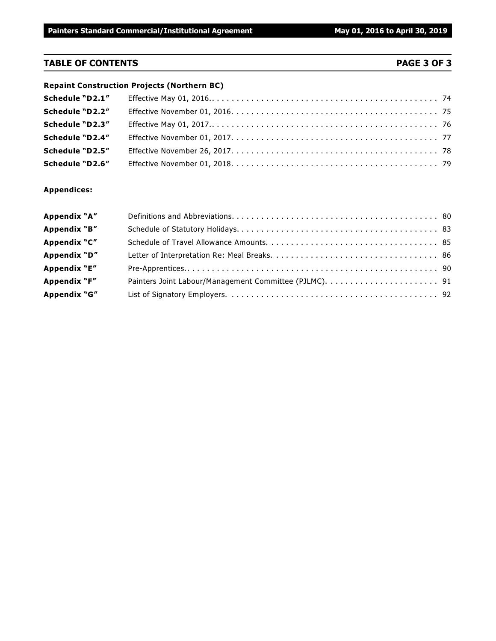#### **TABLE OF CONTENTS PAGE 3 OF 3**

## **Repaint Construction Projects (Northern BC)**

| Schedule "D2.1" |  |
|-----------------|--|
| Schedule "D2.2" |  |
| Schedule "D2.3" |  |
| Schedule "D2.4" |  |
| Schedule "D2.5" |  |
| Schedule "D2.6" |  |

#### **Appendices:**

| Appendix "A" |  |
|--------------|--|
| Appendix "B" |  |
| Appendix "C" |  |
| Appendix "D" |  |
| Appendix "E" |  |
| Appendix "F" |  |
| Appendix "G" |  |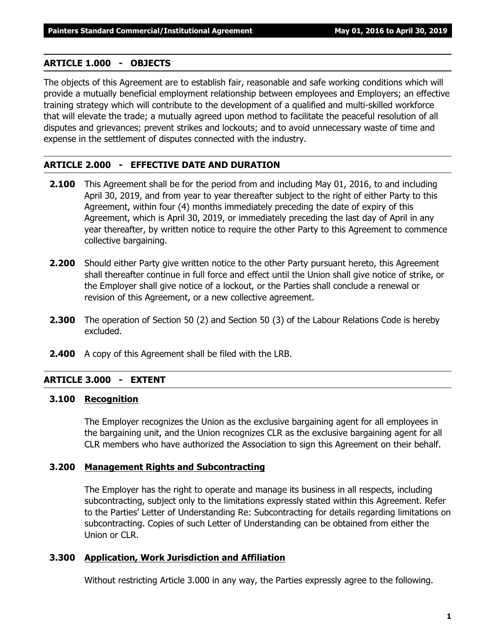#### **ARTICLE 1.000 - OBJECTS**

The objects of this Agreement are to establish fair, reasonable and safe working conditions which will provide a mutually beneficial employment relationship between employees and Employers; an effective training strategy which will contribute to the development of a qualified and multi-skilled workforce that will elevate the trade; a mutually agreed upon method to facilitate the peaceful resolution of all disputes and grievances; prevent strikes and lockouts; and to avoid unnecessary waste of time and expense in the settlement of disputes connected with the industry.

#### **ARTICLE 2.000 - EFFECTIVE DATE AND DURATION**

- **2.100** This Agreement shall be for the period from and including May 01, 2016, to and including April 30, 2019, and from year to year thereafter subject to the right of either Party to this Agreement, within four (4) months immediately preceding the date of expiry of this Agreement, which is April 30, 2019, or immediately preceding the last day of April in any year thereafter, by written notice to require the other Party to this Agreement to commence collective bargaining.
- **2.200** Should either Party give written notice to the other Party pursuant hereto, this Agreement shall thereafter continue in full force and effect until the Union shall give notice of strike, or the Employer shall give notice of a lockout, or the Parties shall conclude a renewal or revision of this Agreement, or a new collective agreement.
- **2.300** The operation of Section 50 (2) and Section 50 (3) of the *Labour Relations Code* is hereby excluded.
- **2.400** A copy of this Agreement shall be filed with the LRB.

### **ARTICLE 3.000 - EXTENT**

#### **3.100 Recognition**

The Employer recognizes the Union as the exclusive bargaining agent for all employees in the bargaining unit, and the Union recognizes CLR as the exclusive bargaining agent for all CLR members who have authorized the Association to sign this Agreement on their behalf.

#### **3.200 Management Rights and Subcontracting**

The Employer has the right to operate and manage its business in all respects, including subcontracting, subject only to the limitations expressly stated within this Agreement. Refer to the Parties' Letter of Understanding Re: Subcontracting for details regarding limitations on subcontracting. Copies of such Letter of Understanding can be obtained from either the Union or CLR.

#### **3.300 Application, Work Jurisdiction and Affiliation**

Without restricting Article 3.000 in any way, the Parties expressly agree to the following.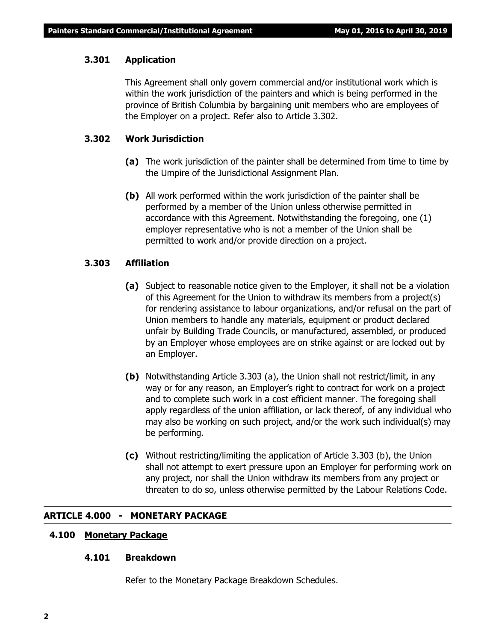#### **3.301 Application**

This Agreement shall only govern commercial and/or institutional work which is within the work jurisdiction of the painters and which is being performed in the province of British Columbia by bargaining unit members who are employees of the Employer on a project. Refer also to Article 3.302.

#### **3.302 Work Jurisdiction**

- **(a)** The work jurisdiction of the painter shall be determined from time to time by the Umpire of the Jurisdictional Assignment Plan.
- **(b)** All work performed within the work jurisdiction of the painter shall be performed by a member of the Union unless otherwise permitted in accordance with this Agreement. Notwithstanding the foregoing, one (1) employer representative who is not a member of the Union shall be permitted to work and/or provide direction on a project.

#### **3.303 Affiliation**

- **(a)** Subject to reasonable notice given to the Employer, it shall not be a violation of this Agreement for the Union to withdraw its members from a project(s) for rendering assistance to labour organizations, and/or refusal on the part of Union members to handle any materials, equipment or product declared unfair by Building Trade Councils, or manufactured, assembled, or produced by an Employer whose employees are on strike against or are locked out by an Employer.
- **(b)** Notwithstanding Article 3.303 (a), the Union shall not restrict/limit, in any way or for any reason, an Employer's right to contract for work on a project and to complete such work in a cost efficient manner. The foregoing shall apply regardless of the union affiliation, or lack thereof, of any individual who may also be working on such project, and/or the work such individual(s) may be performing.
- **(c)** Without restricting/limiting the application of Article 3.303 (b), the Union shall not attempt to exert pressure upon an Employer for performing work on any project, nor shall the Union withdraw its members from any project or threaten to do so, unless otherwise permitted by the *Labour Relations Code*.

#### **ARTICLE 4.000 - MONETARY PACKAGE**

#### **4.100 Monetary Package**

#### **4.101 Breakdown**

Refer to the Monetary Package Breakdown Schedules.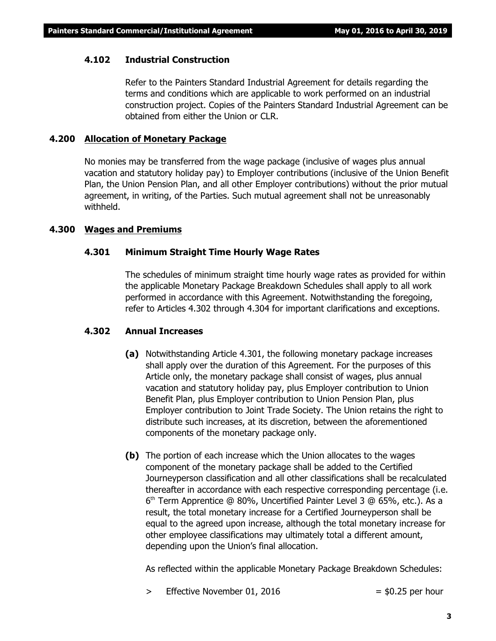#### **4.102 Industrial Construction**

Refer to the Painters Standard Industrial Agreement for details regarding the terms and conditions which are applicable to work performed on an industrial construction project. Copies of the Painters Standard Industrial Agreement can be obtained from either the Union or CLR.

#### **4.200 Allocation of Monetary Package**

No monies may be transferred from the wage package (inclusive of wages plus annual vacation and statutory holiday pay) to Employer contributions (inclusive of the Union Benefit Plan, the Union Pension Plan, and all other Employer contributions) without the prior mutual agreement, in writing, of the Parties. Such mutual agreement shall not be unreasonably withheld.

#### **4.300 Wages and Premiums**

#### **4.301 Minimum Straight Time Hourly Wage Rates**

The schedules of minimum straight time hourly wage rates as provided for within the applicable Monetary Package Breakdown Schedules shall apply to all work performed in accordance with this Agreement. Notwithstanding the foregoing, refer to Articles 4.302 through 4.304 for important clarifications and exceptions.

#### **4.302 Annual Increases**

- **(a)** Notwithstanding Article 4.301, the following monetary package increases shall apply over the duration of this Agreement. For the purposes of this Article only, the monetary package shall consist of wages, plus annual vacation and statutory holiday pay, plus Employer contribution to Union Benefit Plan, plus Employer contribution to Union Pension Plan, plus Employer contribution to Joint Trade Society. The Union retains the right to distribute such increases, at its discretion, between the aforementioned components of the monetary package only.
- **(b)** The portion of each increase which the Union allocates to the wages component of the monetary package shall be added to the Certified Journeyperson classification and all other classifications shall be recalculated thereafter in accordance with each respective corresponding percentage (i.e.  $6<sup>th</sup>$  Term Apprentice @ 80%, Uncertified Painter Level 3 @ 65%, etc.). As a result, the total monetary increase for a Certified Journeyperson shall be equal to the agreed upon increase, although the total monetary increase for other employee classifications may ultimately total a different amount, depending upon the Union's final allocation.

As reflected within the applicable Monetary Package Breakdown Schedules:

 $\geq$  Effective November 01, 2016  $=$  \$0.25 per hour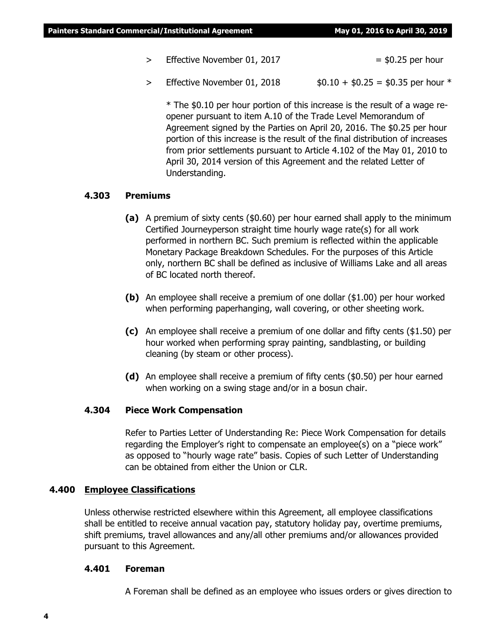- $\geq$  Effective November 01, 2017  $\qquad = \text{\$0.25 per hour}$
- $>$  Effective November 01, 2018  $$6.10 + $0.25 = $0.35$  per hour  $*$

\* The \$0.10 per hour portion of this increase is the result of a wage reopener pursuant to item A.10 of the Trade Level Memorandum of Agreement signed by the Parties on April 20, 2016. The \$0.25 per hour portion of this increase is the result of the final distribution of increases from prior settlements pursuant to Article 4.102 of the May 01, 2010 to April 30, 2014 version of this Agreement and the related Letter of Understanding.

#### **4.303 Premiums**

- **(a)** A premium of sixty cents (\$0.60) per hour earned shall apply to the minimum Certified Journeyperson straight time hourly wage rate(s) for all work performed in northern BC. Such premium is reflected within the applicable Monetary Package Breakdown Schedules. For the purposes of this Article only, northern BC shall be defined as inclusive of Williams Lake and all areas of BC located north thereof.
- **(b)** An employee shall receive a premium of one dollar (\$1.00) per hour worked when performing paperhanging, wall covering, or other sheeting work.
- **(c)** An employee shall receive a premium of one dollar and fifty cents (\$1.50) per hour worked when performing spray painting, sandblasting, or building cleaning (by steam or other process).
- **(d)** An employee shall receive a premium of fifty cents (\$0.50) per hour earned when working on a swing stage and/or in a bosun chair.

#### **4.304 Piece Work Compensation**

Refer to Parties Letter of Understanding Re: Piece Work Compensation for details regarding the Employer's right to compensate an employee(s) on a "piece work" as opposed to "hourly wage rate" basis. Copies of such Letter of Understanding can be obtained from either the Union or CLR.

#### **4.400 Employee Classifications**

Unless otherwise restricted elsewhere within this Agreement, all employee classifications shall be entitled to receive annual vacation pay, statutory holiday pay, overtime premiums, shift premiums, travel allowances and any/all other premiums and/or allowances provided pursuant to this Agreement.

#### **4.401 Foreman**

A Foreman shall be defined as an employee who issues orders or gives direction to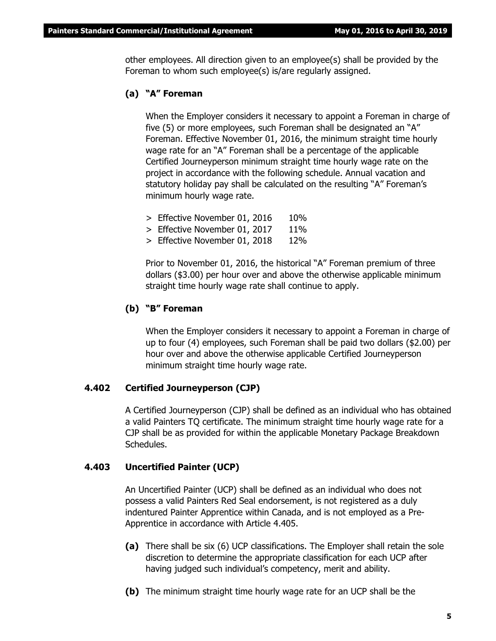other employees. All direction given to an employee(s) shall be provided by the Foreman to whom such employee(s) is/are regularly assigned.

#### **(a) "A" Foreman**

When the Employer considers it necessary to appoint a Foreman in charge of five (5) or more employees, such Foreman shall be designated an "A" Foreman. Effective November 01, 2016, the minimum straight time hourly wage rate for an "A" Foreman shall be a percentage of the applicable Certified Journeyperson minimum straight time hourly wage rate on the project in accordance with the following schedule. Annual vacation and statutory holiday pay shall be calculated on the resulting "A" Foreman's minimum hourly wage rate.

- > Effective November 01, 2016 10%
- > Effective November 01, 2017 11%
- > Effective November 01, 2018 12%

Prior to November 01, 2016, the historical "A" Foreman premium of three dollars (\$3.00) per hour over and above the otherwise applicable minimum straight time hourly wage rate shall continue to apply.

#### **(b) "B" Foreman**

When the Employer considers it necessary to appoint a Foreman in charge of up to four (4) employees, such Foreman shall be paid two dollars (\$2.00) per hour over and above the otherwise applicable Certified Journeyperson minimum straight time hourly wage rate.

#### **4.402 Certified Journeyperson (CJP)**

A Certified Journeyperson (CJP) shall be defined as an individual who has obtained a valid Painters TQ certificate. The minimum straight time hourly wage rate for a CJP shall be as provided for within the applicable Monetary Package Breakdown Schedules.

#### **4.403 Uncertified Painter (UCP)**

An Uncertified Painter (UCP) shall be defined as an individual who does not possess a valid Painters Red Seal endorsement, is not registered as a duly indentured Painter Apprentice within Canada, and is not employed as a Pre-Apprentice in accordance with Article 4.405.

- **(a)** There shall be six (6) UCP classifications. The Employer shall retain the sole discretion to determine the appropriate classification for each UCP after having judged such individual's competency, merit and ability.
- **(b)** The minimum straight time hourly wage rate for an UCP shall be the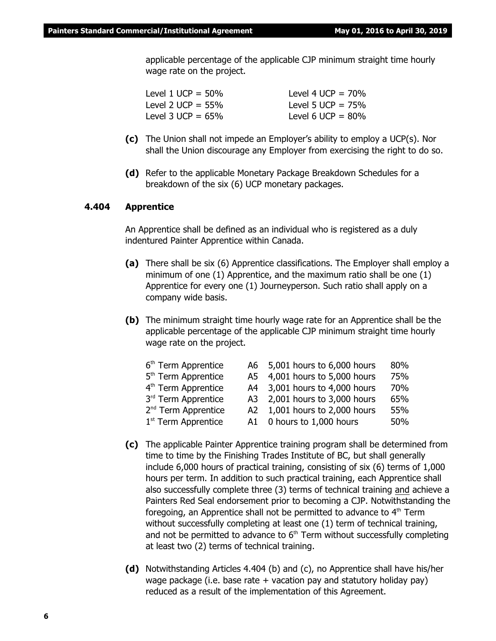applicable percentage of the applicable CJP minimum straight time hourly wage rate on the project.

| Level 1 UCP = $50\%$ | Level 4 UCP = $70\%$ |
|----------------------|----------------------|
| Level 2 UCP = $55\%$ | Level 5 UCP = $75\%$ |
| Level 3 UCP = $65\%$ | Level 6 UCP = $80\%$ |

- **(c)** The Union shall not impede an Employer's ability to employ a UCP(s). Nor shall the Union discourage any Employer from exercising the right to do so.
- **(d)** Refer to the applicable Monetary Package Breakdown Schedules for a breakdown of the six (6) UCP monetary packages.

#### **4.404 Apprentice**

An Apprentice shall be defined as an individual who is registered as a duly indentured Painter Apprentice within Canada.

- **(a)** There shall be six (6) Apprentice classifications. The Employer shall employ a minimum of one (1) Apprentice, and the maximum ratio shall be one (1) Apprentice for every one (1) Journeyperson. Such ratio shall apply on a company wide basis.
- **(b)** The minimum straight time hourly wage rate for an Apprentice shall be the applicable percentage of the applicable CJP minimum straight time hourly wage rate on the project.

| 6 <sup>th</sup> Term Apprentice |    | A6 5,001 hours to 6,000 hours | 80% |
|---------------------------------|----|-------------------------------|-----|
| 5 <sup>th</sup> Term Apprentice |    | A5 4,001 hours to 5,000 hours | 75% |
| 4 <sup>th</sup> Term Apprentice | A4 | 3,001 hours to 4,000 hours    | 70% |
| 3 <sup>rd</sup> Term Apprentice |    | A3 2,001 hours to 3,000 hours | 65% |
| 2 <sup>nd</sup> Term Apprentice | A2 | 1,001 hours to 2,000 hours    | 55% |
| 1 <sup>st</sup> Term Apprentice |    | A1 0 hours to 1,000 hours     | 50% |

- **(c)** The applicable Painter Apprentice training program shall be determined from time to time by the Finishing Trades Institute of BC, but shall generally include 6,000 hours of practical training, consisting of six (6) terms of 1,000 hours per term. In addition to such practical training, each Apprentice shall also successfully complete three (3) terms of technical training and achieve a Painters Red Seal endorsement prior to becoming a CJP. Notwithstanding the foregoing, an Apprentice shall not be permitted to advance to  $4<sup>th</sup>$  Term without successfully completing at least one (1) term of technical training, and not be permitted to advance to  $6<sup>th</sup>$  Term without successfully completing at least two (2) terms of technical training.
- **(d)** Notwithstanding Articles 4.404 (b) and (c), no Apprentice shall have his/her wage package (i.e. base rate  $+$  vacation pay and statutory holiday pay) reduced as a result of the implementation of this Agreement.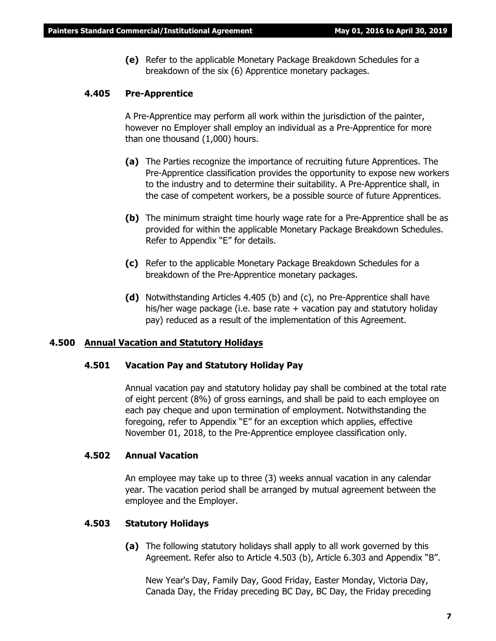**(e)** Refer to the applicable Monetary Package Breakdown Schedules for a breakdown of the six (6) Apprentice monetary packages.

#### **4.405 Pre-Apprentice**

A Pre-Apprentice may perform all work within the jurisdiction of the painter, however no Employer shall employ an individual as a Pre-Apprentice for more than one thousand (1,000) hours.

- **(a)** The Parties recognize the importance of recruiting future Apprentices. The Pre-Apprentice classification provides the opportunity to expose new workers to the industry and to determine their suitability. A Pre-Apprentice shall, in the case of competent workers, be a possible source of future Apprentices.
- **(b)** The minimum straight time hourly wage rate for a Pre-Apprentice shall be as provided for within the applicable Monetary Package Breakdown Schedules. Refer to Appendix "E" for details.
- **(c)** Refer to the applicable Monetary Package Breakdown Schedules for a breakdown of the Pre-Apprentice monetary packages.
- **(d)** Notwithstanding Articles 4.405 (b) and (c), no Pre-Apprentice shall have his/her wage package (i.e. base rate  $+$  vacation pay and statutory holiday pay) reduced as a result of the implementation of this Agreement.

#### **4.500 Annual Vacation and Statutory Holidays**

#### **4.501 Vacation Pay and Statutory Holiday Pay**

Annual vacation pay and statutory holiday pay shall be combined at the total rate of eight percent (8%) of gross earnings, and shall be paid to each employee on each pay cheque and upon termination of employment. Notwithstanding the foregoing, refer to Appendix "E" for an exception which applies, effective November 01, 2018, to the Pre-Apprentice employee classification only.

#### **4.502 Annual Vacation**

An employee may take up to three (3) weeks annual vacation in any calendar year. The vacation period shall be arranged by mutual agreement between the employee and the Employer.

#### **4.503 Statutory Holidays**

**(a)** The following statutory holidays shall apply to all work governed by this Agreement. Refer also to Article 4.503 (b), Article 6.303 and Appendix "B".

New Year's Day, Family Day, Good Friday, Easter Monday, Victoria Day, Canada Day, the Friday preceding BC Day, BC Day, the Friday preceding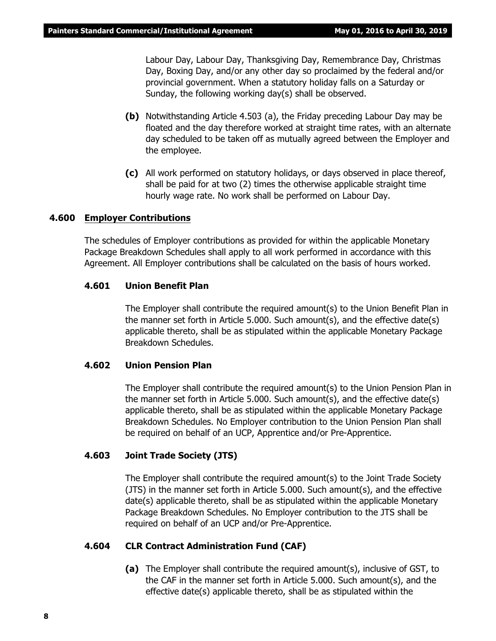Labour Day, Labour Day, Thanksgiving Day, Remembrance Day, Christmas Day, Boxing Day, and/or any other day so proclaimed by the federal and/or provincial government. When a statutory holiday falls on a Saturday or Sunday, the following working day(s) shall be observed.

- **(b)** Notwithstanding Article 4.503 (a), the Friday preceding Labour Day may be floated and the day therefore worked at straight time rates, with an alternate day scheduled to be taken off as mutually agreed between the Employer and the employee.
- **(c)** All work performed on statutory holidays, or days observed in place thereof, shall be paid for at two (2) times the otherwise applicable straight time hourly wage rate. No work shall be performed on Labour Day.

#### **4.600 Employer Contributions**

The schedules of Employer contributions as provided for within the applicable Monetary Package Breakdown Schedules shall apply to all work performed in accordance with this Agreement. All Employer contributions shall be calculated on the basis of hours worked.

#### **4.601 Union Benefit Plan**

The Employer shall contribute the required amount(s) to the Union Benefit Plan in the manner set forth in Article 5.000. Such amount(s), and the effective date(s) applicable thereto, shall be as stipulated within the applicable Monetary Package Breakdown Schedules.

#### **4.602 Union Pension Plan**

The Employer shall contribute the required amount(s) to the Union Pension Plan in the manner set forth in Article 5.000. Such amount(s), and the effective date(s) applicable thereto, shall be as stipulated within the applicable Monetary Package Breakdown Schedules. No Employer contribution to the Union Pension Plan shall be required on behalf of an UCP, Apprentice and/or Pre-Apprentice.

#### **4.603 Joint Trade Society (JTS)**

The Employer shall contribute the required amount(s) to the Joint Trade Society (JTS) in the manner set forth in Article 5.000. Such amount(s), and the effective date(s) applicable thereto, shall be as stipulated within the applicable Monetary Package Breakdown Schedules. No Employer contribution to the JTS shall be required on behalf of an UCP and/or Pre-Apprentice.

#### **4.604 CLR Contract Administration Fund (CAF)**

**(a)** The Employer shall contribute the required amount(s), inclusive of GST, to the CAF in the manner set forth in Article 5.000. Such amount(s), and the effective date(s) applicable thereto, shall be as stipulated within the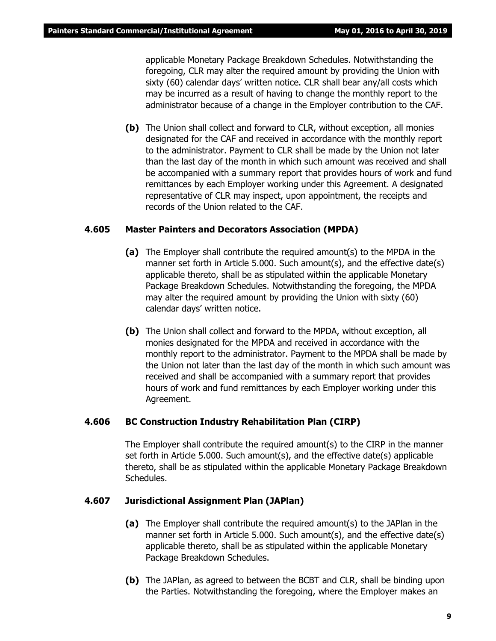applicable Monetary Package Breakdown Schedules. Notwithstanding the foregoing, CLR may alter the required amount by providing the Union with sixty (60) calendar days' written notice. CLR shall bear any/all costs which may be incurred as a result of having to change the monthly report to the administrator because of a change in the Employer contribution to the CAF.

**(b)** The Union shall collect and forward to CLR, without exception, all monies designated for the CAF and received in accordance with the monthly report to the administrator. Payment to CLR shall be made by the Union not later than the last day of the month in which such amount was received and shall be accompanied with a summary report that provides hours of work and fund remittances by each Employer working under this Agreement. A designated representative of CLR may inspect, upon appointment, the receipts and records of the Union related to the CAF.

#### **4.605 Master Painters and Decorators Association (MPDA)**

- **(a)** The Employer shall contribute the required amount(s) to the MPDA in the manner set forth in Article 5.000. Such amount(s), and the effective date(s) applicable thereto, shall be as stipulated within the applicable Monetary Package Breakdown Schedules. Notwithstanding the foregoing, the MPDA may alter the required amount by providing the Union with sixty (60) calendar days' written notice.
- **(b)** The Union shall collect and forward to the MPDA, without exception, all monies designated for the MPDA and received in accordance with the monthly report to the administrator. Payment to the MPDA shall be made by the Union not later than the last day of the month in which such amount was received and shall be accompanied with a summary report that provides hours of work and fund remittances by each Employer working under this Agreement.

#### **4.606 BC Construction Industry Rehabilitation Plan (CIRP)**

The Employer shall contribute the required amount(s) to the CIRP in the manner set forth in Article 5.000. Such amount(s), and the effective date(s) applicable thereto, shall be as stipulated within the applicable Monetary Package Breakdown Schedules.

#### **4.607 Jurisdictional Assignment Plan (JAPlan)**

- **(a)** The Employer shall contribute the required amount(s) to the JAPlan in the manner set forth in Article 5.000. Such amount(s), and the effective date(s) applicable thereto, shall be as stipulated within the applicable Monetary Package Breakdown Schedules.
- **(b)** The JAPlan, as agreed to between the BCBT and CLR, shall be binding upon the Parties. Notwithstanding the foregoing, where the Employer makes an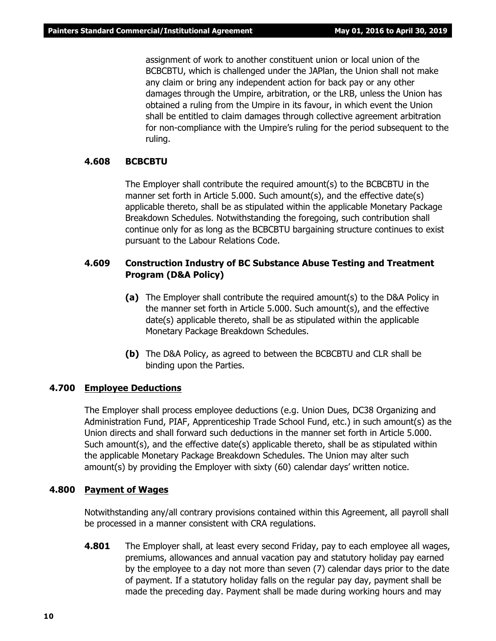assignment of work to another constituent union or local union of the BCBCBTU, which is challenged under the JAPlan, the Union shall not make any claim or bring any independent action for back pay or any other damages through the Umpire, arbitration, or the LRB, unless the Union has obtained a ruling from the Umpire in its favour, in which event the Union shall be entitled to claim damages through collective agreement arbitration for non-compliance with the Umpire's ruling for the period subsequent to the ruling.

#### **4.608 BCBCBTU**

The Employer shall contribute the required amount(s) to the BCBCBTU in the manner set forth in Article 5.000. Such amount(s), and the effective date(s) applicable thereto, shall be as stipulated within the applicable Monetary Package Breakdown Schedules. Notwithstanding the foregoing, such contribution shall continue only for as long as the BCBCBTU bargaining structure continues to exist pursuant to the *Labour Relations Code*.

#### **4.609 Construction Industry of BC Substance Abuse Testing and Treatment Program (D&A Policy)**

- **(a)** The Employer shall contribute the required amount(s) to the D&A Policy in the manner set forth in Article 5.000. Such amount(s), and the effective date(s) applicable thereto, shall be as stipulated within the applicable Monetary Package Breakdown Schedules.
- **(b)** The D&A Policy, as agreed to between the BCBCBTU and CLR shall be binding upon the Parties.

#### **4.700 Employee Deductions**

The Employer shall process employee deductions (e.g. Union Dues, DC38 Organizing and Administration Fund, PIAF, Apprenticeship Trade School Fund, etc.) in such amount(s) as the Union directs and shall forward such deductions in the manner set forth in Article 5.000. Such amount(s), and the effective date(s) applicable thereto, shall be as stipulated within the applicable Monetary Package Breakdown Schedules. The Union may alter such amount(s) by providing the Employer with sixty (60) calendar days' written notice.

#### **4.800 Payment of Wages**

Notwithstanding any/all contrary provisions contained within this Agreement, all payroll shall be processed in a manner consistent with CRA regulations.

**4.801** The Employer shall, at least every second Friday, pay to each employee all wages, premiums, allowances and annual vacation pay and statutory holiday pay earned by the employee to a day not more than seven (7) calendar days prior to the date of payment. If a statutory holiday falls on the regular pay day, payment shall be made the preceding day. Payment shall be made during working hours and may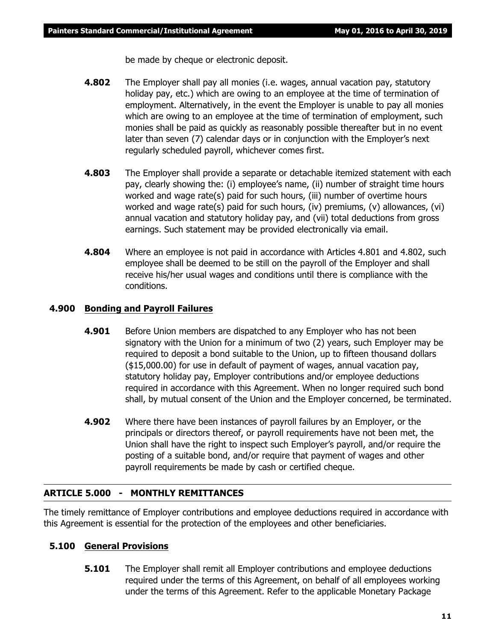be made by cheque or electronic deposit.

- **4.802** The Employer shall pay all monies (i.e. wages, annual vacation pay, statutory holiday pay, etc.) which are owing to an employee at the time of termination of employment. Alternatively, in the event the Employer is unable to pay all monies which are owing to an employee at the time of termination of employment, such monies shall be paid as quickly as reasonably possible thereafter but in no event later than seven (7) calendar days or in conjunction with the Employer's next regularly scheduled payroll, whichever comes first.
- **4.803** The Employer shall provide a separate or detachable itemized statement with each pay, clearly showing the: (i) employee's name, (ii) number of straight time hours worked and wage rate(s) paid for such hours, (iii) number of overtime hours worked and wage rate(s) paid for such hours, (iv) premiums, (v) allowances, (vi) annual vacation and statutory holiday pay, and (vii) total deductions from gross earnings. Such statement may be provided electronically via email.
- **4.804** Where an employee is not paid in accordance with Articles 4.801 and 4.802, such employee shall be deemed to be still on the payroll of the Employer and shall receive his/her usual wages and conditions until there is compliance with the conditions.

#### **4.900 Bonding and Payroll Failures**

- **4.901** Before Union members are dispatched to any Employer who has not been signatory with the Union for a minimum of two (2) years, such Employer may be required to deposit a bond suitable to the Union, up to fifteen thousand dollars (\$15,000.00) for use in default of payment of wages, annual vacation pay, statutory holiday pay, Employer contributions and/or employee deductions required in accordance with this Agreement. When no longer required such bond shall, by mutual consent of the Union and the Employer concerned, be terminated.
- **4.902** Where there have been instances of payroll failures by an Employer, or the principals or directors thereof, or payroll requirements have not been met, the Union shall have the right to inspect such Employer's payroll, and/or require the posting of a suitable bond, and/or require that payment of wages and other payroll requirements be made by cash or certified cheque.

#### **ARTICLE 5.000 - MONTHLY REMITTANCES**

The timely remittance of Employer contributions and employee deductions required in accordance with this Agreement is essential for the protection of the employees and other beneficiaries.

#### **5.100 General Provisions**

**5.101** The Employer shall remit all Employer contributions and employee deductions required under the terms of this Agreement, on behalf of all employees working under the terms of this Agreement. Refer to the applicable Monetary Package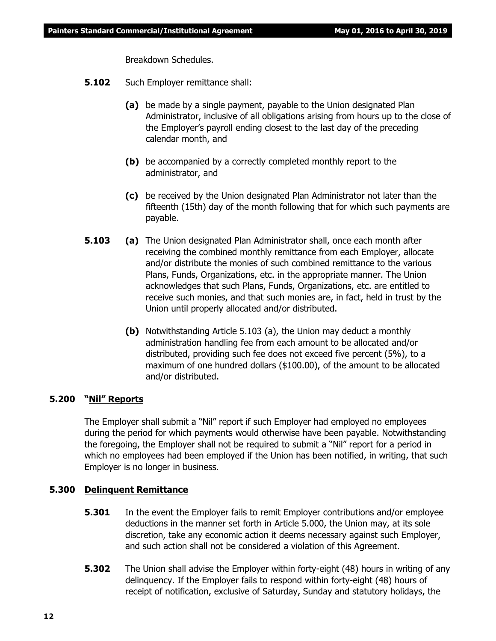Breakdown Schedules.

- **5.102** Such Employer remittance shall:
	- **(a)** be made by a single payment, payable to the Union designated Plan Administrator, inclusive of all obligations arising from hours up to the close of the Employer's payroll ending closest to the last day of the preceding calendar month, and
	- **(b)** be accompanied by a correctly completed monthly report to the administrator, and
	- **(c)** be received by the Union designated Plan Administrator not later than the fifteenth (15th) day of the month following that for which such payments are payable.
- **5.103 (a)** The Union designated Plan Administrator shall, once each month after receiving the combined monthly remittance from each Employer, allocate and/or distribute the monies of such combined remittance to the various Plans, Funds, Organizations, etc. in the appropriate manner. The Union acknowledges that such Plans, Funds, Organizations, etc. are entitled to receive such monies, and that such monies are, in fact, held in trust by the Union until properly allocated and/or distributed.
	- **(b)** Notwithstanding Article 5.103 (a), the Union may deduct a monthly administration handling fee from each amount to be allocated and/or distributed, providing such fee does not exceed five percent (5%), to a maximum of one hundred dollars (\$100.00), of the amount to be allocated and/or distributed.

#### **5.200 "Nil" Reports**

The Employer shall submit a "Nil" report if such Employer had employed no employees during the period for which payments would otherwise have been payable. Notwithstanding the foregoing, the Employer shall not be required to submit a "Nil" report for a period in which no employees had been employed if the Union has been notified, in writing, that such Employer is no longer in business.

#### **5.300 Delinquent Remittance**

- **5.301** In the event the Employer fails to remit Employer contributions and/or employee deductions in the manner set forth in Article 5.000, the Union may, at its sole discretion, take any economic action it deems necessary against such Employer, and such action shall not be considered a violation of this Agreement.
- **5.302** The Union shall advise the Employer within forty-eight (48) hours in writing of any delinquency. If the Employer fails to respond within forty-eight (48) hours of receipt of notification, exclusive of Saturday, Sunday and statutory holidays, the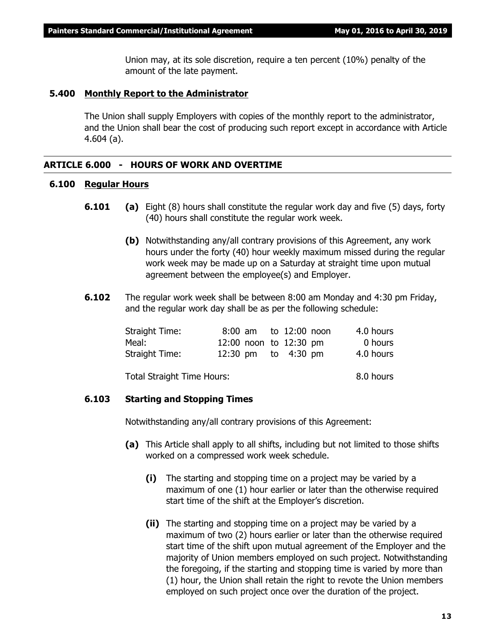Union may, at its sole discretion, require a ten percent (10%) penalty of the amount of the late payment.

#### **5.400 Monthly Report to the Administrator**

The Union shall supply Employers with copies of the monthly report to the administrator, and the Union shall bear the cost of producing such report except in accordance with Article 4.604 (a).

#### **ARTICLE 6.000 - HOURS OF WORK AND OVERTIME**

#### **6.100 Regular Hours**

- **6.101 (a)** Eight (8) hours shall constitute the regular work day and five (5) days, forty (40) hours shall constitute the regular work week.
	- **(b)** Notwithstanding any/all contrary provisions of this Agreement, any work hours under the forty (40) hour weekly maximum missed during the regular work week may be made up on a Saturday at straight time upon mutual agreement between the employee(s) and Employer.
- **6.102** The regular work week shall be between 8:00 am Monday and 4:30 pm Friday, and the regular work day shall be as per the following schedule:

| <b>Straight Time:</b>      |           | 8:00 am to 12:00 noon  | 4.0 hours |
|----------------------------|-----------|------------------------|-----------|
| Meal:                      |           | 12:00 noon to 12:30 pm | 0 hours   |
| Straight Time:             |           | 12:30 pm to 4:30 pm    | 4.0 hours |
| Total Straight Time Hours: | 8.0 hours |                        |           |

#### **6.103 Starting and Stopping Times**

Notwithstanding any/all contrary provisions of this Agreement:

- **(a)** This Article shall apply to all shifts, including but not limited to those shifts worked on a compressed work week schedule.
	- **(i)** The starting and stopping time on a project may be varied by a maximum of one (1) hour earlier or later than the otherwise required start time of the shift at the Employer's discretion.
	- **(ii)** The starting and stopping time on a project may be varied by a maximum of two (2) hours earlier or later than the otherwise required start time of the shift upon mutual agreement of the Employer and the majority of Union members employed on such project. Notwithstanding the foregoing, if the starting and stopping time is varied by more than (1) hour, the Union shall retain the right to revote the Union members employed on such project once over the duration of the project.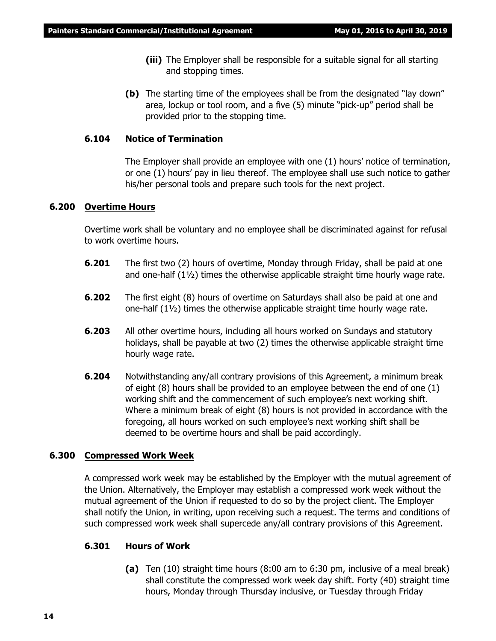- **(iii)** The Employer shall be responsible for a suitable signal for all starting and stopping times.
- **(b)** The starting time of the employees shall be from the designated "lay down" area, lockup or tool room, and a five (5) minute "pick-up" period shall be provided prior to the stopping time.

#### **6.104 Notice of Termination**

The Employer shall provide an employee with one (1) hours' notice of termination, or one (1) hours' pay in lieu thereof. The employee shall use such notice to gather his/her personal tools and prepare such tools for the next project.

#### **6.200 Overtime Hours**

Overtime work shall be voluntary and no employee shall be discriminated against for refusal to work overtime hours.

- **6.201** The first two (2) hours of overtime, Monday through Friday, shall be paid at one and one-half  $(1\frac{1}{2})$  times the otherwise applicable straight time hourly wage rate.
- **6.202** The first eight (8) hours of overtime on Saturdays shall also be paid at one and one-half  $(1\frac{1}{2})$  times the otherwise applicable straight time hourly wage rate.
- **6.203** All other overtime hours, including all hours worked on Sundays and statutory holidays, shall be payable at two (2) times the otherwise applicable straight time hourly wage rate.
- **6.204** Notwithstanding any/all contrary provisions of this Agreement, a minimum break of eight (8) hours shall be provided to an employee between the end of one (1) working shift and the commencement of such employee's next working shift. Where a minimum break of eight (8) hours is not provided in accordance with the foregoing, all hours worked on such employee's next working shift shall be deemed to be overtime hours and shall be paid accordingly.

#### **6.300 Compressed Work Week**

A compressed work week may be established by the Employer with the mutual agreement of the Union. Alternatively, the Employer may establish a compressed work week without the mutual agreement of the Union if requested to do so by the project client. The Employer shall notify the Union, in writing, upon receiving such a request. The terms and conditions of such compressed work week shall supercede any/all contrary provisions of this Agreement.

#### **6.301 Hours of Work**

**(a)** Ten (10) straight time hours (8:00 am to 6:30 pm, inclusive of a meal break) shall constitute the compressed work week day shift. Forty (40) straight time hours, Monday through Thursday inclusive, or Tuesday through Friday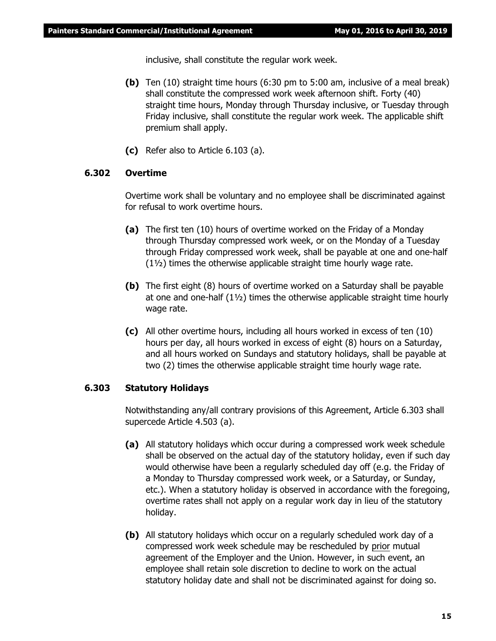inclusive, shall constitute the regular work week.

- **(b)** Ten (10) straight time hours (6:30 pm to 5:00 am, inclusive of a meal break) shall constitute the compressed work week afternoon shift. Forty (40) straight time hours, Monday through Thursday inclusive, or Tuesday through Friday inclusive, shall constitute the regular work week. The applicable shift premium shall apply.
- **(c)** Refer also to Article 6.103 (a).

#### **6.302 Overtime**

Overtime work shall be voluntary and no employee shall be discriminated against for refusal to work overtime hours.

- **(a)** The first ten (10) hours of overtime worked on the Friday of a Monday through Thursday compressed work week, or on the Monday of a Tuesday through Friday compressed work week, shall be payable at one and one-half (1½) times the otherwise applicable straight time hourly wage rate.
- **(b)** The first eight (8) hours of overtime worked on a Saturday shall be payable at one and one-half  $(1\frac{1}{2})$  times the otherwise applicable straight time hourly wage rate.
- **(c)** All other overtime hours, including all hours worked in excess of ten (10) hours per day, all hours worked in excess of eight (8) hours on a Saturday, and all hours worked on Sundays and statutory holidays, shall be payable at two (2) times the otherwise applicable straight time hourly wage rate.

#### **6.303 Statutory Holidays**

Notwithstanding any/all contrary provisions of this Agreement, Article 6.303 shall supercede Article 4.503 (a).

- **(a)** All statutory holidays which occur during a compressed work week schedule shall be observed on the actual day of the statutory holiday, even if such day would otherwise have been a regularly scheduled day off (e.g. the Friday of a Monday to Thursday compressed work week, or a Saturday, or Sunday, etc.). When a statutory holiday is observed in accordance with the foregoing, overtime rates shall not apply on a regular work day in lieu of the statutory holiday.
- **(b)** All statutory holidays which occur on a regularly scheduled work day of a compressed work week schedule may be rescheduled by prior mutual agreement of the Employer and the Union. However, in such event, an employee shall retain sole discretion to decline to work on the actual statutory holiday date and shall not be discriminated against for doing so.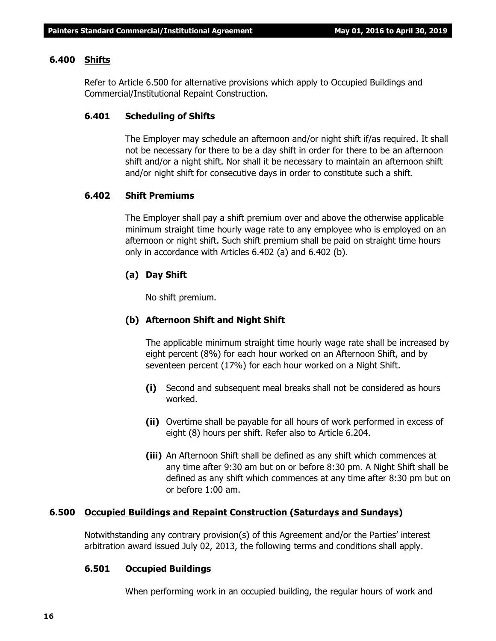#### **6.400 Shifts**

Refer to Article 6.500 for alternative provisions which apply to Occupied Buildings and Commercial/Institutional Repaint Construction.

#### **6.401 Scheduling of Shifts**

The Employer may schedule an afternoon and/or night shift if/as required. It shall not be necessary for there to be a day shift in order for there to be an afternoon shift and/or a night shift. Nor shall it be necessary to maintain an afternoon shift and/or night shift for consecutive days in order to constitute such a shift.

#### **6.402 Shift Premiums**

The Employer shall pay a shift premium over and above the otherwise applicable minimum straight time hourly wage rate to any employee who is employed on an afternoon or night shift. Such shift premium shall be paid on straight time hours only in accordance with Articles 6.402 (a) and 6.402 (b).

#### **(a) Day Shift**

No shift premium.

#### **(b) Afternoon Shift and Night Shift**

The applicable minimum straight time hourly wage rate shall be increased by eight percent (8%) for each hour worked on an Afternoon Shift, and by seventeen percent (17%) for each hour worked on a Night Shift.

- **(i)** Second and subsequent meal breaks shall not be considered as hours worked.
- **(ii)** Overtime shall be payable for all hours of work performed in excess of eight (8) hours per shift. Refer also to Article 6.204.
- **(iii)** An Afternoon Shift shall be defined as any shift which commences at any time after 9:30 am but on or before 8:30 pm. A Night Shift shall be defined as any shift which commences at any time after 8:30 pm but on or before 1:00 am.

#### **6.500 Occupied Buildings and Repaint Construction (Saturdays and Sundays)**

Notwithstanding any contrary provision(s) of this Agreement and/or the Parties' interest arbitration award issued July 02, 2013, the following terms and conditions shall apply.

#### **6.501 Occupied Buildings**

When performing work in an occupied building, the regular hours of work and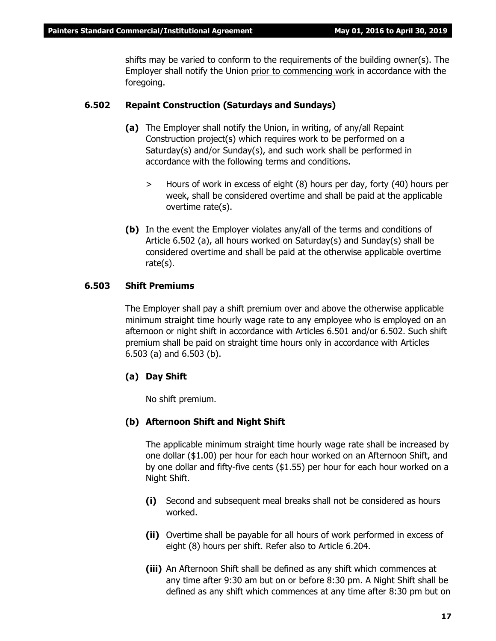shifts may be varied to conform to the requirements of the building owner(s). The Employer shall notify the Union prior to commencing work in accordance with the foregoing.

#### **6.502 Repaint Construction (Saturdays and Sundays)**

- **(a)** The Employer shall notify the Union, in writing, of any/all Repaint Construction project(s) which requires work to be performed on a Saturday(s) and/or Sunday(s), and such work shall be performed in accordance with the following terms and conditions.
	- > Hours of work in excess of eight (8) hours per day, forty (40) hours per week, shall be considered overtime and shall be paid at the applicable overtime rate(s).
- **(b)** In the event the Employer violates any/all of the terms and conditions of Article 6.502 (a), all hours worked on Saturday(s) and Sunday(s) shall be considered overtime and shall be paid at the otherwise applicable overtime rate(s).

#### **6.503 Shift Premiums**

The Employer shall pay a shift premium over and above the otherwise applicable minimum straight time hourly wage rate to any employee who is employed on an afternoon or night shift in accordance with Articles 6.501 and/or 6.502. Such shift premium shall be paid on straight time hours only in accordance with Articles 6.503 (a) and 6.503 (b).

#### **(a) Day Shift**

No shift premium.

#### **(b) Afternoon Shift and Night Shift**

The applicable minimum straight time hourly wage rate shall be increased by one dollar (\$1.00) per hour for each hour worked on an Afternoon Shift, and by one dollar and fifty-five cents (\$1.55) per hour for each hour worked on a Night Shift.

- **(i)** Second and subsequent meal breaks shall not be considered as hours worked.
- **(ii)** Overtime shall be payable for all hours of work performed in excess of eight (8) hours per shift. Refer also to Article 6.204.
- **(iii)** An Afternoon Shift shall be defined as any shift which commences at any time after 9:30 am but on or before 8:30 pm. A Night Shift shall be defined as any shift which commences at any time after 8:30 pm but on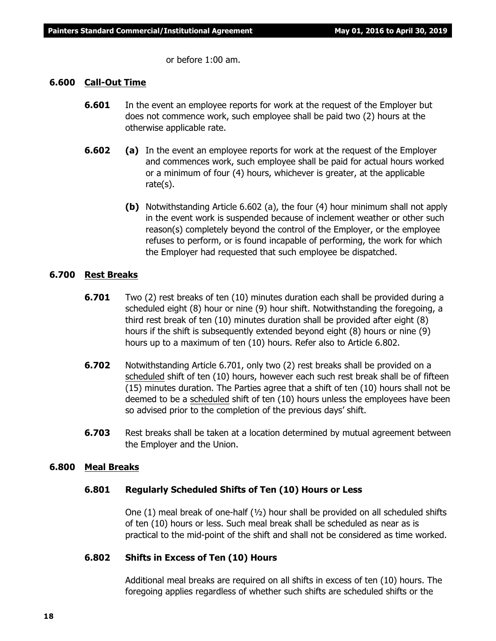or before 1:00 am.

#### **6.600 Call-Out Time**

- **6.601** In the event an employee reports for work at the request of the Employer but does not commence work, such employee shall be paid two (2) hours at the otherwise applicable rate.
- **6.602 (a)** In the event an employee reports for work at the request of the Employer and commences work, such employee shall be paid for actual hours worked or a minimum of four (4) hours, whichever is greater, at the applicable rate(s).
	- **(b)** Notwithstanding Article 6.602 (a), the four (4) hour minimum shall not apply in the event work is suspended because of inclement weather or other such reason(s) completely beyond the control of the Employer, or the employee refuses to perform, or is found incapable of performing, the work for which the Employer had requested that such employee be dispatched.

#### **6.700 Rest Breaks**

- **6.701** Two (2) rest breaks of ten (10) minutes duration each shall be provided during a scheduled eight (8) hour or nine (9) hour shift. Notwithstanding the foregoing, a third rest break of ten (10) minutes duration shall be provided after eight (8) hours if the shift is subsequently extended beyond eight (8) hours or nine (9) hours up to a maximum of ten (10) hours. Refer also to Article 6.802.
- **6.702** Notwithstanding Article 6.701, only two (2) rest breaks shall be provided on a scheduled shift of ten (10) hours, however each such rest break shall be of fifteen (15) minutes duration. The Parties agree that a shift of ten (10) hours shall not be deemed to be a scheduled shift of ten (10) hours unless the employees have been so advised prior to the completion of the previous days' shift.
- **6.703** Rest breaks shall be taken at a location determined by mutual agreement between the Employer and the Union.

#### **6.800 Meal Breaks**

#### **6.801 Regularly Scheduled Shifts of Ten (10) Hours or Less**

One  $(1)$  meal break of one-half  $(\frac{1}{2})$  hour shall be provided on all scheduled shifts of ten (10) hours or less. Such meal break shall be scheduled as near as is practical to the mid-point of the shift and shall not be considered as time worked.

#### **6.802 Shifts in Excess of Ten (10) Hours**

Additional meal breaks are required on all shifts in excess of ten (10) hours. The foregoing applies regardless of whether such shifts are scheduled shifts or the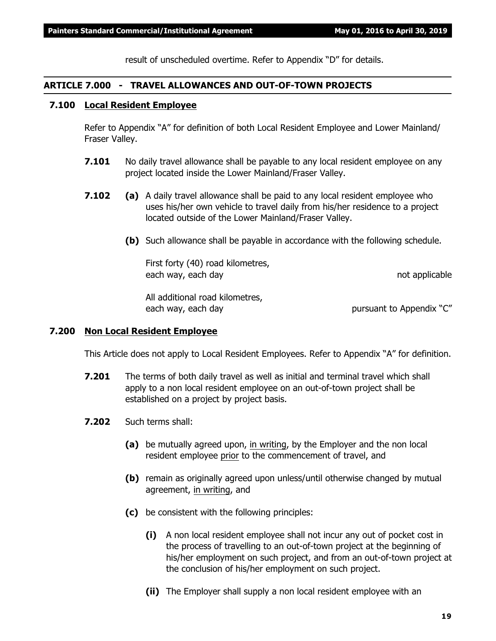result of unscheduled overtime. Refer to Appendix "D" for details.

#### **ARTICLE 7.000 - TRAVEL ALLOWANCES AND OUT-OF-TOWN PROJECTS**

#### **7.100 Local Resident Employee**

Refer to Appendix "A" for definition of both Local Resident Employee and Lower Mainland/ Fraser Valley.

- **7.101** No daily travel allowance shall be payable to any local resident employee on any project located inside the Lower Mainland/Fraser Valley.
- **7.102 (a)** A daily travel allowance shall be paid to any local resident employee who uses his/her own vehicle to travel daily from his/her residence to a project located outside of the Lower Mainland/Fraser Valley.
	- **(b)** Such allowance shall be payable in accordance with the following schedule.

First forty (40) road kilometres, each way, each day not applicable

All additional road kilometres, each way, each day but allow the pursuant to Appendix "C"

#### **7.200 Non Local Resident Employee**

This Article does not apply to Local Resident Employees. Refer to Appendix "A" for definition.

- **7.201** The terms of both daily travel as well as initial and terminal travel which shall apply to a non local resident employee on an out-of-town project shall be established on a project by project basis.
- **7.202** Such terms shall:
	- **(a)** be mutually agreed upon, in writing, by the Employer and the non local resident employee prior to the commencement of travel, and
	- **(b)** remain as originally agreed upon unless/until otherwise changed by mutual agreement, in writing, and
	- **(c)** be consistent with the following principles:
		- **(i)** A non local resident employee shall not incur any out of pocket cost in the process of travelling to an out-of-town project at the beginning of his/her employment on such project, and from an out-of-town project at the conclusion of his/her employment on such project.
		- **(ii)** The Employer shall supply a non local resident employee with an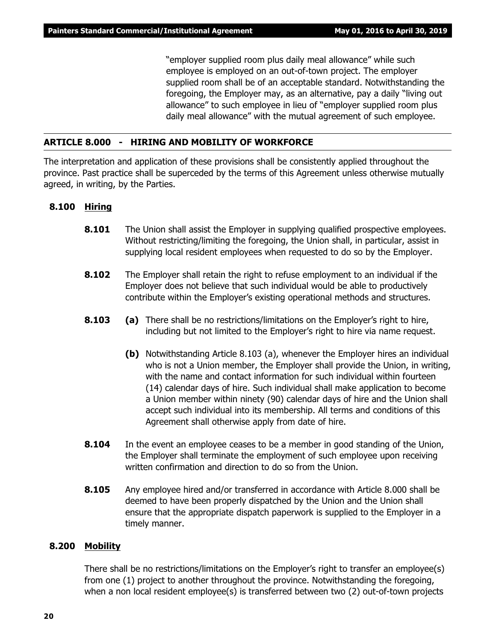"employer supplied room plus daily meal allowance" while such employee is employed on an out-of-town project. The employer supplied room shall be of an acceptable standard. Notwithstanding the foregoing, the Employer may, as an alternative, pay a daily "living out allowance" to such employee in lieu of "employer supplied room plus daily meal allowance" with the mutual agreement of such employee.

#### **ARTICLE 8.000 - HIRING AND MOBILITY OF WORKFORCE**

The interpretation and application of these provisions shall be consistently applied throughout the province. Past practice shall be superceded by the terms of this Agreement unless otherwise mutually agreed, in writing, by the Parties.

#### **8.100 Hiring**

- **8.101** The Union shall assist the Employer in supplying qualified prospective employees. Without restricting/limiting the foregoing, the Union shall, in particular, assist in supplying local resident employees when requested to do so by the Employer.
- **8.102** The Employer shall retain the right to refuse employment to an individual if the Employer does not believe that such individual would be able to productively contribute within the Employer's existing operational methods and structures.
- **8.103 (a)** There shall be no restrictions/limitations on the Employer's right to hire, including but not limited to the Employer's right to hire via name request.
	- **(b)** Notwithstanding Article 8.103 (a), whenever the Employer hires an individual who is not a Union member, the Employer shall provide the Union, in writing, with the name and contact information for such individual within fourteen (14) calendar days of hire. Such individual shall make application to become a Union member within ninety (90) calendar days of hire and the Union shall accept such individual into its membership. All terms and conditions of this Agreement shall otherwise apply from date of hire.
- **8.104** In the event an employee ceases to be a member in good standing of the Union, the Employer shall terminate the employment of such employee upon receiving written confirmation and direction to do so from the Union.
- **8.105** Any employee hired and/or transferred in accordance with Article 8.000 shall be deemed to have been properly dispatched by the Union and the Union shall ensure that the appropriate dispatch paperwork is supplied to the Employer in a timely manner.

#### **8.200 Mobility**

There shall be no restrictions/limitations on the Employer's right to transfer an employee(s) from one (1) project to another throughout the province. Notwithstanding the foregoing, when a non local resident employee(s) is transferred between two (2) out-of-town projects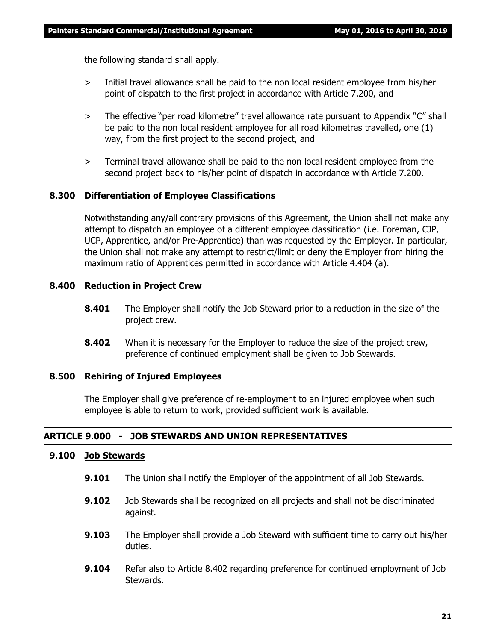the following standard shall apply.

- > Initial travel allowance shall be paid to the non local resident employee from his/her point of dispatch to the first project in accordance with Article 7.200, and
- > The effective "per road kilometre" travel allowance rate pursuant to Appendix "C" shall be paid to the non local resident employee for all road kilometres travelled, one (1) way, from the first project to the second project, and
- > Terminal travel allowance shall be paid to the non local resident employee from the second project back to his/her point of dispatch in accordance with Article 7.200.

#### **8.300 Differentiation of Employee Classifications**

Notwithstanding any/all contrary provisions of this Agreement, the Union shall not make any attempt to dispatch an employee of a different employee classification (i.e. Foreman, CJP, UCP, Apprentice, and/or Pre-Apprentice) than was requested by the Employer. In particular, the Union shall not make any attempt to restrict/limit or deny the Employer from hiring the maximum ratio of Apprentices permitted in accordance with Article 4.404 (a).

#### **8.400 Reduction in Project Crew**

- **8.401** The Employer shall notify the Job Steward prior to a reduction in the size of the project crew.
- **8.402** When it is necessary for the Employer to reduce the size of the project crew, preference of continued employment shall be given to Job Stewards.

#### **8.500 Rehiring of Injured Employees**

The Employer shall give preference of re-employment to an injured employee when such employee is able to return to work, provided sufficient work is available.

#### **ARTICLE 9.000 - JOB STEWARDS AND UNION REPRESENTATIVES**

#### **9.100 Job Stewards**

- **9.101** The Union shall notify the Employer of the appointment of all Job Stewards.
- **9.102** Job Stewards shall be recognized on all projects and shall not be discriminated against.
- **9.103** The Employer shall provide a Job Steward with sufficient time to carry out his/her duties.
- **9.104** Refer also to Article 8.402 regarding preference for continued employment of Job Stewards.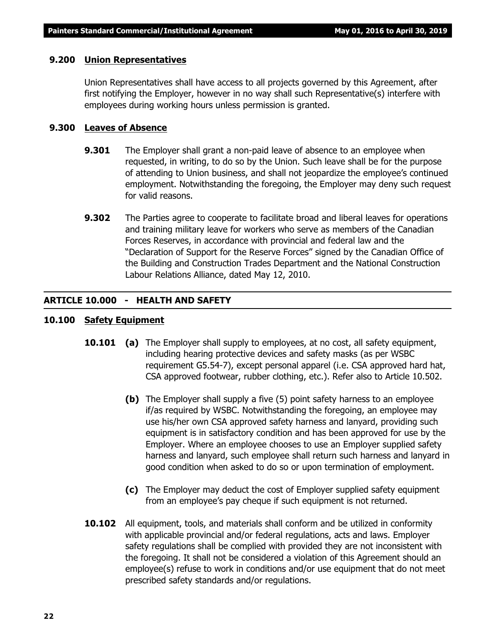#### **9.200 Union Representatives**

Union Representatives shall have access to all projects governed by this Agreement, after first notifying the Employer, however in no way shall such Representative(s) interfere with employees during working hours unless permission is granted.

#### **9.300 Leaves of Absence**

- **9.301** The Employer shall grant a non-paid leave of absence to an employee when requested, in writing, to do so by the Union. Such leave shall be for the purpose of attending to Union business, and shall not jeopardize the employee's continued employment. Notwithstanding the foregoing, the Employer may deny such request for valid reasons.
- **9.302** The Parties agree to cooperate to facilitate broad and liberal leaves for operations and training military leave for workers who serve as members of the Canadian Forces Reserves, in accordance with provincial and federal law and the "Declaration of Support for the Reserve Forces" signed by the Canadian Office of the Building and Construction Trades Department and the National Construction Labour Relations Alliance, dated May 12, 2010.

#### **ARTICLE 10.000 - HEALTH AND SAFETY**

#### **10.100 Safety Equipment**

- **10.101 (a)** The Employer shall supply to employees, at no cost, all safety equipment, including hearing protective devices and safety masks (as per WSBC requirement G5.54-7), except personal apparel (i.e. CSA approved hard hat, CSA approved footwear, rubber clothing, etc.). Refer also to Article 10.502.
	- **(b)** The Employer shall supply a five (5) point safety harness to an employee if/as required by WSBC. Notwithstanding the foregoing, an employee may use his/her own CSA approved safety harness and lanyard, providing such equipment is in satisfactory condition and has been approved for use by the Employer. Where an employee chooses to use an Employer supplied safety harness and lanyard, such employee shall return such harness and lanyard in good condition when asked to do so or upon termination of employment.
	- **(c)** The Employer may deduct the cost of Employer supplied safety equipment from an employee's pay cheque if such equipment is not returned.
- **10.102** All equipment, tools, and materials shall conform and be utilized in conformity with applicable provincial and/or federal regulations, acts and laws. Employer safety regulations shall be complied with provided they are not inconsistent with the foregoing. It shall not be considered a violation of this Agreement should an employee(s) refuse to work in conditions and/or use equipment that do not meet prescribed safety standards and/or regulations.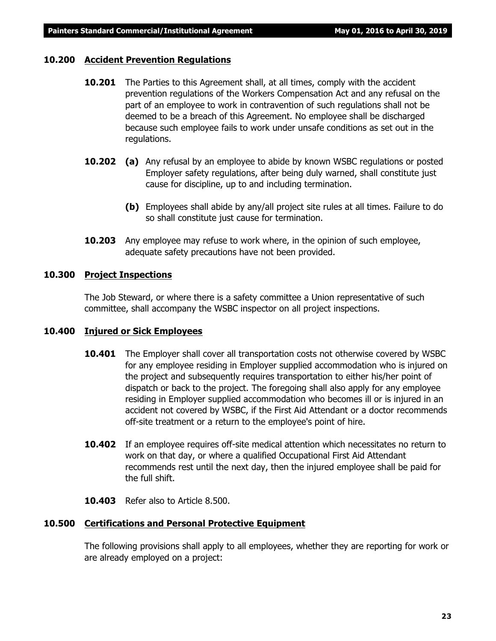#### **10.200 Accident Prevention Regulations**

- **10.201** The Parties to this Agreement shall, at all times, comply with the accident prevention regulations of the *Workers Compensation Act* and any refusal on the part of an employee to work in contravention of such regulations shall not be deemed to be a breach of this Agreement. No employee shall be discharged because such employee fails to work under unsafe conditions as set out in the regulations.
- **10.202 (a)** Any refusal by an employee to abide by known WSBC regulations or posted Employer safety regulations, after being duly warned, shall constitute just cause for discipline, up to and including termination.
	- **(b)** Employees shall abide by any/all project site rules at all times. Failure to do so shall constitute just cause for termination.
- **10.203** Any employee may refuse to work where, in the opinion of such employee, adequate safety precautions have not been provided.

#### **10.300 Project Inspections**

The Job Steward, or where there is a safety committee a Union representative of such committee, shall accompany the WSBC inspector on all project inspections.

#### **10.400 Injured or Sick Employees**

- **10.401** The Employer shall cover all transportation costs not otherwise covered by WSBC for any employee residing in Employer supplied accommodation who is injured on the project and subsequently requires transportation to either his/her point of dispatch or back to the project. The foregoing shall also apply for any employee residing in Employer supplied accommodation who becomes ill or is injured in an accident not covered by WSBC, if the First Aid Attendant or a doctor recommends off-site treatment or a return to the employee's point of hire.
- **10.402** If an employee requires off-site medical attention which necessitates no return to work on that day, or where a qualified Occupational First Aid Attendant recommends rest until the next day, then the injured employee shall be paid for the full shift.
- **10.403** Refer also to Article 8.500.

#### **10.500 Certifications and Personal Protective Equipment**

The following provisions shall apply to all employees, whether they are reporting for work or are already employed on a project: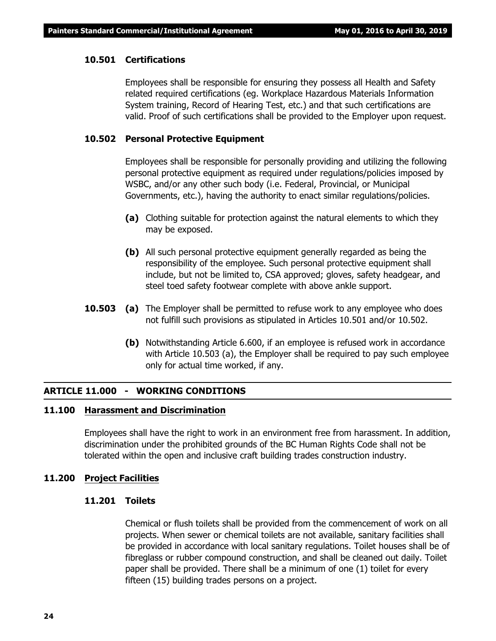#### **10.501 Certifications**

Employees shall be responsible for ensuring they possess all Health and Safety related required certifications (eg. Workplace Hazardous Materials Information System training, Record of Hearing Test, etc.) and that such certifications are valid. Proof of such certifications shall be provided to the Employer upon request.

#### **10.502 Personal Protective Equipment**

Employees shall be responsible for personally providing and utilizing the following personal protective equipment as required under regulations/policies imposed by WSBC, and/or any other such body (i.e. Federal, Provincial, or Municipal Governments, etc.), having the authority to enact similar regulations/policies.

- **(a)** Clothing suitable for protection against the natural elements to which they may be exposed.
- **(b)** All such personal protective equipment generally regarded as being the responsibility of the employee. Such personal protective equipment shall include, but not be limited to, CSA approved; gloves, safety headgear, and steel toed safety footwear complete with above ankle support.
- **10.503 (a)** The Employer shall be permitted to refuse work to any employee who does not fulfill such provisions as stipulated in Articles 10.501 and/or 10.502.
	- **(b)** Notwithstanding Article 6.600, if an employee is refused work in accordance with Article 10.503 (a), the Employer shall be required to pay such employee only for actual time worked, if any.

#### **ARTICLE 11.000 - WORKING CONDITIONS**

#### **11.100 Harassment and Discrimination**

Employees shall have the right to work in an environment free from harassment. In addition, discrimination under the prohibited grounds of the *BC Human Rights Code* shall not be tolerated within the open and inclusive craft building trades construction industry.

#### **11.200 Project Facilities**

#### **11.201 Toilets**

Chemical or flush toilets shall be provided from the commencement of work on all projects. When sewer or chemical toilets are not available, sanitary facilities shall be provided in accordance with local sanitary regulations. Toilet houses shall be of fibreglass or rubber compound construction, and shall be cleaned out daily. Toilet paper shall be provided. There shall be a minimum of one (1) toilet for every fifteen (15) building trades persons on a project.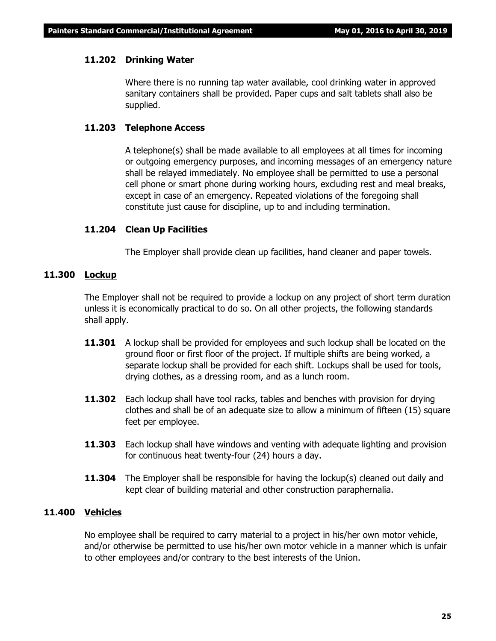#### **11.202 Drinking Water**

Where there is no running tap water available, cool drinking water in approved sanitary containers shall be provided. Paper cups and salt tablets shall also be supplied.

#### **11.203 Telephone Access**

A telephone(s) shall be made available to all employees at all times for incoming or outgoing emergency purposes, and incoming messages of an emergency nature shall be relayed immediately. No employee shall be permitted to use a personal cell phone or smart phone during working hours, excluding rest and meal breaks, except in case of an emergency. Repeated violations of the foregoing shall constitute just cause for discipline, up to and including termination.

#### **11.204 Clean Up Facilities**

The Employer shall provide clean up facilities, hand cleaner and paper towels.

#### **11.300 Lockup**

The Employer shall not be required to provide a lockup on any project of short term duration unless it is economically practical to do so. On all other projects, the following standards shall apply.

- **11.301** A lockup shall be provided for employees and such lockup shall be located on the ground floor or first floor of the project. If multiple shifts are being worked, a separate lockup shall be provided for each shift. Lockups shall be used for tools, drying clothes, as a dressing room, and as a lunch room.
- **11.302** Each lockup shall have tool racks, tables and benches with provision for drying clothes and shall be of an adequate size to allow a minimum of fifteen (15) square feet per employee.
- **11.303** Each lockup shall have windows and venting with adequate lighting and provision for continuous heat twenty-four (24) hours a day.
- **11.304** The Employer shall be responsible for having the lockup(s) cleaned out daily and kept clear of building material and other construction paraphernalia.

### **11.400 Vehicles**

No employee shall be required to carry material to a project in his/her own motor vehicle, and/or otherwise be permitted to use his/her own motor vehicle in a manner which is unfair to other employees and/or contrary to the best interests of the Union.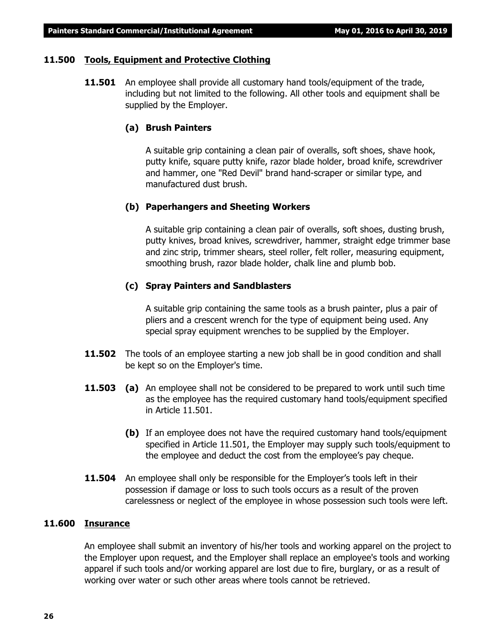#### **11.500 Tools, Equipment and Protective Clothing**

**11.501** An employee shall provide all customary hand tools/equipment of the trade, including but not limited to the following. All other tools and equipment shall be supplied by the Employer.

#### **(a) Brush Painters**

A suitable grip containing a clean pair of overalls, soft shoes, shave hook, putty knife, square putty knife, razor blade holder, broad knife, screwdriver and hammer, one "Red Devil" brand hand-scraper or similar type, and manufactured dust brush.

#### **(b) Paperhangers and Sheeting Workers**

A suitable grip containing a clean pair of overalls, soft shoes, dusting brush, putty knives, broad knives, screwdriver, hammer, straight edge trimmer base and zinc strip, trimmer shears, steel roller, felt roller, measuring equipment, smoothing brush, razor blade holder, chalk line and plumb bob.

#### **(c) Spray Painters and Sandblasters**

A suitable grip containing the same tools as a brush painter, plus a pair of pliers and a crescent wrench for the type of equipment being used. Any special spray equipment wrenches to be supplied by the Employer.

- **11.502** The tools of an employee starting a new job shall be in good condition and shall be kept so on the Employer's time.
- **11.503 (a)** An employee shall not be considered to be prepared to work until such time as the employee has the required customary hand tools/equipment specified in Article 11.501.
	- **(b)** If an employee does not have the required customary hand tools/equipment specified in Article 11.501, the Employer may supply such tools/equipment to the employee and deduct the cost from the employee's pay cheque.
- **11.504** An employee shall only be responsible for the Employer's tools left in their possession if damage or loss to such tools occurs as a result of the proven carelessness or neglect of the employee in whose possession such tools were left.

#### **11.600 Insurance**

An employee shall submit an inventory of his/her tools and working apparel on the project to the Employer upon request, and the Employer shall replace an employee's tools and working apparel if such tools and/or working apparel are lost due to fire, burglary, or as a result of working over water or such other areas where tools cannot be retrieved.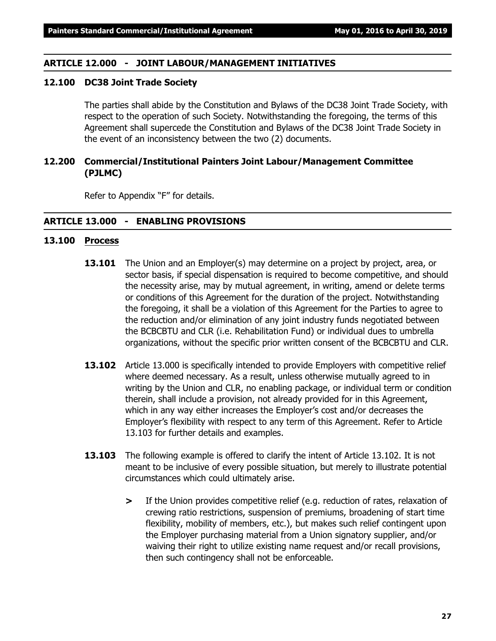#### **ARTICLE 12.000 - JOINT LABOUR/MANAGEMENT INITIATIVES**

#### **12.100 DC38 Joint Trade Society**

The parties shall abide by the Constitution and Bylaws of the DC38 Joint Trade Society, with respect to the operation of such Society. Notwithstanding the foregoing, the terms of this Agreement shall supercede the Constitution and Bylaws of the DC38 Joint Trade Society in the event of an inconsistency between the two (2) documents.

#### **12.200 Commercial/Institutional Painters Joint Labour/Management Committee (PJLMC)**

Refer to Appendix "F" for details.

#### **ARTICLE 13.000 - ENABLING PROVISIONS**

#### **13.100 Process**

- **13.101** The Union and an Employer(s) may determine on a project by project, area, or sector basis, if special dispensation is required to become competitive, and should the necessity arise, may by mutual agreement, in writing, amend or delete terms or conditions of this Agreement for the duration of the project. Notwithstanding the foregoing, it shall be a violation of this Agreement for the Parties to agree to the reduction and/or elimination of any joint industry funds negotiated between the BCBCBTU and CLR (i.e. Rehabilitation Fund) or individual dues to umbrella organizations, without the specific prior written consent of the BCBCBTU and CLR.
- **13.102** Article 13.000 is specifically intended to provide Employers with competitive relief where deemed necessary. As a result, unless otherwise mutually agreed to in writing by the Union and CLR, no enabling package, or individual term or condition therein, shall include a provision, not already provided for in this Agreement, which in any way either increases the Employer's cost and/or decreases the Employer's flexibility with respect to any term of this Agreement. Refer to Article 13.103 for further details and examples.
- **13.103** The following example is offered to clarify the intent of Article 13.102. It is not meant to be inclusive of every possible situation, but merely to illustrate potential circumstances which could ultimately arise.
	- **>** If the Union provides competitive relief (e.g. reduction of rates, relaxation of crewing ratio restrictions, suspension of premiums, broadening of start time flexibility, mobility of members, etc.), but makes such relief contingent upon the Employer purchasing material from a Union signatory supplier, and/or waiving their right to utilize existing name request and/or recall provisions, then such contingency shall not be enforceable.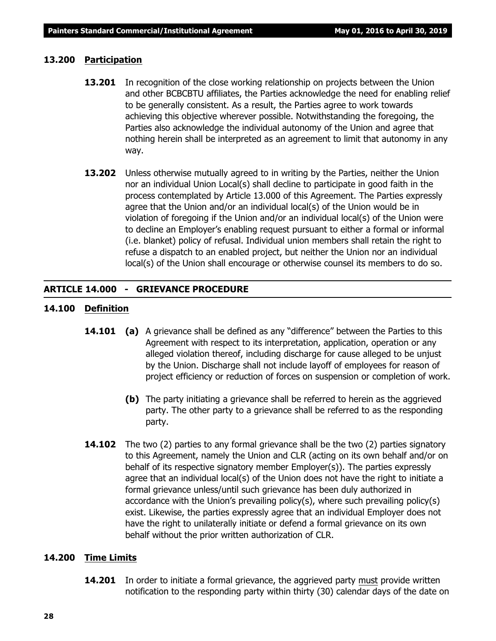#### **13.200 Participation**

- **13.201** In recognition of the close working relationship on projects between the Union and other BCBCBTU affiliates, the Parties acknowledge the need for enabling relief to be generally consistent. As a result, the Parties agree to work towards achieving this objective wherever possible. Notwithstanding the foregoing, the Parties also acknowledge the individual autonomy of the Union and agree that nothing herein shall be interpreted as an agreement to limit that autonomy in any way.
- **13.202** Unless otherwise mutually agreed to in writing by the Parties, neither the Union nor an individual Union Local(s) shall decline to participate in good faith in the process contemplated by Article 13.000 of this Agreement. The Parties expressly agree that the Union and/or an individual local(s) of the Union would be in violation of foregoing if the Union and/or an individual local(s) of the Union were to decline an Employer's enabling request pursuant to either a formal or informal (i.e. blanket) policy of refusal. Individual union members shall retain the right to refuse a dispatch to an enabled project, but neither the Union nor an individual local(s) of the Union shall encourage or otherwise counsel its members to do so.

#### **ARTICLE 14.000 - GRIEVANCE PROCEDURE**

#### **14.100 Definition**

- **14.101 (a)** A grievance shall be defined as any "difference" between the Parties to this Agreement with respect to its interpretation, application, operation or any alleged violation thereof, including discharge for cause alleged to be unjust by the Union. Discharge shall not include layoff of employees for reason of project efficiency or reduction of forces on suspension or completion of work.
	- **(b)** The party initiating a grievance shall be referred to herein as the aggrieved party. The other party to a grievance shall be referred to as the responding party.
- **14.102** The two (2) parties to any formal grievance shall be the two (2) parties signatory to this Agreement, namely the Union and CLR (acting on its own behalf and/or on behalf of its respective signatory member Employer(s)). The parties expressly agree that an individual local(s) of the Union does not have the right to initiate a formal grievance unless/until such grievance has been duly authorized in accordance with the Union's prevailing policy(s), where such prevailing policy(s) exist. Likewise, the parties expressly agree that an individual Employer does not have the right to unilaterally initiate or defend a formal grievance on its own behalf without the prior written authorization of CLR.

#### **14.200 Time Limits**

**14.201** In order to initiate a formal grievance, the aggrieved party must provide written notification to the responding party within thirty (30) calendar days of the date on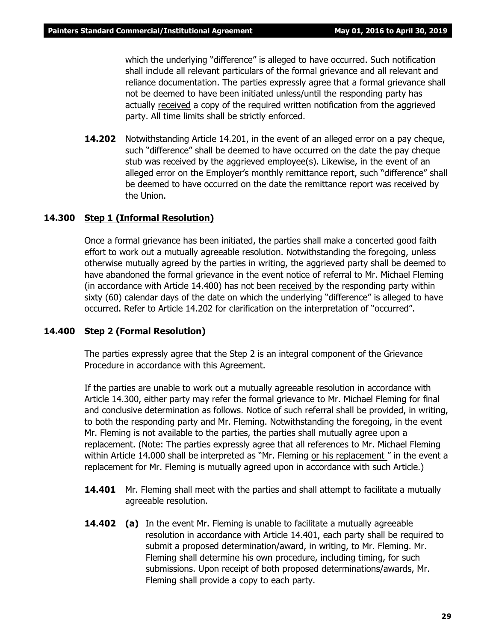which the underlying "difference" is alleged to have occurred. Such notification shall include all relevant particulars of the formal grievance and all relevant and reliance documentation. The parties expressly agree that a formal grievance shall not be deemed to have been initiated unless/until the responding party has actually received a copy of the required written notification from the aggrieved party. All time limits shall be strictly enforced.

**14.202** Notwithstanding Article 14.201, in the event of an alleged error on a pay cheque, such "difference" shall be deemed to have occurred on the date the pay cheque stub was received by the aggrieved employee(s). Likewise, in the event of an alleged error on the Employer's monthly remittance report, such "difference" shall be deemed to have occurred on the date the remittance report was received by the Union.

#### **14.300 Step 1 (Informal Resolution)**

Once a formal grievance has been initiated, the parties shall make a concerted good faith effort to work out a mutually agreeable resolution. Notwithstanding the foregoing, unless otherwise mutually agreed by the parties in writing, the aggrieved party shall be deemed to have abandoned the formal grievance in the event notice of referral to Mr. Michael Fleming (in accordance with Article 14.400) has not been received by the responding party within sixty (60) calendar days of the date on which the underlying "difference" is alleged to have occurred. Refer to Article 14.202 for clarification on the interpretation of "occurred".

#### **14.400 Step 2 (Formal Resolution)**

The parties expressly agree that the Step 2 is an integral component of the Grievance Procedure in accordance with this Agreement.

If the parties are unable to work out a mutually agreeable resolution in accordance with Article 14.300, either party may refer the formal grievance to Mr. Michael Fleming for final and conclusive determination as follows. Notice of such referral shall be provided, in writing, to both the responding party and Mr. Fleming. Notwithstanding the foregoing, in the event Mr. Fleming is not available to the parties, the parties shall mutually agree upon a replacement. (Note: The parties expressly agree that all references to Mr. Michael Fleming within Article 14.000 shall be interpreted as *"Mr. Fleming or his replacement "* in the event a replacement for Mr. Fleming is mutually agreed upon in accordance with such Article.)

- **14.401** Mr. Fleming shall meet with the parties and shall attempt to facilitate a mutually agreeable resolution.
- **14.402 (a)** In the event Mr. Fleming is unable to facilitate a mutually agreeable resolution in accordance with Article 14.401, each party shall be required to submit a proposed determination/award, in writing, to Mr. Fleming. Mr. Fleming shall determine his own procedure, including timing, for such submissions. Upon receipt of both proposed determinations/awards, Mr. Fleming shall provide a copy to each party.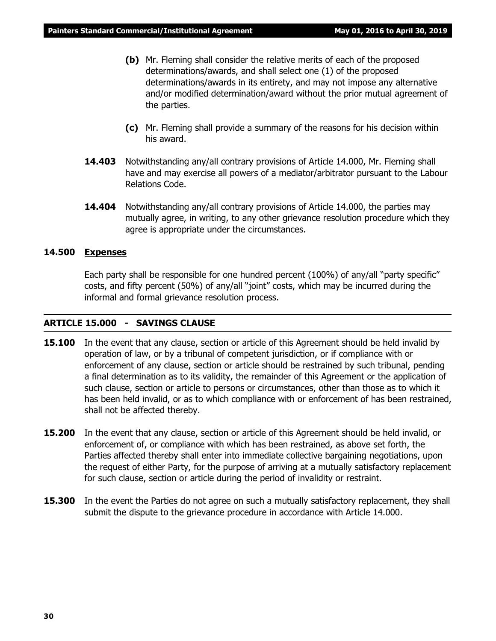- **(b)** Mr. Fleming shall consider the relative merits of each of the proposed determinations/awards, and shall select one (1) of the proposed determinations/awards in its entirety, and may not impose any alternative and/or modified determination/award without the prior mutual agreement of the parties.
- **(c)** Mr. Fleming shall provide a summary of the reasons for his decision within his award.
- **14.403** Notwithstanding any/all contrary provisions of Article 14.000, Mr. Fleming shall have and may exercise all powers of a mediator/arbitrator pursuant to the *Labour Relations Code.*
- **14.404** Notwithstanding any/all contrary provisions of Article 14.000, the parties may mutually agree, in writing, to any other grievance resolution procedure which they agree is appropriate under the circumstances.

#### **14.500 Expenses**

Each party shall be responsible for one hundred percent (100%) of any/all "party specific" costs, and fifty percent (50%) of any/all "joint" costs, which may be incurred during the informal and formal grievance resolution process.

#### **ARTICLE 15.000 - SAVINGS CLAUSE**

- **15.100** In the event that any clause, section or article of this Agreement should be held invalid by operation of law, or by a tribunal of competent jurisdiction, or if compliance with or enforcement of any clause, section or article should be restrained by such tribunal, pending a final determination as to its validity, the remainder of this Agreement or the application of such clause, section or article to persons or circumstances, other than those as to which it has been held invalid, or as to which compliance with or enforcement of has been restrained, shall not be affected thereby.
- **15.200** In the event that any clause, section or article of this Agreement should be held invalid, or enforcement of, or compliance with which has been restrained, as above set forth, the Parties affected thereby shall enter into immediate collective bargaining negotiations, upon the request of either Party, for the purpose of arriving at a mutually satisfactory replacement for such clause, section or article during the period of invalidity or restraint.
- **15.300** In the event the Parties do not agree on such a mutually satisfactory replacement, they shall submit the dispute to the grievance procedure in accordance with Article 14.000.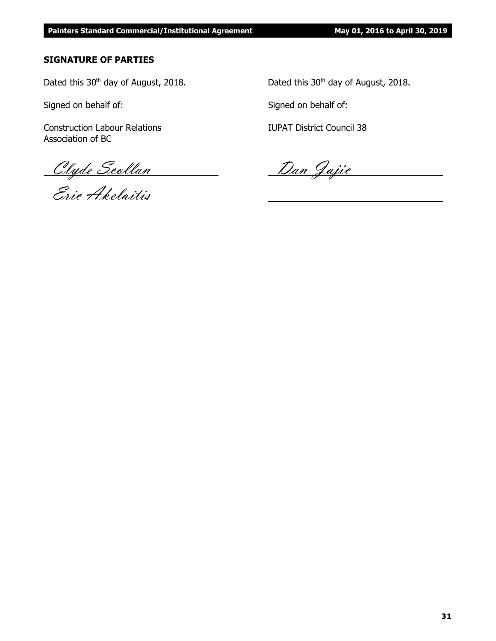#### **SIGNATURE OF PARTIES**

Signed on behalf of: Signed on behalf of:

Construction Labour Relations **IUPAT District Council 38** Association of BC

<u>Clyde Scollan Dan Jajic</u>

Eric Akelaitis

Dated this  $30<sup>th</sup>$  day of August, 2018. Dated this  $30<sup>th</sup>$  day of August, 2018.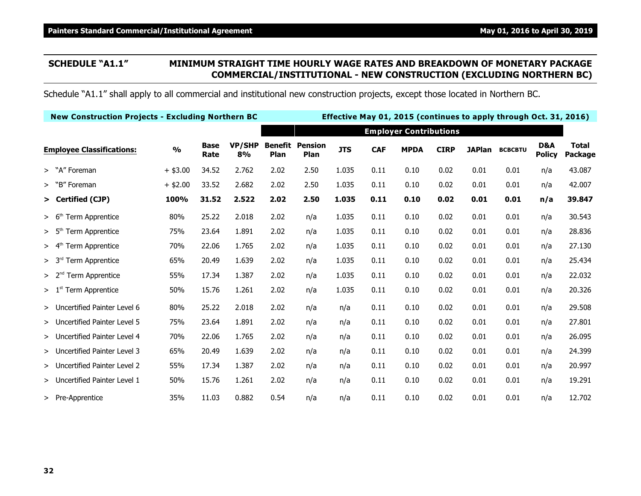### **SCHEDULE "A1.1" MINIMUM STRAIGHT TIME HOURLY WAGE RATES AND BREAKDOWN OF MONETARY PACKAGE COMMERCIAL/INSTITUTIONAL - NEW CONSTRUCTION (EXCLUDING NORTHERN BC)**

Schedule "A1.1" shall apply to all commercial and institutional new construction projects, except those located in Northern BC.

| <b>New Construction Projects - Excluding Northern BC</b> |               |                     |                     |                               |                               |            |            | Effective May 01, 2015 (continues to apply through Oct. 31, 2016) |             |               |                |                      |                  |  |
|----------------------------------------------------------|---------------|---------------------|---------------------|-------------------------------|-------------------------------|------------|------------|-------------------------------------------------------------------|-------------|---------------|----------------|----------------------|------------------|--|
|                                                          |               |                     |                     | <b>Employer Contributions</b> |                               |            |            |                                                                   |             |               |                |                      |                  |  |
| <b>Employee Classifications:</b>                         | $\frac{0}{0}$ | <b>Base</b><br>Rate | <b>VP/SHP</b><br>8% | <b>Benefit</b><br>Plan        | <b>Pension</b><br><b>Plan</b> | <b>JTS</b> | <b>CAF</b> | <b>MPDA</b>                                                       | <b>CIRP</b> | <b>JAPlan</b> | <b>BCBCBTU</b> | D&A<br><b>Policy</b> | Total<br>Package |  |
| > "A" Foreman                                            | $+$ \$3.00    | 34.52               | 2.762               | 2.02                          | 2.50                          | 1.035      | 0.11       | 0.10                                                              | 0.02        | 0.01          | 0.01           | n/a                  | 43.087           |  |
| > "B" Foreman                                            | $+$ \$2.00    | 33.52               | 2.682               | 2.02                          | 2.50                          | 1.035      | 0.11       | 0.10                                                              | 0.02        | 0.01          | 0.01           | n/a                  | 42.007           |  |
| > Certified (CJP)                                        | 100%          | 31.52               | 2.522               | 2.02                          | 2.50                          | 1.035      | 0.11       | 0.10                                                              | 0.02        | 0.01          | 0.01           | n/a                  | 39.847           |  |
| Term Apprentice<br>> 6 <sup>th</sup>                     | 80%           | 25.22               | 2.018               | 2.02                          | n/a                           | 1.035      | 0.11       | 0.10                                                              | 0.02        | 0.01          | 0.01           | n/a                  | 30.543           |  |
| Term Apprentice<br>> 5 <sup>th</sup>                     | 75%           | 23.64               | 1.891               | 2.02                          | n/a                           | 1.035      | 0.11       | 0.10                                                              | 0.02        | 0.01          | 0.01           | n/a                  | 28.836           |  |
| > 4 <sup>th</sup><br>Term Apprentice                     | 70%           | 22.06               | 1.765               | 2.02                          | n/a                           | 1.035      | 0.11       | 0.10                                                              | 0.02        | 0.01          | 0.01           | n/a                  | 27.130           |  |
| Term Apprentice<br>> 3 <sup>rd</sup>                     | 65%           | 20.49               | 1.639               | 2.02                          | n/a                           | 1.035      | 0.11       | 0.10                                                              | 0.02        | 0.01          | 0.01           | n/a                  | 25.434           |  |
| > 2 <sup>nd</sup><br>Term Apprentice                     | 55%           | 17.34               | 1.387               | 2.02                          | n/a                           | 1.035      | 0.11       | 0.10                                                              | 0.02        | 0.01          | 0.01           | n/a                  | 22.032           |  |
| Term Apprentice<br>>1 <sup>st</sup>                      | 50%           | 15.76               | 1.261               | 2.02                          | n/a                           | 1.035      | 0.11       | 0.10                                                              | 0.02        | 0.01          | 0.01           | n/a                  | 20.326           |  |
| > Uncertified Painter Level 6                            | 80%           | 25.22               | 2.018               | 2.02                          | n/a                           | n/a        | 0.11       | 0.10                                                              | 0.02        | 0.01          | 0.01           | n/a                  | 29.508           |  |
| > Uncertified Painter Level 5                            | 75%           | 23.64               | 1.891               | 2.02                          | n/a                           | n/a        | 0.11       | 0.10                                                              | 0.02        | 0.01          | 0.01           | n/a                  | 27.801           |  |
| > Uncertified Painter Level 4                            | 70%           | 22.06               | 1.765               | 2.02                          | n/a                           | n/a        | 0.11       | 0.10                                                              | 0.02        | 0.01          | 0.01           | n/a                  | 26.095           |  |
| > Uncertified Painter Level 3                            | 65%           | 20.49               | 1.639               | 2.02                          | n/a                           | n/a        | 0.11       | 0.10                                                              | 0.02        | 0.01          | 0.01           | n/a                  | 24.399           |  |
| > Uncertified Painter Level 2                            | 55%           | 17.34               | 1.387               | 2.02                          | n/a                           | n/a        | 0.11       | 0.10                                                              | 0.02        | 0.01          | 0.01           | n/a                  | 20.997           |  |
| > Uncertified Painter Level 1                            | 50%           | 15.76               | 1.261               | 2.02                          | n/a                           | n/a        | 0.11       | 0.10                                                              | 0.02        | 0.01          | 0.01           | n/a                  | 19.291           |  |
| > Pre-Apprentice                                         | 35%           | 11.03               | 0.882               | 0.54                          | n/a                           | n/a        | 0.11       | 0.10                                                              | 0.02        | 0.01          | 0.01           | n/a                  | 12.702           |  |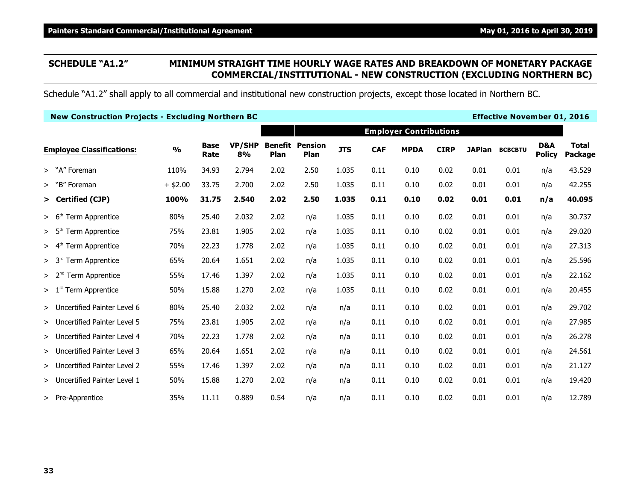### **SCHEDULE "A1.2" MINIMUM STRAIGHT TIME HOURLY WAGE RATES AND BREAKDOWN OF MONETARY PACKAGE COMMERCIAL/INSTITUTIONAL - NEW CONSTRUCTION (EXCLUDING NORTHERN BC)**

Schedule "A1.2" shall apply to all commercial and institutional new construction projects, except those located in Northern BC.

| <b>New Construction Projects - Excluding Northern BC</b> |               |                     |                     |                        |                        |            |            |                               |             |               | <b>Effective November 01, 2016</b> |                      |                  |
|----------------------------------------------------------|---------------|---------------------|---------------------|------------------------|------------------------|------------|------------|-------------------------------|-------------|---------------|------------------------------------|----------------------|------------------|
|                                                          |               |                     |                     |                        |                        |            |            | <b>Employer Contributions</b> |             |               |                                    |                      |                  |
| <b>Employee Classifications:</b>                         | $\frac{0}{0}$ | <b>Base</b><br>Rate | <b>VP/SHP</b><br>8% | <b>Benefit</b><br>Plan | <b>Pension</b><br>Plan | <b>JTS</b> | <b>CAF</b> | <b>MPDA</b>                   | <b>CIRP</b> | <b>JAPlan</b> | <b>BCBCBTU</b>                     | D&A<br><b>Policy</b> | Total<br>Package |
| > "A" Foreman                                            | 110%          | 34.93               | 2.794               | 2.02                   | 2.50                   | 1.035      | 0.11       | 0.10                          | 0.02        | 0.01          | 0.01                               | n/a                  | 43.529           |
| > "B" Foreman                                            | $+$ \$2.00    | 33.75               | 2.700               | 2.02                   | 2.50                   | 1.035      | 0.11       | 0.10                          | 0.02        | 0.01          | 0.01                               | n/a                  | 42.255           |
| > Certified (CJP)                                        | 100%          | 31.75               | 2.540               | 2.02                   | 2.50                   | 1.035      | 0.11       | 0.10                          | 0.02        | 0.01          | 0.01                               | n/a                  | 40.095           |
| Term Apprentice<br>> 6 <sup>th</sup>                     | 80%           | 25.40               | 2.032               | 2.02                   | n/a                    | 1.035      | 0.11       | 0.10                          | 0.02        | 0.01          | 0.01                               | n/a                  | 30.737           |
| <b>Term Apprentice</b><br>> 5 <sup>th</sup>              | 75%           | 23.81               | 1.905               | 2.02                   | n/a                    | 1.035      | 0.11       | 0.10                          | 0.02        | 0.01          | 0.01                               | n/a                  | 29.020           |
| $> 4th$ Term Apprentice                                  | 70%           | 22.23               | 1.778               | 2.02                   | n/a                    | 1.035      | 0.11       | 0.10                          | 0.02        | 0.01          | 0.01                               | n/a                  | 27.313           |
| > 3 <sup>rd</sup><br>Term Apprentice                     | 65%           | 20.64               | 1.651               | 2.02                   | n/a                    | 1.035      | 0.11       | 0.10                          | 0.02        | 0.01          | 0.01                               | n/a                  | 25.596           |
| > 2 <sup>nd</sup><br>Term Apprentice                     | 55%           | 17.46               | 1.397               | 2.02                   | n/a                    | 1.035      | 0.11       | 0.10                          | 0.02        | 0.01          | 0.01                               | n/a                  | 22.162           |
| >1 <sup>st</sup><br>Term Apprentice                      | 50%           | 15.88               | 1.270               | 2.02                   | n/a                    | 1.035      | 0.11       | 0.10                          | 0.02        | 0.01          | 0.01                               | n/a                  | 20.455           |
| > Uncertified Painter Level 6                            | 80%           | 25.40               | 2.032               | 2.02                   | n/a                    | n/a        | 0.11       | 0.10                          | 0.02        | 0.01          | 0.01                               | n/a                  | 29.702           |
| > Uncertified Painter Level 5                            | 75%           | 23.81               | 1.905               | 2.02                   | n/a                    | n/a        | 0.11       | 0.10                          | 0.02        | 0.01          | 0.01                               | n/a                  | 27.985           |
| > Uncertified Painter Level 4                            | 70%           | 22.23               | 1.778               | 2.02                   | n/a                    | n/a        | 0.11       | 0.10                          | 0.02        | 0.01          | 0.01                               | n/a                  | 26.278           |
| > Uncertified Painter Level 3                            | 65%           | 20.64               | 1.651               | 2.02                   | n/a                    | n/a        | 0.11       | 0.10                          | 0.02        | 0.01          | 0.01                               | n/a                  | 24.561           |
| > Uncertified Painter Level 2                            | 55%           | 17.46               | 1.397               | 2.02                   | n/a                    | n/a        | 0.11       | 0.10                          | 0.02        | 0.01          | 0.01                               | n/a                  | 21.127           |
| > Uncertified Painter Level 1                            | 50%           | 15.88               | 1.270               | 2.02                   | n/a                    | n/a        | 0.11       | 0.10                          | 0.02        | 0.01          | 0.01                               | n/a                  | 19.420           |
| > Pre-Apprentice                                         | 35%           | 11.11               | 0.889               | 0.54                   | n/a                    | n/a        | 0.11       | 0.10                          | 0.02        | 0.01          | 0.01                               | n/a                  | 12.789           |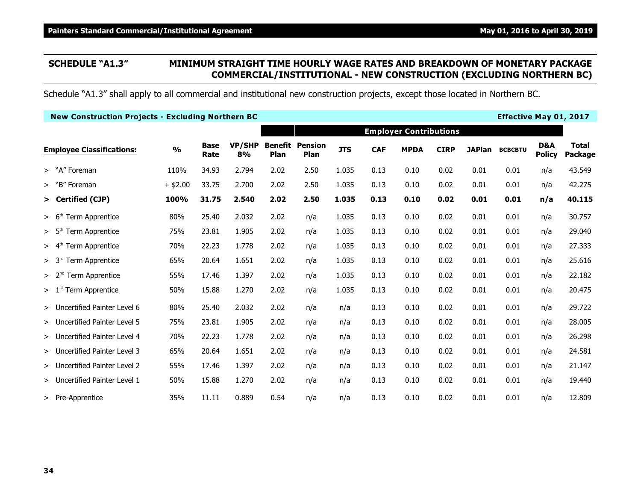Schedule "A1.3" shall apply to all commercial and institutional new construction projects, except those located in Northern BC.

| <b>New Construction Projects - Excluding Northern BC</b> |               |                     |                     |                        |                               |            |            |                               |             |               | <b>Effective May 01, 2017</b> |                      |                         |
|----------------------------------------------------------|---------------|---------------------|---------------------|------------------------|-------------------------------|------------|------------|-------------------------------|-------------|---------------|-------------------------------|----------------------|-------------------------|
|                                                          |               |                     |                     |                        |                               |            |            | <b>Employer Contributions</b> |             |               |                               |                      |                         |
| <b>Employee Classifications:</b>                         | $\frac{0}{0}$ | <b>Base</b><br>Rate | <b>VP/SHP</b><br>8% | <b>Benefit</b><br>Plan | <b>Pension</b><br><b>Plan</b> | <b>JTS</b> | <b>CAF</b> | <b>MPDA</b>                   | <b>CIRP</b> | <b>JAPlan</b> | <b>BCBCBTU</b>                | D&A<br><b>Policy</b> | <b>Total</b><br>Package |
| > "A" Foreman                                            | 110%          | 34.93               | 2.794               | 2.02                   | 2.50                          | 1.035      | 0.13       | 0.10                          | 0.02        | 0.01          | 0.01                          | n/a                  | 43.549                  |
| > "B" Foreman                                            | $+$ \$2.00    | 33.75               | 2.700               | 2.02                   | 2.50                          | 1.035      | 0.13       | 0.10                          | 0.02        | 0.01          | 0.01                          | n/a                  | 42.275                  |
| > Certified (CJP)                                        | 100%          | 31.75               | 2.540               | 2.02                   | 2.50                          | 1.035      | 0.13       | 0.10                          | 0.02        | 0.01          | 0.01                          | n/a                  | 40.115                  |
| > 6 <sup>th</sup><br>Term Apprentice                     | 80%           | 25.40               | 2.032               | 2.02                   | n/a                           | 1.035      | 0.13       | 0.10                          | 0.02        | 0.01          | 0.01                          | n/a                  | 30.757                  |
| Term Apprentice<br>> 5 <sup>th</sup>                     | 75%           | 23.81               | 1.905               | 2.02                   | n/a                           | 1.035      | 0.13       | 0.10                          | 0.02        | 0.01          | 0.01                          | n/a                  | 29.040                  |
| > 4 <sup>th</sup><br>Term Apprentice                     | 70%           | 22.23               | 1.778               | 2.02                   | n/a                           | 1.035      | 0.13       | 0.10                          | 0.02        | 0.01          | 0.01                          | n/a                  | 27.333                  |
| Term Apprentice<br>> 3 <sup>rd</sup>                     | 65%           | 20.64               | 1.651               | 2.02                   | n/a                           | 1.035      | 0.13       | 0.10                          | 0.02        | 0.01          | 0.01                          | n/a                  | 25.616                  |
| <b>Term Apprentice</b><br>> 2 <sup>nd</sup>              | 55%           | 17.46               | 1.397               | 2.02                   | n/a                           | 1.035      | 0.13       | 0.10                          | 0.02        | 0.01          | 0.01                          | n/a                  | 22.182                  |
| <b>Term Apprentice</b><br>>1 <sup>st</sup>               | 50%           | 15.88               | 1.270               | 2.02                   | n/a                           | 1.035      | 0.13       | 0.10                          | 0.02        | 0.01          | 0.01                          | n/a                  | 20.475                  |
| > Uncertified Painter Level 6                            | 80%           | 25.40               | 2.032               | 2.02                   | n/a                           | n/a        | 0.13       | 0.10                          | 0.02        | 0.01          | 0.01                          | n/a                  | 29.722                  |
| > Uncertified Painter Level 5                            | 75%           | 23.81               | 1.905               | 2.02                   | n/a                           | n/a        | 0.13       | 0.10                          | 0.02        | 0.01          | 0.01                          | n/a                  | 28.005                  |
| > Uncertified Painter Level 4                            | 70%           | 22.23               | 1.778               | 2.02                   | n/a                           | n/a        | 0.13       | 0.10                          | 0.02        | 0.01          | 0.01                          | n/a                  | 26.298                  |
| > Uncertified Painter Level 3                            | 65%           | 20.64               | 1.651               | 2.02                   | n/a                           | n/a        | 0.13       | 0.10                          | 0.02        | 0.01          | 0.01                          | n/a                  | 24.581                  |
| > Uncertified Painter Level 2                            | 55%           | 17.46               | 1.397               | 2.02                   | n/a                           | n/a        | 0.13       | 0.10                          | 0.02        | 0.01          | 0.01                          | n/a                  | 21.147                  |
| > Uncertified Painter Level 1                            | 50%           | 15.88               | 1.270               | 2.02                   | n/a                           | n/a        | 0.13       | 0.10                          | 0.02        | 0.01          | 0.01                          | n/a                  | 19.440                  |
| > Pre-Apprentice                                         | 35%           | 11.11               | 0.889               | 0.54                   | n/a                           | n/a        | 0.13       | 0.10                          | 0.02        | 0.01          | 0.01                          | n/a                  | 12.809                  |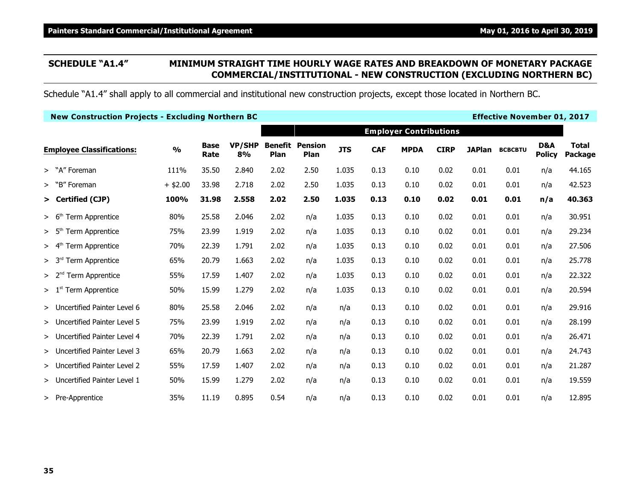# **SCHEDULE "A1.4" MINIMUM STRAIGHT TIME HOURLY WAGE RATES AND BREAKDOWN OF MONETARY PACKAGE COMMERCIAL/INSTITUTIONAL - NEW CONSTRUCTION (EXCLUDING NORTHERN BC)**

Schedule "A1.4" shall apply to all commercial and institutional new construction projects, except those located in Northern BC.

| <b>New Construction Projects - Excluding Northern BC</b> |               |                     |                     |                        |                               |            |            |                               |             |               | <b>Effective November 01, 2017</b> |                      |                         |
|----------------------------------------------------------|---------------|---------------------|---------------------|------------------------|-------------------------------|------------|------------|-------------------------------|-------------|---------------|------------------------------------|----------------------|-------------------------|
|                                                          |               |                     |                     |                        |                               |            |            | <b>Employer Contributions</b> |             |               |                                    |                      |                         |
| <b>Employee Classifications:</b>                         | $\frac{0}{0}$ | <b>Base</b><br>Rate | <b>VP/SHP</b><br>8% | <b>Benefit</b><br>Plan | <b>Pension</b><br><b>Plan</b> | <b>JTS</b> | <b>CAF</b> | <b>MPDA</b>                   | <b>CIRP</b> | <b>JAPlan</b> | <b>BCBCBTU</b>                     | D&A<br><b>Policy</b> | <b>Total</b><br>Package |
| > "A" Foreman                                            | 111%          | 35.50               | 2.840               | 2.02                   | 2.50                          | 1.035      | 0.13       | 0.10                          | 0.02        | 0.01          | 0.01                               | n/a                  | 44.165                  |
| > "B" Foreman                                            | $+$ \$2.00    | 33.98               | 2.718               | 2.02                   | 2.50                          | 1.035      | 0.13       | 0.10                          | 0.02        | 0.01          | 0.01                               | n/a                  | 42.523                  |
| > Certified (CJP)                                        | 100%          | 31.98               | 2.558               | 2.02                   | 2.50                          | 1.035      | 0.13       | 0.10                          | 0.02        | 0.01          | 0.01                               | n/a                  | 40.363                  |
| > 6 <sup>th</sup><br>Term Apprentice                     | 80%           | 25.58               | 2.046               | 2.02                   | n/a                           | 1.035      | 0.13       | 0.10                          | 0.02        | 0.01          | 0.01                               | n/a                  | 30.951                  |
| Term Apprentice<br>> 5 <sup>th</sup>                     | 75%           | 23.99               | 1.919               | 2.02                   | n/a                           | 1.035      | 0.13       | 0.10                          | 0.02        | 0.01          | 0.01                               | n/a                  | 29.234                  |
| > 4 <sup>th</sup><br>Term Apprentice                     | 70%           | 22.39               | 1.791               | 2.02                   | n/a                           | 1.035      | 0.13       | 0.10                          | 0.02        | 0.01          | 0.01                               | n/a                  | 27.506                  |
| Term Apprentice<br>> 3 <sup>rd</sup>                     | 65%           | 20.79               | 1.663               | 2.02                   | n/a                           | 1.035      | 0.13       | 0.10                          | 0.02        | 0.01          | 0.01                               | n/a                  | 25.778                  |
| <b>Term Apprentice</b><br>> 2 <sup>nd</sup>              | 55%           | 17.59               | 1.407               | 2.02                   | n/a                           | 1.035      | 0.13       | 0.10                          | 0.02        | 0.01          | 0.01                               | n/a                  | 22.322                  |
| <b>Term Apprentice</b><br>>1 <sup>st</sup>               | 50%           | 15.99               | 1.279               | 2.02                   | n/a                           | 1.035      | 0.13       | 0.10                          | 0.02        | 0.01          | 0.01                               | n/a                  | 20.594                  |
| > Uncertified Painter Level 6                            | 80%           | 25.58               | 2.046               | 2.02                   | n/a                           | n/a        | 0.13       | 0.10                          | 0.02        | 0.01          | 0.01                               | n/a                  | 29.916                  |
| > Uncertified Painter Level 5                            | 75%           | 23.99               | 1.919               | 2.02                   | n/a                           | n/a        | 0.13       | 0.10                          | 0.02        | 0.01          | 0.01                               | n/a                  | 28.199                  |
| > Uncertified Painter Level 4                            | 70%           | 22.39               | 1.791               | 2.02                   | n/a                           | n/a        | 0.13       | 0.10                          | 0.02        | 0.01          | 0.01                               | n/a                  | 26.471                  |
| > Uncertified Painter Level 3                            | 65%           | 20.79               | 1.663               | 2.02                   | n/a                           | n/a        | 0.13       | 0.10                          | 0.02        | 0.01          | 0.01                               | n/a                  | 24.743                  |
| > Uncertified Painter Level 2                            | 55%           | 17.59               | 1.407               | 2.02                   | n/a                           | n/a        | 0.13       | 0.10                          | 0.02        | 0.01          | 0.01                               | n/a                  | 21.287                  |
| > Uncertified Painter Level 1                            | 50%           | 15.99               | 1.279               | 2.02                   | n/a                           | n/a        | 0.13       | 0.10                          | 0.02        | 0.01          | 0.01                               | n/a                  | 19.559                  |
| > Pre-Apprentice                                         | 35%           | 11.19               | 0.895               | 0.54                   | n/a                           | n/a        | 0.13       | 0.10                          | 0.02        | 0.01          | 0.01                               | n/a                  | 12.895                  |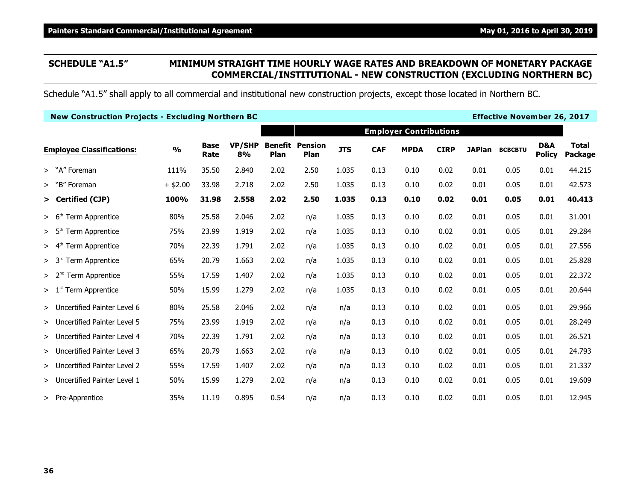## **SCHEDULE "A1.5" MINIMUM STRAIGHT TIME HOURLY WAGE RATES AND BREAKDOWN OF MONETARY PACKAGE COMMERCIAL/INSTITUTIONAL - NEW CONSTRUCTION (EXCLUDING NORTHERN BC)**

Schedule "A1.5" shall apply to all commercial and institutional new construction projects, except those located in Northern BC.

| <b>New Construction Projects - Excluding Northern BC</b> |               |                     |                     |                        |                        |            |            |                               |             |               | <b>Effective November 26, 2017</b> |                      |                  |
|----------------------------------------------------------|---------------|---------------------|---------------------|------------------------|------------------------|------------|------------|-------------------------------|-------------|---------------|------------------------------------|----------------------|------------------|
|                                                          |               |                     |                     |                        |                        |            |            | <b>Employer Contributions</b> |             |               |                                    |                      |                  |
| <b>Employee Classifications:</b>                         | $\frac{1}{2}$ | <b>Base</b><br>Rate | <b>VP/SHP</b><br>8% | <b>Benefit</b><br>Plan | <b>Pension</b><br>Plan | <b>JTS</b> | <b>CAF</b> | <b>MPDA</b>                   | <b>CIRP</b> | <b>JAPlan</b> | <b>BCBCBTU</b>                     | D&A<br><b>Policy</b> | Total<br>Package |
| > "A" Foreman                                            | 111%          | 35.50               | 2.840               | 2.02                   | 2.50                   | 1.035      | 0.13       | 0.10                          | 0.02        | 0.01          | 0.05                               | 0.01                 | 44.215           |
| > "B" Foreman                                            | $+$ \$2.00    | 33.98               | 2.718               | 2.02                   | 2.50                   | 1.035      | 0.13       | 0.10                          | 0.02        | 0.01          | 0.05                               | 0.01                 | 42.573           |
| > Certified (CJP)                                        | 100%          | 31.98               | 2.558               | 2.02                   | 2.50                   | 1.035      | 0.13       | 0.10                          | 0.02        | 0.01          | 0.05                               | 0.01                 | 40.413           |
| Term Apprentice<br>> 6 <sup>th</sup>                     | 80%           | 25.58               | 2.046               | 2.02                   | n/a                    | 1.035      | 0.13       | 0.10                          | 0.02        | 0.01          | 0.05                               | 0.01                 | 31.001           |
| Term Apprentice<br>> 5 <sup>m</sup>                      | 75%           | 23.99               | 1.919               | 2.02                   | n/a                    | 1.035      | 0.13       | 0.10                          | 0.02        | 0.01          | 0.05                               | 0.01                 | 29.284           |
| > 4 <sup>th</sup><br>Term Apprentice                     | 70%           | 22.39               | 1.791               | 2.02                   | n/a                    | 1.035      | 0.13       | 0.10                          | 0.02        | 0.01          | 0.05                               | 0.01                 | 27.556           |
| $> 3rd$ Term Apprentice                                  | 65%           | 20.79               | 1.663               | 2.02                   | n/a                    | 1.035      | 0.13       | 0.10                          | 0.02        | 0.01          | 0.05                               | 0.01                 | 25.828           |
| Term Apprentice<br>> 2 <sup>nd</sup>                     | 55%           | 17.59               | 1.407               | 2.02                   | n/a                    | 1.035      | 0.13       | 0.10                          | 0.02        | 0.01          | 0.05                               | 0.01                 | 22.372           |
| $>1^{\rm st}$<br>Term Apprentice                         | 50%           | 15.99               | 1.279               | 2.02                   | n/a                    | 1.035      | 0.13       | 0.10                          | 0.02        | 0.01          | 0.05                               | 0.01                 | 20.644           |
| > Uncertified Painter Level 6                            | 80%           | 25.58               | 2.046               | 2.02                   | n/a                    | n/a        | 0.13       | 0.10                          | 0.02        | 0.01          | 0.05                               | 0.01                 | 29.966           |
| > Uncertified Painter Level 5                            | 75%           | 23.99               | 1.919               | 2.02                   | n/a                    | n/a        | 0.13       | 0.10                          | 0.02        | 0.01          | 0.05                               | 0.01                 | 28.249           |
| > Uncertified Painter Level 4                            | 70%           | 22.39               | 1.791               | 2.02                   | n/a                    | n/a        | 0.13       | 0.10                          | 0.02        | 0.01          | 0.05                               | 0.01                 | 26.521           |
| > Uncertified Painter Level 3                            | 65%           | 20.79               | 1.663               | 2.02                   | n/a                    | n/a        | 0.13       | 0.10                          | 0.02        | 0.01          | 0.05                               | 0.01                 | 24.793           |
| > Uncertified Painter Level 2                            | 55%           | 17.59               | 1.407               | 2.02                   | n/a                    | n/a        | 0.13       | 0.10                          | 0.02        | 0.01          | 0.05                               | 0.01                 | 21.337           |
| > Uncertified Painter Level 1                            | 50%           | 15.99               | 1.279               | 2.02                   | n/a                    | n/a        | 0.13       | 0.10                          | 0.02        | 0.01          | 0.05                               | 0.01                 | 19.609           |
| > Pre-Apprentice                                         | 35%           | 11.19               | 0.895               | 0.54                   | n/a                    | n/a        | 0.13       | 0.10                          | 0.02        | 0.01          | 0.05                               | 0.01                 | 12.945           |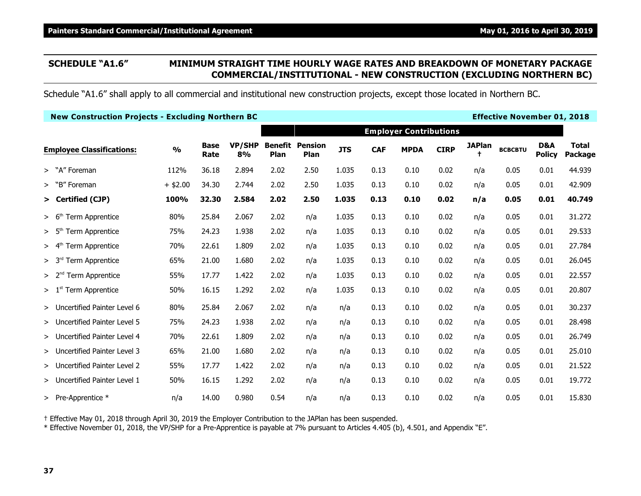#### **SCHEDULE "A1.6" MINIMUM STRAIGHT TIME HOURLY WAGE RATES AND BREAKDOWN OF MONETARY PACKAGE COMMERCIAL/INSTITUTIONAL - NEW CONSTRUCTION (EXCLUDING NORTHERN BC)**

Schedule "A1.6" shall apply to all commercial and institutional new construction projects, except those located in Northern BC.

| <b>New Construction Projects - Excluding Northern BC</b> |                         |                     |                     |                        |                               |            |            |                               |             |               | <b>Effective November 01, 2018</b> |                      |                         |
|----------------------------------------------------------|-------------------------|---------------------|---------------------|------------------------|-------------------------------|------------|------------|-------------------------------|-------------|---------------|------------------------------------|----------------------|-------------------------|
|                                                          |                         |                     |                     |                        |                               |            |            | <b>Employer Contributions</b> |             |               |                                    |                      |                         |
| <b>Employee Classifications:</b>                         | $\mathbf{O}/\mathbf{O}$ | <b>Base</b><br>Rate | <b>VP/SHP</b><br>8% | <b>Benefit</b><br>Plan | <b>Pension</b><br><b>Plan</b> | <b>JTS</b> | <b>CAF</b> | <b>MPDA</b>                   | <b>CIRP</b> | <b>JAPlan</b> | <b>BCBCBTU</b>                     | D&A<br><b>Policy</b> | <b>Total</b><br>Package |
| > "A" Foreman                                            | 112%                    | 36.18               | 2.894               | 2.02                   | 2.50                          | 1.035      | 0.13       | 0.10                          | 0.02        | n/a           | 0.05                               | 0.01                 | 44.939                  |
| > "B" Foreman                                            | $+$ \$2.00              | 34.30               | 2.744               | 2.02                   | 2.50                          | 1.035      | 0.13       | 0.10                          | 0.02        | n/a           | 0.05                               | 0.01                 | 42.909                  |
| > Certified (CJP)                                        | 100%                    | 32.30               | 2.584               | 2.02                   | 2.50                          | 1.035      | 0.13       | 0.10                          | 0.02        | n/a           | 0.05                               | 0.01                 | 40.749                  |
| > 6 <sup>tt</sup><br>Term Apprentice                     | 80%                     | 25.84               | 2.067               | 2.02                   | n/a                           | 1.035      | 0.13       | 0.10                          | 0.02        | n/a           | 0.05                               | 0.01                 | 31.272                  |
| > 5 <sup>tt</sup><br><b>Term Apprentice</b>              | 75%                     | 24.23               | 1.938               | 2.02                   | n/a                           | 1.035      | 0.13       | 0.10                          | 0.02        | n/a           | 0.05                               | 0.01                 | 29.533                  |
| <b>Term Apprentice</b><br>$> 4^{\text{th}}$              | 70%                     | 22.61               | 1.809               | 2.02                   | n/a                           | 1.035      | 0.13       | 0.10                          | 0.02        | n/a           | 0.05                               | 0.01                 | 27.784                  |
| Term Apprentice<br>> 3 <sup>rd</sup>                     | 65%                     | 21.00               | 1.680               | 2.02                   | n/a                           | 1.035      | 0.13       | 0.10                          | 0.02        | n/a           | 0.05                               | 0.01                 | 26.045                  |
| Term Apprentice<br>> 2 <sup>nd</sup>                     | 55%                     | 17.77               | 1.422               | 2.02                   | n/a                           | 1.035      | 0.13       | 0.10                          | 0.02        | n/a           | 0.05                               | 0.01                 | 22.557                  |
| <b>Term Apprentice</b><br>> 1 <sup>st</sup>              | 50%                     | 16.15               | 1.292               | 2.02                   | n/a                           | 1.035      | 0.13       | 0.10                          | 0.02        | n/a           | 0.05                               | 0.01                 | 20.807                  |
| > Uncertified Painter Level 6                            | 80%                     | 25.84               | 2.067               | 2.02                   | n/a                           | n/a        | 0.13       | 0.10                          | 0.02        | n/a           | 0.05                               | 0.01                 | 30.237                  |
| > Uncertified Painter Level 5                            | 75%                     | 24.23               | 1.938               | 2.02                   | n/a                           | n/a        | 0.13       | 0.10                          | 0.02        | n/a           | 0.05                               | 0.01                 | 28.498                  |
| > Uncertified Painter Level 4                            | 70%                     | 22.61               | 1.809               | 2.02                   | n/a                           | n/a        | 0.13       | 0.10                          | 0.02        | n/a           | 0.05                               | 0.01                 | 26.749                  |
| > Uncertified Painter Level 3                            | 65%                     | 21.00               | 1.680               | 2.02                   | n/a                           | n/a        | 0.13       | 0.10                          | 0.02        | n/a           | 0.05                               | 0.01                 | 25.010                  |
| > Uncertified Painter Level 2                            | 55%                     | 17.77               | 1.422               | 2.02                   | n/a                           | n/a        | 0.13       | 0.10                          | 0.02        | n/a           | 0.05                               | 0.01                 | 21.522                  |
| > Uncertified Painter Level 1                            | 50%                     | 16.15               | 1.292               | 2.02                   | n/a                           | n/a        | 0.13       | 0.10                          | 0.02        | n/a           | 0.05                               | 0.01                 | 19.772                  |
| > Pre-Apprentice $*$                                     | n/a                     | 14.00               | 0.980               | 0.54                   | n/a                           | n/a        | 0.13       | 0.10                          | 0.02        | n/a           | 0.05                               | 0.01                 | 15.830                  |

† Effective May 01, 2018 through April 30, 2019 the Employer Contribution to the JAPlan has been suspended.

\* Effective November 01, 2018, the VP/SHP for a Pre-Apprentice is payable at 7% pursuant to Articles 4.405 (b), 4.501, and Appendix "E".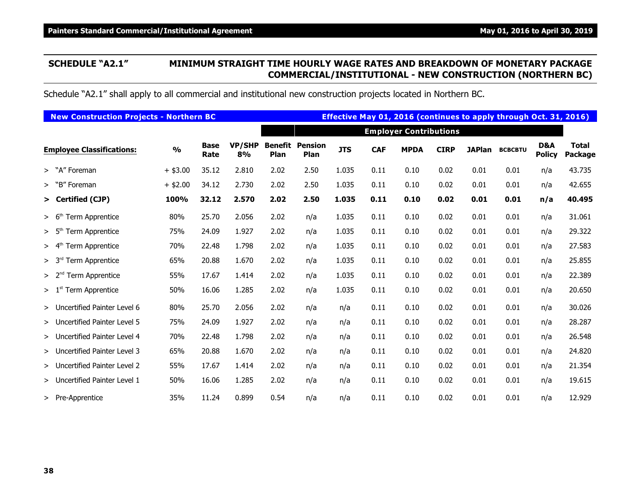# **SCHEDULE "A2.1" MINIMUM STRAIGHT TIME HOURLY WAGE RATES AND BREAKDOWN OF MONETARY PACKAGE COMMERCIAL/INSTITUTIONAL - NEW CONSTRUCTION (NORTHERN BC)**

Schedule "A2.1" shall apply to all commercial and institutional new construction projects located in Northern BC.

| <b>New Construction Projects - Northern BC</b> |               |                     |                     |                        |                               |            |            | Effective May 01, 2016 (continues to apply through Oct. 31, 2016) |             |               |                |                      |                                |
|------------------------------------------------|---------------|---------------------|---------------------|------------------------|-------------------------------|------------|------------|-------------------------------------------------------------------|-------------|---------------|----------------|----------------------|--------------------------------|
|                                                |               |                     |                     |                        |                               |            |            | <b>Employer Contributions</b>                                     |             |               |                |                      |                                |
| <b>Employee Classifications:</b>               | $\frac{0}{0}$ | <b>Base</b><br>Rate | <b>VP/SHP</b><br>8% | <b>Benefit</b><br>Plan | <b>Pension</b><br><b>Plan</b> | <b>JTS</b> | <b>CAF</b> | <b>MPDA</b>                                                       | <b>CIRP</b> | <b>JAPlan</b> | <b>BCBCBTU</b> | D&A<br><b>Policy</b> | <b>Total</b><br><b>Package</b> |
| > "A" Foreman                                  | $+$ \$3.00    | 35.12               | 2.810               | 2.02                   | 2.50                          | 1.035      | 0.11       | 0.10                                                              | 0.02        | 0.01          | 0.01           | n/a                  | 43.735                         |
| > "B" Foreman                                  | $+$ \$2.00    | 34.12               | 2.730               | 2.02                   | 2.50                          | 1.035      | 0.11       | 0.10                                                              | 0.02        | 0.01          | 0.01           | n/a                  | 42.655                         |
| > Certified (CJP)                              | 100%          | 32.12               | 2.570               | 2.02                   | 2.50                          | 1.035      | 0.11       | 0.10                                                              | 0.02        | 0.01          | 0.01           | n/a                  | 40.495                         |
| > 6 <sup>th</sup><br>Term Apprentice           | 80%           | 25.70               | 2.056               | 2.02                   | n/a                           | 1.035      | 0.11       | 0.10                                                              | 0.02        | 0.01          | 0.01           | n/a                  | 31.061                         |
| Term Apprentice<br>> 5 <sup>th</sup>           | 75%           | 24.09               | 1.927               | 2.02                   | n/a                           | 1.035      | 0.11       | 0.10                                                              | 0.02        | 0.01          | 0.01           | n/a                  | 29.322                         |
| Term Apprentice<br>> 4 <sup>th</sup>           | 70%           | 22.48               | 1.798               | 2.02                   | n/a                           | 1.035      | 0.11       | 0.10                                                              | 0.02        | 0.01          | 0.01           | n/a                  | 27.583                         |
| Term Apprentice<br>> 3 <sup>rd</sup>           | 65%           | 20.88               | 1.670               | 2.02                   | n/a                           | 1.035      | 0.11       | 0.10                                                              | 0.02        | 0.01          | 0.01           | n/a                  | 25.855                         |
| Term Apprentice<br>> 2 <sup>nd</sup>           | 55%           | 17.67               | 1.414               | 2.02                   | n/a                           | 1.035      | 0.11       | 0.10                                                              | 0.02        | 0.01          | 0.01           | n/a                  | 22.389                         |
| Term Apprentice<br>> 1 <sup>st</sup>           | 50%           | 16.06               | 1.285               | 2.02                   | n/a                           | 1.035      | 0.11       | 0.10                                                              | 0.02        | 0.01          | 0.01           | n/a                  | 20.650                         |
| > Uncertified Painter Level 6                  | 80%           | 25.70               | 2.056               | 2.02                   | n/a                           | n/a        | 0.11       | 0.10                                                              | 0.02        | 0.01          | 0.01           | n/a                  | 30.026                         |
| > Uncertified Painter Level 5                  | 75%           | 24.09               | 1.927               | 2.02                   | n/a                           | n/a        | 0.11       | 0.10                                                              | 0.02        | 0.01          | 0.01           | n/a                  | 28.287                         |
| > Uncertified Painter Level 4                  | 70%           | 22.48               | 1.798               | 2.02                   | n/a                           | n/a        | 0.11       | 0.10                                                              | 0.02        | 0.01          | 0.01           | n/a                  | 26.548                         |
| > Uncertified Painter Level 3                  | 65%           | 20.88               | 1.670               | 2.02                   | n/a                           | n/a        | 0.11       | 0.10                                                              | 0.02        | 0.01          | 0.01           | n/a                  | 24.820                         |
| > Uncertified Painter Level 2                  | 55%           | 17.67               | 1.414               | 2.02                   | n/a                           | n/a        | 0.11       | 0.10                                                              | 0.02        | 0.01          | 0.01           | n/a                  | 21.354                         |
| > Uncertified Painter Level 1                  | 50%           | 16.06               | 1.285               | 2.02                   | n/a                           | n/a        | 0.11       | 0.10                                                              | 0.02        | 0.01          | 0.01           | n/a                  | 19.615                         |
| > Pre-Apprentice                               | 35%           | 11.24               | 0.899               | 0.54                   | n/a                           | n/a        | 0.11       | 0.10                                                              | 0.02        | 0.01          | 0.01           | n/a                  | 12.929                         |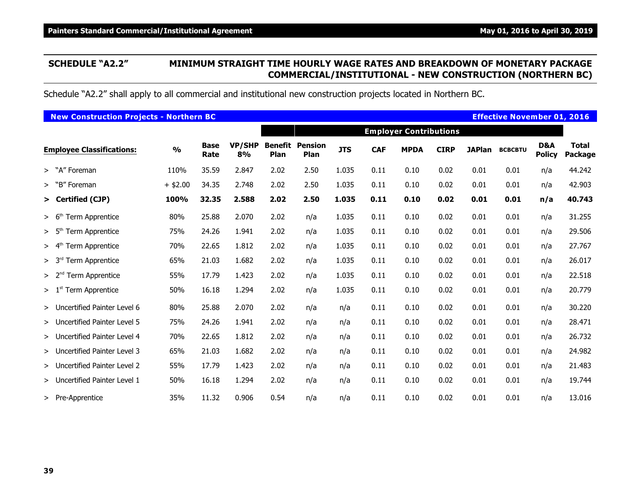# **SCHEDULE "A2.2" MINIMUM STRAIGHT TIME HOURLY WAGE RATES AND BREAKDOWN OF MONETARY PACKAGE COMMERCIAL/INSTITUTIONAL - NEW CONSTRUCTION (NORTHERN BC)**

Schedule "A2.2" shall apply to all commercial and institutional new construction projects located in Northern BC.

| <b>New Construction Projects - Northern BC</b> |               |                     |                     |                               |                               |            |            |                               |             |      | <b>Effective November 01, 2016</b> |                      |                         |
|------------------------------------------------|---------------|---------------------|---------------------|-------------------------------|-------------------------------|------------|------------|-------------------------------|-------------|------|------------------------------------|----------------------|-------------------------|
|                                                |               |                     |                     |                               |                               |            |            | <b>Employer Contributions</b> |             |      |                                    |                      |                         |
| <b>Employee Classifications:</b>               | $\frac{0}{0}$ | <b>Base</b><br>Rate | <b>VP/SHP</b><br>8% | <b>Benefit</b><br><b>Plan</b> | <b>Pension</b><br><b>Plan</b> | <b>JTS</b> | <b>CAF</b> | <b>MPDA</b>                   | <b>CIRP</b> |      | JAPlan BCBCBTU                     | D&A<br><b>Policy</b> | <b>Total</b><br>Package |
| > "A" Foreman                                  | 110%          | 35.59               | 2.847               | 2.02                          | 2.50                          | 1.035      | 0.11       | 0.10                          | 0.02        | 0.01 | 0.01                               | n/a                  | 44.242                  |
| > "B" Foreman                                  | $+$ \$2.00    | 34.35               | 2.748               | 2.02                          | 2.50                          | 1.035      | 0.11       | 0.10                          | 0.02        | 0.01 | 0.01                               | n/a                  | 42.903                  |
| > Certified (CJP)                              | 100%          | 32.35               | 2.588               | 2.02                          | 2.50                          | 1.035      | 0.11       | 0.10                          | 0.02        | 0.01 | 0.01                               | n/a                  | 40.743                  |
| Term Apprentice<br>> 6 <sup>th</sup>           | 80%           | 25.88               | 2.070               | 2.02                          | n/a                           | 1.035      | 0.11       | 0.10                          | 0.02        | 0.01 | 0.01                               | n/a                  | 31.255                  |
| > 5 <sup>th</sup><br>Term Apprentice           | 75%           | 24.26               | 1.941               | 2.02                          | n/a                           | 1.035      | 0.11       | 0.10                          | 0.02        | 0.01 | 0.01                               | n/a                  | 29.506                  |
| <b>Term Apprentice</b><br>> 4 <sup>tr</sup>    | 70%           | 22.65               | 1.812               | 2.02                          | n/a                           | 1.035      | 0.11       | 0.10                          | 0.02        | 0.01 | 0.01                               | n/a                  | 27.767                  |
| > 3 <sup>rd</sup><br>Term Apprentice           | 65%           | 21.03               | 1.682               | 2.02                          | n/a                           | 1.035      | 0.11       | 0.10                          | 0.02        | 0.01 | 0.01                               | n/a                  | 26.017                  |
| Term Apprentice<br>> 2 <sup>nd</sup>           | 55%           | 17.79               | 1.423               | 2.02                          | n/a                           | 1.035      | 0.11       | 0.10                          | 0.02        | 0.01 | 0.01                               | n/a                  | 22.518                  |
| >1 <sup>st</sup><br>Term Apprentice            | 50%           | 16.18               | 1.294               | 2.02                          | n/a                           | 1.035      | 0.11       | 0.10                          | 0.02        | 0.01 | 0.01                               | n/a                  | 20.779                  |
| > Uncertified Painter Level 6                  | 80%           | 25.88               | 2.070               | 2.02                          | n/a                           | n/a        | 0.11       | 0.10                          | 0.02        | 0.01 | 0.01                               | n/a                  | 30.220                  |
| > Uncertified Painter Level 5                  | 75%           | 24.26               | 1.941               | 2.02                          | n/a                           | n/a        | 0.11       | 0.10                          | 0.02        | 0.01 | 0.01                               | n/a                  | 28.471                  |
| > Uncertified Painter Level 4                  | 70%           | 22.65               | 1.812               | 2.02                          | n/a                           | n/a        | 0.11       | 0.10                          | 0.02        | 0.01 | 0.01                               | n/a                  | 26.732                  |
| > Uncertified Painter Level 3                  | 65%           | 21.03               | 1.682               | 2.02                          | n/a                           | n/a        | 0.11       | 0.10                          | 0.02        | 0.01 | 0.01                               | n/a                  | 24.982                  |
| > Uncertified Painter Level 2                  | 55%           | 17.79               | 1.423               | 2.02                          | n/a                           | n/a        | 0.11       | 0.10                          | 0.02        | 0.01 | 0.01                               | n/a                  | 21.483                  |
| > Uncertified Painter Level 1                  | 50%           | 16.18               | 1.294               | 2.02                          | n/a                           | n/a        | 0.11       | 0.10                          | 0.02        | 0.01 | 0.01                               | n/a                  | 19.744                  |
| > Pre-Apprentice                               | 35%           | 11.32               | 0.906               | 0.54                          | n/a                           | n/a        | 0.11       | 0.10                          | 0.02        | 0.01 | 0.01                               | n/a                  | 13.016                  |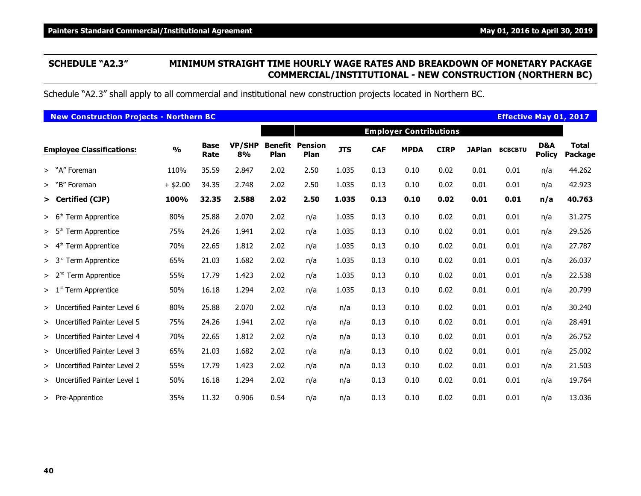# **SCHEDULE "A2.3" MINIMUM STRAIGHT TIME HOURLY WAGE RATES AND BREAKDOWN OF MONETARY PACKAGE COMMERCIAL/INSTITUTIONAL - NEW CONSTRUCTION (NORTHERN BC)**

Schedule "A2.3" shall apply to all commercial and institutional new construction projects located in Northern BC.

| <b>New Construction Projects - Northern BC</b> |               |                     |                     |                               |                               |            |            |                               |             |      | <b>Effective May 01, 2017</b> |                      |                         |
|------------------------------------------------|---------------|---------------------|---------------------|-------------------------------|-------------------------------|------------|------------|-------------------------------|-------------|------|-------------------------------|----------------------|-------------------------|
|                                                |               |                     |                     |                               |                               |            |            | <b>Employer Contributions</b> |             |      |                               |                      |                         |
| <b>Employee Classifications:</b>               | $\frac{0}{0}$ | <b>Base</b><br>Rate | <b>VP/SHP</b><br>8% | <b>Benefit</b><br><b>Plan</b> | <b>Pension</b><br><b>Plan</b> | <b>JTS</b> | <b>CAF</b> | <b>MPDA</b>                   | <b>CIRP</b> |      | JAPlan BCBCBTU                | D&A<br><b>Policy</b> | <b>Total</b><br>Package |
| > "A" Foreman                                  | 110%          | 35.59               | 2.847               | 2.02                          | 2.50                          | 1.035      | 0.13       | 0.10                          | 0.02        | 0.01 | 0.01                          | n/a                  | 44.262                  |
| > "B" Foreman                                  | $+$ \$2.00    | 34.35               | 2.748               | 2.02                          | 2.50                          | 1.035      | 0.13       | 0.10                          | 0.02        | 0.01 | 0.01                          | n/a                  | 42.923                  |
| > Certified (CJP)                              | 100%          | 32.35               | 2.588               | 2.02                          | 2.50                          | 1.035      | 0.13       | 0.10                          | 0.02        | 0.01 | 0.01                          | n/a                  | 40.763                  |
| Term Apprentice<br>> 6 <sup>th</sup>           | 80%           | 25.88               | 2.070               | 2.02                          | n/a                           | 1.035      | 0.13       | 0.10                          | 0.02        | 0.01 | 0.01                          | n/a                  | 31.275                  |
| > 5 <sup>th</sup><br>Term Apprentice           | 75%           | 24.26               | 1.941               | 2.02                          | n/a                           | 1.035      | 0.13       | 0.10                          | 0.02        | 0.01 | 0.01                          | n/a                  | 29.526                  |
| <b>Term Apprentice</b><br>> 4 <sup>tr</sup>    | 70%           | 22.65               | 1.812               | 2.02                          | n/a                           | 1.035      | 0.13       | 0.10                          | 0.02        | 0.01 | 0.01                          | n/a                  | 27.787                  |
| > 3 <sup>rd</sup><br>Term Apprentice           | 65%           | 21.03               | 1.682               | 2.02                          | n/a                           | 1.035      | 0.13       | 0.10                          | 0.02        | 0.01 | 0.01                          | n/a                  | 26.037                  |
| > 2 <sup>nd</sup><br>Term Apprentice           | 55%           | 17.79               | 1.423               | 2.02                          | n/a                           | 1.035      | 0.13       | 0.10                          | 0.02        | 0.01 | 0.01                          | n/a                  | 22.538                  |
| >1 <sup>st</sup><br>Term Apprentice            | 50%           | 16.18               | 1.294               | 2.02                          | n/a                           | 1.035      | 0.13       | 0.10                          | 0.02        | 0.01 | 0.01                          | n/a                  | 20.799                  |
| > Uncertified Painter Level 6                  | 80%           | 25.88               | 2.070               | 2.02                          | n/a                           | n/a        | 0.13       | 0.10                          | 0.02        | 0.01 | 0.01                          | n/a                  | 30.240                  |
| > Uncertified Painter Level 5                  | 75%           | 24.26               | 1.941               | 2.02                          | n/a                           | n/a        | 0.13       | 0.10                          | 0.02        | 0.01 | 0.01                          | n/a                  | 28.491                  |
| > Uncertified Painter Level 4                  | 70%           | 22.65               | 1.812               | 2.02                          | n/a                           | n/a        | 0.13       | 0.10                          | 0.02        | 0.01 | 0.01                          | n/a                  | 26.752                  |
| > Uncertified Painter Level 3                  | 65%           | 21.03               | 1.682               | 2.02                          | n/a                           | n/a        | 0.13       | 0.10                          | 0.02        | 0.01 | 0.01                          | n/a                  | 25.002                  |
| > Uncertified Painter Level 2                  | 55%           | 17.79               | 1.423               | 2.02                          | n/a                           | n/a        | 0.13       | 0.10                          | 0.02        | 0.01 | 0.01                          | n/a                  | 21.503                  |
| > Uncertified Painter Level 1                  | 50%           | 16.18               | 1.294               | 2.02                          | n/a                           | n/a        | 0.13       | 0.10                          | 0.02        | 0.01 | 0.01                          | n/a                  | 19.764                  |
| > Pre-Apprentice                               | 35%           | 11.32               | 0.906               | 0.54                          | n/a                           | n/a        | 0.13       | 0.10                          | 0.02        | 0.01 | 0.01                          | n/a                  | 13.036                  |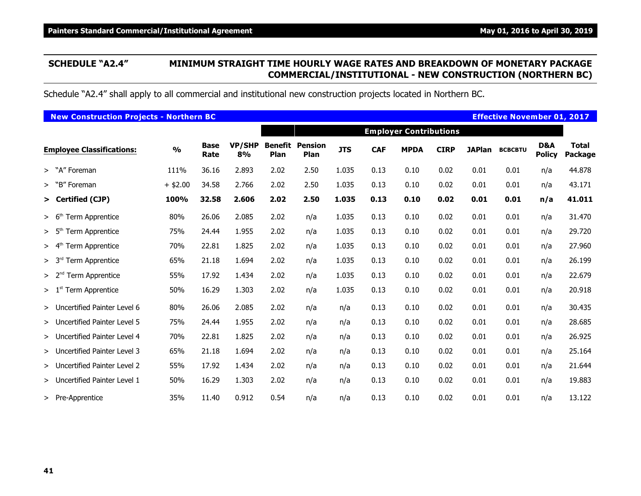# **SCHEDULE "A2.4" MINIMUM STRAIGHT TIME HOURLY WAGE RATES AND BREAKDOWN OF MONETARY PACKAGE COMMERCIAL/INSTITUTIONAL - NEW CONSTRUCTION (NORTHERN BC)**

Schedule "A2.4" shall apply to all commercial and institutional new construction projects located in Northern BC.

| <b>New Construction Projects - Northern BC</b> |               |                     |                     |                               |                               |            |            |                               |             |      | <b>Effective November 01, 2017</b> |                      |                         |
|------------------------------------------------|---------------|---------------------|---------------------|-------------------------------|-------------------------------|------------|------------|-------------------------------|-------------|------|------------------------------------|----------------------|-------------------------|
|                                                |               |                     |                     |                               |                               |            |            | <b>Employer Contributions</b> |             |      |                                    |                      |                         |
| <b>Employee Classifications:</b>               | $\frac{0}{0}$ | <b>Base</b><br>Rate | <b>VP/SHP</b><br>8% | <b>Benefit</b><br><b>Plan</b> | <b>Pension</b><br><b>Plan</b> | <b>JTS</b> | <b>CAF</b> | <b>MPDA</b>                   | <b>CIRP</b> |      | JAPlan BCBCBTU                     | D&A<br><b>Policy</b> | <b>Total</b><br>Package |
| > "A" Foreman                                  | 111%          | 36.16               | 2.893               | 2.02                          | 2.50                          | 1.035      | 0.13       | 0.10                          | 0.02        | 0.01 | 0.01                               | n/a                  | 44.878                  |
| > "B" Foreman                                  | $+$ \$2.00    | 34.58               | 2.766               | 2.02                          | 2.50                          | 1.035      | 0.13       | 0.10                          | 0.02        | 0.01 | 0.01                               | n/a                  | 43.171                  |
| > Certified (CJP)                              | 100%          | 32.58               | 2.606               | 2.02                          | 2.50                          | 1.035      | 0.13       | 0.10                          | 0.02        | 0.01 | 0.01                               | n/a                  | 41.011                  |
| Term Apprentice<br>> 6 <sup>th</sup>           | 80%           | 26.06               | 2.085               | 2.02                          | n/a                           | 1.035      | 0.13       | 0.10                          | 0.02        | 0.01 | 0.01                               | n/a                  | 31.470                  |
| > 5 <sup>th</sup><br>Term Apprentice           | 75%           | 24.44               | 1.955               | 2.02                          | n/a                           | 1.035      | 0.13       | 0.10                          | 0.02        | 0.01 | 0.01                               | n/a                  | 29.720                  |
| <b>Term Apprentice</b><br>> 4 <sup>tr</sup>    | 70%           | 22.81               | 1.825               | 2.02                          | n/a                           | 1.035      | 0.13       | 0.10                          | 0.02        | 0.01 | 0.01                               | n/a                  | 27.960                  |
| > 3 <sup>rd</sup><br>Term Apprentice           | 65%           | 21.18               | 1.694               | 2.02                          | n/a                           | 1.035      | 0.13       | 0.10                          | 0.02        | 0.01 | 0.01                               | n/a                  | 26.199                  |
| Term Apprentice<br>> 2 <sup>nd</sup>           | 55%           | 17.92               | 1.434               | 2.02                          | n/a                           | 1.035      | 0.13       | 0.10                          | 0.02        | 0.01 | 0.01                               | n/a                  | 22.679                  |
| >1 <sup>st</sup><br>Term Apprentice            | 50%           | 16.29               | 1.303               | 2.02                          | n/a                           | 1.035      | 0.13       | 0.10                          | 0.02        | 0.01 | 0.01                               | n/a                  | 20.918                  |
| > Uncertified Painter Level 6                  | 80%           | 26.06               | 2.085               | 2.02                          | n/a                           | n/a        | 0.13       | 0.10                          | 0.02        | 0.01 | 0.01                               | n/a                  | 30.435                  |
| > Uncertified Painter Level 5                  | 75%           | 24.44               | 1.955               | 2.02                          | n/a                           | n/a        | 0.13       | 0.10                          | 0.02        | 0.01 | 0.01                               | n/a                  | 28.685                  |
| > Uncertified Painter Level 4                  | 70%           | 22.81               | 1.825               | 2.02                          | n/a                           | n/a        | 0.13       | 0.10                          | 0.02        | 0.01 | 0.01                               | n/a                  | 26.925                  |
| > Uncertified Painter Level 3                  | 65%           | 21.18               | 1.694               | 2.02                          | n/a                           | n/a        | 0.13       | 0.10                          | 0.02        | 0.01 | 0.01                               | n/a                  | 25.164                  |
| > Uncertified Painter Level 2                  | 55%           | 17.92               | 1.434               | 2.02                          | n/a                           | n/a        | 0.13       | 0.10                          | 0.02        | 0.01 | 0.01                               | n/a                  | 21.644                  |
| > Uncertified Painter Level 1                  | 50%           | 16.29               | 1.303               | 2.02                          | n/a                           | n/a        | 0.13       | 0.10                          | 0.02        | 0.01 | 0.01                               | n/a                  | 19.883                  |
| > Pre-Apprentice                               | 35%           | 11.40               | 0.912               | 0.54                          | n/a                           | n/a        | 0.13       | 0.10                          | 0.02        | 0.01 | 0.01                               | n/a                  | 13.122                  |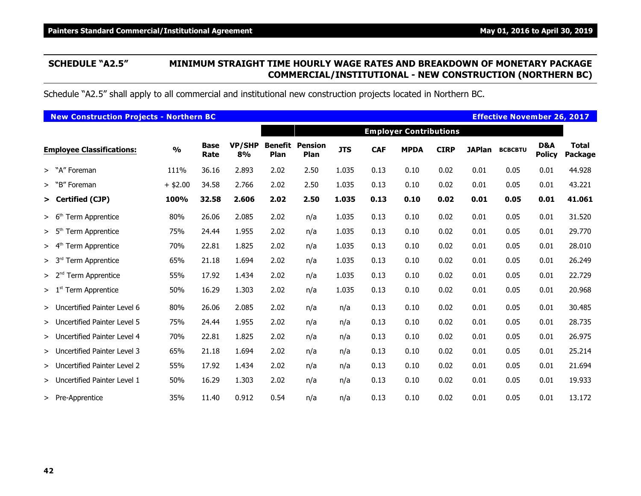# **SCHEDULE "A2.5" MINIMUM STRAIGHT TIME HOURLY WAGE RATES AND BREAKDOWN OF MONETARY PACKAGE COMMERCIAL/INSTITUTIONAL - NEW CONSTRUCTION (NORTHERN BC)**

Schedule "A2.5" shall apply to all commercial and institutional new construction projects located in Northern BC.

| <b>New Construction Projects - Northern BC</b> |               |                     |                     |                               |                               |            |            |                               |             |      | <b>Effective November 26, 2017</b> |                      |                         |
|------------------------------------------------|---------------|---------------------|---------------------|-------------------------------|-------------------------------|------------|------------|-------------------------------|-------------|------|------------------------------------|----------------------|-------------------------|
|                                                |               |                     |                     |                               |                               |            |            | <b>Employer Contributions</b> |             |      |                                    |                      |                         |
| <b>Employee Classifications:</b>               | $\frac{0}{0}$ | <b>Base</b><br>Rate | <b>VP/SHP</b><br>8% | <b>Benefit</b><br><b>Plan</b> | <b>Pension</b><br><b>Plan</b> | <b>JTS</b> | <b>CAF</b> | <b>MPDA</b>                   | <b>CIRP</b> |      | JAPlan BCBCBTU                     | D&A<br><b>Policy</b> | <b>Total</b><br>Package |
| > "A" Foreman                                  | 111%          | 36.16               | 2.893               | 2.02                          | 2.50                          | 1.035      | 0.13       | 0.10                          | 0.02        | 0.01 | 0.05                               | 0.01                 | 44.928                  |
| > "B" Foreman                                  | $+$ \$2.00    | 34.58               | 2.766               | 2.02                          | 2.50                          | 1.035      | 0.13       | 0.10                          | 0.02        | 0.01 | 0.05                               | 0.01                 | 43.221                  |
| > Certified (CJP)                              | 100%          | 32.58               | 2.606               | 2.02                          | 2.50                          | 1.035      | 0.13       | 0.10                          | 0.02        | 0.01 | 0.05                               | 0.01                 | 41.061                  |
| Term Apprentice<br>> 6 <sup>th</sup>           | 80%           | 26.06               | 2.085               | 2.02                          | n/a                           | 1.035      | 0.13       | 0.10                          | 0.02        | 0.01 | 0.05                               | 0.01                 | 31.520                  |
| > 5 <sup>th</sup><br>Term Apprentice           | 75%           | 24.44               | 1.955               | 2.02                          | n/a                           | 1.035      | 0.13       | 0.10                          | 0.02        | 0.01 | 0.05                               | 0.01                 | 29.770                  |
| <b>Term Apprentice</b><br>> 4 <sup>tr</sup>    | 70%           | 22.81               | 1.825               | 2.02                          | n/a                           | 1.035      | 0.13       | 0.10                          | 0.02        | 0.01 | 0.05                               | 0.01                 | 28.010                  |
| > 3 <sup>rd</sup><br>Term Apprentice           | 65%           | 21.18               | 1.694               | 2.02                          | n/a                           | 1.035      | 0.13       | 0.10                          | 0.02        | 0.01 | 0.05                               | 0.01                 | 26.249                  |
| Term Apprentice<br>> 2 <sup>nd</sup>           | 55%           | 17.92               | 1.434               | 2.02                          | n/a                           | 1.035      | 0.13       | 0.10                          | 0.02        | 0.01 | 0.05                               | 0.01                 | 22.729                  |
| >1 <sup>st</sup><br>Term Apprentice            | 50%           | 16.29               | 1.303               | 2.02                          | n/a                           | 1.035      | 0.13       | 0.10                          | 0.02        | 0.01 | 0.05                               | 0.01                 | 20.968                  |
| > Uncertified Painter Level 6                  | 80%           | 26.06               | 2.085               | 2.02                          | n/a                           | n/a        | 0.13       | 0.10                          | 0.02        | 0.01 | 0.05                               | 0.01                 | 30.485                  |
| > Uncertified Painter Level 5                  | 75%           | 24.44               | 1.955               | 2.02                          | n/a                           | n/a        | 0.13       | 0.10                          | 0.02        | 0.01 | 0.05                               | 0.01                 | 28.735                  |
| > Uncertified Painter Level 4                  | 70%           | 22.81               | 1.825               | 2.02                          | n/a                           | n/a        | 0.13       | 0.10                          | 0.02        | 0.01 | 0.05                               | 0.01                 | 26.975                  |
| > Uncertified Painter Level 3                  | 65%           | 21.18               | 1.694               | 2.02                          | n/a                           | n/a        | 0.13       | 0.10                          | 0.02        | 0.01 | 0.05                               | 0.01                 | 25.214                  |
| > Uncertified Painter Level 2                  | 55%           | 17.92               | 1.434               | 2.02                          | n/a                           | n/a        | 0.13       | 0.10                          | 0.02        | 0.01 | 0.05                               | 0.01                 | 21.694                  |
| > Uncertified Painter Level 1                  | 50%           | 16.29               | 1.303               | 2.02                          | n/a                           | n/a        | 0.13       | 0.10                          | 0.02        | 0.01 | 0.05                               | 0.01                 | 19.933                  |
| > Pre-Apprentice                               | 35%           | 11.40               | 0.912               | 0.54                          | n/a                           | n/a        | 0.13       | 0.10                          | 0.02        | 0.01 | 0.05                               | 0.01                 | 13.172                  |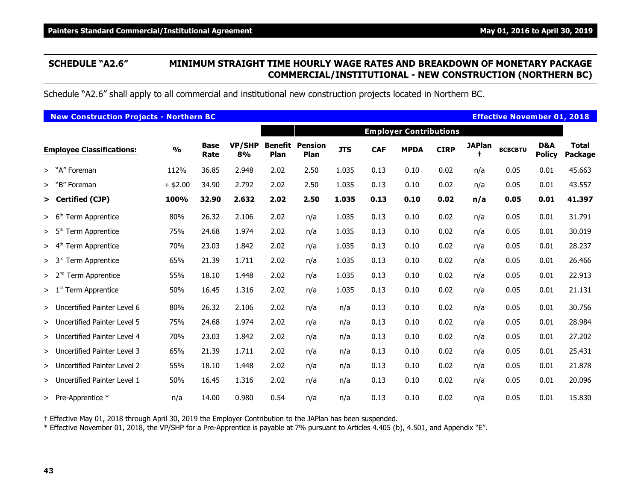### **SCHEDULE "A2.6" MINIMUM STRAIGHT TIME HOURLY WAGE RATES AND BREAKDOWN OF MONETARY PACKAGE COMMERCIAL/INSTITUTIONAL - NEW CONSTRUCTION (NORTHERN BC)**

Schedule "A2.6" shall apply to all commercial and institutional new construction projects located in Northern BC.

|                   | <b>New Construction Projects - Northern BC</b> |               |                     |                     |                        |                 |            |            |                               |             |               | <b>Effective November 01, 2018</b> |                      |                                |
|-------------------|------------------------------------------------|---------------|---------------------|---------------------|------------------------|-----------------|------------|------------|-------------------------------|-------------|---------------|------------------------------------|----------------------|--------------------------------|
|                   |                                                |               |                     |                     |                        |                 |            |            | <b>Employer Contributions</b> |             |               |                                    |                      |                                |
|                   | <b>Employee Classifications:</b>               | $\frac{0}{0}$ | <b>Base</b><br>Rate | <b>VP/SHP</b><br>8% | <b>Benefit</b><br>Plan | Pension<br>Plan | <b>JTS</b> | <b>CAF</b> | <b>MPDA</b>                   | <b>CIRP</b> | <b>JAPlan</b> | <b>BCBCBTU</b>                     | D&A<br><b>Policy</b> | <b>Total</b><br><b>Package</b> |
| > "A" Foreman     |                                                | 112%          | 36.85               | 2.948               | 2.02                   | 2.50            | 1.035      | 0.13       | 0.10                          | 0.02        | n/a           | 0.05                               | 0.01                 | 45.663                         |
| > "B" Foreman     |                                                | $+$ \$2.00    | 34.90               | 2.792               | 2.02                   | 2.50            | 1.035      | 0.13       | 0.10                          | 0.02        | n/a           | 0.05                               | 0.01                 | 43.557                         |
|                   | > Certified (CJP)                              | 100%          | 32.90               | 2.632               | 2.02                   | 2.50            | 1.035      | 0.13       | 0.10                          | 0.02        | n/a           | 0.05                               | 0.01                 | 41.397                         |
| > 6 <sup>th</sup> | Term Apprentice                                | 80%           | 26.32               | 2.106               | 2.02                   | n/a             | 1.035      | 0.13       | 0.10                          | 0.02        | n/a           | 0.05                               | 0.01                 | 31.791                         |
| > 5 <sup>th</sup> | Term Apprentice                                | 75%           | 24.68               | 1.974               | 2.02                   | n/a             | 1.035      | 0.13       | 0.10                          | 0.02        | n/a           | 0.05                               | 0.01                 | 30.019                         |
| > 4 <sup>th</sup> | Term Apprentice                                | 70%           | 23.03               | 1.842               | 2.02                   | n/a             | 1.035      | 0.13       | 0.10                          | 0.02        | n/a           | 0.05                               | 0.01                 | 28.237                         |
| > 3 <sup>rd</sup> | Term Apprentice                                | 65%           | 21.39               | 1.711               | 2.02                   | n/a             | 1.035      | 0.13       | 0.10                          | 0.02        | n/a           | 0.05                               | 0.01                 | 26.466                         |
| > 2 <sup>nd</sup> | <b>Term Apprentice</b>                         | 55%           | 18.10               | 1.448               | 2.02                   | n/a             | 1.035      | 0.13       | 0.10                          | 0.02        | n/a           | 0.05                               | 0.01                 | 22.913                         |
| > 1 <sup>st</sup> | Term Apprentice                                | 50%           | 16.45               | 1.316               | 2.02                   | n/a             | 1.035      | 0.13       | 0.10                          | 0.02        | n/a           | 0.05                               | 0.01                 | 21.131                         |
|                   | > Uncertified Painter Level 6                  | 80%           | 26.32               | 2.106               | 2.02                   | n/a             | n/a        | 0.13       | 0.10                          | 0.02        | n/a           | 0.05                               | 0.01                 | 30.756                         |
|                   | > Uncertified Painter Level 5                  | 75%           | 24.68               | 1.974               | 2.02                   | n/a             | n/a        | 0.13       | 0.10                          | 0.02        | n/a           | 0.05                               | 0.01                 | 28.984                         |
|                   | > Uncertified Painter Level 4                  | 70%           | 23.03               | 1.842               | 2.02                   | n/a             | n/a        | 0.13       | 0.10                          | 0.02        | n/a           | 0.05                               | 0.01                 | 27.202                         |
|                   | > Uncertified Painter Level 3                  | 65%           | 21.39               | 1.711               | 2.02                   | n/a             | n/a        | 0.13       | 0.10                          | 0.02        | n/a           | 0.05                               | 0.01                 | 25.431                         |
|                   | > Uncertified Painter Level 2                  | 55%           | 18.10               | 1.448               | 2.02                   | n/a             | n/a        | 0.13       | 0.10                          | 0.02        | n/a           | 0.05                               | 0.01                 | 21.878                         |
|                   | > Uncertified Painter Level 1                  | 50%           | 16.45               | 1.316               | 2.02                   | n/a             | n/a        | 0.13       | 0.10                          | 0.02        | n/a           | 0.05                               | 0.01                 | 20.096                         |
|                   | > Pre-Apprentice $*$                           | n/a           | 14.00               | 0.980               | 0.54                   | n/a             | n/a        | 0.13       | 0.10                          | 0.02        | n/a           | 0.05                               | 0.01                 | 15.830                         |

† Effective May 01, 2018 through April 30, 2019 the Employer Contribution to the JAPlan has been suspended.

\* Effective November 01, 2018, the VP/SHP for a Pre-Apprentice is payable at 7% pursuant to Articles 4.405 (b), 4.501, and Appendix "E".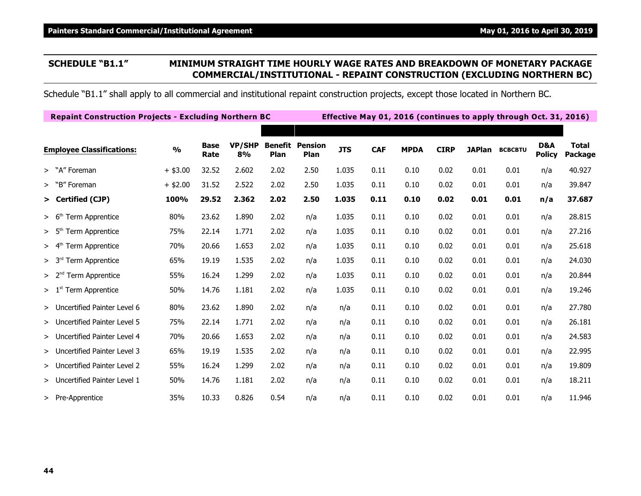# **SCHEDULE "B1.1" MINIMUM STRAIGHT TIME HOURLY WAGE RATES AND BREAKDOWN OF MONETARY PACKAGE COMMERCIAL/INSTITUTIONAL - REPAINT CONSTRUCTION (EXCLUDING NORTHERN BC)**

Schedule "B1.1" shall apply to all commercial and institutional repaint construction projects, except those located in Northern BC.

| <b>Repaint Construction Projects - Excluding Northern BC</b> |               |                     |                     |                        |                        |            |            | Effective May 01, 2016 (continues to apply through Oct. 31, 2016) |             |               |                |                      |                         |
|--------------------------------------------------------------|---------------|---------------------|---------------------|------------------------|------------------------|------------|------------|-------------------------------------------------------------------|-------------|---------------|----------------|----------------------|-------------------------|
|                                                              |               |                     |                     |                        |                        |            |            |                                                                   |             |               |                |                      |                         |
| <b>Employee Classifications:</b>                             | $\frac{0}{0}$ | <b>Base</b><br>Rate | <b>VP/SHP</b><br>8% | <b>Benefit</b><br>Plan | <b>Pension</b><br>Plan | <b>JTS</b> | <b>CAF</b> | <b>MPDA</b>                                                       | <b>CIRP</b> | <b>JAPlan</b> | <b>BCBCBTU</b> | D&A<br><b>Policy</b> | <b>Total</b><br>Package |
| > "A" Foreman                                                | $+$ \$3.00    | 32.52               | 2.602               | 2.02                   | 2.50                   | 1.035      | 0.11       | 0.10                                                              | 0.02        | 0.01          | 0.01           | n/a                  | 40.927                  |
| > "B" Foreman                                                | $+$ \$2.00    | 31.52               | 2.522               | 2.02                   | 2.50                   | 1.035      | 0.11       | 0.10                                                              | 0.02        | 0.01          | 0.01           | n/a                  | 39.847                  |
| > Certified (CJP)                                            | 100%          | 29.52               | 2.362               | 2.02                   | 2.50                   | 1.035      | 0.11       | 0.10                                                              | 0.02        | 0.01          | 0.01           | n/a                  | 37.687                  |
| Term Apprentice<br>> 6 <sup>th</sup>                         | 80%           | 23.62               | 1.890               | 2.02                   | n/a                    | 1.035      | 0.11       | 0.10                                                              | 0.02        | 0.01          | 0.01           | n/a                  | 28.815                  |
| <b>Term Apprentice</b><br>> 5 <sup>th</sup>                  | 75%           | 22.14               | 1.771               | 2.02                   | n/a                    | 1.035      | 0.11       | 0.10                                                              | 0.02        | 0.01          | 0.01           | n/a                  | 27.216                  |
| > 4 <sup>th</sup><br>Term Apprentice                         | 70%           | 20.66               | 1.653               | 2.02                   | n/a                    | 1.035      | 0.11       | 0.10                                                              | 0.02        | 0.01          | 0.01           | n/a                  | 25.618                  |
| Term Apprentice<br>> 3 <sup>rd</sup>                         | 65%           | 19.19               | 1.535               | 2.02                   | n/a                    | 1.035      | 0.11       | 0.10                                                              | 0.02        | 0.01          | 0.01           | n/a                  | 24.030                  |
| <b>Term Apprentice</b><br>> 2 <sup>nd</sup>                  | 55%           | 16.24               | 1.299               | 2.02                   | n/a                    | 1.035      | 0.11       | 0.10                                                              | 0.02        | 0.01          | 0.01           | n/a                  | 20.844                  |
| Term Apprentice<br>>1 <sup>st</sup>                          | 50%           | 14.76               | 1.181               | 2.02                   | n/a                    | 1.035      | 0.11       | 0.10                                                              | 0.02        | 0.01          | 0.01           | n/a                  | 19.246                  |
| > Uncertified Painter Level 6                                | 80%           | 23.62               | 1.890               | 2.02                   | n/a                    | n/a        | 0.11       | 0.10                                                              | 0.02        | 0.01          | 0.01           | n/a                  | 27.780                  |
| > Uncertified Painter Level 5                                | 75%           | 22.14               | 1.771               | 2.02                   | n/a                    | n/a        | 0.11       | 0.10                                                              | 0.02        | 0.01          | 0.01           | n/a                  | 26.181                  |
| > Uncertified Painter Level 4                                | 70%           | 20.66               | 1.653               | 2.02                   | n/a                    | n/a        | 0.11       | 0.10                                                              | 0.02        | 0.01          | 0.01           | n/a                  | 24.583                  |
| > Uncertified Painter Level 3                                | 65%           | 19.19               | 1.535               | 2.02                   | n/a                    | n/a        | 0.11       | 0.10                                                              | 0.02        | 0.01          | 0.01           | n/a                  | 22.995                  |
| > Uncertified Painter Level 2                                | 55%           | 16.24               | 1.299               | 2.02                   | n/a                    | n/a        | 0.11       | 0.10                                                              | 0.02        | 0.01          | 0.01           | n/a                  | 19.809                  |
| > Uncertified Painter Level 1                                | 50%           | 14.76               | 1.181               | 2.02                   | n/a                    | n/a        | 0.11       | 0.10                                                              | 0.02        | 0.01          | 0.01           | n/a                  | 18.211                  |
| > Pre-Apprentice                                             | 35%           | 10.33               | 0.826               | 0.54                   | n/a                    | n/a        | 0.11       | 0.10                                                              | 0.02        | 0.01          | 0.01           | n/a                  | 11.946                  |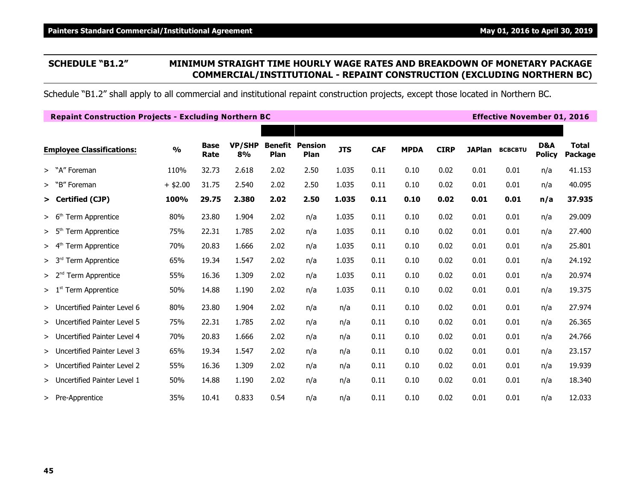#### **SCHEDULE "B1.2" MINIMUM STRAIGHT TIME HOURLY WAGE RATES AND BREAKDOWN OF MONETARY PACKAGE COMMERCIAL/INSTITUTIONAL - REPAINT CONSTRUCTION (EXCLUDING NORTHERN BC)**

Schedule "B1.2" shall apply to all commercial and institutional repaint construction projects, except those located in Northern BC.

| <b>Repaint Construction Projects - Excluding Northern BC</b> |               |                     |                     |                        |                        |            |            |             |             |               | <b>Effective November 01, 2016</b> |                      |                         |
|--------------------------------------------------------------|---------------|---------------------|---------------------|------------------------|------------------------|------------|------------|-------------|-------------|---------------|------------------------------------|----------------------|-------------------------|
|                                                              |               |                     |                     |                        |                        |            |            |             |             |               |                                    |                      |                         |
| <b>Employee Classifications:</b>                             | $\frac{0}{0}$ | <b>Base</b><br>Rate | <b>VP/SHP</b><br>8% | <b>Benefit</b><br>Plan | <b>Pension</b><br>Plan | <b>JTS</b> | <b>CAF</b> | <b>MPDA</b> | <b>CIRP</b> | <b>JAPlan</b> | <b>BCBCBTU</b>                     | D&A<br><b>Policy</b> | <b>Total</b><br>Package |
| > "A" Foreman                                                | 110%          | 32.73               | 2.618               | 2.02                   | 2.50                   | 1.035      | 0.11       | 0.10        | 0.02        | 0.01          | 0.01                               | n/a                  | 41.153                  |
| > "B" Foreman                                                | $+$ \$2.00    | 31.75               | 2.540               | 2.02                   | 2.50                   | 1.035      | 0.11       | 0.10        | 0.02        | 0.01          | 0.01                               | n/a                  | 40.095                  |
| > Certified (CJP)                                            | 100%          | 29.75               | 2.380               | 2.02                   | 2.50                   | 1.035      | 0.11       | 0.10        | 0.02        | 0.01          | 0.01                               | n/a                  | 37.935                  |
| > 6 <sup>th</sup><br>Term Apprentice                         | 80%           | 23.80               | 1.904               | 2.02                   | n/a                    | 1.035      | 0.11       | 0.10        | 0.02        | 0.01          | 0.01                               | n/a                  | 29.009                  |
| $> 5$ <sup>tt</sup><br><b>Term Apprentice</b>                | 75%           | 22.31               | 1.785               | 2.02                   | n/a                    | 1.035      | 0.11       | 0.10        | 0.02        | 0.01          | 0.01                               | n/a                  | 27.400                  |
| Term Apprentice<br>> 4 <sup>th</sup>                         | 70%           | 20.83               | 1.666               | 2.02                   | n/a                    | 1.035      | 0.11       | 0.10        | 0.02        | 0.01          | 0.01                               | n/a                  | 25.801                  |
| Term Apprentice<br>> 3 <sup>rd</sup>                         | 65%           | 19.34               | 1.547               | 2.02                   | n/a                    | 1.035      | 0.11       | 0.10        | 0.02        | 0.01          | 0.01                               | n/a                  | 24.192                  |
| > 2 <sup>nd</sup><br>Term Apprentice                         | 55%           | 16.36               | 1.309               | 2.02                   | n/a                    | 1.035      | 0.11       | 0.10        | 0.02        | 0.01          | 0.01                               | n/a                  | 20.974                  |
| >1 <sup>st</sup><br>Term Apprentice                          | 50%           | 14.88               | 1.190               | 2.02                   | n/a                    | 1.035      | 0.11       | 0.10        | 0.02        | 0.01          | 0.01                               | n/a                  | 19.375                  |
| > Uncertified Painter Level 6                                | 80%           | 23.80               | 1.904               | 2.02                   | n/a                    | n/a        | 0.11       | 0.10        | 0.02        | 0.01          | 0.01                               | n/a                  | 27.974                  |
| > Uncertified Painter Level 5                                | 75%           | 22.31               | 1.785               | 2.02                   | n/a                    | n/a        | 0.11       | 0.10        | 0.02        | 0.01          | 0.01                               | n/a                  | 26.365                  |
| > Uncertified Painter Level 4                                | 70%           | 20.83               | 1.666               | 2.02                   | n/a                    | n/a        | 0.11       | 0.10        | 0.02        | 0.01          | 0.01                               | n/a                  | 24.766                  |
| > Uncertified Painter Level 3                                | 65%           | 19.34               | 1.547               | 2.02                   | n/a                    | n/a        | 0.11       | 0.10        | 0.02        | 0.01          | 0.01                               | n/a                  | 23.157                  |
| > Uncertified Painter Level 2                                | 55%           | 16.36               | 1.309               | 2.02                   | n/a                    | n/a        | 0.11       | 0.10        | 0.02        | 0.01          | 0.01                               | n/a                  | 19.939                  |
| > Uncertified Painter Level 1                                | 50%           | 14.88               | 1.190               | 2.02                   | n/a                    | n/a        | 0.11       | 0.10        | 0.02        | 0.01          | 0.01                               | n/a                  | 18.340                  |
| > Pre-Apprentice                                             | 35%           | 10.41               | 0.833               | 0.54                   | n/a                    | n/a        | 0.11       | 0.10        | 0.02        | 0.01          | 0.01                               | n/a                  | 12.033                  |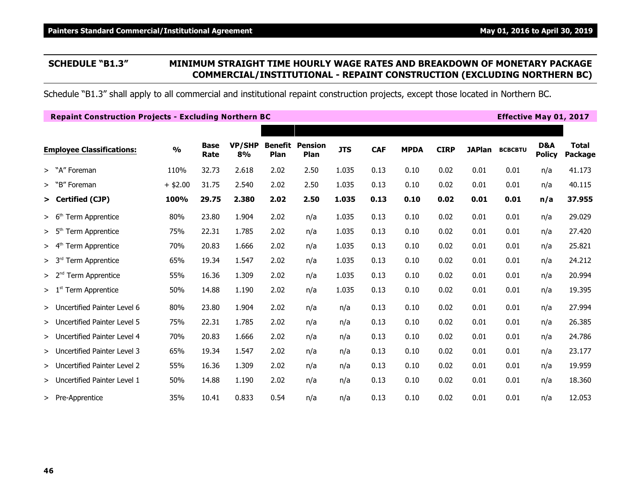# **SCHEDULE "B1.3" MINIMUM STRAIGHT TIME HOURLY WAGE RATES AND BREAKDOWN OF MONETARY PACKAGE COMMERCIAL/INSTITUTIONAL - REPAINT CONSTRUCTION (EXCLUDING NORTHERN BC)**

Schedule "B1.3" shall apply to all commercial and institutional repaint construction projects, except those located in Northern BC.

| <b>Repaint Construction Projects - Excluding Northern BC</b> |               |                     |                     |                        |                        |            |            |             |             |               | <b>Effective May 01, 2017</b> |                      |                                |
|--------------------------------------------------------------|---------------|---------------------|---------------------|------------------------|------------------------|------------|------------|-------------|-------------|---------------|-------------------------------|----------------------|--------------------------------|
|                                                              |               |                     |                     |                        |                        |            |            |             |             |               |                               |                      |                                |
| <b>Employee Classifications:</b>                             | $\frac{1}{2}$ | <b>Base</b><br>Rate | <b>VP/SHP</b><br>8% | <b>Benefit</b><br>Plan | <b>Pension</b><br>Plan | <b>JTS</b> | <b>CAF</b> | <b>MPDA</b> | <b>CIRP</b> | <b>JAPlan</b> | <b>BCBCBTU</b>                | D&A<br><b>Policy</b> | <b>Total</b><br><b>Package</b> |
| > "A" Foreman                                                | 110%          | 32.73               | 2.618               | 2.02                   | 2.50                   | 1.035      | 0.13       | 0.10        | 0.02        | 0.01          | 0.01                          | n/a                  | 41.173                         |
| > "B" Foreman                                                | $+$ \$2.00    | 31.75               | 2.540               | 2.02                   | 2.50                   | 1.035      | 0.13       | 0.10        | 0.02        | 0.01          | 0.01                          | n/a                  | 40.115                         |
| > Certified (CJP)                                            | 100%          | 29.75               | 2.380               | 2.02                   | 2.50                   | 1.035      | 0.13       | 0.10        | 0.02        | 0.01          | 0.01                          | n/a                  | 37.955                         |
| Term Apprentice<br>> 6 <sup>tr</sup>                         | 80%           | 23.80               | 1.904               | 2.02                   | n/a                    | 1.035      | 0.13       | 0.10        | 0.02        | 0.01          | 0.01                          | n/a                  | 29.029                         |
| <b>Term Apprentice</b><br>> 5 <sup>t</sup>                   | 75%           | 22.31               | 1.785               | 2.02                   | n/a                    | 1.035      | 0.13       | 0.10        | 0.02        | 0.01          | 0.01                          | n/a                  | 27.420                         |
| > 4 <sup>th</sup><br>Term Apprentice                         | 70%           | 20.83               | 1.666               | 2.02                   | n/a                    | 1.035      | 0.13       | 0.10        | 0.02        | 0.01          | 0.01                          | n/a                  | 25.821                         |
| <b>Term Apprentice</b><br>> 3 <sup>rd</sup>                  | 65%           | 19.34               | 1.547               | 2.02                   | n/a                    | 1.035      | 0.13       | 0.10        | 0.02        | 0.01          | 0.01                          | n/a                  | 24.212                         |
| Term Apprentice<br>> 2 <sup>nd</sup>                         | 55%           | 16.36               | 1.309               | 2.02                   | n/a                    | 1.035      | 0.13       | 0.10        | 0.02        | 0.01          | 0.01                          | n/a                  | 20.994                         |
| Term Apprentice<br>$>1$ <sup>st</sup>                        | 50%           | 14.88               | 1.190               | 2.02                   | n/a                    | 1.035      | 0.13       | 0.10        | 0.02        | 0.01          | 0.01                          | n/a                  | 19.395                         |
| > Uncertified Painter Level 6                                | 80%           | 23.80               | 1.904               | 2.02                   | n/a                    | n/a        | 0.13       | 0.10        | 0.02        | 0.01          | 0.01                          | n/a                  | 27.994                         |
| > Uncertified Painter Level 5                                | 75%           | 22.31               | 1.785               | 2.02                   | n/a                    | n/a        | 0.13       | 0.10        | 0.02        | 0.01          | 0.01                          | n/a                  | 26.385                         |
| > Uncertified Painter Level 4                                | 70%           | 20.83               | 1.666               | 2.02                   | n/a                    | n/a        | 0.13       | 0.10        | 0.02        | 0.01          | 0.01                          | n/a                  | 24.786                         |
| > Uncertified Painter Level 3                                | 65%           | 19.34               | 1.547               | 2.02                   | n/a                    | n/a        | 0.13       | 0.10        | 0.02        | 0.01          | 0.01                          | n/a                  | 23.177                         |
| > Uncertified Painter Level 2                                | 55%           | 16.36               | 1.309               | 2.02                   | n/a                    | n/a        | 0.13       | 0.10        | 0.02        | 0.01          | 0.01                          | n/a                  | 19.959                         |
| > Uncertified Painter Level 1                                | 50%           | 14.88               | 1.190               | 2.02                   | n/a                    | n/a        | 0.13       | 0.10        | 0.02        | 0.01          | 0.01                          | n/a                  | 18.360                         |
| > Pre-Apprentice                                             | 35%           | 10.41               | 0.833               | 0.54                   | n/a                    | n/a        | 0.13       | 0.10        | 0.02        | 0.01          | 0.01                          | n/a                  | 12.053                         |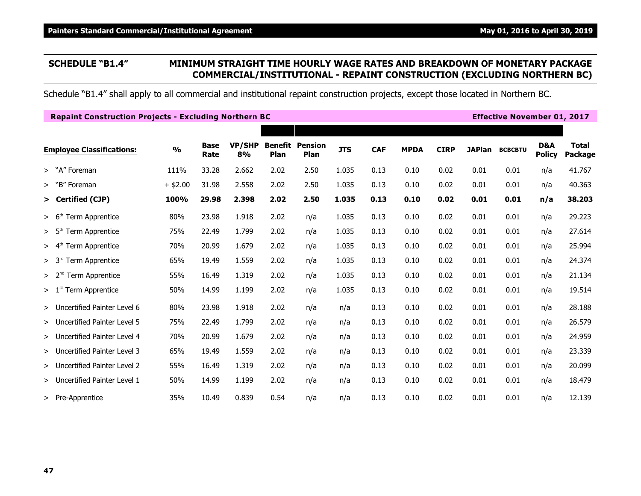Schedule "B1.4" shall apply to all commercial and institutional repaint construction projects, except those located in Northern BC.

| <b>Repaint Construction Projects - Excluding Northern BC</b> |               |                     |                     |      |                                       |            |            |             |             |               | <b>Effective November 01, 2017</b> |                      |                  |
|--------------------------------------------------------------|---------------|---------------------|---------------------|------|---------------------------------------|------------|------------|-------------|-------------|---------------|------------------------------------|----------------------|------------------|
|                                                              |               |                     |                     |      |                                       |            |            |             |             |               |                                    |                      |                  |
| <b>Employee Classifications:</b>                             | $\frac{0}{0}$ | <b>Base</b><br>Rate | <b>VP/SHP</b><br>8% | Plan | <b>Benefit Pension</b><br><b>Plan</b> | <b>JTS</b> | <b>CAF</b> | <b>MPDA</b> | <b>CIRP</b> | <b>JAPlan</b> | <b>BCBCBTU</b>                     | D&A<br><b>Policy</b> | Total<br>Package |
| > "A" Foreman                                                | 111%          | 33.28               | 2.662               | 2.02 | 2.50                                  | 1.035      | 0.13       | 0.10        | 0.02        | 0.01          | 0.01                               | n/a                  | 41.767           |
| > "B" Foreman                                                | $+$ \$2.00    | 31.98               | 2.558               | 2.02 | 2.50                                  | 1.035      | 0.13       | 0.10        | 0.02        | 0.01          | 0.01                               | n/a                  | 40.363           |
| > Certified (CJP)                                            | 100%          | 29.98               | 2.398               | 2.02 | 2.50                                  | 1.035      | 0.13       | 0.10        | 0.02        | 0.01          | 0.01                               | n/a                  | 38.203           |
| > 6 <sup>th</sup><br>Term Apprentice                         | 80%           | 23.98               | 1.918               | 2.02 | n/a                                   | 1.035      | 0.13       | 0.10        | 0.02        | 0.01          | 0.01                               | n/a                  | 29.223           |
| Term Apprentice<br>> 5 <sup>m</sup>                          | 75%           | 22.49               | 1.799               | 2.02 | n/a                                   | 1.035      | 0.13       | 0.10        | 0.02        | 0.01          | 0.01                               | n/a                  | 27.614           |
| > 4 <sup>th</sup><br>Term Apprentice                         | 70%           | 20.99               | 1.679               | 2.02 | n/a                                   | 1.035      | 0.13       | 0.10        | 0.02        | 0.01          | 0.01                               | n/a                  | 25.994           |
| Term Apprentice<br>> 3 <sup>rd</sup>                         | 65%           | 19.49               | 1.559               | 2.02 | n/a                                   | 1.035      | 0.13       | 0.10        | 0.02        | 0.01          | 0.01                               | n/a                  | 24.374           |
| Term Apprentice<br>> 2 <sup>nd</sup>                         | 55%           | 16.49               | 1.319               | 2.02 | n/a                                   | 1.035      | 0.13       | 0.10        | 0.02        | 0.01          | 0.01                               | n/a                  | 21.134           |
| Term Apprentice<br>> 1 <sup>st</sup>                         | 50%           | 14.99               | 1.199               | 2.02 | n/a                                   | 1.035      | 0.13       | 0.10        | 0.02        | 0.01          | 0.01                               | n/a                  | 19.514           |
| > Uncertified Painter Level 6                                | 80%           | 23.98               | 1.918               | 2.02 | n/a                                   | n/a        | 0.13       | 0.10        | 0.02        | 0.01          | 0.01                               | n/a                  | 28.188           |
| > Uncertified Painter Level 5                                | 75%           | 22.49               | 1.799               | 2.02 | n/a                                   | n/a        | 0.13       | 0.10        | 0.02        | 0.01          | 0.01                               | n/a                  | 26.579           |
| > Uncertified Painter Level 4                                | 70%           | 20.99               | 1.679               | 2.02 | n/a                                   | n/a        | 0.13       | 0.10        | 0.02        | 0.01          | 0.01                               | n/a                  | 24.959           |
| > Uncertified Painter Level 3                                | 65%           | 19.49               | 1.559               | 2.02 | n/a                                   | n/a        | 0.13       | 0.10        | 0.02        | 0.01          | 0.01                               | n/a                  | 23.339           |
| > Uncertified Painter Level 2                                | 55%           | 16.49               | 1.319               | 2.02 | n/a                                   | n/a        | 0.13       | 0.10        | 0.02        | 0.01          | 0.01                               | n/a                  | 20.099           |
| > Uncertified Painter Level 1                                | 50%           | 14.99               | 1.199               | 2.02 | n/a                                   | n/a        | 0.13       | 0.10        | 0.02        | 0.01          | 0.01                               | n/a                  | 18.479           |
| > Pre-Apprentice                                             | 35%           | 10.49               | 0.839               | 0.54 | n/a                                   | n/a        | 0.13       | 0.10        | 0.02        | 0.01          | 0.01                               | n/a                  | 12.139           |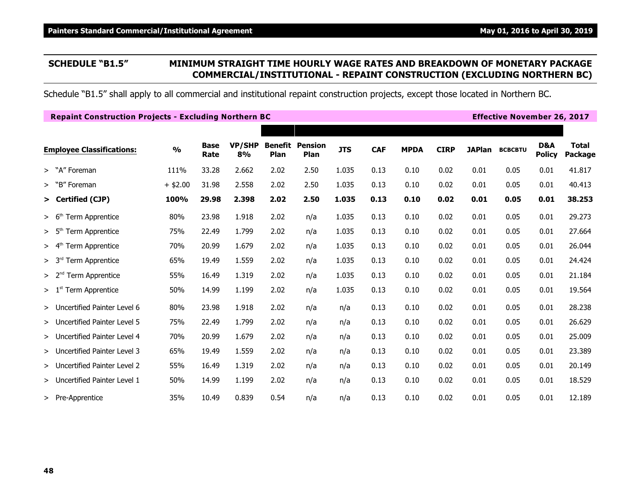# **SCHEDULE "B1.5" MINIMUM STRAIGHT TIME HOURLY WAGE RATES AND BREAKDOWN OF MONETARY PACKAGE COMMERCIAL/INSTITUTIONAL - REPAINT CONSTRUCTION (EXCLUDING NORTHERN BC)**

Schedule "B1.5" shall apply to all commercial and institutional repaint construction projects, except those located in Northern BC.

| <b>Repaint Construction Projects - Excluding Northern BC</b> |               |                     |                     |                        |                               |            |            |             |             |               | <b>Effective November 26, 2017</b> |                      |                  |
|--------------------------------------------------------------|---------------|---------------------|---------------------|------------------------|-------------------------------|------------|------------|-------------|-------------|---------------|------------------------------------|----------------------|------------------|
|                                                              |               |                     |                     |                        |                               |            |            |             |             |               |                                    |                      |                  |
| <b>Employee Classifications:</b>                             | $\frac{1}{2}$ | <b>Base</b><br>Rate | <b>VP/SHP</b><br>8% | <b>Benefit</b><br>Plan | <b>Pension</b><br><b>Plan</b> | <b>JTS</b> | <b>CAF</b> | <b>MPDA</b> | <b>CIRP</b> | <b>JAPlan</b> | <b>BCBCBTU</b>                     | D&A<br><b>Policy</b> | Total<br>Package |
| > "A" Foreman                                                | 111%          | 33.28               | 2.662               | 2.02                   | 2.50                          | 1.035      | 0.13       | 0.10        | 0.02        | 0.01          | 0.05                               | 0.01                 | 41.817           |
| > "B" Foreman                                                | $+$ \$2.00    | 31.98               | 2.558               | 2.02                   | 2.50                          | 1.035      | 0.13       | 0.10        | 0.02        | 0.01          | 0.05                               | 0.01                 | 40.413           |
| > Certified (CJP)                                            | 100%          | 29.98               | 2.398               | 2.02                   | 2.50                          | 1.035      | 0.13       | 0.10        | 0.02        | 0.01          | 0.05                               | 0.01                 | 38.253           |
| Term Apprentice<br>> 6 <sup>th</sup>                         | 80%           | 23.98               | 1.918               | 2.02                   | n/a                           | 1.035      | 0.13       | 0.10        | 0.02        | 0.01          | 0.05                               | 0.01                 | 29.273           |
| Term Apprentice<br>> 5 <sup>th</sup>                         | 75%           | 22.49               | 1.799               | 2.02                   | n/a                           | 1.035      | 0.13       | 0.10        | 0.02        | 0.01          | 0.05                               | 0.01                 | 27.664           |
| > 4 <sup>th</sup><br>Term Apprentice                         | 70%           | 20.99               | 1.679               | 2.02                   | n/a                           | 1.035      | 0.13       | 0.10        | 0.02        | 0.01          | 0.05                               | 0.01                 | 26.044           |
| $> 3rd$ Term Apprentice                                      | 65%           | 19.49               | 1.559               | 2.02                   | n/a                           | 1.035      | 0.13       | 0.10        | 0.02        | 0.01          | 0.05                               | 0.01                 | 24.424           |
| > 2 <sup>nd</sup><br><b>Term Apprentice</b>                  | 55%           | 16.49               | 1.319               | 2.02                   | n/a                           | 1.035      | 0.13       | 0.10        | 0.02        | 0.01          | 0.05                               | 0.01                 | 21.184           |
| > 1 <sup>st</sup><br>Term Apprentice                         | 50%           | 14.99               | 1.199               | 2.02                   | n/a                           | 1.035      | 0.13       | 0.10        | 0.02        | 0.01          | 0.05                               | 0.01                 | 19.564           |
| > Uncertified Painter Level 6                                | 80%           | 23.98               | 1.918               | 2.02                   | n/a                           | n/a        | 0.13       | 0.10        | 0.02        | 0.01          | 0.05                               | 0.01                 | 28.238           |
| > Uncertified Painter Level 5                                | 75%           | 22.49               | 1.799               | 2.02                   | n/a                           | n/a        | 0.13       | 0.10        | 0.02        | 0.01          | 0.05                               | 0.01                 | 26.629           |
| > Uncertified Painter Level 4                                | 70%           | 20.99               | 1.679               | 2.02                   | n/a                           | n/a        | 0.13       | 0.10        | 0.02        | 0.01          | 0.05                               | 0.01                 | 25.009           |
| > Uncertified Painter Level 3                                | 65%           | 19.49               | 1.559               | 2.02                   | n/a                           | n/a        | 0.13       | 0.10        | 0.02        | 0.01          | 0.05                               | 0.01                 | 23.389           |
| > Uncertified Painter Level 2                                | 55%           | 16.49               | 1.319               | 2.02                   | n/a                           | n/a        | 0.13       | 0.10        | 0.02        | 0.01          | 0.05                               | 0.01                 | 20.149           |
| > Uncertified Painter Level 1                                | 50%           | 14.99               | 1.199               | 2.02                   | n/a                           | n/a        | 0.13       | 0.10        | 0.02        | 0.01          | 0.05                               | 0.01                 | 18.529           |
| > Pre-Apprentice                                             | 35%           | 10.49               | 0.839               | 0.54                   | n/a                           | n/a        | 0.13       | 0.10        | 0.02        | 0.01          | 0.05                               | 0.01                 | 12.189           |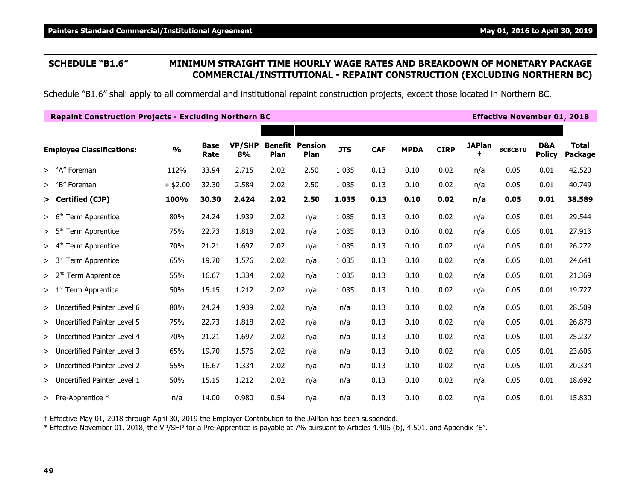# **SCHEDULE "B1.6" MINIMUM STRAIGHT TIME HOURLY WAGE RATES AND BREAKDOWN OF MONETARY PACKAGE COMMERCIAL/INSTITUTIONAL - REPAINT CONSTRUCTION (EXCLUDING NORTHERN BC)**

Schedule "B1.6" shall apply to all commercial and institutional repaint construction projects, except those located in Northern BC.

| <b>Repaint Construction Projects - Excluding Northern BC</b> |               |                     |                     |                               |                               |            |            |             |             |                    | <b>Effective November 01, 2018</b> |                      |                  |
|--------------------------------------------------------------|---------------|---------------------|---------------------|-------------------------------|-------------------------------|------------|------------|-------------|-------------|--------------------|------------------------------------|----------------------|------------------|
|                                                              |               |                     |                     |                               |                               |            |            |             |             |                    |                                    |                      |                  |
| <b>Employee Classifications:</b>                             | $\frac{1}{2}$ | <b>Base</b><br>Rate | <b>VP/SHP</b><br>8% | <b>Benefit</b><br><b>Plan</b> | <b>Pension</b><br><b>Plan</b> | <b>JTS</b> | <b>CAF</b> | <b>MPDA</b> | <b>CIRP</b> | <b>JAPlan</b><br>t | <b>BCBCBTU</b>                     | D&A<br><b>Policy</b> | Total<br>Package |
| > "A" Foreman                                                | 112%          | 33.94               | 2.715               | 2.02                          | 2.50                          | 1.035      | 0.13       | 0.10        | 0.02        | n/a                | 0.05                               | 0.01                 | 42.520           |
| > "B" Foreman                                                | $+$ \$2.00    | 32.30               | 2.584               | 2.02                          | 2.50                          | 1.035      | 0.13       | 0.10        | 0.02        | n/a                | 0.05                               | 0.01                 | 40.749           |
| > Certified (CJP)                                            | 100%          | 30.30               | 2.424               | 2.02                          | 2.50                          | 1.035      | 0.13       | 0.10        | 0.02        | n/a                | 0.05                               | 0.01                 | 38.589           |
| > 6 <sup>th</sup><br><b>Term Apprentice</b>                  | 80%           | 24.24               | 1.939               | 2.02                          | n/a                           | 1.035      | 0.13       | 0.10        | 0.02        | n/a                | 0.05                               | 0.01                 | 29.544           |
| > 5 <sup>tr</sup><br><b>Term Apprentice</b>                  | 75%           | 22.73               | 1.818               | 2.02                          | n/a                           | 1.035      | 0.13       | 0.10        | 0.02        | n/a                | 0.05                               | 0.01                 | 27.913           |
| > 4 <sup>tr</sup><br><b>Term Apprentice</b>                  | 70%           | 21.21               | 1.697               | 2.02                          | n/a                           | 1.035      | 0.13       | 0.10        | 0.02        | n/a                | 0.05                               | 0.01                 | 26.272           |
| Term Apprentice<br>> 3 <sup>rd</sup>                         | 65%           | 19.70               | 1.576               | 2.02                          | n/a                           | 1.035      | 0.13       | 0.10        | 0.02        | n/a                | 0.05                               | 0.01                 | 24.641           |
| <b>Term Apprentice</b><br>> 2 <sup>nd</sup>                  | 55%           | 16.67               | 1.334               | 2.02                          | n/a                           | 1.035      | 0.13       | 0.10        | 0.02        | n/a                | 0.05                               | 0.01                 | 21.369           |
| <b>Term Apprentice</b><br>> 1 <sup>st</sup>                  | 50%           | 15.15               | 1.212               | 2.02                          | n/a                           | 1.035      | 0.13       | 0.10        | 0.02        | n/a                | 0.05                               | 0.01                 | 19.727           |
| > Uncertified Painter Level 6                                | 80%           | 24.24               | 1.939               | 2.02                          | n/a                           | n/a        | 0.13       | 0.10        | 0.02        | n/a                | 0.05                               | 0.01                 | 28.509           |
| > Uncertified Painter Level 5                                | 75%           | 22.73               | 1.818               | 2.02                          | n/a                           | n/a        | 0.13       | 0.10        | 0.02        | n/a                | 0.05                               | 0.01                 | 26.878           |
| > Uncertified Painter Level 4                                | 70%           | 21.21               | 1.697               | 2.02                          | n/a                           | n/a        | 0.13       | 0.10        | 0.02        | n/a                | 0.05                               | 0.01                 | 25.237           |
| > Uncertified Painter Level 3                                | 65%           | 19.70               | 1.576               | 2.02                          | n/a                           | n/a        | 0.13       | 0.10        | 0.02        | n/a                | 0.05                               | 0.01                 | 23.606           |
| > Uncertified Painter Level 2                                | 55%           | 16.67               | 1.334               | 2.02                          | n/a                           | n/a        | 0.13       | 0.10        | 0.02        | n/a                | 0.05                               | 0.01                 | 20.334           |
| > Uncertified Painter Level 1                                | 50%           | 15.15               | 1.212               | 2.02                          | n/a                           | n/a        | 0.13       | 0.10        | 0.02        | n/a                | 0.05                               | 0.01                 | 18.692           |
| > Pre-Apprentice $*$                                         | n/a           | 14.00               | 0.980               | 0.54                          | n/a                           | n/a        | 0.13       | 0.10        | 0.02        | n/a                | 0.05                               | 0.01                 | 15.830           |

† Effective May 01, 2018 through April 30, 2019 the Employer Contribution to the JAPlan has been suspended.

\* Effective November 01, 2018, the VP/SHP for a Pre-Apprentice is payable at 7% pursuant to Articles 4.405 (b), 4.501, and Appendix "E".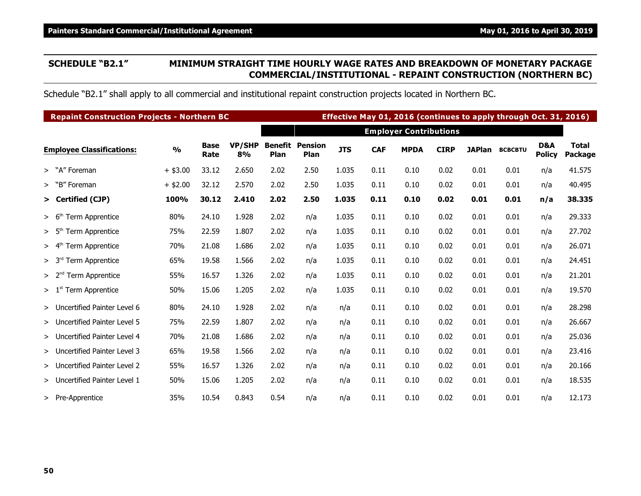# **SCHEDULE "B2.1" MINIMUM STRAIGHT TIME HOURLY WAGE RATES AND BREAKDOWN OF MONETARY PACKAGE COMMERCIAL/INSTITUTIONAL - REPAINT CONSTRUCTION (NORTHERN BC)**

Schedule "B2.1" shall apply to all commercial and institutional repaint construction projects located in Northern BC.

| <b>Repaint Construction Projects - Northern BC</b> |                         |                     |                     |                        |                               |            |            | Effective May 01, 2016 (continues to apply through Oct. 31, 2016) |             |               |                |                      |                         |
|----------------------------------------------------|-------------------------|---------------------|---------------------|------------------------|-------------------------------|------------|------------|-------------------------------------------------------------------|-------------|---------------|----------------|----------------------|-------------------------|
|                                                    |                         |                     |                     |                        |                               |            |            | <b>Employer Contributions</b>                                     |             |               |                |                      |                         |
| <b>Employee Classifications:</b>                   | $\mathbf{O}/\mathbf{O}$ | <b>Base</b><br>Rate | <b>VP/SHP</b><br>8% | <b>Benefit</b><br>Plan | <b>Pension</b><br><b>Plan</b> | <b>JTS</b> | <b>CAF</b> | <b>MPDA</b>                                                       | <b>CIRP</b> | <b>JAPlan</b> | <b>BCBCBTU</b> | D&A<br><b>Policy</b> | <b>Total</b><br>Package |
| > "A" Foreman                                      | $+$ \$3.00              | 33.12               | 2.650               | 2.02                   | 2.50                          | 1.035      | 0.11       | 0.10                                                              | 0.02        | 0.01          | 0.01           | n/a                  | 41.575                  |
| > "B" Foreman                                      | $+$ \$2.00              | 32.12               | 2.570               | 2.02                   | 2.50                          | 1.035      | 0.11       | 0.10                                                              | 0.02        | 0.01          | 0.01           | n/a                  | 40.495                  |
| > Certified (CJP)                                  | 100%                    | 30.12               | 2.410               | 2.02                   | 2.50                          | 1.035      | 0.11       | 0.10                                                              | 0.02        | 0.01          | 0.01           | n/a                  | 38.335                  |
| Term Apprentice<br>> 6 <sup>th</sup>               | 80%                     | 24.10               | 1.928               | 2.02                   | n/a                           | 1.035      | 0.11       | 0.10                                                              | 0.02        | 0.01          | 0.01           | n/a                  | 29.333                  |
| Term Apprentice<br>> 5 <sup>th</sup>               | 75%                     | 22.59               | 1.807               | 2.02                   | n/a                           | 1.035      | 0.11       | 0.10                                                              | 0.02        | 0.01          | 0.01           | n/a                  | 27.702                  |
| <b>Term Apprentice</b><br>> 4 <sup>th</sup>        | 70%                     | 21.08               | 1.686               | 2.02                   | n/a                           | 1.035      | 0.11       | 0.10                                                              | 0.02        | 0.01          | 0.01           | n/a                  | 26.071                  |
| Term Apprentice<br>> 3 <sup>rd</sup>               | 65%                     | 19.58               | 1.566               | 2.02                   | n/a                           | 1.035      | 0.11       | 0.10                                                              | 0.02        | 0.01          | 0.01           | n/a                  | 24.451                  |
| <b>Term Apprentice</b><br>> 2 <sup>nd</sup>        | 55%                     | 16.57               | 1.326               | 2.02                   | n/a                           | 1.035      | 0.11       | 0.10                                                              | 0.02        | 0.01          | 0.01           | n/a                  | 21.201                  |
| Term Apprentice<br>> 1 <sup>st</sup>               | 50%                     | 15.06               | 1.205               | 2.02                   | n/a                           | 1.035      | 0.11       | 0.10                                                              | 0.02        | 0.01          | 0.01           | n/a                  | 19.570                  |
| > Uncertified Painter Level 6                      | 80%                     | 24.10               | 1.928               | 2.02                   | n/a                           | n/a        | 0.11       | 0.10                                                              | 0.02        | 0.01          | 0.01           | n/a                  | 28.298                  |
| > Uncertified Painter Level 5                      | 75%                     | 22.59               | 1.807               | 2.02                   | n/a                           | n/a        | 0.11       | 0.10                                                              | 0.02        | 0.01          | 0.01           | n/a                  | 26.667                  |
| > Uncertified Painter Level 4                      | 70%                     | 21.08               | 1.686               | 2.02                   | n/a                           | n/a        | 0.11       | 0.10                                                              | 0.02        | 0.01          | 0.01           | n/a                  | 25.036                  |
| > Uncertified Painter Level 3                      | 65%                     | 19.58               | 1.566               | 2.02                   | n/a                           | n/a        | 0.11       | 0.10                                                              | 0.02        | 0.01          | 0.01           | n/a                  | 23.416                  |
| > Uncertified Painter Level 2                      | 55%                     | 16.57               | 1.326               | 2.02                   | n/a                           | n/a        | 0.11       | 0.10                                                              | 0.02        | 0.01          | 0.01           | n/a                  | 20.166                  |
| > Uncertified Painter Level 1                      | 50%                     | 15.06               | 1.205               | 2.02                   | n/a                           | n/a        | 0.11       | 0.10                                                              | 0.02        | 0.01          | 0.01           | n/a                  | 18.535                  |
| > Pre-Apprentice                                   | 35%                     | 10.54               | 0.843               | 0.54                   | n/a                           | n/a        | 0.11       | 0.10                                                              | 0.02        | 0.01          | 0.01           | n/a                  | 12.173                  |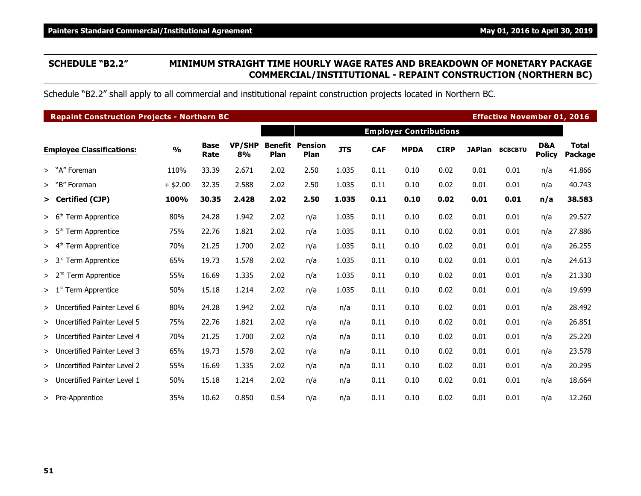### **SCHEDULE "B2.2" MINIMUM STRAIGHT TIME HOURLY WAGE RATES AND BREAKDOWN OF MONETARY PACKAGE COMMERCIAL/INSTITUTIONAL - REPAINT CONSTRUCTION (NORTHERN BC)**

Schedule "B2.2" shall apply to all commercial and institutional repaint construction projects located in Northern BC.

| <b>Repaint Construction Projects - Northern BC</b> |               |                     |                     |                        |                               |            |            |                               |             |      | <b>Effective November 01, 2016</b> |                      |                         |
|----------------------------------------------------|---------------|---------------------|---------------------|------------------------|-------------------------------|------------|------------|-------------------------------|-------------|------|------------------------------------|----------------------|-------------------------|
|                                                    |               |                     |                     |                        |                               |            |            | <b>Employer Contributions</b> |             |      |                                    |                      |                         |
| <b>Employee Classifications:</b>                   | $\frac{1}{2}$ | <b>Base</b><br>Rate | <b>VP/SHP</b><br>8% | <b>Benefit</b><br>Plan | <b>Pension</b><br><b>Plan</b> | <b>JTS</b> | <b>CAF</b> | <b>MPDA</b>                   | <b>CIRP</b> |      | JAPlan BCBCBTU                     | D&A<br><b>Policy</b> | <b>Total</b><br>Package |
| > "A" Foreman                                      | 110%          | 33.39               | 2.671               | 2.02                   | 2.50                          | 1.035      | 0.11       | 0.10                          | 0.02        | 0.01 | 0.01                               | n/a                  | 41.866                  |
| > "B" Foreman                                      | $+$ \$2.00    | 32.35               | 2.588               | 2.02                   | 2.50                          | 1.035      | 0.11       | 0.10                          | 0.02        | 0.01 | 0.01                               | n/a                  | 40.743                  |
| > Certified (CJP)                                  | 100%          | 30.35               | 2.428               | 2.02                   | 2.50                          | 1.035      | 0.11       | 0.10                          | 0.02        | 0.01 | 0.01                               | n/a                  | 38.583                  |
| > 6 <sup>th</sup><br>Term Apprentice               | 80%           | 24.28               | 1.942               | 2.02                   | n/a                           | 1.035      | 0.11       | 0.10                          | 0.02        | 0.01 | 0.01                               | n/a                  | 29.527                  |
| > 5 <sup>th</sup><br>Term Apprentice               | 75%           | 22.76               | 1.821               | 2.02                   | n/a                           | 1.035      | 0.11       | 0.10                          | 0.02        | 0.01 | 0.01                               | n/a                  | 27.886                  |
| <b>Term Apprentice</b><br>> 4 <sup>tr</sup>        | 70%           | 21.25               | 1.700               | 2.02                   | n/a                           | 1.035      | 0.11       | 0.10                          | 0.02        | 0.01 | 0.01                               | n/a                  | 26.255                  |
| > 3 <sup>rd</sup><br>Term Apprentice               | 65%           | 19.73               | 1.578               | 2.02                   | n/a                           | 1.035      | 0.11       | 0.10                          | 0.02        | 0.01 | 0.01                               | n/a                  | 24.613                  |
| Term Apprentice<br>> 2 <sup>nd</sup>               | 55%           | 16.69               | 1.335               | 2.02                   | n/a                           | 1.035      | 0.11       | 0.10                          | 0.02        | 0.01 | 0.01                               | n/a                  | 21.330                  |
| Term Apprentice<br>> 1 <sup>st</sup>               | 50%           | 15.18               | 1.214               | 2.02                   | n/a                           | 1.035      | 0.11       | 0.10                          | 0.02        | 0.01 | 0.01                               | n/a                  | 19.699                  |
| > Uncertified Painter Level 6                      | 80%           | 24.28               | 1.942               | 2.02                   | n/a                           | n/a        | 0.11       | 0.10                          | 0.02        | 0.01 | 0.01                               | n/a                  | 28.492                  |
| > Uncertified Painter Level 5                      | 75%           | 22.76               | 1.821               | 2.02                   | n/a                           | n/a        | 0.11       | 0.10                          | 0.02        | 0.01 | 0.01                               | n/a                  | 26.851                  |
| > Uncertified Painter Level 4                      | 70%           | 21.25               | 1.700               | 2.02                   | n/a                           | n/a        | 0.11       | 0.10                          | 0.02        | 0.01 | 0.01                               | n/a                  | 25.220                  |
| > Uncertified Painter Level 3                      | 65%           | 19.73               | 1.578               | 2.02                   | n/a                           | n/a        | 0.11       | 0.10                          | 0.02        | 0.01 | 0.01                               | n/a                  | 23.578                  |
| > Uncertified Painter Level 2                      | 55%           | 16.69               | 1.335               | 2.02                   | n/a                           | n/a        | 0.11       | 0.10                          | 0.02        | 0.01 | 0.01                               | n/a                  | 20.295                  |
| > Uncertified Painter Level 1                      | 50%           | 15.18               | 1.214               | 2.02                   | n/a                           | n/a        | 0.11       | 0.10                          | 0.02        | 0.01 | 0.01                               | n/a                  | 18.664                  |
| > Pre-Apprentice                                   | 35%           | 10.62               | 0.850               | 0.54                   | n/a                           | n/a        | 0.11       | 0.10                          | 0.02        | 0.01 | 0.01                               | n/a                  | 12.260                  |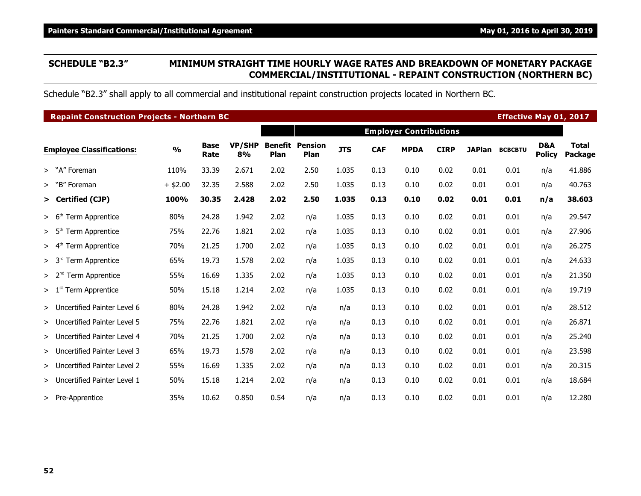### **SCHEDULE "B2.3" MINIMUM STRAIGHT TIME HOURLY WAGE RATES AND BREAKDOWN OF MONETARY PACKAGE COMMERCIAL/INSTITUTIONAL - REPAINT CONSTRUCTION (NORTHERN BC)**

Schedule "B2.3" shall apply to all commercial and institutional repaint construction projects located in Northern BC.

| <b>Repaint Construction Projects - Northern BC</b> |               |                     |                     |                        |                               |            |            |                               |             |      | <b>Effective May 01, 2017</b> |                      |                         |
|----------------------------------------------------|---------------|---------------------|---------------------|------------------------|-------------------------------|------------|------------|-------------------------------|-------------|------|-------------------------------|----------------------|-------------------------|
|                                                    |               |                     |                     |                        |                               |            |            | <b>Employer Contributions</b> |             |      |                               |                      |                         |
| <b>Employee Classifications:</b>                   | $\frac{1}{2}$ | <b>Base</b><br>Rate | <b>VP/SHP</b><br>8% | <b>Benefit</b><br>Plan | <b>Pension</b><br><b>Plan</b> | <b>JTS</b> | <b>CAF</b> | <b>MPDA</b>                   | <b>CIRP</b> |      | JAPlan BCBCBTU                | D&A<br><b>Policy</b> | <b>Total</b><br>Package |
| > "A" Foreman                                      | 110%          | 33.39               | 2.671               | 2.02                   | 2.50                          | 1.035      | 0.13       | 0.10                          | 0.02        | 0.01 | 0.01                          | n/a                  | 41.886                  |
| > "B" Foreman                                      | $+$ \$2.00    | 32.35               | 2.588               | 2.02                   | 2.50                          | 1.035      | 0.13       | 0.10                          | 0.02        | 0.01 | 0.01                          | n/a                  | 40.763                  |
| > Certified (CJP)                                  | 100%          | 30.35               | 2.428               | 2.02                   | 2.50                          | 1.035      | 0.13       | 0.10                          | 0.02        | 0.01 | 0.01                          | n/a                  | 38.603                  |
| > 6 <sup>th</sup><br>Term Apprentice               | 80%           | 24.28               | 1.942               | 2.02                   | n/a                           | 1.035      | 0.13       | 0.10                          | 0.02        | 0.01 | 0.01                          | n/a                  | 29.547                  |
| > 5 <sup>th</sup><br>Term Apprentice               | 75%           | 22.76               | 1.821               | 2.02                   | n/a                           | 1.035      | 0.13       | 0.10                          | 0.02        | 0.01 | 0.01                          | n/a                  | 27.906                  |
| <b>Term Apprentice</b><br>> 4 <sup>tr</sup>        | 70%           | 21.25               | 1.700               | 2.02                   | n/a                           | 1.035      | 0.13       | 0.10                          | 0.02        | 0.01 | 0.01                          | n/a                  | 26.275                  |
| > 3 <sup>rd</sup><br>Term Apprentice               | 65%           | 19.73               | 1.578               | 2.02                   | n/a                           | 1.035      | 0.13       | 0.10                          | 0.02        | 0.01 | 0.01                          | n/a                  | 24.633                  |
| Term Apprentice<br>> 2 <sup>nd</sup>               | 55%           | 16.69               | 1.335               | 2.02                   | n/a                           | 1.035      | 0.13       | 0.10                          | 0.02        | 0.01 | 0.01                          | n/a                  | 21.350                  |
| Term Apprentice<br>> 1 <sup>st</sup>               | 50%           | 15.18               | 1.214               | 2.02                   | n/a                           | 1.035      | 0.13       | 0.10                          | 0.02        | 0.01 | 0.01                          | n/a                  | 19.719                  |
| > Uncertified Painter Level 6                      | 80%           | 24.28               | 1.942               | 2.02                   | n/a                           | n/a        | 0.13       | 0.10                          | 0.02        | 0.01 | 0.01                          | n/a                  | 28.512                  |
| > Uncertified Painter Level 5                      | 75%           | 22.76               | 1.821               | 2.02                   | n/a                           | n/a        | 0.13       | 0.10                          | 0.02        | 0.01 | 0.01                          | n/a                  | 26.871                  |
| > Uncertified Painter Level 4                      | 70%           | 21.25               | 1.700               | 2.02                   | n/a                           | n/a        | 0.13       | 0.10                          | 0.02        | 0.01 | 0.01                          | n/a                  | 25.240                  |
| > Uncertified Painter Level 3                      | 65%           | 19.73               | 1.578               | 2.02                   | n/a                           | n/a        | 0.13       | 0.10                          | 0.02        | 0.01 | 0.01                          | n/a                  | 23.598                  |
| > Uncertified Painter Level 2                      | 55%           | 16.69               | 1.335               | 2.02                   | n/a                           | n/a        | 0.13       | 0.10                          | 0.02        | 0.01 | 0.01                          | n/a                  | 20.315                  |
| > Uncertified Painter Level 1                      | 50%           | 15.18               | 1.214               | 2.02                   | n/a                           | n/a        | 0.13       | 0.10                          | 0.02        | 0.01 | 0.01                          | n/a                  | 18.684                  |
| > Pre-Apprentice                                   | 35%           | 10.62               | 0.850               | 0.54                   | n/a                           | n/a        | 0.13       | 0.10                          | 0.02        | 0.01 | 0.01                          | n/a                  | 12.280                  |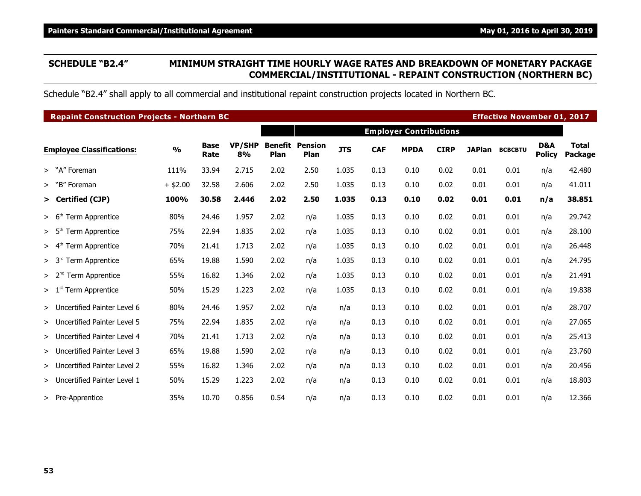### **SCHEDULE "B2.4" MINIMUM STRAIGHT TIME HOURLY WAGE RATES AND BREAKDOWN OF MONETARY PACKAGE COMMERCIAL/INSTITUTIONAL - REPAINT CONSTRUCTION (NORTHERN BC)**

Schedule "B2.4" shall apply to all commercial and institutional repaint construction projects located in Northern BC.

| <b>Repaint Construction Projects - Northern BC</b> |               |                     |                     |                        |                               |            |            |                               |             |      | <b>Effective November 01, 2017</b> |                      |                         |
|----------------------------------------------------|---------------|---------------------|---------------------|------------------------|-------------------------------|------------|------------|-------------------------------|-------------|------|------------------------------------|----------------------|-------------------------|
|                                                    |               |                     |                     |                        |                               |            |            | <b>Employer Contributions</b> |             |      |                                    |                      |                         |
| <b>Employee Classifications:</b>                   | $\frac{1}{2}$ | <b>Base</b><br>Rate | <b>VP/SHP</b><br>8% | <b>Benefit</b><br>Plan | <b>Pension</b><br><b>Plan</b> | <b>JTS</b> | <b>CAF</b> | <b>MPDA</b>                   | <b>CIRP</b> |      | JAPlan BCBCBTU                     | D&A<br><b>Policy</b> | <b>Total</b><br>Package |
| > "A" Foreman                                      | 111%          | 33.94               | 2.715               | 2.02                   | 2.50                          | 1.035      | 0.13       | 0.10                          | 0.02        | 0.01 | 0.01                               | n/a                  | 42.480                  |
| > "B" Foreman                                      | $+$ \$2.00    | 32.58               | 2.606               | 2.02                   | 2.50                          | 1.035      | 0.13       | 0.10                          | 0.02        | 0.01 | 0.01                               | n/a                  | 41.011                  |
| > Certified (CJP)                                  | 100%          | 30.58               | 2.446               | 2.02                   | 2.50                          | 1.035      | 0.13       | 0.10                          | 0.02        | 0.01 | 0.01                               | n/a                  | 38.851                  |
| > 6 <sup>th</sup><br>Term Apprentice               | 80%           | 24.46               | 1.957               | 2.02                   | n/a                           | 1.035      | 0.13       | 0.10                          | 0.02        | 0.01 | 0.01                               | n/a                  | 29.742                  |
| > 5 <sup>th</sup><br>Term Apprentice               | 75%           | 22.94               | 1.835               | 2.02                   | n/a                           | 1.035      | 0.13       | 0.10                          | 0.02        | 0.01 | 0.01                               | n/a                  | 28.100                  |
| <b>Term Apprentice</b><br>> 4 <sup>tr</sup>        | 70%           | 21.41               | 1.713               | 2.02                   | n/a                           | 1.035      | 0.13       | 0.10                          | 0.02        | 0.01 | 0.01                               | n/a                  | 26.448                  |
| > 3 <sup>rd</sup><br>Term Apprentice               | 65%           | 19.88               | 1.590               | 2.02                   | n/a                           | 1.035      | 0.13       | 0.10                          | 0.02        | 0.01 | 0.01                               | n/a                  | 24.795                  |
| Term Apprentice<br>> 2 <sup>nd</sup>               | 55%           | 16.82               | 1.346               | 2.02                   | n/a                           | 1.035      | 0.13       | 0.10                          | 0.02        | 0.01 | 0.01                               | n/a                  | 21.491                  |
| Term Apprentice<br>> 1 <sup>st</sup>               | 50%           | 15.29               | 1.223               | 2.02                   | n/a                           | 1.035      | 0.13       | 0.10                          | 0.02        | 0.01 | 0.01                               | n/a                  | 19.838                  |
| > Uncertified Painter Level 6                      | 80%           | 24.46               | 1.957               | 2.02                   | n/a                           | n/a        | 0.13       | 0.10                          | 0.02        | 0.01 | 0.01                               | n/a                  | 28.707                  |
| > Uncertified Painter Level 5                      | 75%           | 22.94               | 1.835               | 2.02                   | n/a                           | n/a        | 0.13       | 0.10                          | 0.02        | 0.01 | 0.01                               | n/a                  | 27.065                  |
| > Uncertified Painter Level 4                      | 70%           | 21.41               | 1.713               | 2.02                   | n/a                           | n/a        | 0.13       | 0.10                          | 0.02        | 0.01 | 0.01                               | n/a                  | 25.413                  |
| > Uncertified Painter Level 3                      | 65%           | 19.88               | 1.590               | 2.02                   | n/a                           | n/a        | 0.13       | 0.10                          | 0.02        | 0.01 | 0.01                               | n/a                  | 23.760                  |
| > Uncertified Painter Level 2                      | 55%           | 16.82               | 1.346               | 2.02                   | n/a                           | n/a        | 0.13       | 0.10                          | 0.02        | 0.01 | 0.01                               | n/a                  | 20.456                  |
| > Uncertified Painter Level 1                      | 50%           | 15.29               | 1.223               | 2.02                   | n/a                           | n/a        | 0.13       | 0.10                          | 0.02        | 0.01 | 0.01                               | n/a                  | 18.803                  |
| > Pre-Apprentice                                   | 35%           | 10.70               | 0.856               | 0.54                   | n/a                           | n/a        | 0.13       | 0.10                          | 0.02        | 0.01 | 0.01                               | n/a                  | 12.366                  |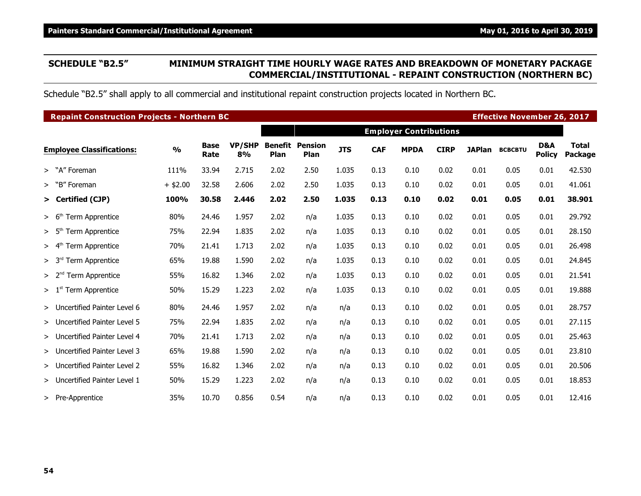### **SCHEDULE "B2.5" MINIMUM STRAIGHT TIME HOURLY WAGE RATES AND BREAKDOWN OF MONETARY PACKAGE COMMERCIAL/INSTITUTIONAL - REPAINT CONSTRUCTION (NORTHERN BC)**

Schedule "B2.5" shall apply to all commercial and institutional repaint construction projects located in Northern BC.

| <b>Repaint Construction Projects - Northern BC</b> |               |                     |                     |                        |                               |            |            |                               |             |      | <b>Effective November 26, 2017</b> |                      |                         |
|----------------------------------------------------|---------------|---------------------|---------------------|------------------------|-------------------------------|------------|------------|-------------------------------|-------------|------|------------------------------------|----------------------|-------------------------|
|                                                    |               |                     |                     |                        |                               |            |            | <b>Employer Contributions</b> |             |      |                                    |                      |                         |
| <b>Employee Classifications:</b>                   | $\frac{1}{2}$ | <b>Base</b><br>Rate | <b>VP/SHP</b><br>8% | <b>Benefit</b><br>Plan | <b>Pension</b><br><b>Plan</b> | <b>JTS</b> | <b>CAF</b> | <b>MPDA</b>                   | <b>CIRP</b> |      | JAPlan BCBCBTU                     | D&A<br><b>Policy</b> | <b>Total</b><br>Package |
| > "A" Foreman                                      | 111%          | 33.94               | 2.715               | 2.02                   | 2.50                          | 1.035      | 0.13       | 0.10                          | 0.02        | 0.01 | 0.05                               | 0.01                 | 42.530                  |
| > "B" Foreman                                      | $+$ \$2.00    | 32.58               | 2.606               | 2.02                   | 2.50                          | 1.035      | 0.13       | 0.10                          | 0.02        | 0.01 | 0.05                               | 0.01                 | 41.061                  |
| > Certified (CJP)                                  | 100%          | 30.58               | 2.446               | 2.02                   | 2.50                          | 1.035      | 0.13       | 0.10                          | 0.02        | 0.01 | 0.05                               | 0.01                 | 38.901                  |
| > 6 <sup>th</sup><br>Term Apprentice               | 80%           | 24.46               | 1.957               | 2.02                   | n/a                           | 1.035      | 0.13       | 0.10                          | 0.02        | 0.01 | 0.05                               | 0.01                 | 29.792                  |
| > 5 <sup>th</sup><br>Term Apprentice               | 75%           | 22.94               | 1.835               | 2.02                   | n/a                           | 1.035      | 0.13       | 0.10                          | 0.02        | 0.01 | 0.05                               | 0.01                 | 28.150                  |
| <b>Term Apprentice</b><br>> 4 <sup>tr</sup>        | 70%           | 21.41               | 1.713               | 2.02                   | n/a                           | 1.035      | 0.13       | 0.10                          | 0.02        | 0.01 | 0.05                               | 0.01                 | 26.498                  |
| > 3 <sup>rd</sup><br>Term Apprentice               | 65%           | 19.88               | 1.590               | 2.02                   | n/a                           | 1.035      | 0.13       | 0.10                          | 0.02        | 0.01 | 0.05                               | 0.01                 | 24.845                  |
| Term Apprentice<br>> 2 <sup>nd</sup>               | 55%           | 16.82               | 1.346               | 2.02                   | n/a                           | 1.035      | 0.13       | 0.10                          | 0.02        | 0.01 | 0.05                               | 0.01                 | 21.541                  |
| Term Apprentice<br>> 1 <sup>st</sup>               | 50%           | 15.29               | 1.223               | 2.02                   | n/a                           | 1.035      | 0.13       | 0.10                          | 0.02        | 0.01 | 0.05                               | 0.01                 | 19.888                  |
| > Uncertified Painter Level 6                      | 80%           | 24.46               | 1.957               | 2.02                   | n/a                           | n/a        | 0.13       | 0.10                          | 0.02        | 0.01 | 0.05                               | 0.01                 | 28.757                  |
| > Uncertified Painter Level 5                      | 75%           | 22.94               | 1.835               | 2.02                   | n/a                           | n/a        | 0.13       | 0.10                          | 0.02        | 0.01 | 0.05                               | 0.01                 | 27.115                  |
| > Uncertified Painter Level 4                      | 70%           | 21.41               | 1.713               | 2.02                   | n/a                           | n/a        | 0.13       | 0.10                          | 0.02        | 0.01 | 0.05                               | 0.01                 | 25.463                  |
| > Uncertified Painter Level 3                      | 65%           | 19.88               | 1.590               | 2.02                   | n/a                           | n/a        | 0.13       | 0.10                          | 0.02        | 0.01 | 0.05                               | 0.01                 | 23.810                  |
| > Uncertified Painter Level 2                      | 55%           | 16.82               | 1.346               | 2.02                   | n/a                           | n/a        | 0.13       | 0.10                          | 0.02        | 0.01 | 0.05                               | 0.01                 | 20.506                  |
| > Uncertified Painter Level 1                      | 50%           | 15.29               | 1.223               | 2.02                   | n/a                           | n/a        | 0.13       | 0.10                          | 0.02        | 0.01 | 0.05                               | 0.01                 | 18.853                  |
| > Pre-Apprentice                                   | 35%           | 10.70               | 0.856               | 0.54                   | n/a                           | n/a        | 0.13       | 0.10                          | 0.02        | 0.01 | 0.05                               | 0.01                 | 12.416                  |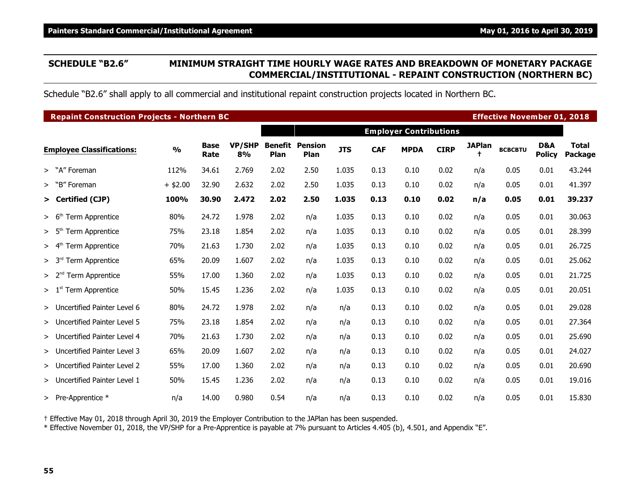### **SCHEDULE "B2.6" MINIMUM STRAIGHT TIME HOURLY WAGE RATES AND BREAKDOWN OF MONETARY PACKAGE COMMERCIAL/INSTITUTIONAL - REPAINT CONSTRUCTION (NORTHERN BC)**

Schedule "B2.6" shall apply to all commercial and institutional repaint construction projects located in Northern BC.

| <b>Repaint Construction Projects - Northern BC</b> |               |                     |                     |                               |                        |            |            |                               |             |               | <b>Effective November 01, 2018</b> |                      |                         |
|----------------------------------------------------|---------------|---------------------|---------------------|-------------------------------|------------------------|------------|------------|-------------------------------|-------------|---------------|------------------------------------|----------------------|-------------------------|
|                                                    |               |                     |                     |                               |                        |            |            | <b>Employer Contributions</b> |             |               |                                    |                      |                         |
| <b>Employee Classifications:</b>                   | $\frac{0}{0}$ | <b>Base</b><br>Rate | <b>VP/SHP</b><br>8% | <b>Benefit</b><br><b>Plan</b> | <b>Pension</b><br>Plan | <b>JTS</b> | <b>CAF</b> | <b>MPDA</b>                   | <b>CIRP</b> | <b>JAPlan</b> | <b>BCBCBTU</b>                     | D&A<br><b>Policy</b> | <b>Total</b><br>Package |
| > "A" Foreman                                      | 112%          | 34.61               | 2.769               | 2.02                          | 2.50                   | 1.035      | 0.13       | 0.10                          | 0.02        | n/a           | 0.05                               | 0.01                 | 43.244                  |
| > "B" Foreman                                      | $+$ \$2.00    | 32.90               | 2.632               | 2.02                          | 2.50                   | 1.035      | 0.13       | 0.10                          | 0.02        | n/a           | 0.05                               | 0.01                 | 41.397                  |
| > Certified (CJP)                                  | 100%          | 30.90               | 2.472               | 2.02                          | 2.50                   | 1.035      | 0.13       | 0.10                          | 0.02        | n/a           | 0.05                               | 0.01                 | 39.237                  |
| Term Apprentice<br>> 6 <sup>th</sup>               | 80%           | 24.72               | 1.978               | 2.02                          | n/a                    | 1.035      | 0.13       | 0.10                          | 0.02        | n/a           | 0.05                               | 0.01                 | 30.063                  |
| > 5 <sup>th</sup><br><b>Term Apprentice</b>        | 75%           | 23.18               | 1.854               | 2.02                          | n/a                    | 1.035      | 0.13       | 0.10                          | 0.02        | n/a           | 0.05                               | 0.01                 | 28.399                  |
| Term Apprentice<br>> 4 <sup>th</sup>               | 70%           | 21.63               | 1.730               | 2.02                          | n/a                    | 1.035      | 0.13       | 0.10                          | 0.02        | n/a           | 0.05                               | 0.01                 | 26.725                  |
| > 3 <sup>rd</sup><br>Term Apprentice               | 65%           | 20.09               | 1.607               | 2.02                          | n/a                    | 1.035      | 0.13       | 0.10                          | 0.02        | n/a           | 0.05                               | 0.01                 | 25.062                  |
| <b>Term Apprentice</b><br>> 2 <sup>nd</sup>        | 55%           | 17.00               | 1.360               | 2.02                          | n/a                    | 1.035      | 0.13       | 0.10                          | 0.02        | n/a           | 0.05                               | 0.01                 | 21.725                  |
| Term Apprentice<br>> 1 <sup>st</sup>               | 50%           | 15.45               | 1.236               | 2.02                          | n/a                    | 1.035      | 0.13       | 0.10                          | 0.02        | n/a           | 0.05                               | 0.01                 | 20.051                  |
| > Uncertified Painter Level 6                      | 80%           | 24.72               | 1.978               | 2.02                          | n/a                    | n/a        | 0.13       | 0.10                          | 0.02        | n/a           | 0.05                               | 0.01                 | 29.028                  |
| > Uncertified Painter Level 5                      | 75%           | 23.18               | 1.854               | 2.02                          | n/a                    | n/a        | 0.13       | 0.10                          | 0.02        | n/a           | 0.05                               | 0.01                 | 27.364                  |
| > Uncertified Painter Level 4                      | 70%           | 21.63               | 1.730               | 2.02                          | n/a                    | n/a        | 0.13       | 0.10                          | 0.02        | n/a           | 0.05                               | 0.01                 | 25.690                  |
| > Uncertified Painter Level 3                      | 65%           | 20.09               | 1.607               | 2.02                          | n/a                    | n/a        | 0.13       | 0.10                          | 0.02        | n/a           | 0.05                               | 0.01                 | 24.027                  |
| > Uncertified Painter Level 2                      | 55%           | 17.00               | 1.360               | 2.02                          | n/a                    | n/a        | 0.13       | 0.10                          | 0.02        | n/a           | 0.05                               | 0.01                 | 20.690                  |
| > Uncertified Painter Level 1                      | 50%           | 15.45               | 1.236               | 2.02                          | n/a                    | n/a        | 0.13       | 0.10                          | 0.02        | n/a           | 0.05                               | 0.01                 | 19.016                  |
| > Pre-Apprentice $*$                               | n/a           | 14.00               | 0.980               | 0.54                          | n/a                    | n/a        | 0.13       | 0.10                          | 0.02        | n/a           | 0.05                               | 0.01                 | 15.830                  |

† Effective May 01, 2018 through April 30, 2019 the Employer Contribution to the JAPlan has been suspended.

\* Effective November 01, 2018, the VP/SHP for a Pre-Apprentice is payable at 7% pursuant to Articles 4.405 (b), 4.501, and Appendix "E".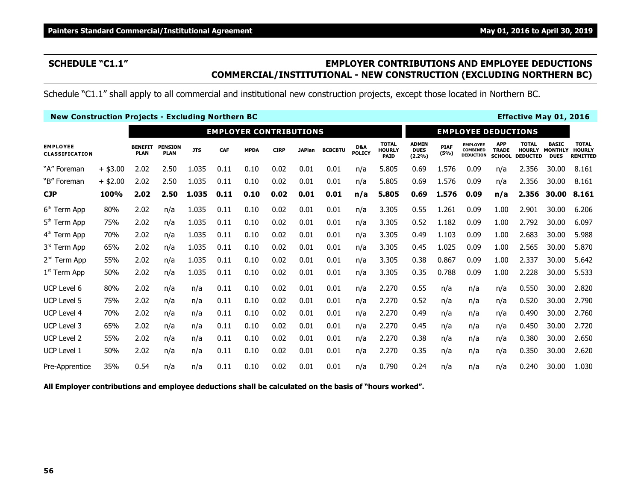# **SCHEDULE "C1.1" EMPLOYER CONTRIBUTIONS AND EMPLOYEE DEDUCTIONS COMMERCIAL/INSTITUTIONAL - NEW CONSTRUCTION (EXCLUDING NORTHERN BC)**

Schedule "C1.1" shall apply to all commercial and institutional new construction projects, except those located in Northern BC.

| <b>New Construction Projects - Excluding Northern BC</b> |            |                               |                               |            |            |                               |             |               |                |                      |                                              |                                       |                     |                                                        |                                             | <b>Effective May 01, 2016</b>                    |                                               |                                                  |
|----------------------------------------------------------|------------|-------------------------------|-------------------------------|------------|------------|-------------------------------|-------------|---------------|----------------|----------------------|----------------------------------------------|---------------------------------------|---------------------|--------------------------------------------------------|---------------------------------------------|--------------------------------------------------|-----------------------------------------------|--------------------------------------------------|
|                                                          |            |                               |                               |            |            | <b>EMPLOYER CONTRIBUTIONS</b> |             |               |                |                      |                                              |                                       |                     | <b>EMPLOYEE DEDUCTIONS</b>                             |                                             |                                                  |                                               |                                                  |
| <b>EMPLOYEE</b><br><b>CLASSIFICATION</b>                 |            | <b>BENEFIT</b><br><b>PLAN</b> | <b>PENSION</b><br><b>PLAN</b> | <b>JTS</b> | <b>CAF</b> | <b>MPDA</b>                   | <b>CIRP</b> | <b>JAPlan</b> | <b>BCBCBTU</b> | D&A<br><b>POLICY</b> | <b>TOTAL</b><br><b>HOURLY</b><br><b>PAID</b> | <b>ADMIN</b><br><b>DUES</b><br>(2.2%) | <b>PIAF</b><br>(5%) | <b>EMPLOYEE</b><br><b>COMBINED</b><br><b>DEDUCTION</b> | <b>APP</b><br><b>TRADE</b><br><b>SCHOOL</b> | <b>TOTAL</b><br><b>HOURLY</b><br><b>DEDUCTED</b> | <b>BASIC</b><br><b>MONTHLY</b><br><b>DUES</b> | <b>TOTAL</b><br><b>HOURLY</b><br><b>REMITTED</b> |
| "A" Foreman                                              | $+$ \$3.00 | 2.02                          | 2.50                          | 1.035      | 0.11       | 0.10                          | 0.02        | 0.01          | 0.01           | n/a                  | 5.805                                        | 0.69                                  | 1.576               | 0.09                                                   | n/a                                         | 2.356                                            | 30.00                                         | 8.161                                            |
| "B" Foreman                                              | $+$ \$2.00 | 2.02                          | 2.50                          | 1.035      | 0.11       | 0.10                          | 0.02        | 0.01          | 0.01           | n/a                  | 5.805                                        | 0.69                                  | 1.576               | 0.09                                                   | n/a                                         | 2.356                                            | 30.00                                         | 8.161                                            |
| <b>CJP</b>                                               | 100%       | 2.02                          | 2.50                          | 1.035      | 0.11       | 0.10                          | 0.02        | 0.01          | 0.01           | n/a                  | 5.805                                        | 0.69                                  | 1.576               | 0.09                                                   | n/a                                         | 2.356                                            | 30.00 8.161                                   |                                                  |
| 6 <sup>th</sup> Term App                                 | 80%        | 2.02                          | n/a                           | 1.035      | 0.11       | 0.10                          | 0.02        | 0.01          | 0.01           | n/a                  | 3.305                                        | 0.55                                  | 1.261               | 0.09                                                   | 1.00                                        | 2.901                                            | 30.00                                         | 6.206                                            |
| 5 <sup>th</sup> Term App                                 | 75%        | 2.02                          | n/a                           | 1.035      | 0.11       | 0.10                          | 0.02        | 0.01          | 0.01           | n/a                  | 3.305                                        | 0.52                                  | 1.182               | 0.09                                                   | 1.00                                        | 2.792                                            | 30.00                                         | 6.097                                            |
| 4 <sup>th</sup> Term App                                 | 70%        | 2.02                          | n/a                           | 1.035      | 0.11       | 0.10                          | 0.02        | 0.01          | 0.01           | n/a                  | 3.305                                        | 0.49                                  | 1.103               | 0.09                                                   | 1.00                                        | 2.683                                            | 30.00                                         | 5.988                                            |
| 3rd Term App                                             | 65%        | 2.02                          | n/a                           | 1.035      | 0.11       | 0.10                          | 0.02        | 0.01          | 0.01           | n/a                  | 3.305                                        | 0.45                                  | 1.025               | 0.09                                                   | 1.00                                        | 2.565                                            | 30.00                                         | 5.870                                            |
| 2 <sup>nd</sup> Term App                                 | 55%        | 2.02                          | n/a                           | 1.035      | 0.11       | 0.10                          | 0.02        | 0.01          | 0.01           | n/a                  | 3.305                                        | 0.38                                  | 0.867               | 0.09                                                   | 1.00                                        | 2.337                                            | 30.00                                         | 5.642                                            |
| $1st$ Term App                                           | 50%        | 2.02                          | n/a                           | 1.035      | 0.11       | 0.10                          | 0.02        | 0.01          | 0.01           | n/a                  | 3.305                                        | 0.35                                  | 0.788               | 0.09                                                   | 1.00                                        | 2.228                                            | 30.00                                         | 5.533                                            |
| <b>UCP Level 6</b>                                       | 80%        | 2.02                          | n/a                           | n/a        | 0.11       | 0.10                          | 0.02        | 0.01          | 0.01           | n/a                  | 2.270                                        | 0.55                                  | n/a                 | n/a                                                    | n/a                                         | 0.550                                            | 30.00                                         | 2.820                                            |
| UCP Level 5                                              | 75%        | 2.02                          | n/a                           | n/a        | 0.11       | 0.10                          | 0.02        | 0.01          | 0.01           | n/a                  | 2.270                                        | 0.52                                  | n/a                 | n/a                                                    | n/a                                         | 0.520                                            | 30.00                                         | 2.790                                            |
| UCP Level 4                                              | 70%        | 2.02                          | n/a                           | n/a        | 0.11       | 0.10                          | 0.02        | 0.01          | 0.01           | n/a                  | 2.270                                        | 0.49                                  | n/a                 | n/a                                                    | n/a                                         | 0.490                                            | 30.00                                         | 2.760                                            |
| UCP Level 3                                              | 65%        | 2.02                          | n/a                           | n/a        | 0.11       | 0.10                          | 0.02        | 0.01          | 0.01           | n/a                  | 2.270                                        | 0.45                                  | n/a                 | n/a                                                    | n/a                                         | 0.450                                            | 30.00                                         | 2.720                                            |
| <b>UCP Level 2</b>                                       | 55%        | 2.02                          | n/a                           | n/a        | 0.11       | 0.10                          | 0.02        | 0.01          | 0.01           | n/a                  | 2.270                                        | 0.38                                  | n/a                 | n/a                                                    | n/a                                         | 0.380                                            | 30.00                                         | 2.650                                            |
| UCP Level 1                                              | 50%        | 2.02                          | n/a                           | n/a        | 0.11       | 0.10                          | 0.02        | 0.01          | 0.01           | n/a                  | 2.270                                        | 0.35                                  | n/a                 | n/a                                                    | n/a                                         | 0.350                                            | 30.00                                         | 2.620                                            |
| Pre-Apprentice                                           | 35%        | 0.54                          | n/a                           | n/a        | 0.11       | 0.10                          | 0.02        | 0.01          | 0.01           | n/a                  | 0.790                                        | 0.24                                  | n/a                 | n/a                                                    | n/a                                         | 0.240                                            | 30.00                                         | 1.030                                            |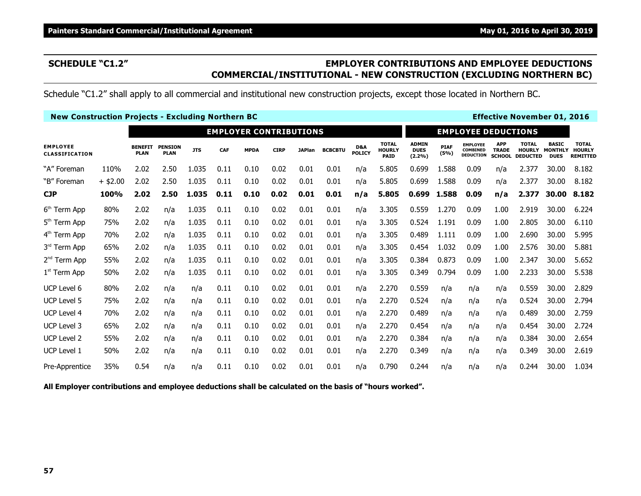# **SCHEDULE "C1.2" EMPLOYER CONTRIBUTIONS AND EMPLOYEE DEDUCTIONS COMMERCIAL/INSTITUTIONAL - NEW CONSTRUCTION (EXCLUDING NORTHERN BC)**

Schedule "C1.2" shall apply to all commercial and institutional new construction projects, except those located in Northern BC.

| <b>New Construction Projects - Excluding Northern BC</b> |            |                               |                               |            |            |                               |             |               |                |                      |                                              |                                       |                     |                                                        |                                             | <b>Effective November 01, 2016</b> |                                                      |                                                  |
|----------------------------------------------------------|------------|-------------------------------|-------------------------------|------------|------------|-------------------------------|-------------|---------------|----------------|----------------------|----------------------------------------------|---------------------------------------|---------------------|--------------------------------------------------------|---------------------------------------------|------------------------------------|------------------------------------------------------|--------------------------------------------------|
|                                                          |            |                               |                               |            |            | <b>EMPLOYER CONTRIBUTIONS</b> |             |               |                |                      |                                              |                                       |                     | <b>EMPLOYEE DEDUCTIONS</b>                             |                                             |                                    |                                                      |                                                  |
| <b>EMPLOYEE</b><br>CLASSIFICATION                        |            | <b>BENEFIT</b><br><b>PLAN</b> | <b>PENSION</b><br><b>PLAN</b> | <b>JTS</b> | <b>CAF</b> | <b>MPDA</b>                   | <b>CIRP</b> | <b>JAPlan</b> | <b>BCBCBTU</b> | D&A<br><b>POLICY</b> | <b>TOTAL</b><br><b>HOURLY</b><br><b>PAID</b> | <b>ADMIN</b><br><b>DUES</b><br>(2.2%) | <b>PIAF</b><br>(5%) | <b>EMPLOYEE</b><br><b>COMBINED</b><br><b>DEDUCTION</b> | <b>APP</b><br><b>TRADE</b><br><b>SCHOOL</b> | <b>TOTAL</b><br><b>DEDUCTED</b>    | <b>BASIC</b><br><b>HOURLY MONTHLY</b><br><b>DUES</b> | <b>TOTAL</b><br><b>HOURLY</b><br><b>REMITTED</b> |
| "A" Foreman                                              | 110%       | 2.02                          | 2.50                          | 1.035      | 0.11       | 0.10                          | 0.02        | 0.01          | 0.01           | n/a                  | 5.805                                        | 0.699                                 | 1.588               | 0.09                                                   | n/a                                         | 2.377                              | 30.00                                                | 8.182                                            |
| "B" Foreman                                              | $+$ \$2.00 | 2.02                          | 2.50                          | 1.035      | 0.11       | 0.10                          | 0.02        | 0.01          | 0.01           | n/a                  | 5.805                                        | 0.699                                 | 1.588               | 0.09                                                   | n/a                                         | 2.377                              | 30.00                                                | 8.182                                            |
| <b>CJP</b>                                               | 100%       | 2.02                          | 2.50                          | 1.035      | 0.11       | 0.10                          | 0.02        | 0.01          | 0.01           | n/a                  | 5.805                                        | 0.699                                 | 1.588               | 0.09                                                   | n/a                                         | 2.377                              | 30.00                                                | 8.182                                            |
| 6 <sup>th</sup> Term App                                 | 80%        | 2.02                          | n/a                           | 1.035      | 0.11       | 0.10                          | 0.02        | 0.01          | 0.01           | n/a                  | 3.305                                        | 0.559                                 | 1.270               | 0.09                                                   | 1.00                                        | 2.919                              | 30.00                                                | 6.224                                            |
| 5 <sup>th</sup> Term App                                 | 75%        | 2.02                          | n/a                           | 1.035      | 0.11       | 0.10                          | 0.02        | 0.01          | 0.01           | n/a                  | 3.305                                        | 0.524                                 | 1.191               | 0.09                                                   | 1.00                                        | 2.805                              | 30.00                                                | 6.110                                            |
| 4 <sup>th</sup> Term App                                 | 70%        | 2.02                          | n/a                           | 1.035      | 0.11       | 0.10                          | 0.02        | 0.01          | 0.01           | n/a                  | 3.305                                        | 0.489                                 | 1.111               | 0.09                                                   | 1.00                                        | 2.690                              | 30.00                                                | 5.995                                            |
| 3rd Term App                                             | 65%        | 2.02                          | n/a                           | 1.035      | 0.11       | 0.10                          | 0.02        | 0.01          | 0.01           | n/a                  | 3.305                                        | 0.454                                 | 1.032               | 0.09                                                   | 1.00                                        | 2.576                              | 30.00                                                | 5.881                                            |
| $2nd$ Term App                                           | 55%        | 2.02                          | n/a                           | 1.035      | 0.11       | 0.10                          | 0.02        | 0.01          | 0.01           | n/a                  | 3.305                                        | 0.384                                 | 0.873               | 0.09                                                   | 1.00                                        | 2.347                              | 30.00                                                | 5.652                                            |
| $1st$ Term App                                           | 50%        | 2.02                          | n/a                           | 1.035      | 0.11       | 0.10                          | 0.02        | 0.01          | 0.01           | n/a                  | 3.305                                        | 0.349                                 | 0.794               | 0.09                                                   | 1.00                                        | 2.233                              | 30.00                                                | 5.538                                            |
| UCP Level 6                                              | 80%        | 2.02                          | n/a                           | n/a        | 0.11       | 0.10                          | 0.02        | 0.01          | 0.01           | n/a                  | 2.270                                        | 0.559                                 | n/a                 | n/a                                                    | n/a                                         | 0.559                              | 30.00                                                | 2.829                                            |
| <b>UCP Level 5</b>                                       | 75%        | 2.02                          | n/a                           | n/a        | 0.11       | 0.10                          | 0.02        | 0.01          | 0.01           | n/a                  | 2.270                                        | 0.524                                 | n/a                 | n/a                                                    | n/a                                         | 0.524                              | 30.00                                                | 2.794                                            |
| UCP Level 4                                              | 70%        | 2.02                          | n/a                           | n/a        | 0.11       | 0.10                          | 0.02        | 0.01          | 0.01           | n/a                  | 2.270                                        | 0.489                                 | n/a                 | n/a                                                    | n/a                                         | 0.489                              | 30.00                                                | 2.759                                            |
| UCP Level 3                                              | 65%        | 2.02                          | n/a                           | n/a        | 0.11       | 0.10                          | 0.02        | 0.01          | 0.01           | n/a                  | 2.270                                        | 0.454                                 | n/a                 | n/a                                                    | n/a                                         | 0.454                              | 30.00                                                | 2.724                                            |
| <b>UCP Level 2</b>                                       | 55%        | 2.02                          | n/a                           | n/a        | 0.11       | 0.10                          | 0.02        | 0.01          | 0.01           | n/a                  | 2.270                                        | 0.384                                 | n/a                 | n/a                                                    | n/a                                         | 0.384                              | 30.00                                                | 2.654                                            |
| UCP Level 1                                              | 50%        | 2.02                          | n/a                           | n/a        | 0.11       | 0.10                          | 0.02        | 0.01          | 0.01           | n/a                  | 2.270                                        | 0.349                                 | n/a                 | n/a                                                    | n/a                                         | 0.349                              | 30.00                                                | 2.619                                            |
| Pre-Apprentice                                           | 35%        | 0.54                          | n/a                           | n/a        | 0.11       | 0.10                          | 0.02        | 0.01          | 0.01           | n/a                  | 0.790                                        | 0.244                                 | n/a                 | n/a                                                    | n/a                                         | 0.244                              | 30.00                                                | 1.034                                            |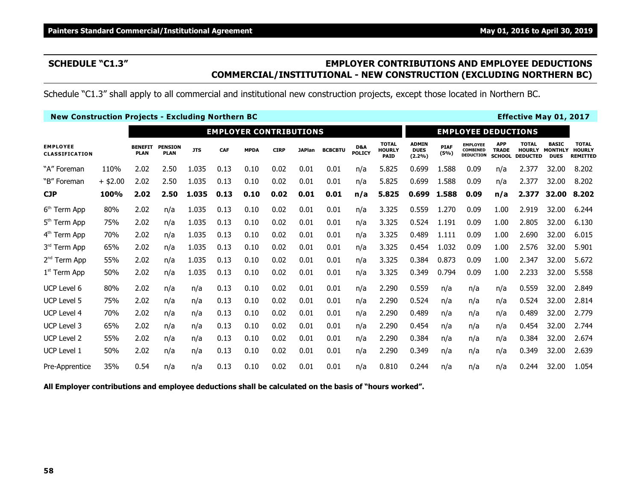# **SCHEDULE "C1.3" EMPLOYER CONTRIBUTIONS AND EMPLOYEE DEDUCTIONS COMMERCIAL/INSTITUTIONAL - NEW CONSTRUCTION (EXCLUDING NORTHERN BC)**

Schedule "C1.3" shall apply to all commercial and institutional new construction projects, except those located in Northern BC.

| <b>New Construction Projects - Excluding Northern BC</b> |            |                               |                               |            |            |                               |             |               |                |                      |                                              |                                       |                     |                                                        |                                             | <b>Effective May 01, 2017</b>                    |                                               |                                                  |
|----------------------------------------------------------|------------|-------------------------------|-------------------------------|------------|------------|-------------------------------|-------------|---------------|----------------|----------------------|----------------------------------------------|---------------------------------------|---------------------|--------------------------------------------------------|---------------------------------------------|--------------------------------------------------|-----------------------------------------------|--------------------------------------------------|
|                                                          |            |                               |                               |            |            | <b>EMPLOYER CONTRIBUTIONS</b> |             |               |                |                      |                                              |                                       |                     | <b>EMPLOYEE DEDUCTIONS</b>                             |                                             |                                                  |                                               |                                                  |
| <b>EMPLOYEE</b><br><b>CLASSIFICATION</b>                 |            | <b>BENEFIT</b><br><b>PLAN</b> | <b>PENSION</b><br><b>PLAN</b> | <b>JTS</b> | <b>CAF</b> | <b>MPDA</b>                   | <b>CIRP</b> | <b>JAPlan</b> | <b>BCBCBTU</b> | D&A<br><b>POLICY</b> | <b>TOTAL</b><br><b>HOURLY</b><br><b>PAID</b> | <b>ADMIN</b><br><b>DUES</b><br>(2.2%) | <b>PIAF</b><br>(5%) | <b>EMPLOYEE</b><br><b>COMBINED</b><br><b>DEDUCTION</b> | <b>APP</b><br><b>TRADE</b><br><b>SCHOOL</b> | <b>TOTAL</b><br><b>HOURLY</b><br><b>DEDUCTED</b> | <b>BASIC</b><br><b>MONTHLY</b><br><b>DUES</b> | <b>TOTAL</b><br><b>HOURLY</b><br><b>REMITTED</b> |
| "A" Foreman                                              | 110%       | 2.02                          | 2.50                          | 1.035      | 0.13       | 0.10                          | 0.02        | 0.01          | 0.01           | n/a                  | 5.825                                        | 0.699                                 | 1.588               | 0.09                                                   | n/a                                         | 2.377                                            | 32.00                                         | 8.202                                            |
| "B" Foreman                                              | $+$ \$2.00 | 2.02                          | 2.50                          | 1.035      | 0.13       | 0.10                          | 0.02        | 0.01          | 0.01           | n/a                  | 5.825                                        | 0.699                                 | 1.588               | 0.09                                                   | n/a                                         | 2.377                                            | 32.00                                         | 8.202                                            |
| <b>CJP</b>                                               | 100%       | 2.02                          | 2.50                          | 1.035      | 0.13       | 0.10                          | 0.02        | 0.01          | 0.01           | n/a                  | 5.825                                        | 0.699                                 | 1.588               | 0.09                                                   | n/a                                         | 2.377                                            |                                               | 32.00 8.202                                      |
| 6 <sup>th</sup> Term App                                 | 80%        | 2.02                          | n/a                           | 1.035      | 0.13       | 0.10                          | 0.02        | 0.01          | 0.01           | n/a                  | 3.325                                        | 0.559                                 | 1.270               | 0.09                                                   | 1.00                                        | 2.919                                            | 32.00                                         | 6.244                                            |
| 5 <sup>th</sup> Term App                                 | 75%        | 2.02                          | n/a                           | 1.035      | 0.13       | 0.10                          | 0.02        | 0.01          | 0.01           | n/a                  | 3.325                                        | 0.524                                 | 1.191               | 0.09                                                   | 1.00                                        | 2.805                                            | 32.00                                         | 6.130                                            |
| 4 <sup>th</sup> Term App                                 | 70%        | 2.02                          | n/a                           | 1.035      | 0.13       | 0.10                          | 0.02        | 0.01          | 0.01           | n/a                  | 3.325                                        | 0.489                                 | 1.111               | 0.09                                                   | 1.00                                        | 2.690                                            | 32.00                                         | 6.015                                            |
| 3rd Term App                                             | 65%        | 2.02                          | n/a                           | 1.035      | 0.13       | 0.10                          | 0.02        | 0.01          | 0.01           | n/a                  | 3.325                                        | 0.454                                 | 1.032               | 0.09                                                   | 1.00                                        | 2.576                                            | 32.00                                         | 5.901                                            |
| 2 <sup>nd</sup> Term App                                 | 55%        | 2.02                          | n/a                           | 1.035      | 0.13       | 0.10                          | 0.02        | 0.01          | 0.01           | n/a                  | 3.325                                        | 0.384                                 | 0.873               | 0.09                                                   | 1.00                                        | 2.347                                            | 32.00                                         | 5.672                                            |
| $1st$ Term App                                           | 50%        | 2.02                          | n/a                           | 1.035      | 0.13       | 0.10                          | 0.02        | 0.01          | 0.01           | n/a                  | 3.325                                        | 0.349                                 | 0.794               | 0.09                                                   | 1.00                                        | 2.233                                            | 32.00                                         | 5.558                                            |
| UCP Level 6                                              | 80%        | 2.02                          | n/a                           | n/a        | 0.13       | 0.10                          | 0.02        | 0.01          | 0.01           | n/a                  | 2.290                                        | 0.559                                 | n/a                 | n/a                                                    | n/a                                         | 0.559                                            | 32.00                                         | 2.849                                            |
| <b>UCP Level 5</b>                                       | 75%        | 2.02                          | n/a                           | n/a        | 0.13       | 0.10                          | 0.02        | 0.01          | 0.01           | n/a                  | 2.290                                        | 0.524                                 | n/a                 | n/a                                                    | n/a                                         | 0.524                                            | 32.00                                         | 2.814                                            |
| UCP Level 4                                              | 70%        | 2.02                          | n/a                           | n/a        | 0.13       | 0.10                          | 0.02        | 0.01          | 0.01           | n/a                  | 2.290                                        | 0.489                                 | n/a                 | n/a                                                    | n/a                                         | 0.489                                            | 32.00                                         | 2.779                                            |
| UCP Level 3                                              | 65%        | 2.02                          | n/a                           | n/a        | 0.13       | 0.10                          | 0.02        | 0.01          | 0.01           | n/a                  | 2.290                                        | 0.454                                 | n/a                 | n/a                                                    | n/a                                         | 0.454                                            | 32.00                                         | 2.744                                            |
| <b>UCP Level 2</b>                                       | 55%        | 2.02                          | n/a                           | n/a        | 0.13       | 0.10                          | 0.02        | 0.01          | 0.01           | n/a                  | 2.290                                        | 0.384                                 | n/a                 | n/a                                                    | n/a                                         | 0.384                                            | 32.00                                         | 2.674                                            |
| UCP Level 1                                              | 50%        | 2.02                          | n/a                           | n/a        | 0.13       | 0.10                          | 0.02        | 0.01          | 0.01           | n/a                  | 2.290                                        | 0.349                                 | n/a                 | n/a                                                    | n/a                                         | 0.349                                            | 32.00                                         | 2.639                                            |
| Pre-Apprentice                                           | 35%        | 0.54                          | n/a                           | n/a        | 0.13       | 0.10                          | 0.02        | 0.01          | 0.01           | n/a                  | 0.810                                        | 0.244                                 | n/a                 | n/a                                                    | n/a                                         | 0.244                                            | 32.00                                         | 1.054                                            |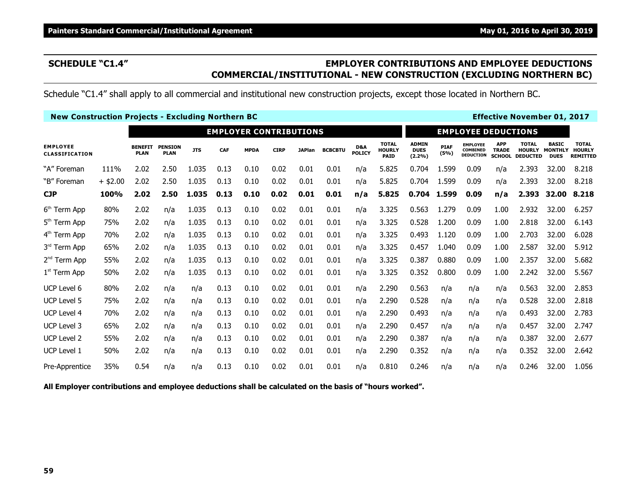# **SCHEDULE "C1.4" EMPLOYER CONTRIBUTIONS AND EMPLOYEE DEDUCTIONS COMMERCIAL/INSTITUTIONAL - NEW CONSTRUCTION (EXCLUDING NORTHERN BC)**

Schedule "C1.4" shall apply to all commercial and institutional new construction projects, except those located in Northern BC.

| <b>New Construction Projects - Excluding Northern BC</b> |            |                               |                               |            |            |                               |             |               |                |                      |                                              |                                       |                     |                                                        |                                             | <b>Effective November 01, 2017</b> |                                                      |                                                  |
|----------------------------------------------------------|------------|-------------------------------|-------------------------------|------------|------------|-------------------------------|-------------|---------------|----------------|----------------------|----------------------------------------------|---------------------------------------|---------------------|--------------------------------------------------------|---------------------------------------------|------------------------------------|------------------------------------------------------|--------------------------------------------------|
|                                                          |            |                               |                               |            |            | <b>EMPLOYER CONTRIBUTIONS</b> |             |               |                |                      |                                              |                                       |                     | <b>EMPLOYEE DEDUCTIONS</b>                             |                                             |                                    |                                                      |                                                  |
| <b>EMPLOYEE</b><br>CLASSIFICATION                        |            | <b>BENEFIT</b><br><b>PLAN</b> | <b>PENSION</b><br><b>PLAN</b> | <b>JTS</b> | <b>CAF</b> | <b>MPDA</b>                   | <b>CIRP</b> | <b>JAPlan</b> | <b>BCBCBTU</b> | D&A<br><b>POLICY</b> | <b>TOTAL</b><br><b>HOURLY</b><br><b>PAID</b> | <b>ADMIN</b><br><b>DUES</b><br>(2.2%) | <b>PIAF</b><br>(5%) | <b>EMPLOYEE</b><br><b>COMBINED</b><br><b>DEDUCTION</b> | <b>APP</b><br><b>TRADE</b><br><b>SCHOOL</b> | <b>TOTAL</b><br><b>DEDUCTED</b>    | <b>BASIC</b><br><b>HOURLY MONTHLY</b><br><b>DUES</b> | <b>TOTAL</b><br><b>HOURLY</b><br><b>REMITTED</b> |
| "A" Foreman                                              | 111%       | 2.02                          | 2.50                          | 1.035      | 0.13       | 0.10                          | 0.02        | 0.01          | 0.01           | n/a                  | 5.825                                        | 0.704                                 | 1.599               | 0.09                                                   | n/a                                         | 2.393                              | 32.00                                                | 8.218                                            |
| "B" Foreman                                              | $+$ \$2.00 | 2.02                          | 2.50                          | 1.035      | 0.13       | 0.10                          | 0.02        | 0.01          | 0.01           | n/a                  | 5.825                                        | 0.704                                 | 1.599               | 0.09                                                   | n/a                                         | 2.393                              | 32.00                                                | 8.218                                            |
| <b>CJP</b>                                               | 100%       | 2.02                          | 2.50                          | 1.035      | 0.13       | 0.10                          | 0.02        | 0.01          | 0.01           | n/a                  | 5.825                                        |                                       | 0.704 1.599         | 0.09                                                   | n/a                                         | 2.393                              | 32.00 8.218                                          |                                                  |
| 6 <sup>th</sup> Term App                                 | 80%        | 2.02                          | n/a                           | 1.035      | 0.13       | 0.10                          | 0.02        | 0.01          | 0.01           | n/a                  | 3.325                                        | 0.563                                 | 1.279               | 0.09                                                   | 1.00                                        | 2.932                              | 32.00                                                | 6.257                                            |
| 5 <sup>th</sup> Term App                                 | 75%        | 2.02                          | n/a                           | 1.035      | 0.13       | 0.10                          | 0.02        | 0.01          | 0.01           | n/a                  | 3.325                                        | 0.528                                 | 1.200               | 0.09                                                   | 1.00                                        | 2.818                              | 32.00                                                | 6.143                                            |
| 4 <sup>th</sup> Term App                                 | 70%        | 2.02                          | n/a                           | 1.035      | 0.13       | 0.10                          | 0.02        | 0.01          | 0.01           | n/a                  | 3.325                                        | 0.493                                 | 1.120               | 0.09                                                   | 1.00                                        | 2.703                              | 32.00                                                | 6.028                                            |
| 3rd Term App                                             | 65%        | 2.02                          | n/a                           | 1.035      | 0.13       | 0.10                          | 0.02        | 0.01          | 0.01           | n/a                  | 3.325                                        | 0.457                                 | 1.040               | 0.09                                                   | 1.00                                        | 2.587                              | 32.00                                                | 5.912                                            |
| $2nd$ Term App                                           | 55%        | 2.02                          | n/a                           | 1.035      | 0.13       | 0.10                          | 0.02        | 0.01          | 0.01           | n/a                  | 3.325                                        | 0.387                                 | 0.880               | 0.09                                                   | 1.00                                        | 2.357                              | 32.00                                                | 5.682                                            |
| $1st$ Term App                                           | 50%        | 2.02                          | n/a                           | 1.035      | 0.13       | 0.10                          | 0.02        | 0.01          | 0.01           | n/a                  | 3.325                                        | 0.352                                 | 0.800               | 0.09                                                   | 1.00                                        | 2.242                              | 32.00                                                | 5.567                                            |
| <b>UCP Level 6</b>                                       | 80%        | 2.02                          | n/a                           | n/a        | 0.13       | 0.10                          | 0.02        | 0.01          | 0.01           | n/a                  | 2.290                                        | 0.563                                 | n/a                 | n/a                                                    | n/a                                         | 0.563                              | 32.00                                                | 2.853                                            |
| <b>UCP Level 5</b>                                       | 75%        | 2.02                          | n/a                           | n/a        | 0.13       | 0.10                          | 0.02        | 0.01          | 0.01           | n/a                  | 2.290                                        | 0.528                                 | n/a                 | n/a                                                    | n/a                                         | 0.528                              | 32.00                                                | 2.818                                            |
| UCP Level 4                                              | 70%        | 2.02                          | n/a                           | n/a        | 0.13       | 0.10                          | 0.02        | 0.01          | 0.01           | n/a                  | 2.290                                        | 0.493                                 | n/a                 | n/a                                                    | n/a                                         | 0.493                              | 32.00                                                | 2.783                                            |
| UCP Level 3                                              | 65%        | 2.02                          | n/a                           | n/a        | 0.13       | 0.10                          | 0.02        | 0.01          | 0.01           | n/a                  | 2.290                                        | 0.457                                 | n/a                 | n/a                                                    | n/a                                         | 0.457                              | 32.00                                                | 2.747                                            |
| <b>UCP Level 2</b>                                       | 55%        | 2.02                          | n/a                           | n/a        | 0.13       | 0.10                          | 0.02        | 0.01          | 0.01           | n/a                  | 2.290                                        | 0.387                                 | n/a                 | n/a                                                    | n/a                                         | 0.387                              | 32.00                                                | 2.677                                            |
| UCP Level 1                                              | 50%        | 2.02                          | n/a                           | n/a        | 0.13       | 0.10                          | 0.02        | 0.01          | 0.01           | n/a                  | 2.290                                        | 0.352                                 | n/a                 | n/a                                                    | n/a                                         | 0.352                              | 32.00                                                | 2.642                                            |
| Pre-Apprentice                                           | 35%        | 0.54                          | n/a                           | n/a        | 0.13       | 0.10                          | 0.02        | 0.01          | 0.01           | n/a                  | 0.810                                        | 0.246                                 | n/a                 | n/a                                                    | n/a                                         | 0.246                              | 32.00                                                | 1.056                                            |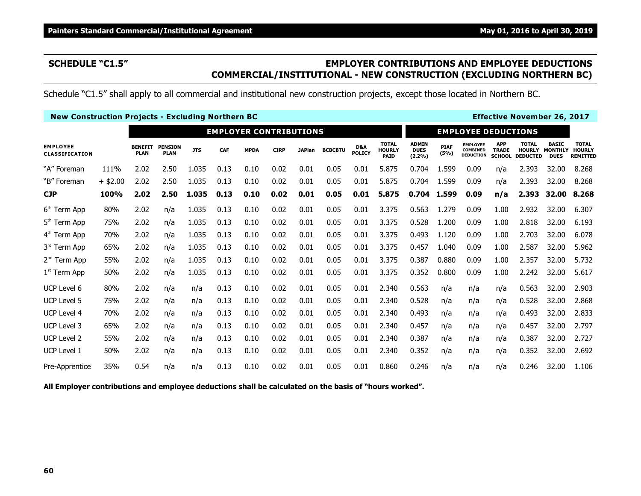# **SCHEDULE "C1.5" EMPLOYER CONTRIBUTIONS AND EMPLOYEE DEDUCTIONS COMMERCIAL/INSTITUTIONAL - NEW CONSTRUCTION (EXCLUDING NORTHERN BC)**

Schedule "C1.5" shall apply to all commercial and institutional new construction projects, except those located in Northern BC.

| <b>New Construction Projects - Excluding Northern BC</b> |            |                               |                               |            |      |                               |             |               |                |                      |                                              |                                       |                     |                                                        |                                             | <b>Effective November 26, 2017</b>               |                                               |                                                  |
|----------------------------------------------------------|------------|-------------------------------|-------------------------------|------------|------|-------------------------------|-------------|---------------|----------------|----------------------|----------------------------------------------|---------------------------------------|---------------------|--------------------------------------------------------|---------------------------------------------|--------------------------------------------------|-----------------------------------------------|--------------------------------------------------|
|                                                          |            |                               |                               |            |      | <b>EMPLOYER CONTRIBUTIONS</b> |             |               |                |                      |                                              |                                       |                     | <b>EMPLOYEE DEDUCTIONS</b>                             |                                             |                                                  |                                               |                                                  |
| <b>EMPLOYEE</b><br>CLASSIFICATION                        |            | <b>BENEFIT</b><br><b>PLAN</b> | <b>PENSION</b><br><b>PLAN</b> | <b>JTS</b> | CAF  | <b>MPDA</b>                   | <b>CIRP</b> | <b>JAPlan</b> | <b>BCBCBTU</b> | D&A<br><b>POLICY</b> | <b>TOTAL</b><br><b>HOURLY</b><br><b>PAID</b> | <b>ADMIN</b><br><b>DUES</b><br>(2.2%) | <b>PIAF</b><br>(5%) | <b>EMPLOYEE</b><br><b>COMBINED</b><br><b>DEDUCTION</b> | <b>APP</b><br><b>TRADE</b><br><b>SCHOOL</b> | <b>TOTAL</b><br><b>HOURLY</b><br><b>DEDUCTED</b> | <b>BASIC</b><br><b>MONTHLY</b><br><b>DUES</b> | <b>TOTAL</b><br><b>HOURLY</b><br><b>REMITTED</b> |
| "A" Foreman                                              | 111%       | 2.02                          | 2.50                          | 1.035      | 0.13 | 0.10                          | 0.02        | 0.01          | 0.05           | 0.01                 | 5.875                                        | 0.704                                 | 1.599               | 0.09                                                   | n/a                                         | 2.393                                            | 32.00                                         | 8.268                                            |
| "B" Foreman                                              | $+$ \$2.00 | 2.02                          | 2.50                          | 1.035      | 0.13 | 0.10                          | 0.02        | 0.01          | 0.05           | 0.01                 | 5.875                                        | 0.704                                 | 1.599               | 0.09                                                   | n/a                                         | 2.393                                            | 32.00                                         | 8.268                                            |
| <b>CJP</b>                                               | 100%       | 2.02                          | 2.50                          | 1.035      | 0.13 | 0.10                          | 0.02        | 0.01          | 0.05           | 0.01                 | 5.875                                        | 0.704 1.599                           |                     | 0.09                                                   | n/a                                         | 2.393                                            | 32.00                                         | 8.268                                            |
| 6 <sup>th</sup> Term App                                 | 80%        | 2.02                          | n/a                           | 1.035      | 0.13 | 0.10                          | 0.02        | 0.01          | 0.05           | 0.01                 | 3.375                                        | 0.563                                 | 1.279               | 0.09                                                   | 1.00                                        | 2.932                                            | 32.00                                         | 6.307                                            |
| 5 <sup>th</sup> Term App                                 | 75%        | 2.02                          | n/a                           | 1.035      | 0.13 | 0.10                          | 0.02        | 0.01          | 0.05           | 0.01                 | 3.375                                        | 0.528                                 | 1.200               | 0.09                                                   | 1.00                                        | 2.818                                            | 32.00                                         | 6.193                                            |
| 4 <sup>th</sup> Term App                                 | 70%        | 2.02                          | n/a                           | 1.035      | 0.13 | 0.10                          | 0.02        | 0.01          | 0.05           | 0.01                 | 3.375                                        | 0.493                                 | 1.120               | 0.09                                                   | 1.00                                        | 2.703                                            | 32.00                                         | 6.078                                            |
| 3rd Term App                                             | 65%        | 2.02                          | n/a                           | 1.035      | 0.13 | 0.10                          | 0.02        | 0.01          | 0.05           | 0.01                 | 3.375                                        | 0.457                                 | 1.040               | 0.09                                                   | 1.00                                        | 2.587                                            | 32.00                                         | 5.962                                            |
| $2nd$ Term App                                           | 55%        | 2.02                          | n/a                           | 1.035      | 0.13 | 0.10                          | 0.02        | 0.01          | 0.05           | 0.01                 | 3.375                                        | 0.387                                 | 0.880               | 0.09                                                   | 1.00                                        | 2.357                                            | 32.00                                         | 5.732                                            |
| $1st$ Term App                                           | 50%        | 2.02                          | n/a                           | 1.035      | 0.13 | 0.10                          | 0.02        | 0.01          | 0.05           | 0.01                 | 3.375                                        | 0.352                                 | 0.800               | 0.09                                                   | 1.00                                        | 2.242                                            | 32.00                                         | 5.617                                            |
| <b>UCP Level 6</b>                                       | 80%        | 2.02                          | n/a                           | n/a        | 0.13 | 0.10                          | 0.02        | 0.01          | 0.05           | 0.01                 | 2.340                                        | 0.563                                 | n/a                 | n/a                                                    | n/a                                         | 0.563                                            | 32.00                                         | 2.903                                            |
| UCP Level 5                                              | 75%        | 2.02                          | n/a                           | n/a        | 0.13 | 0.10                          | 0.02        | 0.01          | 0.05           | 0.01                 | 2.340                                        | 0.528                                 | n/a                 | n/a                                                    | n/a                                         | 0.528                                            | 32.00                                         | 2.868                                            |
| UCP Level 4                                              | 70%        | 2.02                          | n/a                           | n/a        | 0.13 | 0.10                          | 0.02        | 0.01          | 0.05           | 0.01                 | 2.340                                        | 0.493                                 | n/a                 | n/a                                                    | n/a                                         | 0.493                                            | 32.00                                         | 2.833                                            |
| UCP Level 3                                              | 65%        | 2.02                          | n/a                           | n/a        | 0.13 | 0.10                          | 0.02        | 0.01          | 0.05           | 0.01                 | 2.340                                        | 0.457                                 | n/a                 | n/a                                                    | n/a                                         | 0.457                                            | 32.00                                         | 2.797                                            |
| <b>UCP Level 2</b>                                       | 55%        | 2.02                          | n/a                           | n/a        | 0.13 | 0.10                          | 0.02        | 0.01          | 0.05           | 0.01                 | 2.340                                        | 0.387                                 | n/a                 | n/a                                                    | n/a                                         | 0.387                                            | 32.00                                         | 2.727                                            |
| UCP Level 1                                              | 50%        | 2.02                          | n/a                           | n/a        | 0.13 | 0.10                          | 0.02        | 0.01          | 0.05           | 0.01                 | 2.340                                        | 0.352                                 | n/a                 | n/a                                                    | n/a                                         | 0.352                                            | 32.00                                         | 2.692                                            |
| Pre-Apprentice                                           | 35%        | 0.54                          | n/a                           | n/a        | 0.13 | 0.10                          | 0.02        | 0.01          | 0.05           | 0.01                 | 0.860                                        | 0.246                                 | n/a                 | n/a                                                    | n/a                                         | 0.246                                            | 32.00                                         | 1.106                                            |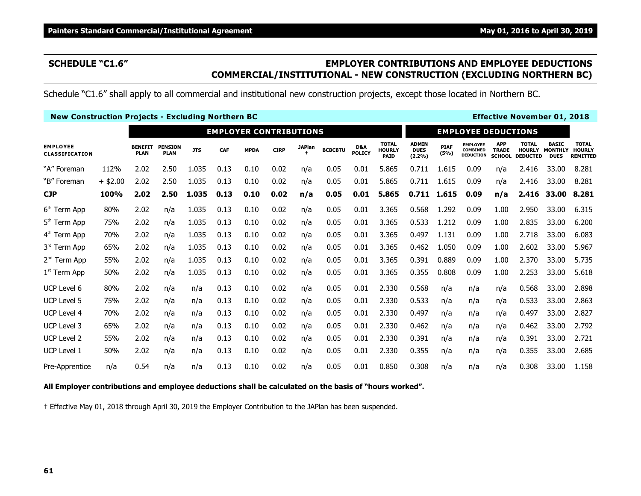# **SCHEDULE "C1.6" EMPLOYER CONTRIBUTIONS AND EMPLOYEE DEDUCTIONS COMMERCIAL/INSTITUTIONAL - NEW CONSTRUCTION (EXCLUDING NORTHERN BC)**

Schedule "C1.6" shall apply to all commercial and institutional new construction projects, except those located in Northern BC.

| <b>New Construction Projects - Excluding Northern BC</b> |            |                               |                               |            |      |                               |             |               |                |                      |                                              |                                       |                     |                                                        |                                             | <b>Effective November 01, 2018</b> |                                                      |                                                  |
|----------------------------------------------------------|------------|-------------------------------|-------------------------------|------------|------|-------------------------------|-------------|---------------|----------------|----------------------|----------------------------------------------|---------------------------------------|---------------------|--------------------------------------------------------|---------------------------------------------|------------------------------------|------------------------------------------------------|--------------------------------------------------|
|                                                          |            |                               |                               |            |      | <b>EMPLOYER CONTRIBUTIONS</b> |             |               |                |                      |                                              |                                       |                     | <b>EMPLOYEE DEDUCTIONS</b>                             |                                             |                                    |                                                      |                                                  |
| <b>EMPLOYEE</b><br><b>CLASSIFICATION</b>                 |            | <b>BENEFIT</b><br><b>PLAN</b> | <b>PENSION</b><br><b>PLAN</b> | <b>JTS</b> | CAF  | <b>MPDA</b>                   | <b>CIRP</b> | <b>JAPlan</b> | <b>BCBCBTU</b> | D&A<br><b>POLICY</b> | <b>TOTAL</b><br><b>HOURLY</b><br><b>PAID</b> | <b>ADMIN</b><br><b>DUES</b><br>(2.2%) | <b>PIAF</b><br>(5%) | <b>EMPLOYEE</b><br><b>COMBINED</b><br><b>DEDUCTION</b> | <b>APP</b><br><b>TRADE</b><br><b>SCHOOL</b> | <b>TOTAL</b><br><b>DEDUCTED</b>    | <b>BASIC</b><br><b>HOURLY MONTHLY</b><br><b>DUES</b> | <b>TOTAL</b><br><b>HOURLY</b><br><b>REMITTED</b> |
| "A" Foreman                                              | 112%       | 2.02                          | 2.50                          | 1.035      | 0.13 | 0.10                          | 0.02        | n/a           | 0.05           | 0.01                 | 5.865                                        | 0.711                                 | 1.615               | 0.09                                                   | n/a                                         | 2.416                              | 33.00                                                | 8.281                                            |
| "B" Foreman                                              | $+$ \$2.00 | 2.02                          | 2.50                          | 1.035      | 0.13 | 0.10                          | 0.02        | n/a           | 0.05           | 0.01                 | 5.865                                        | 0.711                                 | 1.615               | 0.09                                                   | n/a                                         | 2.416                              | 33.00                                                | 8.281                                            |
| <b>CJP</b>                                               | 100%       | 2.02                          | 2.50                          | 1.035      | 0.13 | 0.10                          | 0.02        | n/a           | 0.05           | 0.01                 | 5.865                                        |                                       | 0.711 1.615         | 0.09                                                   | n/a                                         | 2.416                              | 33.00                                                | 8.281                                            |
| 6 <sup>th</sup> Term App                                 | 80%        | 2.02                          | n/a                           | 1.035      | 0.13 | 0.10                          | 0.02        | n/a           | 0.05           | 0.01                 | 3.365                                        | 0.568                                 | 1.292               | 0.09                                                   | 1.00                                        | 2.950                              | 33.00                                                | 6.315                                            |
| 5 <sup>th</sup> Term App                                 | 75%        | 2.02                          | n/a                           | 1.035      | 0.13 | 0.10                          | 0.02        | n/a           | 0.05           | 0.01                 | 3.365                                        | 0.533                                 | 1.212               | 0.09                                                   | 1.00                                        | 2.835                              | 33.00                                                | 6.200                                            |
| 4 <sup>th</sup> Term App                                 | 70%        | 2.02                          | n/a                           | 1.035      | 0.13 | 0.10                          | 0.02        | n/a           | 0.05           | 0.01                 | 3.365                                        | 0.497                                 | 1.131               | 0.09                                                   | 1.00                                        | 2.718                              | 33.00                                                | 6.083                                            |
| 3rd Term App                                             | 65%        | 2.02                          | n/a                           | 1.035      | 0.13 | 0.10                          | 0.02        | n/a           | 0.05           | 0.01                 | 3.365                                        | 0.462                                 | 1.050               | 0.09                                                   | 1.00                                        | 2.602                              | 33.00                                                | 5.967                                            |
| $2nd$ Term App                                           | 55%        | 2.02                          | n/a                           | 1.035      | 0.13 | 0.10                          | 0.02        | n/a           | 0.05           | 0.01                 | 3.365                                        | 0.391                                 | 0.889               | 0.09                                                   | 1.00                                        | 2.370                              | 33.00                                                | 5.735                                            |
| $1st$ Term App                                           | 50%        | 2.02                          | n/a                           | 1.035      | 0.13 | 0.10                          | 0.02        | n/a           | 0.05           | 0.01                 | 3.365                                        | 0.355                                 | 0.808               | 0.09                                                   | 1.00                                        | 2.253                              | 33.00                                                | 5.618                                            |
| UCP Level 6                                              | 80%        | 2.02                          | n/a                           | n/a        | 0.13 | 0.10                          | 0.02        | n/a           | 0.05           | 0.01                 | 2.330                                        | 0.568                                 | n/a                 | n/a                                                    | n/a                                         | 0.568                              | 33.00                                                | 2.898                                            |
| <b>UCP Level 5</b>                                       | 75%        | 2.02                          | n/a                           | n/a        | 0.13 | 0.10                          | 0.02        | n/a           | 0.05           | 0.01                 | 2.330                                        | 0.533                                 | n/a                 | n/a                                                    | n/a                                         | 0.533                              | 33.00                                                | 2.863                                            |
| UCP Level 4                                              | 70%        | 2.02                          | n/a                           | n/a        | 0.13 | 0.10                          | 0.02        | n/a           | 0.05           | 0.01                 | 2.330                                        | 0.497                                 | n/a                 | n/a                                                    | n/a                                         | 0.497                              | 33.00                                                | 2.827                                            |
| UCP Level 3                                              | 65%        | 2.02                          | n/a                           | n/a        | 0.13 | 0.10                          | 0.02        | n/a           | 0.05           | 0.01                 | 2.330                                        | 0.462                                 | n/a                 | n/a                                                    | n/a                                         | 0.462                              | 33.00                                                | 2.792                                            |
| <b>UCP Level 2</b>                                       | 55%        | 2.02                          | n/a                           | n/a        | 0.13 | 0.10                          | 0.02        | n/a           | 0.05           | 0.01                 | 2.330                                        | 0.391                                 | n/a                 | n/a                                                    | n/a                                         | 0.391                              | 33.00                                                | 2.721                                            |
| <b>UCP Level 1</b>                                       | 50%        | 2.02                          | n/a                           | n/a        | 0.13 | 0.10                          | 0.02        | n/a           | 0.05           | 0.01                 | 2.330                                        | 0.355                                 | n/a                 | n/a                                                    | n/a                                         | 0.355                              | 33.00                                                | 2.685                                            |
| Pre-Apprentice                                           | n/a        | 0.54                          | n/a                           | n/a        | 0.13 | 0.10                          | 0.02        | n/a           | 0.05           | 0.01                 | 0.850                                        | 0.308                                 | n/a                 | n/a                                                    | n/a                                         | 0.308                              | 33.00                                                | 1.158                                            |

#### **All Employer contributions and employee deductions shall be calculated on the basis of "hours worked".**

† Effective May 01, 2018 through April 30, 2019 the Employer Contribution to the JAPlan has been suspended.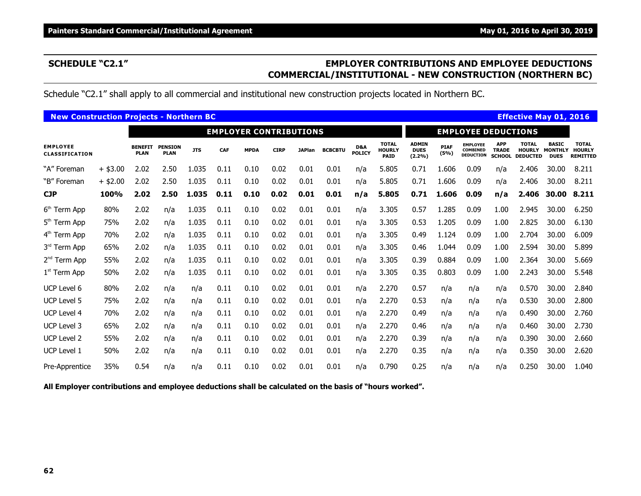## **SCHEDULE "C2.1" EMPLOYER CONTRIBUTIONS AND EMPLOYEE DEDUCTIONS COMMERCIAL/INSTITUTIONAL - NEW CONSTRUCTION (NORTHERN BC)**

Schedule "C2.1" shall apply to all commercial and institutional new construction projects located in Northern BC.

| <b>New Construction Projects - Northern BC</b> |            |                               |                               |            |      |                               |             |               |                |               |                                              |                                       |                     |                                                 |                                             | <b>Effective May 01, 2016</b>                    |                                               |                                                  |
|------------------------------------------------|------------|-------------------------------|-------------------------------|------------|------|-------------------------------|-------------|---------------|----------------|---------------|----------------------------------------------|---------------------------------------|---------------------|-------------------------------------------------|---------------------------------------------|--------------------------------------------------|-----------------------------------------------|--------------------------------------------------|
|                                                |            |                               |                               |            |      | <b>EMPLOYER CONTRIBUTIONS</b> |             |               |                |               |                                              |                                       |                     | <b>EMPLOYEE DEDUCTIONS</b>                      |                                             |                                                  |                                               |                                                  |
| <b>EMPLOYEE</b><br><b>CLASSIFICATION</b>       |            | <b>BENEFIT</b><br><b>PLAN</b> | <b>PENSION</b><br><b>PLAN</b> | <b>JTS</b> | CAF  | <b>MPDA</b>                   | <b>CIRP</b> | <b>JAPlan</b> | <b>BCBCBTU</b> | D&A<br>POLICY | <b>TOTAL</b><br><b>HOURLY</b><br><b>PAID</b> | <b>ADMIN</b><br><b>DUES</b><br>(2.2%) | <b>PIAF</b><br>(5%) | <b>EMPLOYEE</b><br>COMBINED<br><b>DEDUCTION</b> | <b>APP</b><br><b>TRADE</b><br><b>SCHOOL</b> | <b>TOTAL</b><br><b>HOURLY</b><br><b>DEDUCTED</b> | <b>BASIC</b><br><b>MONTHLY</b><br><b>DUES</b> | <b>TOTAL</b><br><b>HOURLY</b><br><b>REMITTED</b> |
| "A" Foreman                                    | $+$ \$3.00 | 2.02                          | 2.50                          | 1.035      | 0.11 | 0.10                          | 0.02        | 0.01          | 0.01           | n/a           | 5.805                                        | 0.71                                  | 1.606               | 0.09                                            | n/a                                         | 2.406                                            | 30.00                                         | 8.211                                            |
| "B" Foreman                                    | $+$ \$2.00 | 2.02                          | 2.50                          | 1.035      | 0.11 | 0.10                          | 0.02        | 0.01          | 0.01           | n/a           | 5.805                                        | 0.71                                  | 1.606               | 0.09                                            | n/a                                         | 2.406                                            | 30.00                                         | 8.211                                            |
| <b>CJP</b>                                     | 100%       | 2.02                          | 2.50                          | 1.035      | 0.11 | 0.10                          | 0.02        | 0.01          | 0.01           | n/a           | 5.805                                        | 0.71                                  | 1.606               | 0.09                                            | n/a                                         | 2.406                                            | 30.00                                         | 8.211                                            |
| 6 <sup>th</sup> Term App                       | 80%        | 2.02                          | n/a                           | 1.035      | 0.11 | 0.10                          | 0.02        | 0.01          | 0.01           | n/a           | 3.305                                        | 0.57                                  | 1.285               | 0.09                                            | 1.00                                        | 2.945                                            | 30.00                                         | 6.250                                            |
| 5 <sup>th</sup> Term App                       | 75%        | 2.02                          | n/a                           | 1.035      | 0.11 | 0.10                          | 0.02        | 0.01          | 0.01           | n/a           | 3.305                                        | 0.53                                  | 1.205               | 0.09                                            | 1.00                                        | 2.825                                            | 30.00                                         | 6.130                                            |
| 4 <sup>th</sup> Term App                       | 70%        | 2.02                          | n/a                           | 1.035      | 0.11 | 0.10                          | 0.02        | 0.01          | 0.01           | n/a           | 3.305                                        | 0.49                                  | 1.124               | 0.09                                            | 1.00                                        | 2.704                                            | 30.00                                         | 6.009                                            |
| 3rd Term App                                   | 65%        | 2.02                          | n/a                           | 1.035      | 0.11 | 0.10                          | 0.02        | 0.01          | 0.01           | n/a           | 3.305                                        | 0.46                                  | 1.044               | 0.09                                            | 1.00                                        | 2.594                                            | 30.00                                         | 5.899                                            |
| 2 <sup>nd</sup> Term App                       | 55%        | 2.02                          | n/a                           | 1.035      | 0.11 | 0.10                          | 0.02        | 0.01          | 0.01           | n/a           | 3.305                                        | 0.39                                  | 0.884               | 0.09                                            | 1.00                                        | 2.364                                            | 30.00                                         | 5.669                                            |
| $1st$ Term App                                 | 50%        | 2.02                          | n/a                           | 1.035      | 0.11 | 0.10                          | 0.02        | 0.01          | 0.01           | n/a           | 3.305                                        | 0.35                                  | 0.803               | 0.09                                            | 1.00                                        | 2.243                                            | 30.00                                         | 5.548                                            |
| UCP Level 6                                    | 80%        | 2.02                          | n/a                           | n/a        | 0.11 | 0.10                          | 0.02        | 0.01          | 0.01           | n/a           | 2.270                                        | 0.57                                  | n/a                 | n/a                                             | n/a                                         | 0.570                                            | 30.00                                         | 2.840                                            |
| <b>UCP Level 5</b>                             | 75%        | 2.02                          | n/a                           | n/a        | 0.11 | 0.10                          | 0.02        | 0.01          | 0.01           | n/a           | 2.270                                        | 0.53                                  | n/a                 | n/a                                             | n/a                                         | 0.530                                            | 30.00                                         | 2.800                                            |
| UCP Level 4                                    | 70%        | 2.02                          | n/a                           | n/a        | 0.11 | 0.10                          | 0.02        | 0.01          | 0.01           | n/a           | 2.270                                        | 0.49                                  | n/a                 | n/a                                             | n/a                                         | 0.490                                            | 30.00                                         | 2.760                                            |
| UCP Level 3                                    | 65%        | 2.02                          | n/a                           | n/a        | 0.11 | 0.10                          | 0.02        | 0.01          | 0.01           | n/a           | 2.270                                        | 0.46                                  | n/a                 | n/a                                             | n/a                                         | 0.460                                            | 30.00                                         | 2.730                                            |
| <b>UCP Level 2</b>                             | 55%        | 2.02                          | n/a                           | n/a        | 0.11 | 0.10                          | 0.02        | 0.01          | 0.01           | n/a           | 2.270                                        | 0.39                                  | n/a                 | n/a                                             | n/a                                         | 0.390                                            | 30.00                                         | 2.660                                            |
| <b>UCP Level 1</b>                             | 50%        | 2.02                          | n/a                           | n/a        | 0.11 | 0.10                          | 0.02        | 0.01          | 0.01           | n/a           | 2.270                                        | 0.35                                  | n/a                 | n/a                                             | n/a                                         | 0.350                                            | 30.00                                         | 2.620                                            |
| Pre-Apprentice                                 | 35%        | 0.54                          | n/a                           | n/a        | 0.11 | 0.10                          | 0.02        | 0.01          | 0.01           | n/a           | 0.790                                        | 0.25                                  | n/a                 | n/a                                             | n/a                                         | 0.250                                            | 30.00                                         | 1.040                                            |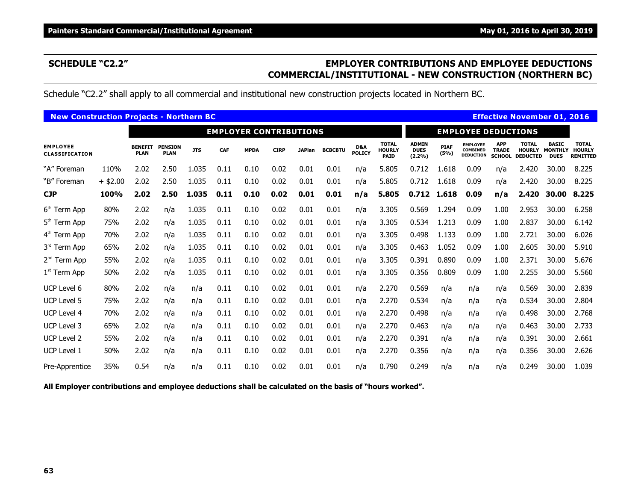# **SCHEDULE "C2.2" EMPLOYER CONTRIBUTIONS AND EMPLOYEE DEDUCTIONS COMMERCIAL/INSTITUTIONAL - NEW CONSTRUCTION (NORTHERN BC)**

Schedule "C2.2" shall apply to all commercial and institutional new construction projects located in Northern BC.

| <b>New Construction Projects - Northern BC</b> |            |                               |                               |            |      |                               |             |               |                |                      |                                              |                                       |                     |                                                        |                                             | <b>Effective November 01, 2016</b>               |                                               |                                                  |
|------------------------------------------------|------------|-------------------------------|-------------------------------|------------|------|-------------------------------|-------------|---------------|----------------|----------------------|----------------------------------------------|---------------------------------------|---------------------|--------------------------------------------------------|---------------------------------------------|--------------------------------------------------|-----------------------------------------------|--------------------------------------------------|
|                                                |            |                               |                               |            |      | <b>EMPLOYER CONTRIBUTIONS</b> |             |               |                |                      |                                              |                                       |                     | <b>EMPLOYEE DEDUCTIONS</b>                             |                                             |                                                  |                                               |                                                  |
| <b>EMPLOYEE</b><br><b>CLASSIFICATION</b>       |            | <b>BENEFIT</b><br><b>PLAN</b> | <b>PENSION</b><br><b>PLAN</b> | <b>JTS</b> | CAF  | <b>MPDA</b>                   | <b>CIRP</b> | <b>JAPlan</b> | <b>BCBCBTU</b> | D&A<br><b>POLICY</b> | <b>TOTAL</b><br><b>HOURLY</b><br><b>PAID</b> | <b>ADMIN</b><br><b>DUES</b><br>(2.2%) | <b>PIAF</b><br>(5%) | <b>EMPLOYEE</b><br><b>COMBINED</b><br><b>DEDUCTION</b> | <b>APP</b><br><b>TRADE</b><br><b>SCHOOL</b> | <b>TOTAL</b><br><b>HOURLY</b><br><b>DEDUCTED</b> | <b>BASIC</b><br><b>MONTHLY</b><br><b>DUES</b> | <b>TOTAL</b><br><b>HOURLY</b><br><b>REMITTED</b> |
| "A" Foreman                                    | 110%       | 2.02                          | 2.50                          | 1.035      | 0.11 | 0.10                          | 0.02        | 0.01          | 0.01           | n/a                  | 5.805                                        | 0.712                                 | 1.618               | 0.09                                                   | n/a                                         | 2.420                                            | 30.00                                         | 8.225                                            |
| "B" Foreman                                    | $+$ \$2.00 | 2.02                          | 2.50                          | 1.035      | 0.11 | 0.10                          | 0.02        | 0.01          | 0.01           | n/a                  | 5.805                                        | 0.712                                 | 1.618               | 0.09                                                   | n/a                                         | 2.420                                            | 30.00                                         | 8.225                                            |
| <b>CJP</b>                                     | 100%       | 2.02                          | 2.50                          | 1.035      | 0.11 | 0.10                          | 0.02        | 0.01          | 0.01           | n/a                  | 5.805                                        | 0.712                                 | 1.618               | 0.09                                                   | n/a                                         | 2.420                                            | 30.00                                         | 8.225                                            |
| 6 <sup>th</sup> Term App                       | 80%        | 2.02                          | n/a                           | 1.035      | 0.11 | 0.10                          | 0.02        | 0.01          | 0.01           | n/a                  | 3.305                                        | 0.569                                 | 1.294               | 0.09                                                   | 1.00                                        | 2.953                                            | 30.00                                         | 6.258                                            |
| 5 <sup>th</sup> Term App                       | 75%        | 2.02                          | n/a                           | 1.035      | 0.11 | 0.10                          | 0.02        | 0.01          | 0.01           | n/a                  | 3.305                                        | 0.534                                 | 1.213               | 0.09                                                   | 1.00                                        | 2.837                                            | 30.00                                         | 6.142                                            |
| 4 <sup>th</sup> Term App                       | 70%        | 2.02                          | n/a                           | 1.035      | 0.11 | 0.10                          | 0.02        | 0.01          | 0.01           | n/a                  | 3.305                                        | 0.498                                 | 1.133               | 0.09                                                   | 1.00                                        | 2.721                                            | 30.00                                         | 6.026                                            |
| 3rd Term App                                   | 65%        | 2.02                          | n/a                           | 1.035      | 0.11 | 0.10                          | 0.02        | 0.01          | 0.01           | n/a                  | 3.305                                        | 0.463                                 | 1.052               | 0.09                                                   | 1.00                                        | 2.605                                            | 30.00                                         | 5.910                                            |
| $2nd$ Term App                                 | 55%        | 2.02                          | n/a                           | 1.035      | 0.11 | 0.10                          | 0.02        | 0.01          | 0.01           | n/a                  | 3.305                                        | 0.391                                 | 0.890               | 0.09                                                   | 1.00                                        | 2.371                                            | 30.00                                         | 5.676                                            |
| $1st$ Term App                                 | 50%        | 2.02                          | n/a                           | 1.035      | 0.11 | 0.10                          | 0.02        | 0.01          | 0.01           | n/a                  | 3.305                                        | 0.356                                 | 0.809               | 0.09                                                   | 1.00                                        | 2.255                                            | 30.00                                         | 5.560                                            |
| UCP Level 6                                    | 80%        | 2.02                          | n/a                           | n/a        | 0.11 | 0.10                          | 0.02        | 0.01          | 0.01           | n/a                  | 2.270                                        | 0.569                                 | n/a                 | n/a                                                    | n/a                                         | 0.569                                            | 30.00                                         | 2.839                                            |
| <b>UCP Level 5</b>                             | 75%        | 2.02                          | n/a                           | n/a        | 0.11 | 0.10                          | 0.02        | 0.01          | 0.01           | n/a                  | 2.270                                        | 0.534                                 | n/a                 | n/a                                                    | n/a                                         | 0.534                                            | 30.00                                         | 2.804                                            |
| UCP Level 4                                    | 70%        | 2.02                          | n/a                           | n/a        | 0.11 | 0.10                          | 0.02        | 0.01          | 0.01           | n/a                  | 2.270                                        | 0.498                                 | n/a                 | n/a                                                    | n/a                                         | 0.498                                            | 30.00                                         | 2.768                                            |
| <b>UCP Level 3</b>                             | 65%        | 2.02                          | n/a                           | n/a        | 0.11 | 0.10                          | 0.02        | 0.01          | 0.01           | n/a                  | 2.270                                        | 0.463                                 | n/a                 | n/a                                                    | n/a                                         | 0.463                                            | 30.00                                         | 2.733                                            |
| <b>UCP Level 2</b>                             | 55%        | 2.02                          | n/a                           | n/a        | 0.11 | 0.10                          | 0.02        | 0.01          | 0.01           | n/a                  | 2.270                                        | 0.391                                 | n/a                 | n/a                                                    | n/a                                         | 0.391                                            | 30.00                                         | 2.661                                            |
| UCP Level 1                                    | 50%        | 2.02                          | n/a                           | n/a        | 0.11 | 0.10                          | 0.02        | 0.01          | 0.01           | n/a                  | 2.270                                        | 0.356                                 | n/a                 | n/a                                                    | n/a                                         | 0.356                                            | 30.00                                         | 2.626                                            |
| Pre-Apprentice                                 | 35%        | 0.54                          | n/a                           | n/a        | 0.11 | 0.10                          | 0.02        | 0.01          | 0.01           | n/a                  | 0.790                                        | 0.249                                 | n/a                 | n/a                                                    | n/a                                         | 0.249                                            | 30.00                                         | 1.039                                            |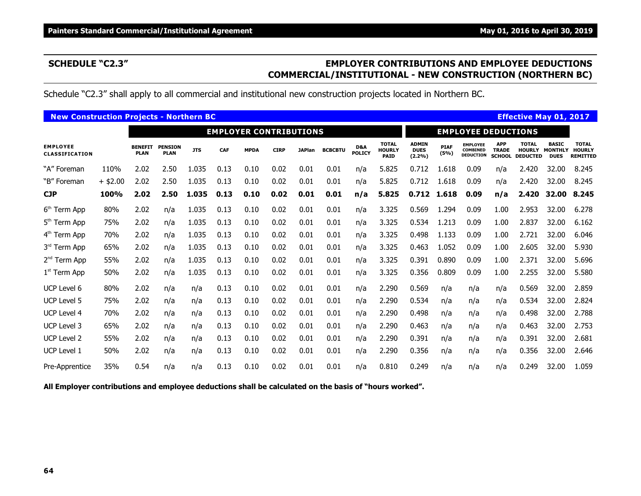## **SCHEDULE "C2.3" EMPLOYER CONTRIBUTIONS AND EMPLOYEE DEDUCTIONS COMMERCIAL/INSTITUTIONAL - NEW CONSTRUCTION (NORTHERN BC)**

Schedule "C2.3" shall apply to all commercial and institutional new construction projects located in Northern BC.

| <b>New Construction Projects - Northern BC</b> |            |                               |                               |            |            |                               |             |               |                |                      |                                              |                                       |                     |                                                        |                                             | <b>Effective May 01, 2017</b>                    |                                               |                                                  |
|------------------------------------------------|------------|-------------------------------|-------------------------------|------------|------------|-------------------------------|-------------|---------------|----------------|----------------------|----------------------------------------------|---------------------------------------|---------------------|--------------------------------------------------------|---------------------------------------------|--------------------------------------------------|-----------------------------------------------|--------------------------------------------------|
|                                                |            |                               |                               |            |            | <b>EMPLOYER CONTRIBUTIONS</b> |             |               |                |                      |                                              |                                       |                     | <b>EMPLOYEE DEDUCTIONS</b>                             |                                             |                                                  |                                               |                                                  |
| <b>EMPLOYEE</b><br><b>CLASSIFICATION</b>       |            | <b>BENEFIT</b><br><b>PLAN</b> | <b>PENSION</b><br><b>PLAN</b> | <b>JTS</b> | <b>CAF</b> | <b>MPDA</b>                   | <b>CIRP</b> | <b>JAPlan</b> | <b>BCBCBTU</b> | D&A<br><b>POLICY</b> | <b>TOTAL</b><br><b>HOURLY</b><br><b>PAID</b> | <b>ADMIN</b><br><b>DUES</b><br>(2.2%) | <b>PIAF</b><br>(5%) | <b>EMPLOYEE</b><br><b>COMBINED</b><br><b>DEDUCTION</b> | <b>APP</b><br><b>TRADE</b><br><b>SCHOOL</b> | <b>TOTAL</b><br><b>HOURLY</b><br><b>DEDUCTED</b> | <b>BASIC</b><br><b>MONTHLY</b><br><b>DUES</b> | <b>TOTAL</b><br><b>HOURLY</b><br><b>REMITTED</b> |
| "A" Foreman                                    | 110%       | 2.02                          | 2.50                          | 1.035      | 0.13       | 0.10                          | 0.02        | 0.01          | 0.01           | n/a                  | 5.825                                        | 0.712                                 | 1.618               | 0.09                                                   | n/a                                         | 2.420                                            | 32.00                                         | 8.245                                            |
| "B" Foreman                                    | $+$ \$2.00 | 2.02                          | 2.50                          | 1.035      | 0.13       | 0.10                          | 0.02        | 0.01          | 0.01           | n/a                  | 5.825                                        | 0.712                                 | 1.618               | 0.09                                                   | n/a                                         | 2.420                                            | 32.00                                         | 8.245                                            |
| <b>CJP</b>                                     | 100%       | 2.02                          | 2.50                          | 1.035      | 0.13       | 0.10                          | 0.02        | 0.01          | 0.01           | n/a                  | 5.825                                        | 0.712                                 | 1.618               | 0.09                                                   | n/a                                         | 2.420                                            | 32.00                                         | 8.245                                            |
| 6 <sup>th</sup> Term App                       | 80%        | 2.02                          | n/a                           | 1.035      | 0.13       | 0.10                          | 0.02        | 0.01          | 0.01           | n/a                  | 3.325                                        | 0.569                                 | 1.294               | 0.09                                                   | 1.00                                        | 2.953                                            | 32.00                                         | 6.278                                            |
| 5 <sup>th</sup> Term App                       | 75%        | 2.02                          | n/a                           | 1.035      | 0.13       | 0.10                          | 0.02        | 0.01          | 0.01           | n/a                  | 3.325                                        | 0.534                                 | 1.213               | 0.09                                                   | 1.00                                        | 2.837                                            | 32.00                                         | 6.162                                            |
| 4 <sup>th</sup> Term App                       | 70%        | 2.02                          | n/a                           | 1.035      | 0.13       | 0.10                          | 0.02        | 0.01          | 0.01           | n/a                  | 3.325                                        | 0.498                                 | 1.133               | 0.09                                                   | 1.00                                        | 2.721                                            | 32.00                                         | 6.046                                            |
| 3rd Term App                                   | 65%        | 2.02                          | n/a                           | 1.035      | 0.13       | 0.10                          | 0.02        | 0.01          | 0.01           | n/a                  | 3.325                                        | 0.463                                 | 1.052               | 0.09                                                   | 1.00                                        | 2.605                                            | 32.00                                         | 5.930                                            |
| 2 <sup>nd</sup> Term App                       | 55%        | 2.02                          | n/a                           | 1.035      | 0.13       | 0.10                          | 0.02        | 0.01          | 0.01           | n/a                  | 3.325                                        | 0.391                                 | 0.890               | 0.09                                                   | 1.00                                        | 2.371                                            | 32.00                                         | 5.696                                            |
| $1st$ Term App                                 | 50%        | 2.02                          | n/a                           | 1.035      | 0.13       | 0.10                          | 0.02        | 0.01          | 0.01           | n/a                  | 3.325                                        | 0.356                                 | 0.809               | 0.09                                                   | 1.00                                        | 2.255                                            | 32.00                                         | 5.580                                            |
| UCP Level 6                                    | 80%        | 2.02                          | n/a                           | n/a        | 0.13       | 0.10                          | 0.02        | 0.01          | 0.01           | n/a                  | 2.290                                        | 0.569                                 | n/a                 | n/a                                                    | n/a                                         | 0.569                                            | 32.00                                         | 2.859                                            |
| <b>UCP Level 5</b>                             | 75%        | 2.02                          | n/a                           | n/a        | 0.13       | 0.10                          | 0.02        | 0.01          | 0.01           | n/a                  | 2.290                                        | 0.534                                 | n/a                 | n/a                                                    | n/a                                         | 0.534                                            | 32.00                                         | 2.824                                            |
| <b>UCP Level 4</b>                             | 70%        | 2.02                          | n/a                           | n/a        | 0.13       | 0.10                          | 0.02        | 0.01          | 0.01           | n/a                  | 2.290                                        | 0.498                                 | n/a                 | n/a                                                    | n/a                                         | 0.498                                            | 32.00                                         | 2.788                                            |
| UCP Level 3                                    | 65%        | 2.02                          | n/a                           | n/a        | 0.13       | 0.10                          | 0.02        | 0.01          | 0.01           | n/a                  | 2.290                                        | 0.463                                 | n/a                 | n/a                                                    | n/a                                         | 0.463                                            | 32.00                                         | 2.753                                            |
| <b>UCP Level 2</b>                             | 55%        | 2.02                          | n/a                           | n/a        | 0.13       | 0.10                          | 0.02        | 0.01          | 0.01           | n/a                  | 2.290                                        | 0.391                                 | n/a                 | n/a                                                    | n/a                                         | 0.391                                            | 32.00                                         | 2.681                                            |
| UCP Level 1                                    | 50%        | 2.02                          | n/a                           | n/a        | 0.13       | 0.10                          | 0.02        | 0.01          | 0.01           | n/a                  | 2.290                                        | 0.356                                 | n/a                 | n/a                                                    | n/a                                         | 0.356                                            | 32.00                                         | 2.646                                            |
| Pre-Apprentice                                 | 35%        | 0.54                          | n/a                           | n/a        | 0.13       | 0.10                          | 0.02        | 0.01          | 0.01           | n/a                  | 0.810                                        | 0.249                                 | n/a                 | n/a                                                    | n/a                                         | 0.249                                            | 32.00                                         | 1.059                                            |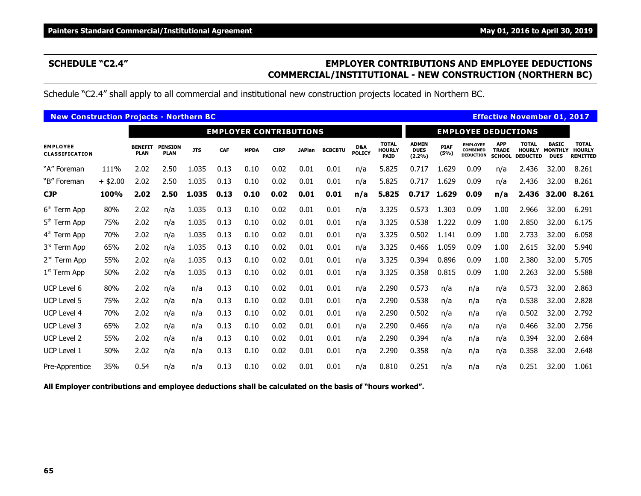### **SCHEDULE "C2.4" EMPLOYER CONTRIBUTIONS AND EMPLOYEE DEDUCTIONS COMMERCIAL/INSTITUTIONAL - NEW CONSTRUCTION (NORTHERN BC)**

Schedule "C2.4" shall apply to all commercial and institutional new construction projects located in Northern BC.

| <b>New Construction Projects - Northern BC</b> |            |                               |                               |            |      |                               |             |               |                |                      |                                              |                                          |                     |                                                 |                                             | <b>Effective November 01, 2017</b>               |                                               |                                                  |
|------------------------------------------------|------------|-------------------------------|-------------------------------|------------|------|-------------------------------|-------------|---------------|----------------|----------------------|----------------------------------------------|------------------------------------------|---------------------|-------------------------------------------------|---------------------------------------------|--------------------------------------------------|-----------------------------------------------|--------------------------------------------------|
|                                                |            |                               |                               |            |      | <b>EMPLOYER CONTRIBUTIONS</b> |             |               |                |                      |                                              |                                          |                     | <b>EMPLOYEE DEDUCTIONS</b>                      |                                             |                                                  |                                               |                                                  |
| <b>EMPLOYEE</b><br><b>CLASSIFICATION</b>       |            | <b>BENEFIT</b><br><b>PLAN</b> | <b>PENSION</b><br><b>PLAN</b> | <b>JTS</b> | CAF  | <b>MPDA</b>                   | <b>CIRP</b> | <b>JAPlan</b> | <b>BCBCBTU</b> | D&A<br><b>POLICY</b> | <b>TOTAL</b><br><b>HOURLY</b><br><b>PAID</b> | <b>ADMIN</b><br><b>DUES</b><br>$(2.2\%)$ | <b>PIAF</b><br>(5%) | <b>EMPLOYEE</b><br>COMBINED<br><b>DEDUCTION</b> | <b>APP</b><br><b>TRADE</b><br><b>SCHOOL</b> | <b>TOTAL</b><br><b>HOURLY</b><br><b>DEDUCTED</b> | <b>BASIC</b><br><b>MONTHLY</b><br><b>DUES</b> | <b>TOTAL</b><br><b>HOURLY</b><br><b>REMITTED</b> |
| "A" Foreman                                    | 111%       | 2.02                          | 2.50                          | 1.035      | 0.13 | 0.10                          | 0.02        | 0.01          | 0.01           | n/a                  | 5.825                                        | 0.717                                    | 1.629               | 0.09                                            | n/a                                         | 2.436                                            | 32.00                                         | 8.261                                            |
| "B" Foreman                                    | $+$ \$2.00 | 2.02                          | 2.50                          | 1.035      | 0.13 | 0.10                          | 0.02        | 0.01          | 0.01           | n/a                  | 5.825                                        | 0.717                                    | 1.629               | 0.09                                            | n/a                                         | 2.436                                            | 32.00                                         | 8.261                                            |
| <b>CJP</b>                                     | 100%       | 2.02                          | 2.50                          | 1.035      | 0.13 | 0.10                          | 0.02        | 0.01          | 0.01           | n/a                  | 5.825                                        | 0.717                                    | 1.629               | 0.09                                            | n/a                                         | 2.436                                            | 32.00                                         | 8.261                                            |
| 6 <sup>th</sup> Term App                       | 80%        | 2.02                          | n/a                           | 1.035      | 0.13 | 0.10                          | 0.02        | 0.01          | 0.01           | n/a                  | 3.325                                        | 0.573                                    | 1.303               | 0.09                                            | 1.00                                        | 2.966                                            | 32.00                                         | 6.291                                            |
| 5 <sup>th</sup> Term App                       | 75%        | 2.02                          | n/a                           | 1.035      | 0.13 | 0.10                          | 0.02        | 0.01          | 0.01           | n/a                  | 3.325                                        | 0.538                                    | 1.222               | 0.09                                            | 1.00                                        | 2.850                                            | 32.00                                         | 6.175                                            |
| 4 <sup>th</sup> Term App                       | 70%        | 2.02                          | n/a                           | 1.035      | 0.13 | 0.10                          | 0.02        | 0.01          | 0.01           | n/a                  | 3.325                                        | 0.502                                    | 1.141               | 0.09                                            | 1.00                                        | 2.733                                            | 32.00                                         | 6.058                                            |
| 3rd Term App                                   | 65%        | 2.02                          | n/a                           | 1.035      | 0.13 | 0.10                          | 0.02        | 0.01          | 0.01           | n/a                  | 3.325                                        | 0.466                                    | 1.059               | 0.09                                            | 1.00                                        | 2.615                                            | 32.00                                         | 5.940                                            |
| $2nd$ Term App                                 | 55%        | 2.02                          | n/a                           | 1.035      | 0.13 | 0.10                          | 0.02        | 0.01          | 0.01           | n/a                  | 3.325                                        | 0.394                                    | 0.896               | 0.09                                            | 1.00                                        | 2.380                                            | 32.00                                         | 5.705                                            |
| $1st$ Term App                                 | 50%        | 2.02                          | n/a                           | 1.035      | 0.13 | 0.10                          | 0.02        | 0.01          | 0.01           | n/a                  | 3.325                                        | 0.358                                    | 0.815               | 0.09                                            | 1.00                                        | 2.263                                            | 32.00                                         | 5.588                                            |
| UCP Level 6                                    | 80%        | 2.02                          | n/a                           | n/a        | 0.13 | 0.10                          | 0.02        | 0.01          | 0.01           | n/a                  | 2.290                                        | 0.573                                    | n/a                 | n/a                                             | n/a                                         | 0.573                                            | 32.00                                         | 2.863                                            |
| UCP Level 5                                    | 75%        | 2.02                          | n/a                           | n/a        | 0.13 | 0.10                          | 0.02        | 0.01          | 0.01           | n/a                  | 2.290                                        | 0.538                                    | n/a                 | n/a                                             | n/a                                         | 0.538                                            | 32.00                                         | 2.828                                            |
| UCP Level 4                                    | 70%        | 2.02                          | n/a                           | n/a        | 0.13 | 0.10                          | 0.02        | 0.01          | 0.01           | n/a                  | 2.290                                        | 0.502                                    | n/a                 | n/a                                             | n/a                                         | 0.502                                            | 32.00                                         | 2.792                                            |
| <b>UCP Level 3</b>                             | 65%        | 2.02                          | n/a                           | n/a        | 0.13 | 0.10                          | 0.02        | 0.01          | 0.01           | n/a                  | 2.290                                        | 0.466                                    | n/a                 | n/a                                             | n/a                                         | 0.466                                            | 32.00                                         | 2.756                                            |
| <b>UCP Level 2</b>                             | 55%        | 2.02                          | n/a                           | n/a        | 0.13 | 0.10                          | 0.02        | 0.01          | 0.01           | n/a                  | 2.290                                        | 0.394                                    | n/a                 | n/a                                             | n/a                                         | 0.394                                            | 32.00                                         | 2.684                                            |
| <b>UCP Level 1</b>                             | 50%        | 2.02                          | n/a                           | n/a        | 0.13 | 0.10                          | 0.02        | 0.01          | 0.01           | n/a                  | 2.290                                        | 0.358                                    | n/a                 | n/a                                             | n/a                                         | 0.358                                            | 32.00                                         | 2.648                                            |
| Pre-Apprentice                                 | 35%        | 0.54                          | n/a                           | n/a        | 0.13 | 0.10                          | 0.02        | 0.01          | 0.01           | n/a                  | 0.810                                        | 0.251                                    | n/a                 | n/a                                             | n/a                                         | 0.251                                            | 32.00                                         | 1.061                                            |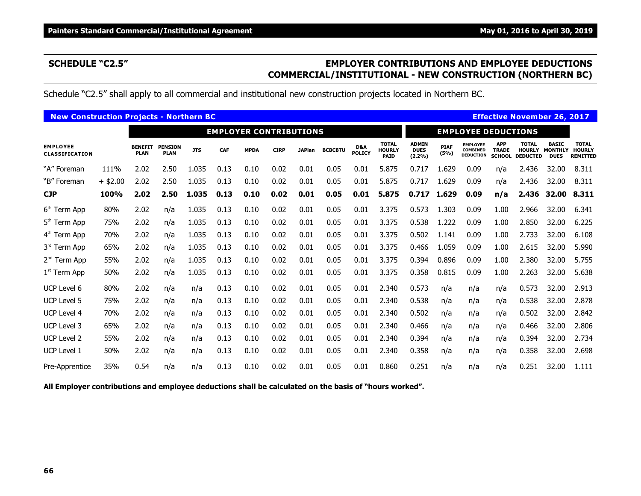## **SCHEDULE "C2.5" EMPLOYER CONTRIBUTIONS AND EMPLOYEE DEDUCTIONS COMMERCIAL/INSTITUTIONAL - NEW CONSTRUCTION (NORTHERN BC)**

Schedule "C2.5" shall apply to all commercial and institutional new construction projects located in Northern BC.

| <b>New Construction Projects - Northern BC</b> |            |                               |                               |            |      |                               |             |               |                |                      |                                              |                                       |                     |                                                        |                                             | <b>Effective November 26, 2017</b>               |                                               |                                                  |
|------------------------------------------------|------------|-------------------------------|-------------------------------|------------|------|-------------------------------|-------------|---------------|----------------|----------------------|----------------------------------------------|---------------------------------------|---------------------|--------------------------------------------------------|---------------------------------------------|--------------------------------------------------|-----------------------------------------------|--------------------------------------------------|
|                                                |            |                               |                               |            |      | <b>EMPLOYER CONTRIBUTIONS</b> |             |               |                |                      |                                              |                                       |                     | <b>EMPLOYEE DEDUCTIONS</b>                             |                                             |                                                  |                                               |                                                  |
| <b>EMPLOYEE</b><br><b>CLASSIFICATION</b>       |            | <b>BENEFIT</b><br><b>PLAN</b> | <b>PENSION</b><br><b>PLAN</b> | <b>JTS</b> | CAF  | <b>MPDA</b>                   | <b>CIRP</b> | <b>JAPlan</b> | <b>BCBCBTU</b> | D&A<br><b>POLICY</b> | <b>TOTAL</b><br><b>HOURLY</b><br><b>PAID</b> | <b>ADMIN</b><br><b>DUES</b><br>(2.2%) | <b>PIAF</b><br>(5%) | <b>EMPLOYEE</b><br><b>COMBINED</b><br><b>DEDUCTION</b> | <b>APP</b><br><b>TRADE</b><br><b>SCHOOL</b> | <b>TOTAL</b><br><b>HOURLY</b><br><b>DEDUCTED</b> | <b>BASIC</b><br><b>MONTHLY</b><br><b>DUES</b> | <b>TOTAL</b><br><b>HOURLY</b><br><b>REMITTED</b> |
| "A" Foreman                                    | 111%       | 2.02                          | 2.50                          | 1.035      | 0.13 | 0.10                          | 0.02        | 0.01          | 0.05           | 0.01                 | 5.875                                        | 0.717                                 | .629                | 0.09                                                   | n/a                                         | 2.436                                            | 32.00                                         | 8.311                                            |
| "B" Foreman                                    | $+$ \$2.00 | 2.02                          | 2.50                          | 1.035      | 0.13 | 0.10                          | 0.02        | 0.01          | 0.05           | 0.01                 | 5.875                                        | 0.717                                 | 1.629               | 0.09                                                   | n/a                                         | 2.436                                            | 32.00                                         | 8.311                                            |
| <b>CJP</b>                                     | 100%       | 2.02                          | 2.50                          | 1.035      | 0.13 | 0.10                          | 0.02        | 0.01          | 0.05           | 0.01                 | 5.875                                        | 0.717                                 | 1.629               | 0.09                                                   | n/a                                         | 2.436                                            | 32.00                                         | 8.311                                            |
| 6 <sup>th</sup> Term App                       | 80%        | 2.02                          | n/a                           | 1.035      | 0.13 | 0.10                          | 0.02        | 0.01          | 0.05           | 0.01                 | 3.375                                        | 0.573                                 | 1.303               | 0.09                                                   | 1.00                                        | 2.966                                            | 32.00                                         | 6.341                                            |
| $5th$ Term App                                 | 75%        | 2.02                          | n/a                           | 1.035      | 0.13 | 0.10                          | 0.02        | 0.01          | 0.05           | 0.01                 | 3.375                                        | 0.538                                 | 1.222               | 0.09                                                   | 1.00                                        | 2.850                                            | 32.00                                         | 6.225                                            |
| 4 <sup>th</sup> Term App                       | 70%        | 2.02                          | n/a                           | 1.035      | 0.13 | 0.10                          | 0.02        | 0.01          | 0.05           | 0.01                 | 3.375                                        | 0.502                                 | 1.141               | 0.09                                                   | 1.00                                        | 2.733                                            | 32.00                                         | 6.108                                            |
| 3rd Term App                                   | 65%        | 2.02                          | n/a                           | 1.035      | 0.13 | 0.10                          | 0.02        | 0.01          | 0.05           | 0.01                 | 3.375                                        | 0.466                                 | 1.059               | 0.09                                                   | 1.00                                        | 2.615                                            | 32.00                                         | 5.990                                            |
| 2 <sup>nd</sup> Term App                       | 55%        | 2.02                          | n/a                           | 1.035      | 0.13 | 0.10                          | 0.02        | 0.01          | 0.05           | 0.01                 | 3.375                                        | 0.394                                 | 0.896               | 0.09                                                   | 1.00                                        | 2.380                                            | 32.00                                         | 5.755                                            |
| $1st$ Term App                                 | 50%        | 2.02                          | n/a                           | 1.035      | 0.13 | 0.10                          | 0.02        | 0.01          | 0.05           | 0.01                 | 3.375                                        | 0.358                                 | 0.815               | 0.09                                                   | 1.00                                        | 2.263                                            | 32.00                                         | 5.638                                            |
| UCP Level 6                                    | 80%        | 2.02                          | n/a                           | n/a        | 0.13 | 0.10                          | 0.02        | 0.01          | 0.05           | 0.01                 | 2.340                                        | 0.573                                 | n/a                 | n/a                                                    | n/a                                         | 0.573                                            | 32.00                                         | 2.913                                            |
| UCP Level 5                                    | 75%        | 2.02                          | n/a                           | n/a        | 0.13 | 0.10                          | 0.02        | 0.01          | 0.05           | 0.01                 | 2.340                                        | 0.538                                 | n/a                 | n/a                                                    | n/a                                         | 0.538                                            | 32.00                                         | 2.878                                            |
| UCP Level 4                                    | 70%        | 2.02                          | n/a                           | n/a        | 0.13 | 0.10                          | 0.02        | 0.01          | 0.05           | 0.01                 | 2.340                                        | 0.502                                 | n/a                 | n/a                                                    | n/a                                         | 0.502                                            | 32.00                                         | 2.842                                            |
| UCP Level 3                                    | 65%        | 2.02                          | n/a                           | n/a        | 0.13 | 0.10                          | 0.02        | 0.01          | 0.05           | 0.01                 | 2.340                                        | 0.466                                 | n/a                 | n/a                                                    | n/a                                         | 0.466                                            | 32.00                                         | 2.806                                            |
| <b>UCP Level 2</b>                             | 55%        | 2.02                          | n/a                           | n/a        | 0.13 | 0.10                          | 0.02        | 0.01          | 0.05           | 0.01                 | 2.340                                        | 0.394                                 | n/a                 | n/a                                                    | n/a                                         | 0.394                                            | 32.00                                         | 2.734                                            |
| UCP Level 1                                    | 50%        | 2.02                          | n/a                           | n/a        | 0.13 | 0.10                          | 0.02        | 0.01          | 0.05           | 0.01                 | 2.340                                        | 0.358                                 | n/a                 | n/a                                                    | n/a                                         | 0.358                                            | 32.00                                         | 2.698                                            |
| Pre-Apprentice                                 | 35%        | 0.54                          | n/a                           | n/a        | 0.13 | 0.10                          | 0.02        | 0.01          | 0.05           | 0.01                 | 0.860                                        | 0.251                                 | n/a                 | n/a                                                    | n/a                                         | 0.251                                            | 32.00                                         | 1.111                                            |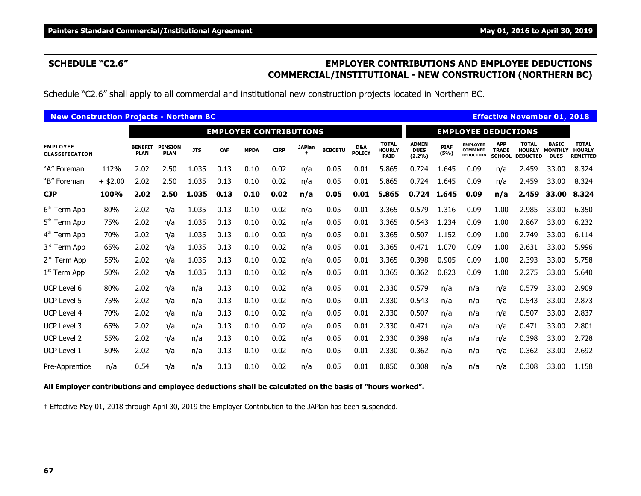## **SCHEDULE "C2.6" EMPLOYER CONTRIBUTIONS AND EMPLOYEE DEDUCTIONS COMMERCIAL/INSTITUTIONAL - NEW CONSTRUCTION (NORTHERN BC)**

Schedule "C2.6" shall apply to all commercial and institutional new construction projects located in Northern BC.

| <b>New Construction Projects - Northern BC</b> |            |                               |                               |            |      |                               |             |               |                |                      |                                              |                                          |                     |                                                        |                                             | <b>Effective November 01, 2018</b> |                                                      |                                                  |
|------------------------------------------------|------------|-------------------------------|-------------------------------|------------|------|-------------------------------|-------------|---------------|----------------|----------------------|----------------------------------------------|------------------------------------------|---------------------|--------------------------------------------------------|---------------------------------------------|------------------------------------|------------------------------------------------------|--------------------------------------------------|
|                                                |            |                               |                               |            |      | <b>EMPLOYER CONTRIBUTIONS</b> |             |               |                |                      |                                              |                                          |                     | <b>EMPLOYEE DEDUCTIONS</b>                             |                                             |                                    |                                                      |                                                  |
| <b>EMPLOYEE</b><br><b>CLASSIFICATION</b>       |            | <b>BENEFIT</b><br><b>PLAN</b> | <b>PENSION</b><br><b>PLAN</b> | <b>JTS</b> | CAF  | <b>MPDA</b>                   | <b>CIRP</b> | <b>JAPlan</b> | <b>BCBCBTU</b> | D&A<br><b>POLICY</b> | <b>TOTAL</b><br><b>HOURLY</b><br><b>PAID</b> | <b>ADMIN</b><br><b>DUES</b><br>$(2.2\%)$ | <b>PIAF</b><br>(5%) | <b>EMPLOYEE</b><br><b>COMBINED</b><br><b>DEDUCTION</b> | <b>APP</b><br><b>TRADE</b><br><b>SCHOOL</b> | <b>TOTAL</b><br><b>DEDUCTED</b>    | <b>BASIC</b><br><b>HOURLY MONTHLY</b><br><b>DUES</b> | <b>TOTAL</b><br><b>HOURLY</b><br><b>REMITTED</b> |
| "A" Foreman                                    | 112%       | 2.02                          | 2.50                          | 1.035      | 0.13 | 0.10                          | 0.02        | n/a           | 0.05           | 0.01                 | 5.865                                        | 0.724                                    | 1.645               | 0.09                                                   | n/a                                         | 2.459                              | 33.00                                                | 8.324                                            |
| "B" Foreman                                    | $+$ \$2.00 | 2.02                          | 2.50                          | 1.035      | 0.13 | 0.10                          | 0.02        | n/a           | 0.05           | 0.01                 | 5.865                                        | 0.724                                    | 1.645               | 0.09                                                   | n/a                                         | 2.459                              | 33.00                                                | 8.324                                            |
| <b>CJP</b>                                     | 100%       | 2.02                          | 2.50                          | 1.035      | 0.13 | 0.10                          | 0.02        | n/a           | 0.05           | 0.01                 | 5.865                                        | 0.724                                    | 1.645               | 0.09                                                   | n/a                                         | 2.459                              | 33.00                                                | 8.324                                            |
| 6 <sup>th</sup> Term App                       | 80%        | 2.02                          | n/a                           | 1.035      | 0.13 | 0.10                          | 0.02        | n/a           | 0.05           | 0.01                 | 3.365                                        | 0.579                                    | 1.316               | 0.09                                                   | 1.00                                        | 2.985                              | 33.00                                                | 6.350                                            |
| 5 <sup>th</sup> Term App                       | 75%        | 2.02                          | n/a                           | 1.035      | 0.13 | 0.10                          | 0.02        | n/a           | 0.05           | 0.01                 | 3.365                                        | 0.543                                    | 1.234               | 0.09                                                   | 1.00                                        | 2.867                              | 33.00                                                | 6.232                                            |
| 4 <sup>th</sup> Term App                       | 70%        | 2.02                          | n/a                           | 1.035      | 0.13 | 0.10                          | 0.02        | n/a           | 0.05           | 0.01                 | 3.365                                        | 0.507                                    | 1.152               | 0.09                                                   | 1.00                                        | 2.749                              | 33.00                                                | 6.114                                            |
| 3rd Term App                                   | 65%        | 2.02                          | n/a                           | 1.035      | 0.13 | 0.10                          | 0.02        | n/a           | 0.05           | 0.01                 | 3.365                                        | 0.471                                    | 1.070               | 0.09                                                   | 1.00                                        | 2.631                              | 33.00                                                | 5.996                                            |
| 2 <sup>nd</sup> Term App                       | 55%        | 2.02                          | n/a                           | 1.035      | 0.13 | 0.10                          | 0.02        | n/a           | 0.05           | 0.01                 | 3.365                                        | 0.398                                    | 0.905               | 0.09                                                   | 1.00                                        | 2.393                              | 33.00                                                | 5.758                                            |
| $1st$ Term App                                 | 50%        | 2.02                          | n/a                           | 1.035      | 0.13 | 0.10                          | 0.02        | n/a           | 0.05           | 0.01                 | 3.365                                        | 0.362                                    | 0.823               | 0.09                                                   | 1.00                                        | 2.275                              | 33.00                                                | 5.640                                            |
| UCP Level 6                                    | 80%        | 2.02                          | n/a                           | n/a        | 0.13 | 0.10                          | 0.02        | n/a           | 0.05           | 0.01                 | 2.330                                        | 0.579                                    | n/a                 | n/a                                                    | n/a                                         | 0.579                              | 33.00                                                | 2.909                                            |
| <b>UCP Level 5</b>                             | 75%        | 2.02                          | n/a                           | n/a        | 0.13 | 0.10                          | 0.02        | n/a           | 0.05           | 0.01                 | 2.330                                        | 0.543                                    | n/a                 | n/a                                                    | n/a                                         | 0.543                              | 33.00                                                | 2.873                                            |
| UCP Level 4                                    | 70%        | 2.02                          | n/a                           | n/a        | 0.13 | 0.10                          | 0.02        | n/a           | 0.05           | 0.01                 | 2.330                                        | 0.507                                    | n/a                 | n/a                                                    | n/a                                         | 0.507                              | 33.00                                                | 2.837                                            |
| <b>UCP Level 3</b>                             | 65%        | 2.02                          | n/a                           | n/a        | 0.13 | 0.10                          | 0.02        | n/a           | 0.05           | 0.01                 | 2.330                                        | 0.471                                    | n/a                 | n/a                                                    | n/a                                         | 0.471                              | 33.00                                                | 2.801                                            |
| <b>UCP Level 2</b>                             | 55%        | 2.02                          | n/a                           | n/a        | 0.13 | 0.10                          | 0.02        | n/a           | 0.05           | 0.01                 | 2.330                                        | 0.398                                    | n/a                 | n/a                                                    | n/a                                         | 0.398                              | 33.00                                                | 2.728                                            |
| <b>UCP Level 1</b>                             | 50%        | 2.02                          | n/a                           | n/a        | 0.13 | 0.10                          | 0.02        | n/a           | 0.05           | 0.01                 | 2.330                                        | 0.362                                    | n/a                 | n/a                                                    | n/a                                         | 0.362                              | 33.00                                                | 2.692                                            |
| Pre-Apprentice                                 | n/a        | 0.54                          | n/a                           | n/a        | 0.13 | 0.10                          | 0.02        | n/a           | 0.05           | 0.01                 | 0.850                                        | 0.308                                    | n/a                 | n/a                                                    | n/a                                         | 0.308                              | 33.00                                                | 1.158                                            |

#### **All Employer contributions and employee deductions shall be calculated on the basis of "hours worked".**

† Effective May 01, 2018 through April 30, 2019 the Employer Contribution to the JAPlan has been suspended.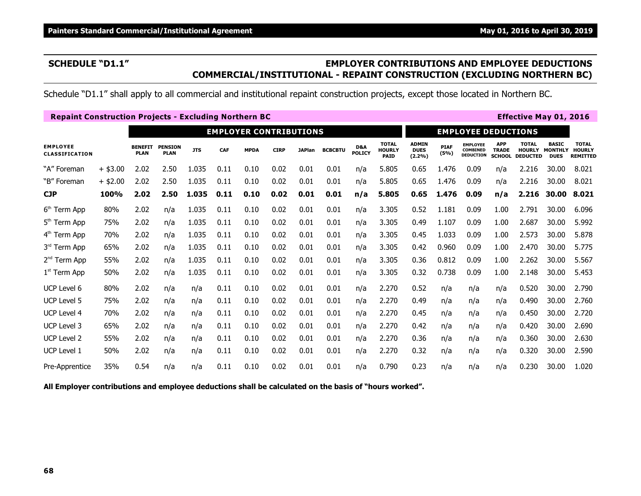# **SCHEDULE "D1.1" EMPLOYER CONTRIBUTIONS AND EMPLOYEE DEDUCTIONS COMMERCIAL/INSTITUTIONAL - REPAINT CONSTRUCTION (EXCLUDING NORTHERN BC)**

Schedule "D1.1" shall apply to all commercial and institutional repaint construction projects, except those located in Northern BC.

| <b>Repaint Construction Projects - Excluding Northern BC</b> |            |                               |                               |            |            |                               |             |               |                |               |                                              |                                       |                     |                                                        |                                             | <b>Effective May 01, 2016</b>                    |                                               |                                                  |
|--------------------------------------------------------------|------------|-------------------------------|-------------------------------|------------|------------|-------------------------------|-------------|---------------|----------------|---------------|----------------------------------------------|---------------------------------------|---------------------|--------------------------------------------------------|---------------------------------------------|--------------------------------------------------|-----------------------------------------------|--------------------------------------------------|
|                                                              |            |                               |                               |            |            | <b>EMPLOYER CONTRIBUTIONS</b> |             |               |                |               |                                              |                                       |                     | <b>EMPLOYEE DEDUCTIONS</b>                             |                                             |                                                  |                                               |                                                  |
| <b>EMPLOYEE</b><br><b>CLASSIFICATION</b>                     |            | <b>BENEFIT</b><br><b>PLAN</b> | <b>PENSION</b><br><b>PLAN</b> | <b>JTS</b> | <b>CAF</b> | <b>MPDA</b>                   | <b>CIRP</b> | <b>JAPlan</b> | <b>BCBCBTU</b> | D&A<br>POLICY | <b>TOTAL</b><br><b>HOURLY</b><br><b>PAID</b> | <b>ADMIN</b><br><b>DUES</b><br>(2.2%) | <b>PIAF</b><br>(5%) | <b>EMPLOYEE</b><br><b>COMBINED</b><br><b>DEDUCTION</b> | <b>APP</b><br><b>TRADE</b><br><b>SCHOOL</b> | <b>TOTAL</b><br><b>HOURLY</b><br><b>DEDUCTED</b> | <b>BASIC</b><br><b>MONTHLY</b><br><b>DUES</b> | <b>TOTAL</b><br><b>HOURLY</b><br><b>REMITTED</b> |
| "A" Foreman                                                  | $+$ \$3.00 | 2.02                          | 2.50                          | 1.035      | 0.11       | 0.10                          | 0.02        | 0.01          | 0.01           | n/a           | 5.805                                        | 0.65                                  | 1.476               | 0.09                                                   | n/a                                         | 2.216                                            | 30.00                                         | 8.021                                            |
| "B" Foreman                                                  | $+$ \$2.00 | 2.02                          | 2.50                          | 1.035      | 0.11       | 0.10                          | 0.02        | 0.01          | 0.01           | n/a           | 5.805                                        | 0.65                                  | 1.476               | 0.09                                                   | n/a                                         | 2.216                                            | 30.00                                         | 8.021                                            |
| <b>CJP</b>                                                   | 100%       | 2.02                          | 2.50                          | 1.035      | 0.11       | 0.10                          | 0.02        | 0.01          | 0.01           | n/a           | 5.805                                        | 0.65                                  | 1.476               | 0.09                                                   | n/a                                         | 2.216                                            | 30.00                                         | 8.021                                            |
| 6 <sup>th</sup> Term App                                     | 80%        | 2.02                          | n/a                           | 1.035      | 0.11       | 0.10                          | 0.02        | 0.01          | 0.01           | n/a           | 3.305                                        | 0.52                                  | 1.181               | 0.09                                                   | 1.00                                        | 2.791                                            | 30.00                                         | 6.096                                            |
| 5 <sup>th</sup> Term App                                     | 75%        | 2.02                          | n/a                           | 1.035      | 0.11       | 0.10                          | 0.02        | 0.01          | 0.01           | n/a           | 3.305                                        | 0.49                                  | 1.107               | 0.09                                                   | 1.00                                        | 2.687                                            | 30.00                                         | 5.992                                            |
| 4 <sup>th</sup> Term App                                     | 70%        | 2.02                          | n/a                           | 1.035      | 0.11       | 0.10                          | 0.02        | 0.01          | 0.01           | n/a           | 3.305                                        | 0.45                                  | 1.033               | 0.09                                                   | 1.00                                        | 2.573                                            | 30.00                                         | 5.878                                            |
| 3rd Term App                                                 | 65%        | 2.02                          | n/a                           | 1.035      | 0.11       | 0.10                          | 0.02        | 0.01          | 0.01           | n/a           | 3.305                                        | 0.42                                  | 0.960               | 0.09                                                   | 1.00                                        | 2.470                                            | 30.00                                         | 5.775                                            |
| 2 <sup>nd</sup> Term App                                     | 55%        | 2.02                          | n/a                           | 1.035      | 0.11       | 0.10                          | 0.02        | 0.01          | 0.01           | n/a           | 3.305                                        | 0.36                                  | 0.812               | 0.09                                                   | 1.00                                        | 2.262                                            | 30.00                                         | 5.567                                            |
| $1st$ Term App                                               | 50%        | 2.02                          | n/a                           | 1.035      | 0.11       | 0.10                          | 0.02        | 0.01          | 0.01           | n/a           | 3.305                                        | 0.32                                  | 0.738               | 0.09                                                   | 1.00                                        | 2.148                                            | 30.00                                         | 5.453                                            |
| UCP Level 6                                                  | 80%        | 2.02                          | n/a                           | n/a        | 0.11       | 0.10                          | 0.02        | 0.01          | 0.01           | n/a           | 2.270                                        | 0.52                                  | n/a                 | n/a                                                    | n/a                                         | 0.520                                            | 30.00                                         | 2.790                                            |
| <b>UCP Level 5</b>                                           | 75%        | 2.02                          | n/a                           | n/a        | 0.11       | 0.10                          | 0.02        | 0.01          | 0.01           | n/a           | 2.270                                        | 0.49                                  | n/a                 | n/a                                                    | n/a                                         | 0.490                                            | 30.00                                         | 2.760                                            |
| UCP Level 4                                                  | 70%        | 2.02                          | n/a                           | n/a        | 0.11       | 0.10                          | 0.02        | 0.01          | 0.01           | n/a           | 2.270                                        | 0.45                                  | n/a                 | n/a                                                    | n/a                                         | 0.450                                            | 30.00                                         | 2.720                                            |
| UCP Level 3                                                  | 65%        | 2.02                          | n/a                           | n/a        | 0.11       | 0.10                          | 0.02        | 0.01          | 0.01           | n/a           | 2.270                                        | 0.42                                  | n/a                 | n/a                                                    | n/a                                         | 0.420                                            | 30.00                                         | 2.690                                            |
| UCP Level 2                                                  | 55%        | 2.02                          | n/a                           | n/a        | 0.11       | 0.10                          | 0.02        | 0.01          | 0.01           | n/a           | 2.270                                        | 0.36                                  | n/a                 | n/a                                                    | n/a                                         | 0.360                                            | 30.00                                         | 2.630                                            |
| UCP Level 1                                                  | 50%        | 2.02                          | n/a                           | n/a        | 0.11       | 0.10                          | 0.02        | 0.01          | 0.01           | n/a           | 2.270                                        | 0.32                                  | n/a                 | n/a                                                    | n/a                                         | 0.320                                            | 30.00                                         | 2.590                                            |
| Pre-Apprentice                                               | 35%        | 0.54                          | n/a                           | n/a        | 0.11       | 0.10                          | 0.02        | 0.01          | 0.01           | n/a           | 0.790                                        | 0.23                                  | n/a                 | n/a                                                    | n/a                                         | 0.230                                            | 30.00                                         | 1.020                                            |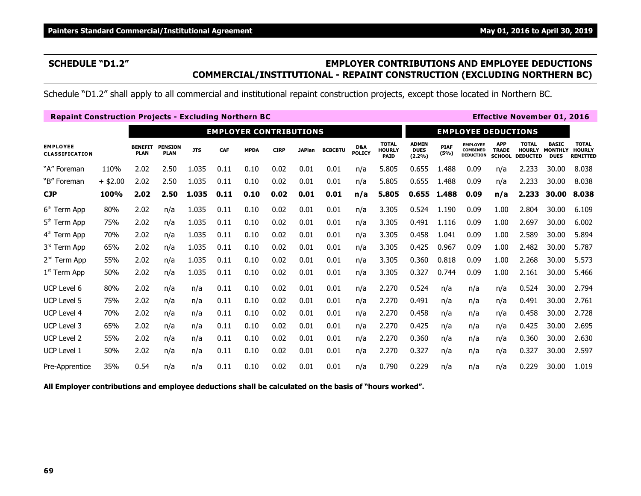# **SCHEDULE "D1.2" EMPLOYER CONTRIBUTIONS AND EMPLOYEE DEDUCTIONS COMMERCIAL/INSTITUTIONAL - REPAINT CONSTRUCTION (EXCLUDING NORTHERN BC)**

Schedule "D1.2" shall apply to all commercial and institutional repaint construction projects, except those located in Northern BC.

| <b>Repaint Construction Projects - Excluding Northern BC</b> |            |                               |                               |            |            |                               |             |               |                |                      |                                              |                                       |                     |                                                        |                                             | <b>Effective November 01, 2016</b>               |                                               |                                                  |
|--------------------------------------------------------------|------------|-------------------------------|-------------------------------|------------|------------|-------------------------------|-------------|---------------|----------------|----------------------|----------------------------------------------|---------------------------------------|---------------------|--------------------------------------------------------|---------------------------------------------|--------------------------------------------------|-----------------------------------------------|--------------------------------------------------|
|                                                              |            |                               |                               |            |            | <b>EMPLOYER CONTRIBUTIONS</b> |             |               |                |                      |                                              |                                       |                     | <b>EMPLOYEE DEDUCTIONS</b>                             |                                             |                                                  |                                               |                                                  |
| <b>EMPLOYEE</b><br><b>CLASSIFICATION</b>                     |            | <b>BENEFIT</b><br><b>PLAN</b> | <b>PENSION</b><br><b>PLAN</b> | <b>JTS</b> | <b>CAF</b> | <b>MPDA</b>                   | <b>CIRP</b> | <b>JAPlan</b> | <b>BCBCBTU</b> | D&A<br><b>POLICY</b> | <b>TOTAL</b><br><b>HOURLY</b><br><b>PAID</b> | <b>ADMIN</b><br><b>DUES</b><br>(2.2%) | <b>PIAF</b><br>(5%) | <b>EMPLOYEE</b><br><b>COMBINED</b><br><b>DEDUCTION</b> | <b>APP</b><br><b>TRADE</b><br><b>SCHOOL</b> | <b>TOTAL</b><br><b>HOURLY</b><br><b>DEDUCTED</b> | <b>BASIC</b><br><b>MONTHLY</b><br><b>DUES</b> | <b>TOTAL</b><br><b>HOURLY</b><br><b>REMITTED</b> |
| "A" Foreman                                                  | 110%       | 2.02                          | 2.50                          | 1.035      | 0.11       | 0.10                          | 0.02        | 0.01          | 0.01           | n/a                  | 5.805                                        | 0.655                                 | 1.488               | 0.09                                                   | n/a                                         | 2.233                                            | 30.00                                         | 8.038                                            |
| "B" Foreman                                                  | $+$ \$2.00 | 2.02                          | 2.50                          | 1.035      | 0.11       | 0.10                          | 0.02        | 0.01          | 0.01           | n/a                  | 5.805                                        | 0.655                                 | 1.488               | 0.09                                                   | n/a                                         | 2.233                                            | 30.00                                         | 8.038                                            |
| <b>CJP</b>                                                   | 100%       | 2.02                          | 2.50                          | 1.035      | 0.11       | 0.10                          | 0.02        | 0.01          | 0.01           | n/a                  | 5.805                                        | 0.655                                 | 1.488               | 0.09                                                   | n/a                                         | 2.233                                            | 30.00                                         | 8.038                                            |
| 6 <sup>th</sup> Term App                                     | 80%        | 2.02                          | n/a                           | 1.035      | 0.11       | 0.10                          | 0.02        | 0.01          | 0.01           | n/a                  | 3.305                                        | 0.524                                 | 1.190               | 0.09                                                   | 1.00                                        | 2.804                                            | 30.00                                         | 6.109                                            |
| 5 <sup>th</sup> Term App                                     | 75%        | 2.02                          | n/a                           | 1.035      | 0.11       | 0.10                          | 0.02        | 0.01          | 0.01           | n/a                  | 3.305                                        | 0.491                                 | 1.116               | 0.09                                                   | 1.00                                        | 2.697                                            | 30.00                                         | 6.002                                            |
| 4 <sup>th</sup> Term App                                     | 70%        | 2.02                          | n/a                           | 1.035      | 0.11       | 0.10                          | 0.02        | 0.01          | 0.01           | n/a                  | 3.305                                        | 0.458                                 | 1.041               | 0.09                                                   | 1.00                                        | 2.589                                            | 30.00                                         | 5.894                                            |
| 3rd Term App                                                 | 65%        | 2.02                          | n/a                           | 1.035      | 0.11       | 0.10                          | 0.02        | 0.01          | 0.01           | n/a                  | 3.305                                        | 0.425                                 | 0.967               | 0.09                                                   | 1.00                                        | 2.482                                            | 30.00                                         | 5.787                                            |
| $2nd$ Term App                                               | 55%        | 2.02                          | n/a                           | 1.035      | 0.11       | 0.10                          | 0.02        | 0.01          | 0.01           | n/a                  | 3.305                                        | 0.360                                 | 0.818               | 0.09                                                   | 1.00                                        | 2.268                                            | 30.00                                         | 5.573                                            |
| $1st$ Term App                                               | 50%        | 2.02                          | n/a                           | 1.035      | 0.11       | 0.10                          | 0.02        | 0.01          | 0.01           | n/a                  | 3.305                                        | 0.327                                 | 0.744               | 0.09                                                   | 1.00                                        | 2.161                                            | 30.00                                         | 5.466                                            |
| UCP Level 6                                                  | 80%        | 2.02                          | n/a                           | n/a        | 0.11       | 0.10                          | 0.02        | 0.01          | 0.01           | n/a                  | 2.270                                        | 0.524                                 | n/a                 | n/a                                                    | n/a                                         | 0.524                                            | 30.00                                         | 2.794                                            |
| <b>UCP Level 5</b>                                           | 75%        | 2.02                          | n/a                           | n/a        | 0.11       | 0.10                          | 0.02        | 0.01          | 0.01           | n/a                  | 2.270                                        | 0.491                                 | n/a                 | n/a                                                    | n/a                                         | 0.491                                            | 30.00                                         | 2.761                                            |
| UCP Level 4                                                  | 70%        | 2.02                          | n/a                           | n/a        | 0.11       | 0.10                          | 0.02        | 0.01          | 0.01           | n/a                  | 2.270                                        | 0.458                                 | n/a                 | n/a                                                    | n/a                                         | 0.458                                            | 30.00                                         | 2.728                                            |
| UCP Level 3                                                  | 65%        | 2.02                          | n/a                           | n/a        | 0.11       | 0.10                          | 0.02        | 0.01          | 0.01           | n/a                  | 2.270                                        | 0.425                                 | n/a                 | n/a                                                    | n/a                                         | 0.425                                            | 30.00                                         | 2.695                                            |
| <b>UCP Level 2</b>                                           | 55%        | 2.02                          | n/a                           | n/a        | 0.11       | 0.10                          | 0.02        | 0.01          | 0.01           | n/a                  | 2.270                                        | 0.360                                 | n/a                 | n/a                                                    | n/a                                         | 0.360                                            | 30.00                                         | 2.630                                            |
| <b>UCP Level 1</b>                                           | 50%        | 2.02                          | n/a                           | n/a        | 0.11       | 0.10                          | 0.02        | 0.01          | 0.01           | n/a                  | 2.270                                        | 0.327                                 | n/a                 | n/a                                                    | n/a                                         | 0.327                                            | 30.00                                         | 2.597                                            |
| Pre-Apprentice                                               | 35%        | 0.54                          | n/a                           | n/a        | 0.11       | 0.10                          | 0.02        | 0.01          | 0.01           | n/a                  | 0.790                                        | 0.229                                 | n/a                 | n/a                                                    | n/a                                         | 0.229                                            | 30.00                                         | 1.019                                            |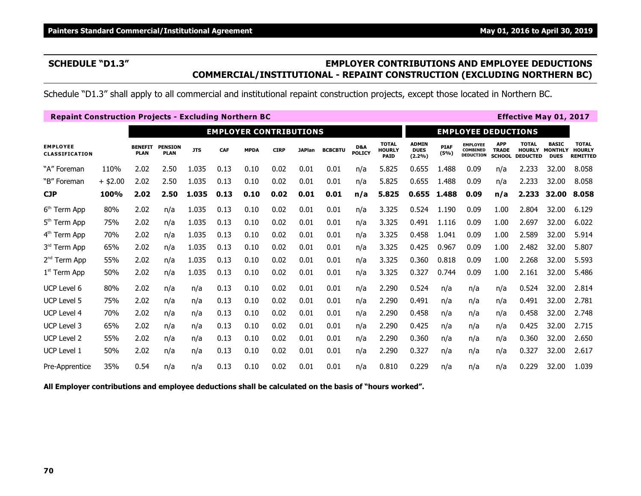# **SCHEDULE "D1.3" EMPLOYER CONTRIBUTIONS AND EMPLOYEE DEDUCTIONS COMMERCIAL/INSTITUTIONAL - REPAINT CONSTRUCTION (EXCLUDING NORTHERN BC)**

Schedule "D1.3" shall apply to all commercial and institutional repaint construction projects, except those located in Northern BC.

| <b>Repaint Construction Projects - Excluding Northern BC</b> |            |                               |                               |            |                            |             |             |               |                |                      |                                              |                                       |                     |                                                        |                                             | <b>Effective May 01, 2017</b>                    |                                               |                                                  |
|--------------------------------------------------------------|------------|-------------------------------|-------------------------------|------------|----------------------------|-------------|-------------|---------------|----------------|----------------------|----------------------------------------------|---------------------------------------|---------------------|--------------------------------------------------------|---------------------------------------------|--------------------------------------------------|-----------------------------------------------|--------------------------------------------------|
|                                                              |            |                               |                               |            | <b>EMPLOYEE DEDUCTIONS</b> |             |             |               |                |                      |                                              |                                       |                     |                                                        |                                             |                                                  |                                               |                                                  |
| <b>EMPLOYEE</b><br><b>CLASSIFICATION</b>                     |            | <b>BENEFIT</b><br><b>PLAN</b> | <b>PENSION</b><br><b>PLAN</b> | <b>JTS</b> | <b>CAF</b>                 | <b>MPDA</b> | <b>CIRP</b> | <b>JAPlan</b> | <b>BCBCBTU</b> | D&A<br><b>POLICY</b> | <b>TOTAL</b><br><b>HOURLY</b><br><b>PAID</b> | <b>ADMIN</b><br><b>DUES</b><br>(2.2%) | <b>PIAF</b><br>(5%) | <b>EMPLOYEE</b><br><b>COMBINED</b><br><b>DEDUCTION</b> | <b>APP</b><br><b>TRADE</b><br><b>SCHOOL</b> | <b>TOTAL</b><br><b>HOURLY</b><br><b>DEDUCTED</b> | <b>BASIC</b><br><b>MONTHLY</b><br><b>DUES</b> | <b>TOTAL</b><br><b>HOURLY</b><br><b>REMITTED</b> |
| "A" Foreman                                                  | 110%       | 2.02                          | 2.50                          | 1.035      | 0.13                       | 0.10        | 0.02        | 0.01          | 0.01           | n/a                  | 5.825                                        | 0.655                                 | 1.488               | 0.09                                                   | n/a                                         | 2.233                                            | 32.00                                         | 8.058                                            |
| "B" Foreman                                                  | $+$ \$2.00 | 2.02                          | 2.50                          | 1.035      | 0.13                       | 0.10        | 0.02        | 0.01          | 0.01           | n/a                  | 5.825                                        | 0.655                                 | 1.488               | 0.09                                                   | n/a                                         | 2.233                                            | 32.00                                         | 8.058                                            |
| <b>CJP</b>                                                   | 100%       | 2.02                          | 2.50                          | 1.035      | 0.13                       | 0.10        | 0.02        | 0.01          | 0.01           | n/a                  | 5.825                                        | 0.655                                 | 1.488               | 0.09                                                   | n/a                                         | 2.233                                            | 32.00                                         | 8.058                                            |
| 6 <sup>th</sup> Term App                                     | 80%        | 2.02                          | n/a                           | 1.035      | 0.13                       | 0.10        | 0.02        | 0.01          | 0.01           | n/a                  | 3.325                                        | 0.524                                 | 1.190               | 0.09                                                   | 1.00                                        | 2.804                                            | 32.00                                         | 6.129                                            |
| $5th$ Term App                                               | 75%        | 2.02                          | n/a                           | 1.035      | 0.13                       | 0.10        | 0.02        | 0.01          | 0.01           | n/a                  | 3.325                                        | 0.491                                 | 1.116               | 0.09                                                   | 1.00                                        | 2.697                                            | 32.00                                         | 6.022                                            |
| 4 <sup>th</sup> Term App                                     | 70%        | 2.02                          | n/a                           | 1.035      | 0.13                       | 0.10        | 0.02        | 0.01          | 0.01           | n/a                  | 3.325                                        | 0.458                                 | 1.041               | 0.09                                                   | 1.00                                        | 2.589                                            | 32.00                                         | 5.914                                            |
| 3rd Term App                                                 | 65%        | 2.02                          | n/a                           | 1.035      | 0.13                       | 0.10        | 0.02        | 0.01          | 0.01           | n/a                  | 3.325                                        | 0.425                                 | 0.967               | 0.09                                                   | 1.00                                        | 2.482                                            | 32.00                                         | 5.807                                            |
| 2 <sup>nd</sup> Term App                                     | 55%        | 2.02                          | n/a                           | 1.035      | 0.13                       | 0.10        | 0.02        | 0.01          | 0.01           | n/a                  | 3.325                                        | 0.360                                 | 0.818               | 0.09                                                   | 1.00                                        | 2.268                                            | 32.00                                         | 5.593                                            |
| $1st$ Term App                                               | 50%        | 2.02                          | n/a                           | 1.035      | 0.13                       | 0.10        | 0.02        | 0.01          | 0.01           | n/a                  | 3.325                                        | 0.327                                 | 0.744               | 0.09                                                   | 1.00                                        | 2.161                                            | 32.00                                         | 5.486                                            |
| UCP Level 6                                                  | 80%        | 2.02                          | n/a                           | n/a        | 0.13                       | 0.10        | 0.02        | 0.01          | 0.01           | n/a                  | 2.290                                        | 0.524                                 | n/a                 | n/a                                                    | n/a                                         | 0.524                                            | 32.00                                         | 2.814                                            |
| <b>UCP Level 5</b>                                           | 75%        | 2.02                          | n/a                           | n/a        | 0.13                       | 0.10        | 0.02        | 0.01          | 0.01           | n/a                  | 2.290                                        | 0.491                                 | n/a                 | n/a                                                    | n/a                                         | 0.491                                            | 32.00                                         | 2.781                                            |
| UCP Level 4                                                  | 70%        | 2.02                          | n/a                           | n/a        | 0.13                       | 0.10        | 0.02        | 0.01          | 0.01           | n/a                  | 2.290                                        | 0.458                                 | n/a                 | n/a                                                    | n/a                                         | 0.458                                            | 32.00                                         | 2.748                                            |
| <b>UCP Level 3</b>                                           | 65%        | 2.02                          | n/a                           | n/a        | 0.13                       | 0.10        | 0.02        | 0.01          | 0.01           | n/a                  | 2.290                                        | 0.425                                 | n/a                 | n/a                                                    | n/a                                         | 0.425                                            | 32.00                                         | 2.715                                            |
| <b>UCP Level 2</b>                                           | 55%        | 2.02                          | n/a                           | n/a        | 0.13                       | 0.10        | 0.02        | 0.01          | 0.01           | n/a                  | 2.290                                        | 0.360                                 | n/a                 | n/a                                                    | n/a                                         | 0.360                                            | 32.00                                         | 2.650                                            |
| UCP Level 1                                                  | 50%        | 2.02                          | n/a                           | n/a        | 0.13                       | 0.10        | 0.02        | 0.01          | 0.01           | n/a                  | 2.290                                        | 0.327                                 | n/a                 | n/a                                                    | n/a                                         | 0.327                                            | 32.00                                         | 2.617                                            |
| Pre-Apprentice                                               | 35%        | 0.54                          | n/a                           | n/a        | 0.13                       | 0.10        | 0.02        | 0.01          | 0.01           | n/a                  | 0.810                                        | 0.229                                 | n/a                 | n/a                                                    | n/a                                         | 0.229                                            | 32.00                                         | 1.039                                            |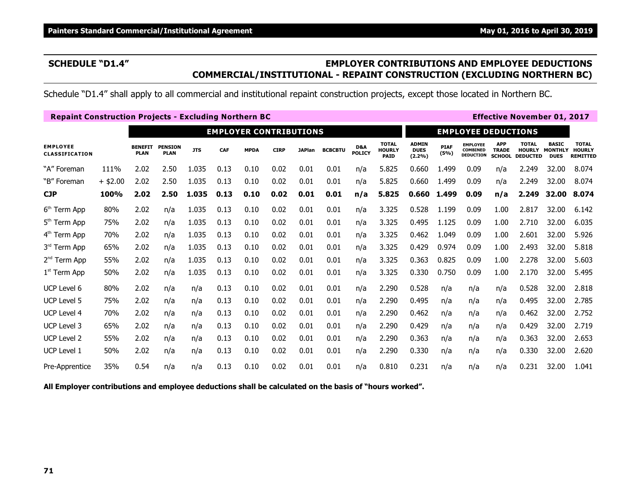# **SCHEDULE "D1.4" EMPLOYER CONTRIBUTIONS AND EMPLOYEE DEDUCTIONS COMMERCIAL/INSTITUTIONAL - REPAINT CONSTRUCTION (EXCLUDING NORTHERN BC)**

Schedule "D1.4" shall apply to all commercial and institutional repaint construction projects, except those located in Northern BC.

| <b>Repaint Construction Projects - Excluding Northern BC</b> |            |                               |                               |            |                            |             |             |               |                |                      |                                              |                                       |                     |                                                        |                                             | <b>Effective November 01, 2017</b> |                                                      |                                                  |
|--------------------------------------------------------------|------------|-------------------------------|-------------------------------|------------|----------------------------|-------------|-------------|---------------|----------------|----------------------|----------------------------------------------|---------------------------------------|---------------------|--------------------------------------------------------|---------------------------------------------|------------------------------------|------------------------------------------------------|--------------------------------------------------|
|                                                              |            |                               |                               |            | <b>EMPLOYEE DEDUCTIONS</b> |             |             |               |                |                      |                                              |                                       |                     |                                                        |                                             |                                    |                                                      |                                                  |
| <b>EMPLOYEE</b><br><b>CLASSIFICATION</b>                     |            | <b>BENEFIT</b><br><b>PLAN</b> | <b>PENSION</b><br><b>PLAN</b> | <b>JTS</b> | <b>CAF</b>                 | <b>MPDA</b> | <b>CIRP</b> | <b>JAPlan</b> | <b>BCBCBTU</b> | D&A<br><b>POLICY</b> | <b>TOTAL</b><br><b>HOURLY</b><br><b>PAID</b> | <b>ADMIN</b><br><b>DUES</b><br>(2.2%) | <b>PIAF</b><br>(5%) | <b>EMPLOYEE</b><br><b>COMBINED</b><br><b>DEDUCTION</b> | <b>APP</b><br><b>TRADE</b><br><b>SCHOOL</b> | <b>TOTAL</b><br><b>DEDUCTED</b>    | <b>BASIC</b><br><b>HOURLY MONTHLY</b><br><b>DUES</b> | <b>TOTAL</b><br><b>HOURLY</b><br><b>REMITTED</b> |
| "A" Foreman                                                  | 111%       | 2.02                          | 2.50                          | 1.035      | 0.13                       | 0.10        | 0.02        | 0.01          | 0.01           | n/a                  | 5.825                                        | 0.660                                 | 1.499               | 0.09                                                   | n/a                                         | 2.249                              | 32.00                                                | 8.074                                            |
| "B" Foreman                                                  | $+$ \$2.00 | 2.02                          | 2.50                          | 1.035      | 0.13                       | 0.10        | 0.02        | 0.01          | 0.01           | n/a                  | 5.825                                        | 0.660                                 | 1.499               | 0.09                                                   | n/a                                         | 2.249                              | 32.00                                                | 8.074                                            |
| <b>CJP</b>                                                   | 100%       | 2.02                          | 2.50                          | 1.035      | 0.13                       | 0.10        | 0.02        | 0.01          | 0.01           | n/a                  | 5.825                                        | 0.660                                 | 1.499               | 0.09                                                   | n/a                                         | 2.249                              | 32.00                                                | 8.074                                            |
| 6 <sup>th</sup> Term App                                     | 80%        | 2.02                          | n/a                           | 1.035      | 0.13                       | 0.10        | 0.02        | 0.01          | 0.01           | n/a                  | 3.325                                        | 0.528                                 | 1.199               | 0.09                                                   | 1.00                                        | 2.817                              | 32.00                                                | 6.142                                            |
| 5 <sup>th</sup> Term App                                     | 75%        | 2.02                          | n/a                           | 1.035      | 0.13                       | 0.10        | 0.02        | 0.01          | 0.01           | n/a                  | 3.325                                        | 0.495                                 | 1.125               | 0.09                                                   | 1.00                                        | 2.710                              | 32.00                                                | 6.035                                            |
| 4 <sup>th</sup> Term App                                     | 70%        | 2.02                          | n/a                           | 1.035      | 0.13                       | 0.10        | 0.02        | 0.01          | 0.01           | n/a                  | 3.325                                        | 0.462                                 | 1.049               | 0.09                                                   | 1.00                                        | 2.601                              | 32.00                                                | 5.926                                            |
| 3rd Term App                                                 | 65%        | 2.02                          | n/a                           | 1.035      | 0.13                       | 0.10        | 0.02        | 0.01          | 0.01           | n/a                  | 3.325                                        | 0.429                                 | 0.974               | 0.09                                                   | 1.00                                        | 2.493                              | 32.00                                                | 5.818                                            |
| $2nd$ Term App                                               | 55%        | 2.02                          | n/a                           | 1.035      | 0.13                       | 0.10        | 0.02        | 0.01          | 0.01           | n/a                  | 3.325                                        | 0.363                                 | 0.825               | 0.09                                                   | 1.00                                        | 2.278                              | 32.00                                                | 5.603                                            |
| $1st$ Term App                                               | 50%        | 2.02                          | n/a                           | 1.035      | 0.13                       | 0.10        | 0.02        | 0.01          | 0.01           | n/a                  | 3.325                                        | 0.330                                 | 0.750               | 0.09                                                   | 1.00                                        | 2.170                              | 32.00                                                | 5.495                                            |
| <b>UCP Level 6</b>                                           | 80%        | 2.02                          | n/a                           | n/a        | 0.13                       | 0.10        | 0.02        | 0.01          | 0.01           | n/a                  | 2.290                                        | 0.528                                 | n/a                 | n/a                                                    | n/a                                         | 0.528                              | 32.00                                                | 2.818                                            |
| <b>UCP Level 5</b>                                           | 75%        | 2.02                          | n/a                           | n/a        | 0.13                       | 0.10        | 0.02        | 0.01          | 0.01           | n/a                  | 2.290                                        | 0.495                                 | n/a                 | n/a                                                    | n/a                                         | 0.495                              | 32.00                                                | 2.785                                            |
| UCP Level 4                                                  | 70%        | 2.02                          | n/a                           | n/a        | 0.13                       | 0.10        | 0.02        | 0.01          | 0.01           | n/a                  | 2.290                                        | 0.462                                 | n/a                 | n/a                                                    | n/a                                         | 0.462                              | 32.00                                                | 2.752                                            |
| <b>UCP Level 3</b>                                           | 65%        | 2.02                          | n/a                           | n/a        | 0.13                       | 0.10        | 0.02        | 0.01          | 0.01           | n/a                  | 2.290                                        | 0.429                                 | n/a                 | n/a                                                    | n/a                                         | 0.429                              | 32.00                                                | 2.719                                            |
| <b>UCP Level 2</b>                                           | 55%        | 2.02                          | n/a                           | n/a        | 0.13                       | 0.10        | 0.02        | 0.01          | 0.01           | n/a                  | 2.290                                        | 0.363                                 | n/a                 | n/a                                                    | n/a                                         | 0.363                              | 32.00                                                | 2.653                                            |
| UCP Level 1                                                  | 50%        | 2.02                          | n/a                           | n/a        | 0.13                       | 0.10        | 0.02        | 0.01          | 0.01           | n/a                  | 2.290                                        | 0.330                                 | n/a                 | n/a                                                    | n/a                                         | 0.330                              | 32.00                                                | 2.620                                            |
| Pre-Apprentice                                               | 35%        | 0.54                          | n/a                           | n/a        | 0.13                       | 0.10        | 0.02        | 0.01          | 0.01           | n/a                  | 0.810                                        | 0.231                                 | n/a                 | n/a                                                    | n/a                                         | 0.231                              | 32.00                                                | 1.041                                            |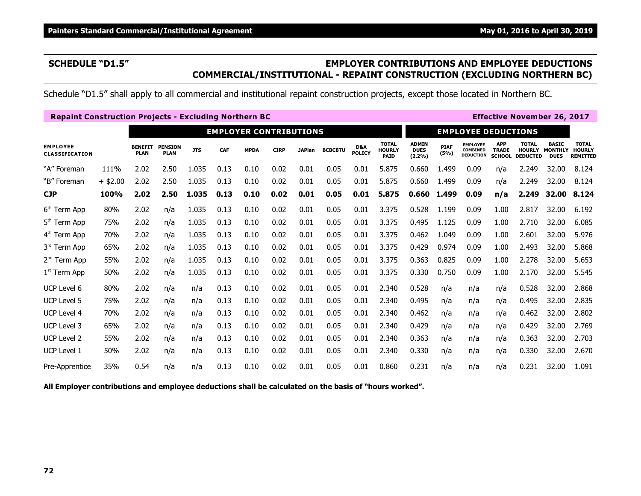# **SCHEDULE "D1.5" EMPLOYER CONTRIBUTIONS AND EMPLOYEE DEDUCTIONS COMMERCIAL/INSTITUTIONAL - REPAINT CONSTRUCTION (EXCLUDING NORTHERN BC)**

Schedule "D1.5" shall apply to all commercial and institutional repaint construction projects, except those located in Northern BC.

| <b>Repaint Construction Projects - Excluding Northern BC</b> |            |                               |                               |            |                            |             |             |               |                |                      |                                              |                                       |                     |                                                        |                                             | <b>Effective November 26, 2017</b>               |                                               |                                                  |
|--------------------------------------------------------------|------------|-------------------------------|-------------------------------|------------|----------------------------|-------------|-------------|---------------|----------------|----------------------|----------------------------------------------|---------------------------------------|---------------------|--------------------------------------------------------|---------------------------------------------|--------------------------------------------------|-----------------------------------------------|--------------------------------------------------|
|                                                              |            |                               |                               |            | <b>EMPLOYEE DEDUCTIONS</b> |             |             |               |                |                      |                                              |                                       |                     |                                                        |                                             |                                                  |                                               |                                                  |
| <b>EMPLOYEE</b><br>CLASSIFICATION                            |            | <b>BENEFIT</b><br><b>PLAN</b> | <b>PENSION</b><br><b>PLAN</b> | <b>JTS</b> | <b>CAF</b>                 | <b>MPDA</b> | <b>CIRP</b> | <b>JAPlan</b> | <b>BCBCBTU</b> | D&A<br><b>POLICY</b> | <b>TOTAL</b><br><b>HOURLY</b><br><b>PAID</b> | <b>ADMIN</b><br><b>DUES</b><br>(2.2%) | <b>PIAF</b><br>(5%) | <b>EMPLOYEE</b><br><b>COMBINED</b><br><b>DEDUCTION</b> | <b>APP</b><br><b>TRADE</b><br><b>SCHOOL</b> | <b>TOTAL</b><br><b>HOURLY</b><br><b>DEDUCTED</b> | <b>BASIC</b><br><b>MONTHLY</b><br><b>DUES</b> | <b>TOTAL</b><br><b>HOURLY</b><br><b>REMITTED</b> |
| "A" Foreman                                                  | 111%       | 2.02                          | 2.50                          | 1.035      | 0.13                       | 0.10        | 0.02        | 0.01          | 0.05           | 0.01                 | 5.875                                        | 0.660                                 | 1.499               | 0.09                                                   | n/a                                         | 2.249                                            | 32.00                                         | 8.124                                            |
| "B" Foreman                                                  | $+$ \$2.00 | 2.02                          | 2.50                          | 1.035      | 0.13                       | 0.10        | 0.02        | 0.01          | 0.05           | 0.01                 | 5.875                                        | 0.660                                 | 1.499               | 0.09                                                   | n/a                                         | 2.249                                            | 32.00                                         | 8.124                                            |
| <b>CJP</b>                                                   | 100%       | 2.02                          | 2.50                          | 1.035      | 0.13                       | 0.10        | 0.02        | 0.01          | 0.05           | 0.01                 | 5.875                                        | 0.660                                 | 1.499               | 0.09                                                   | n/a                                         | 2.249                                            | 32.00                                         | 8.124                                            |
| 6 <sup>th</sup> Term App                                     | 80%        | 2.02                          | n/a                           | 1.035      | 0.13                       | 0.10        | 0.02        | 0.01          | 0.05           | 0.01                 | 3.375                                        | 0.528                                 | 1.199               | 0.09                                                   | 1.00                                        | 2.817                                            | 32.00                                         | 6.192                                            |
| 5 <sup>th</sup> Term App                                     | 75%        | 2.02                          | n/a                           | 1.035      | 0.13                       | 0.10        | 0.02        | 0.01          | 0.05           | 0.01                 | 3.375                                        | 0.495                                 | 1.125               | 0.09                                                   | 1.00                                        | 2.710                                            | 32.00                                         | 6.085                                            |
| 4 <sup>th</sup> Term App                                     | 70%        | 2.02                          | n/a                           | 1.035      | 0.13                       | 0.10        | 0.02        | 0.01          | 0.05           | 0.01                 | 3.375                                        | 0.462                                 | 1.049               | 0.09                                                   | 1.00                                        | 2.601                                            | 32.00                                         | 5.976                                            |
| 3rd Term App                                                 | 65%        | 2.02                          | n/a                           | 1.035      | 0.13                       | 0.10        | 0.02        | 0.01          | 0.05           | 0.01                 | 3.375                                        | 0.429                                 | 0.974               | 0.09                                                   | 1.00                                        | 2.493                                            | 32.00                                         | 5.868                                            |
| $2nd$ Term App                                               | 55%        | 2.02                          | n/a                           | 1.035      | 0.13                       | 0.10        | 0.02        | 0.01          | 0.05           | 0.01                 | 3.375                                        | 0.363                                 | 0.825               | 0.09                                                   | 1.00                                        | 2.278                                            | 32.00                                         | 5.653                                            |
| $1st$ Term App                                               | 50%        | 2.02                          | n/a                           | 1.035      | 0.13                       | 0.10        | 0.02        | 0.01          | 0.05           | 0.01                 | 3.375                                        | 0.330                                 | 0.750               | 0.09                                                   | 1.00                                        | 2.170                                            | 32.00                                         | 5.545                                            |
| UCP Level 6                                                  | 80%        | 2.02                          | n/a                           | n/a        | 0.13                       | 0.10        | 0.02        | 0.01          | 0.05           | 0.01                 | 2.340                                        | 0.528                                 | n/a                 | n/a                                                    | n/a                                         | 0.528                                            | 32.00                                         | 2.868                                            |
| <b>UCP Level 5</b>                                           | 75%        | 2.02                          | n/a                           | n/a        | 0.13                       | 0.10        | 0.02        | 0.01          | 0.05           | 0.01                 | 2.340                                        | 0.495                                 | n/a                 | n/a                                                    | n/a                                         | 0.495                                            | 32.00                                         | 2.835                                            |
| <b>UCP Level 4</b>                                           | 70%        | 2.02                          | n/a                           | n/a        | 0.13                       | 0.10        | 0.02        | 0.01          | 0.05           | 0.01                 | 2.340                                        | 0.462                                 | n/a                 | n/a                                                    | n/a                                         | 0.462                                            | 32.00                                         | 2.802                                            |
| <b>UCP Level 3</b>                                           | 65%        | 2.02                          | n/a                           | n/a        | 0.13                       | 0.10        | 0.02        | 0.01          | 0.05           | 0.01                 | 2.340                                        | 0.429                                 | n/a                 | n/a                                                    | n/a                                         | 0.429                                            | 32.00                                         | 2.769                                            |
| <b>UCP Level 2</b>                                           | 55%        | 2.02                          | n/a                           | n/a        | 0.13                       | 0.10        | 0.02        | 0.01          | 0.05           | 0.01                 | 2.340                                        | 0.363                                 | n/a                 | n/a                                                    | n/a                                         | 0.363                                            | 32.00                                         | 2.703                                            |
| <b>UCP Level 1</b>                                           | 50%        | 2.02                          | n/a                           | n/a        | 0.13                       | 0.10        | 0.02        | 0.01          | 0.05           | 0.01                 | 2.340                                        | 0.330                                 | n/a                 | n/a                                                    | n/a                                         | 0.330                                            | 32.00                                         | 2.670                                            |
| Pre-Apprentice                                               | 35%        | 0.54                          | n/a                           | n/a        | 0.13                       | 0.10        | 0.02        | 0.01          | 0.05           | 0.01                 | 0.860                                        | 0.231                                 | n/a                 | n/a                                                    | n/a                                         | 0.231                                            | 32.00                                         | 1.091                                            |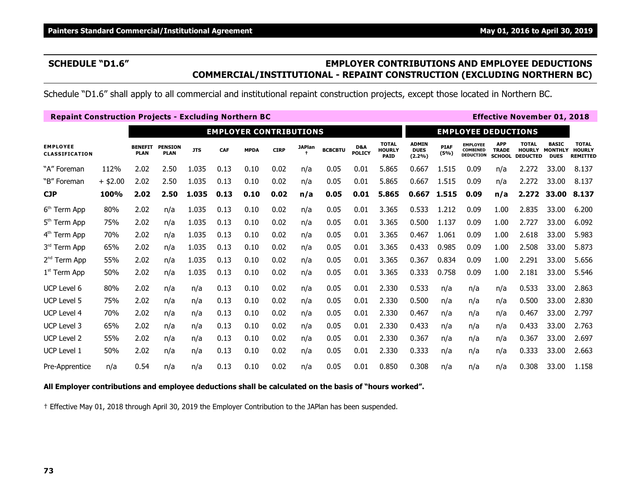# **SCHEDULE "D1.6" EMPLOYER CONTRIBUTIONS AND EMPLOYEE DEDUCTIONS COMMERCIAL/INSTITUTIONAL - REPAINT CONSTRUCTION (EXCLUDING NORTHERN BC)**

Schedule "D1.6" shall apply to all commercial and institutional repaint construction projects, except those located in Northern BC.

| <b>Repaint Construction Projects - Excluding Northern BC</b> |            |                               |                               |            |            |                               |             |               |                |                      |                                              |                                       |                     |                                                        |                                             | <b>Effective November 01, 2018</b> |                                                      |                                                  |
|--------------------------------------------------------------|------------|-------------------------------|-------------------------------|------------|------------|-------------------------------|-------------|---------------|----------------|----------------------|----------------------------------------------|---------------------------------------|---------------------|--------------------------------------------------------|---------------------------------------------|------------------------------------|------------------------------------------------------|--------------------------------------------------|
|                                                              |            |                               |                               |            |            | <b>EMPLOYER CONTRIBUTIONS</b> |             |               |                |                      |                                              |                                       |                     | <b>EMPLOYEE DEDUCTIONS</b>                             |                                             |                                    |                                                      |                                                  |
| <b>EMPLOYEE</b><br><b>CLASSIFICATION</b>                     |            | <b>BENEFIT</b><br><b>PLAN</b> | <b>PENSION</b><br><b>PLAN</b> | <b>JTS</b> | <b>CAF</b> | <b>MPDA</b>                   | <b>CIRP</b> | <b>JAPlan</b> | <b>BCBCBTU</b> | D&A<br><b>POLICY</b> | <b>TOTAL</b><br><b>HOURLY</b><br><b>PAID</b> | <b>ADMIN</b><br><b>DUES</b><br>(2.2%) | <b>PIAF</b><br>(5%) | <b>EMPLOYEE</b><br><b>COMBINED</b><br><b>DEDUCTION</b> | <b>APP</b><br><b>TRADE</b><br><b>SCHOOL</b> | <b>TOTAL</b><br><b>DEDUCTED</b>    | <b>BASIC</b><br><b>HOURLY MONTHLY</b><br><b>DUES</b> | <b>TOTAL</b><br><b>HOURLY</b><br><b>REMITTED</b> |
| "A" Foreman                                                  | 112%       | 2.02                          | 2.50                          | 1.035      | 0.13       | 0.10                          | 0.02        | n/a           | 0.05           | 0.01                 | 5.865                                        | 0.667                                 | 1.515               | 0.09                                                   | n/a                                         | 2.272                              | 33.00                                                | 8.137                                            |
| "B" Foreman                                                  | $+$ \$2.00 | 2.02                          | 2.50                          | 1.035      | 0.13       | 0.10                          | 0.02        | n/a           | 0.05           | 0.01                 | 5.865                                        | 0.667                                 | 1.515               | 0.09                                                   | n/a                                         | 2.272                              | 33.00                                                | 8.137                                            |
| <b>CJP</b>                                                   | 100%       | 2.02                          | 2.50                          | 1.035      | 0.13       | 0.10                          | 0.02        | n/a           | 0.05           | 0.01                 | 5.865                                        |                                       | 0.667 1.515         | 0.09                                                   | n/a                                         | 2.272                              | 33.00                                                | 8.137                                            |
| 6 <sup>th</sup> Term App                                     | 80%        | 2.02                          | n/a                           | 1.035      | 0.13       | 0.10                          | 0.02        | n/a           | 0.05           | 0.01                 | 3.365                                        | 0.533                                 | 1.212               | 0.09                                                   | 1.00                                        | 2.835                              | 33.00                                                | 6.200                                            |
| $5th$ Term App                                               | 75%        | 2.02                          | n/a                           | 1.035      | 0.13       | 0.10                          | 0.02        | n/a           | 0.05           | 0.01                 | 3.365                                        | 0.500                                 | 1.137               | 0.09                                                   | 1.00                                        | 2.727                              | 33.00                                                | 6.092                                            |
| 4 <sup>th</sup> Term App                                     | 70%        | 2.02                          | n/a                           | 1.035      | 0.13       | 0.10                          | 0.02        | n/a           | 0.05           | 0.01                 | 3.365                                        | 0.467                                 | 1.061               | 0.09                                                   | 1.00                                        | 2.618                              | 33.00                                                | 5.983                                            |
| 3rd Term App                                                 | 65%        | 2.02                          | n/a                           | 1.035      | 0.13       | 0.10                          | 0.02        | n/a           | 0.05           | 0.01                 | 3.365                                        | 0.433                                 | 0.985               | 0.09                                                   | 1.00                                        | 2.508                              | 33.00                                                | 5.873                                            |
| 2 <sup>nd</sup> Term App                                     | 55%        | 2.02                          | n/a                           | 1.035      | 0.13       | 0.10                          | 0.02        | n/a           | 0.05           | 0.01                 | 3.365                                        | 0.367                                 | 0.834               | 0.09                                                   | 1.00                                        | 2.291                              | 33.00                                                | 5.656                                            |
| $1st$ Term App                                               | 50%        | 2.02                          | n/a                           | 1.035      | 0.13       | 0.10                          | 0.02        | n/a           | 0.05           | 0.01                 | 3.365                                        | 0.333                                 | 0.758               | 0.09                                                   | 1.00                                        | 2.181                              | 33.00                                                | 5.546                                            |
| UCP Level 6                                                  | 80%        | 2.02                          | n/a                           | n/a        | 0.13       | 0.10                          | 0.02        | n/a           | 0.05           | 0.01                 | 2.330                                        | 0.533                                 | n/a                 | n/a                                                    | n/a                                         | 0.533                              | 33.00                                                | 2.863                                            |
| <b>UCP Level 5</b>                                           | 75%        | 2.02                          | n/a                           | n/a        | 0.13       | 0.10                          | 0.02        | n/a           | 0.05           | 0.01                 | 2.330                                        | 0.500                                 | n/a                 | n/a                                                    | n/a                                         | 0.500                              | 33.00                                                | 2.830                                            |
| UCP Level 4                                                  | 70%        | 2.02                          | n/a                           | n/a        | 0.13       | 0.10                          | 0.02        | n/a           | 0.05           | 0.01                 | 2.330                                        | 0.467                                 | n/a                 | n/a                                                    | n/a                                         | 0.467                              | 33.00                                                | 2.797                                            |
| <b>UCP Level 3</b>                                           | 65%        | 2.02                          | n/a                           | n/a        | 0.13       | 0.10                          | 0.02        | n/a           | 0.05           | 0.01                 | 2.330                                        | 0.433                                 | n/a                 | n/a                                                    | n/a                                         | 0.433                              | 33.00                                                | 2.763                                            |
| UCP Level 2                                                  | 55%        | 2.02                          | n/a                           | n/a        | 0.13       | 0.10                          | 0.02        | n/a           | 0.05           | 0.01                 | 2.330                                        | 0.367                                 | n/a                 | n/a                                                    | n/a                                         | 0.367                              | 33.00                                                | 2.697                                            |
| UCP Level 1                                                  | 50%        | 2.02                          | n/a                           | n/a        | 0.13       | 0.10                          | 0.02        | n/a           | 0.05           | 0.01                 | 2.330                                        | 0.333                                 | n/a                 | n/a                                                    | n/a                                         | 0.333                              | 33.00                                                | 2.663                                            |
| Pre-Apprentice                                               | n/a        | 0.54                          | n/a                           | n/a        | 0.13       | 0.10                          | 0.02        | n/a           | 0.05           | 0.01                 | 0.850                                        | 0.308                                 | n/a                 | n/a                                                    | n/a                                         | 0.308                              | 33.00                                                | 1.158                                            |

### **All Employer contributions and employee deductions shall be calculated on the basis of "hours worked".**

† Effective May 01, 2018 through April 30, 2019 the Employer Contribution to the JAPlan has been suspended.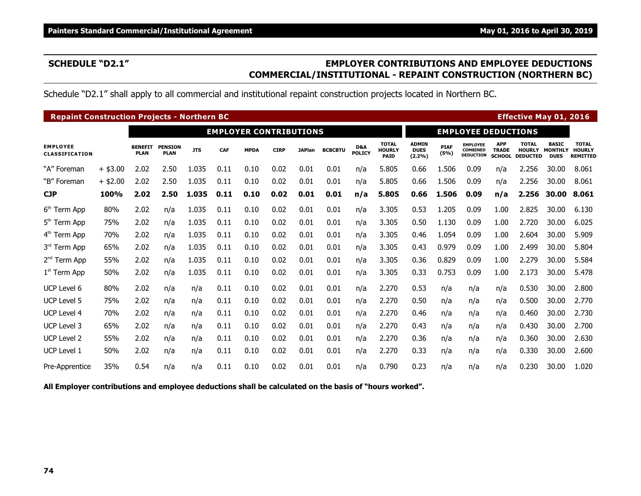# **SCHEDULE "D2.1" EMPLOYER CONTRIBUTIONS AND EMPLOYEE DEDUCTIONS COMMERCIAL/INSTITUTIONAL - REPAINT CONSTRUCTION (NORTHERN BC)**

Schedule "D2.1" shall apply to all commercial and institutional repaint construction projects located in Northern BC.

| <b>Repaint Construction Projects - Northern BC</b> |            |                               |                               |            |                               |             |             |               |                            |                      |                                              |                                          |                     |                                                        |                                             | <b>Effective May 01, 2016</b>                    |                                               |                                                  |
|----------------------------------------------------|------------|-------------------------------|-------------------------------|------------|-------------------------------|-------------|-------------|---------------|----------------------------|----------------------|----------------------------------------------|------------------------------------------|---------------------|--------------------------------------------------------|---------------------------------------------|--------------------------------------------------|-----------------------------------------------|--------------------------------------------------|
|                                                    |            |                               |                               |            | <b>EMPLOYER CONTRIBUTIONS</b> |             |             |               | <b>EMPLOYEE DEDUCTIONS</b> |                      |                                              |                                          |                     |                                                        |                                             |                                                  |                                               |                                                  |
| <b>EMPLOYEE</b><br><b>CLASSIFICATION</b>           |            | <b>BENEFIT</b><br><b>PLAN</b> | <b>PENSION</b><br><b>PLAN</b> | <b>JTS</b> | CAF                           | <b>MPDA</b> | <b>CIRP</b> | <b>JAPlan</b> | <b>BCBCBTU</b>             | D&A<br><b>POLICY</b> | <b>TOTAL</b><br><b>HOURLY</b><br><b>PAID</b> | <b>ADMIN</b><br><b>DUES</b><br>$(2.2\%)$ | <b>PIAF</b><br>(5%) | <b>EMPLOYEE</b><br><b>COMBINED</b><br><b>DEDUCTION</b> | <b>APP</b><br><b>TRADE</b><br><b>SCHOOL</b> | <b>TOTAL</b><br><b>HOURLY</b><br><b>DEDUCTED</b> | <b>BASIC</b><br><b>MONTHLY</b><br><b>DUES</b> | <b>TOTAL</b><br><b>HOURLY</b><br><b>REMITTED</b> |
| "A" Foreman                                        | $+$ \$3.00 | 2.02                          | 2.50                          | 1.035      | 0.11                          | 0.10        | 0.02        | 0.01          | 0.01                       | n/a                  | 5.805                                        | 0.66                                     | 1.506               | 0.09                                                   | n/a                                         | 2.256                                            | 30.00                                         | 8.061                                            |
| "B" Foreman                                        | $+$ \$2.00 | 2.02                          | 2.50                          | 1.035      | 0.11                          | 0.10        | 0.02        | 0.01          | 0.01                       | n/a                  | 5.805                                        | 0.66                                     | 1.506               | 0.09                                                   | n/a                                         | 2.256                                            | 30.00                                         | 8.061                                            |
| <b>CJP</b>                                         | 100%       | 2.02                          | 2.50                          | 1.035      | 0.11                          | 0.10        | 0.02        | 0.01          | 0.01                       | n/a                  | 5.805                                        | 0.66                                     | 1.506               | 0.09                                                   | n/a                                         | 2.256                                            | 30.00                                         | 8.061                                            |
| 6 <sup>th</sup> Term App                           | 80%        | 2.02                          | n/a                           | 1.035      | 0.11                          | 0.10        | 0.02        | 0.01          | 0.01                       | n/a                  | 3.305                                        | 0.53                                     | 1.205               | 0.09                                                   | 1.00                                        | 2.825                                            | 30.00                                         | 6.130                                            |
| 5 <sup>th</sup> Term App                           | 75%        | 2.02                          | n/a                           | 1.035      | 0.11                          | 0.10        | 0.02        | 0.01          | 0.01                       | n/a                  | 3.305                                        | 0.50                                     | 1.130               | 0.09                                                   | 1.00                                        | 2.720                                            | 30.00                                         | 6.025                                            |
| 4 <sup>th</sup> Term App                           | 70%        | 2.02                          | n/a                           | 1.035      | 0.11                          | 0.10        | 0.02        | 0.01          | 0.01                       | n/a                  | 3.305                                        | 0.46                                     | 1.054               | 0.09                                                   | 1.00                                        | 2.604                                            | 30.00                                         | 5.909                                            |
| 3rd Term App                                       | 65%        | 2.02                          | n/a                           | 1.035      | 0.11                          | 0.10        | 0.02        | 0.01          | 0.01                       | n/a                  | 3.305                                        | 0.43                                     | 0.979               | 0.09                                                   | 1.00                                        | 2.499                                            | 30.00                                         | 5.804                                            |
| 2 <sup>nd</sup> Term App                           | 55%        | 2.02                          | n/a                           | 1.035      | 0.11                          | 0.10        | 0.02        | 0.01          | 0.01                       | n/a                  | 3.305                                        | 0.36                                     | 0.829               | 0.09                                                   | 1.00                                        | 2.279                                            | 30.00                                         | 5.584                                            |
| $1st$ Term App                                     | 50%        | 2.02                          | n/a                           | 1.035      | 0.11                          | 0.10        | 0.02        | 0.01          | 0.01                       | n/a                  | 3.305                                        | 0.33                                     | 0.753               | 0.09                                                   | 1.00                                        | 2.173                                            | 30.00                                         | 5.478                                            |
| UCP Level 6                                        | 80%        | 2.02                          | n/a                           | n/a        | 0.11                          | 0.10        | 0.02        | 0.01          | 0.01                       | n/a                  | 2.270                                        | 0.53                                     | n/a                 | n/a                                                    | n/a                                         | 0.530                                            | 30.00                                         | 2.800                                            |
| <b>UCP Level 5</b>                                 | 75%        | 2.02                          | n/a                           | n/a        | 0.11                          | 0.10        | 0.02        | 0.01          | 0.01                       | n/a                  | 2.270                                        | 0.50                                     | n/a                 | n/a                                                    | n/a                                         | 0.500                                            | 30.00                                         | 2.770                                            |
| UCP Level 4                                        | 70%        | 2.02                          | n/a                           | n/a        | 0.11                          | 0.10        | 0.02        | 0.01          | 0.01                       | n/a                  | 2.270                                        | 0.46                                     | n/a                 | n/a                                                    | n/a                                         | 0.460                                            | 30.00                                         | 2.730                                            |
| UCP Level 3                                        | 65%        | 2.02                          | n/a                           | n/a        | 0.11                          | 0.10        | 0.02        | 0.01          | 0.01                       | n/a                  | 2.270                                        | 0.43                                     | n/a                 | n/a                                                    | n/a                                         | 0.430                                            | 30.00                                         | 2.700                                            |
| <b>UCP Level 2</b>                                 | 55%        | 2.02                          | n/a                           | n/a        | 0.11                          | 0.10        | 0.02        | 0.01          | 0.01                       | n/a                  | 2.270                                        | 0.36                                     | n/a                 | n/a                                                    | n/a                                         | 0.360                                            | 30.00                                         | 2.630                                            |
| UCP Level 1                                        | 50%        | 2.02                          | n/a                           | n/a        | 0.11                          | 0.10        | 0.02        | 0.01          | 0.01                       | n/a                  | 2.270                                        | 0.33                                     | n/a                 | n/a                                                    | n/a                                         | 0.330                                            | 30.00                                         | 2.600                                            |
| Pre-Apprentice                                     | 35%        | 0.54                          | n/a                           | n/a        | 0.11                          | 0.10        | 0.02        | 0.01          | 0.01                       | n/a                  | 0.790                                        | 0.23                                     | n/a                 | n/a                                                    | n/a                                         | 0.230                                            | 30.00                                         | 1.020                                            |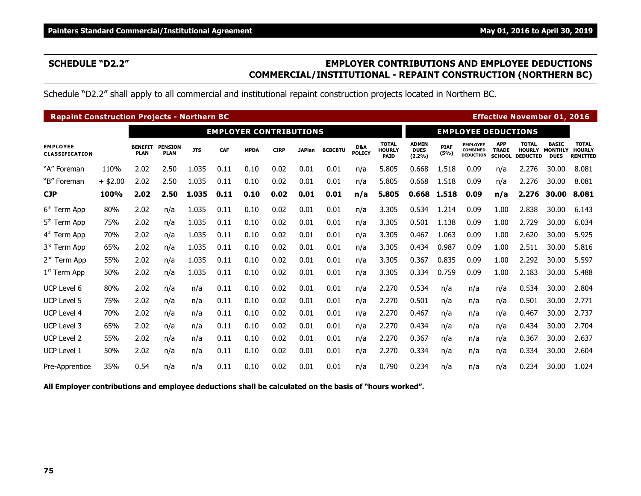# **SCHEDULE "D2.2" EMPLOYER CONTRIBUTIONS AND EMPLOYEE DEDUCTIONS COMMERCIAL/INSTITUTIONAL - REPAINT CONSTRUCTION (NORTHERN BC)**

Schedule "D2.2" shall apply to all commercial and institutional repaint construction projects located in Northern BC.

| <b>Repaint Construction Projects - Northern BC</b> |            |                               |                               |            |                            |             |             |               |                |                      |                                              |                                       |                     |                                                        |                                             | <b>Effective November 01, 2016</b> |                                                      |                                                  |
|----------------------------------------------------|------------|-------------------------------|-------------------------------|------------|----------------------------|-------------|-------------|---------------|----------------|----------------------|----------------------------------------------|---------------------------------------|---------------------|--------------------------------------------------------|---------------------------------------------|------------------------------------|------------------------------------------------------|--------------------------------------------------|
|                                                    |            |                               |                               |            | <b>EMPLOYEE DEDUCTIONS</b> |             |             |               |                |                      |                                              |                                       |                     |                                                        |                                             |                                    |                                                      |                                                  |
| <b>EMPLOYEE</b><br><b>CLASSIFICATION</b>           |            | <b>BENEFIT</b><br><b>PLAN</b> | <b>PENSION</b><br><b>PLAN</b> | <b>JTS</b> | <b>CAF</b>                 | <b>MPDA</b> | <b>CIRP</b> | <b>JAPlan</b> | <b>BCBCBTU</b> | D&A<br><b>POLICY</b> | <b>TOTAL</b><br><b>HOURLY</b><br><b>PAID</b> | <b>ADMIN</b><br><b>DUES</b><br>(2.2%) | <b>PIAF</b><br>(5%) | <b>EMPLOYEE</b><br><b>COMBINED</b><br><b>DEDUCTION</b> | <b>APP</b><br><b>TRADE</b><br><b>SCHOOL</b> | <b>TOTAL</b><br><b>DEDUCTED</b>    | <b>BASIC</b><br><b>HOURLY MONTHLY</b><br><b>DUES</b> | <b>TOTAL</b><br><b>HOURLY</b><br><b>REMITTED</b> |
| "A" Foreman                                        | 110%       | 2.02                          | 2.50                          | 1.035      | 0.11                       | 0.10        | 0.02        | 0.01          | 0.01           | n/a                  | 5.805                                        | 0.668                                 | 1.518               | 0.09                                                   | n/a                                         | 2.276                              | 30.00                                                | 8.081                                            |
| "B" Foreman                                        | $+$ \$2.00 | 2.02                          | 2.50                          | 1.035      | 0.11                       | 0.10        | 0.02        | 0.01          | 0.01           | n/a                  | 5.805                                        | 0.668                                 | 1.518               | 0.09                                                   | n/a                                         | 2.276                              | 30.00                                                | 8.081                                            |
| <b>CJP</b>                                         | 100%       | 2.02                          | 2.50                          | 1.035      | 0.11                       | 0.10        | 0.02        | 0.01          | 0.01           | n/a                  | 5.805                                        | 0.668                                 | 1.518               | 0.09                                                   | n/a                                         | 2.276                              | 30.00                                                | 8.081                                            |
| 6 <sup>th</sup> Term App                           | 80%        | 2.02                          | n/a                           | 1.035      | 0.11                       | 0.10        | 0.02        | 0.01          | 0.01           | n/a                  | 3.305                                        | 0.534                                 | 1.214               | 0.09                                                   | 1.00                                        | 2.838                              | 30.00                                                | 6.143                                            |
| $5th$ Term App                                     | 75%        | 2.02                          | n/a                           | 1.035      | 0.11                       | 0.10        | 0.02        | 0.01          | 0.01           | n/a                  | 3.305                                        | 0.501                                 | 1.138               | 0.09                                                   | 1.00                                        | 2.729                              | 30.00                                                | 6.034                                            |
| 4 <sup>th</sup> Term App                           | 70%        | 2.02                          | n/a                           | 1.035      | 0.11                       | 0.10        | 0.02        | 0.01          | 0.01           | n/a                  | 3.305                                        | 0.467                                 | 1.063               | 0.09                                                   | 1.00                                        | 2.620                              | 30.00                                                | 5.925                                            |
| 3rd Term App                                       | 65%        | 2.02                          | n/a                           | 1.035      | 0.11                       | 0.10        | 0.02        | 0.01          | 0.01           | n/a                  | 3.305                                        | 0.434                                 | 0.987               | 0.09                                                   | 1.00                                        | 2.511                              | 30.00                                                | 5.816                                            |
| 2 <sup>nd</sup> Term App                           | 55%        | 2.02                          | n/a                           | 1.035      | 0.11                       | 0.10        | 0.02        | 0.01          | 0.01           | n/a                  | 3.305                                        | 0.367                                 | 0.835               | 0.09                                                   | 1.00                                        | 2.292                              | 30.00                                                | 5.597                                            |
| $1st$ Term App                                     | 50%        | 2.02                          | n/a                           | 1.035      | 0.11                       | 0.10        | 0.02        | 0.01          | 0.01           | n/a                  | 3.305                                        | 0.334                                 | 0.759               | 0.09                                                   | 1.00                                        | 2.183                              | 30.00                                                | 5.488                                            |
| <b>UCP Level 6</b>                                 | 80%        | 2.02                          | n/a                           | n/a        | 0.11                       | 0.10        | 0.02        | 0.01          | 0.01           | n/a                  | 2.270                                        | 0.534                                 | n/a                 | n/a                                                    | n/a                                         | 0.534                              | 30.00                                                | 2.804                                            |
| <b>UCP Level 5</b>                                 | 75%        | 2.02                          | n/a                           | n/a        | 0.11                       | 0.10        | 0.02        | 0.01          | 0.01           | n/a                  | 2.270                                        | 0.501                                 | n/a                 | n/a                                                    | n/a                                         | 0.501                              | 30.00                                                | 2.771                                            |
| <b>UCP Level 4</b>                                 | 70%        | 2.02                          | n/a                           | n/a        | 0.11                       | 0.10        | 0.02        | 0.01          | 0.01           | n/a                  | 2.270                                        | 0.467                                 | n/a                 | n/a                                                    | n/a                                         | 0.467                              | 30.00                                                | 2.737                                            |
| <b>UCP Level 3</b>                                 | 65%        | 2.02                          | n/a                           | n/a        | 0.11                       | 0.10        | 0.02        | 0.01          | 0.01           | n/a                  | 2.270                                        | 0.434                                 | n/a                 | n/a                                                    | n/a                                         | 0.434                              | 30.00                                                | 2.704                                            |
| <b>UCP Level 2</b>                                 | 55%        | 2.02                          | n/a                           | n/a        | 0.11                       | 0.10        | 0.02        | 0.01          | 0.01           | n/a                  | 2.270                                        | 0.367                                 | n/a                 | n/a                                                    | n/a                                         | 0.367                              | 30.00                                                | 2.637                                            |
| <b>UCP Level 1</b>                                 | 50%        | 2.02                          | n/a                           | n/a        | 0.11                       | 0.10        | 0.02        | 0.01          | 0.01           | n/a                  | 2.270                                        | 0.334                                 | n/a                 | n/a                                                    | n/a                                         | 0.334                              | 30.00                                                | 2.604                                            |
| Pre-Apprentice                                     | 35%        | 0.54                          | n/a                           | n/a        | 0.11                       | 0.10        | 0.02        | 0.01          | 0.01           | n/a                  | 0.790                                        | 0.234                                 | n/a                 | n/a                                                    | n/a                                         | 0.234                              | 30.00                                                | 1.024                                            |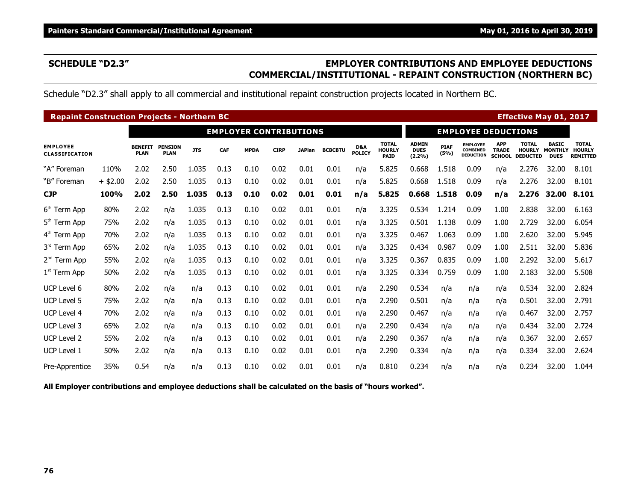# **SCHEDULE "D2.3" EMPLOYER CONTRIBUTIONS AND EMPLOYEE DEDUCTIONS COMMERCIAL/INSTITUTIONAL - REPAINT CONSTRUCTION (NORTHERN BC)**

Schedule "D2.3" shall apply to all commercial and institutional repaint construction projects located in Northern BC.

| <b>Repaint Construction Projects - Northern BC</b> |            |                               |                               |            |                            |             |             |               |                |                      |                                       |                                          |                     |                                                 |                                             | <b>Effective May 01, 2017</b>                    |                                               |                                                  |
|----------------------------------------------------|------------|-------------------------------|-------------------------------|------------|----------------------------|-------------|-------------|---------------|----------------|----------------------|---------------------------------------|------------------------------------------|---------------------|-------------------------------------------------|---------------------------------------------|--------------------------------------------------|-----------------------------------------------|--------------------------------------------------|
|                                                    |            |                               |                               |            | <b>EMPLOYEE DEDUCTIONS</b> |             |             |               |                |                      |                                       |                                          |                     |                                                 |                                             |                                                  |                                               |                                                  |
| <b>EMPLOYEE</b><br><b>CLASSIFICATION</b>           |            | <b>BENEFIT</b><br><b>PLAN</b> | <b>PENSION</b><br><b>PLAN</b> | <b>JTS</b> | CAF                        | <b>MPDA</b> | <b>CIRP</b> | <b>JAPlan</b> | <b>BCBCBTU</b> | D&A<br><b>POLICY</b> | TOTAL<br><b>HOURLY</b><br><b>PAID</b> | <b>ADMIN</b><br><b>DUES</b><br>$(2.2\%)$ | <b>PIAF</b><br>(5%) | <b>EMPLOYEE</b><br>COMBINED<br><b>DEDUCTION</b> | <b>APP</b><br><b>TRADE</b><br><b>SCHOOL</b> | <b>TOTAL</b><br><b>HOURLY</b><br><b>DEDUCTED</b> | <b>BASIC</b><br><b>MONTHLY</b><br><b>DUES</b> | <b>TOTAL</b><br><b>HOURLY</b><br><b>REMITTED</b> |
| "A" Foreman                                        | 110%       | 2.02                          | 2.50                          | 1.035      | 0.13                       | 0.10        | 0.02        | 0.01          | 0.01           | n/a                  | 5.825                                 | 0.668                                    | 1.518               | 0.09                                            | n/a                                         | 2.276                                            | 32.00                                         | 8.101                                            |
| "B" Foreman                                        | $+$ \$2.00 | 2.02                          | 2.50                          | 1.035      | 0.13                       | 0.10        | 0.02        | 0.01          | 0.01           | n/a                  | 5.825                                 | 0.668                                    | 1.518               | 0.09                                            | n/a                                         | 2.276                                            | 32.00                                         | 8.101                                            |
| <b>CJP</b>                                         | 100%       | 2.02                          | 2.50                          | 1.035      | 0.13                       | 0.10        | 0.02        | 0.01          | 0.01           | n/a                  | 5.825                                 | 0.668                                    | 1.518               | 0.09                                            | n/a                                         | 2.276                                            | 32.00                                         | 8.101                                            |
| 6 <sup>th</sup> Term App                           | 80%        | 2.02                          | n/a                           | 1.035      | 0.13                       | 0.10        | 0.02        | 0.01          | 0.01           | n/a                  | 3.325                                 | 0.534                                    | 1.214               | 0.09                                            | 1.00                                        | 2.838                                            | 32.00                                         | 6.163                                            |
| 5 <sup>th</sup> Term App                           | 75%        | 2.02                          | n/a                           | 1.035      | 0.13                       | 0.10        | 0.02        | 0.01          | 0.01           | n/a                  | 3.325                                 | 0.501                                    | 1.138               | 0.09                                            | 1.00                                        | 2.729                                            | 32.00                                         | 6.054                                            |
| 4 <sup>th</sup> Term App                           | 70%        | 2.02                          | n/a                           | 1.035      | 0.13                       | 0.10        | 0.02        | 0.01          | 0.01           | n/a                  | 3.325                                 | 0.467                                    | 1.063               | 0.09                                            | 1.00                                        | 2.620                                            | 32.00                                         | 5.945                                            |
| 3rd Term App                                       | 65%        | 2.02                          | n/a                           | 1.035      | 0.13                       | 0.10        | 0.02        | 0.01          | 0.01           | n/a                  | 3.325                                 | 0.434                                    | 0.987               | 0.09                                            | 1.00                                        | 2.511                                            | 32.00                                         | 5.836                                            |
| $2nd$ Term App                                     | 55%        | 2.02                          | n/a                           | 1.035      | 0.13                       | 0.10        | 0.02        | 0.01          | 0.01           | n/a                  | 3.325                                 | 0.367                                    | 0.835               | 0.09                                            | 1.00                                        | 2.292                                            | 32.00                                         | 5.617                                            |
| $1st$ Term App                                     | 50%        | 2.02                          | n/a                           | 1.035      | 0.13                       | 0.10        | 0.02        | 0.01          | 0.01           | n/a                  | 3.325                                 | 0.334                                    | 0.759               | 0.09                                            | 1.00                                        | 2.183                                            | 32.00                                         | 5.508                                            |
| UCP Level 6                                        | 80%        | 2.02                          | n/a                           | n/a        | 0.13                       | 0.10        | 0.02        | 0.01          | 0.01           | n/a                  | 2.290                                 | 0.534                                    | n/a                 | n/a                                             | n/a                                         | 0.534                                            | 32.00                                         | 2.824                                            |
| <b>UCP Level 5</b>                                 | 75%        | 2.02                          | n/a                           | n/a        | 0.13                       | 0.10        | 0.02        | 0.01          | 0.01           | n/a                  | 2.290                                 | 0.501                                    | n/a                 | n/a                                             | n/a                                         | 0.501                                            | 32.00                                         | 2.791                                            |
| UCP Level 4                                        | 70%        | 2.02                          | n/a                           | n/a        | 0.13                       | 0.10        | 0.02        | 0.01          | 0.01           | n/a                  | 2.290                                 | 0.467                                    | n/a                 | n/a                                             | n/a                                         | 0.467                                            | 32.00                                         | 2.757                                            |
| UCP Level 3                                        | 65%        | 2.02                          | n/a                           | n/a        | 0.13                       | 0.10        | 0.02        | 0.01          | 0.01           | n/a                  | 2.290                                 | 0.434                                    | n/a                 | n/a                                             | n/a                                         | 0.434                                            | 32.00                                         | 2.724                                            |
| <b>UCP Level 2</b>                                 | 55%        | 2.02                          | n/a                           | n/a        | 0.13                       | 0.10        | 0.02        | 0.01          | 0.01           | n/a                  | 2.290                                 | 0.367                                    | n/a                 | n/a                                             | n/a                                         | 0.367                                            | 32.00                                         | 2.657                                            |
| UCP Level 1                                        | 50%        | 2.02                          | n/a                           | n/a        | 0.13                       | 0.10        | 0.02        | 0.01          | 0.01           | n/a                  | 2.290                                 | 0.334                                    | n/a                 | n/a                                             | n/a                                         | 0.334                                            | 32.00                                         | 2.624                                            |
| Pre-Apprentice                                     | 35%        | 0.54                          | n/a                           | n/a        | 0.13                       | 0.10        | 0.02        | 0.01          | 0.01           | n/a                  | 0.810                                 | 0.234                                    | n/a                 | n/a                                             | n/a                                         | 0.234                                            | 32.00                                         | 1.044                                            |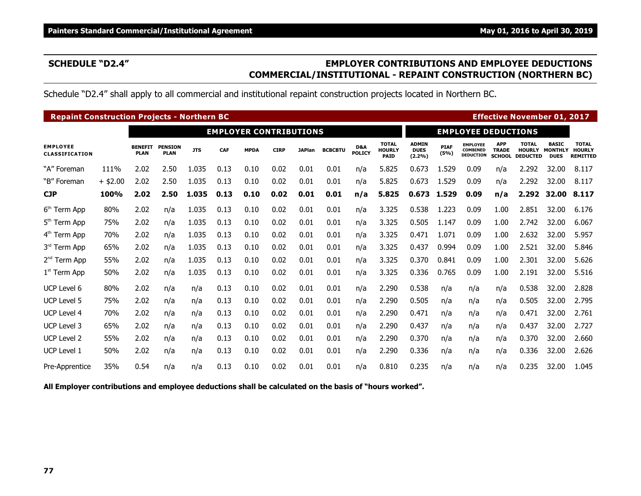# **SCHEDULE "D2.4" EMPLOYER CONTRIBUTIONS AND EMPLOYEE DEDUCTIONS COMMERCIAL/INSTITUTIONAL - REPAINT CONSTRUCTION (NORTHERN BC)**

Schedule "D2.4" shall apply to all commercial and institutional repaint construction projects located in Northern BC.

| <b>Repaint Construction Projects - Northern BC</b> |            |                               |                               |            |                            |             |             |               |                |                      |                                              |                                       |                     |                                                        |                                             | <b>Effective November 01, 2017</b> |                                                      |                                                  |
|----------------------------------------------------|------------|-------------------------------|-------------------------------|------------|----------------------------|-------------|-------------|---------------|----------------|----------------------|----------------------------------------------|---------------------------------------|---------------------|--------------------------------------------------------|---------------------------------------------|------------------------------------|------------------------------------------------------|--------------------------------------------------|
|                                                    |            |                               |                               |            | <b>EMPLOYEE DEDUCTIONS</b> |             |             |               |                |                      |                                              |                                       |                     |                                                        |                                             |                                    |                                                      |                                                  |
| <b>EMPLOYEE</b><br><b>CLASSIFICATION</b>           |            | <b>BENEFIT</b><br><b>PLAN</b> | <b>PENSION</b><br><b>PLAN</b> | <b>JTS</b> | <b>CAF</b>                 | <b>MPDA</b> | <b>CIRP</b> | <b>JAPlan</b> | <b>BCBCBTU</b> | D&A<br><b>POLICY</b> | <b>TOTAL</b><br><b>HOURLY</b><br><b>PAID</b> | <b>ADMIN</b><br><b>DUES</b><br>(2.2%) | <b>PIAF</b><br>(5%) | <b>EMPLOYEE</b><br><b>COMBINED</b><br><b>DEDUCTION</b> | <b>APP</b><br><b>TRADE</b><br><b>SCHOOL</b> | <b>TOTAL</b><br><b>DEDUCTED</b>    | <b>BASIC</b><br><b>HOURLY MONTHLY</b><br><b>DUES</b> | <b>TOTAL</b><br><b>HOURLY</b><br><b>REMITTED</b> |
| "A" Foreman                                        | 111%       | 2.02                          | 2.50                          | 1.035      | 0.13                       | 0.10        | 0.02        | 0.01          | 0.01           | n/a                  | 5.825                                        | 0.673                                 | 1.529               | 0.09                                                   | n/a                                         | 2.292                              | 32.00                                                | 8.117                                            |
| "B" Foreman                                        | $+$ \$2.00 | 2.02                          | 2.50                          | 1.035      | 0.13                       | 0.10        | 0.02        | 0.01          | 0.01           | n/a                  | 5.825                                        | 0.673                                 | 1.529               | 0.09                                                   | n/a                                         | 2.292                              | 32.00                                                | 8.117                                            |
| <b>CJP</b>                                         | 100%       | 2.02                          | 2.50                          | 1.035      | 0.13                       | 0.10        | 0.02        | 0.01          | 0.01           | n/a                  | 5.825                                        | 0.673                                 | 1.529               | 0.09                                                   | n/a                                         | 2.292                              | 32.00                                                | 8.117                                            |
| 6 <sup>th</sup> Term App                           | 80%        | 2.02                          | n/a                           | 1.035      | 0.13                       | 0.10        | 0.02        | 0.01          | 0.01           | n/a                  | 3.325                                        | 0.538                                 | 1.223               | 0.09                                                   | 1.00                                        | 2.851                              | 32.00                                                | 6.176                                            |
| 5 <sup>th</sup> Term App                           | 75%        | 2.02                          | n/a                           | 1.035      | 0.13                       | 0.10        | 0.02        | 0.01          | 0.01           | n/a                  | 3.325                                        | 0.505                                 | 1.147               | 0.09                                                   | 1.00                                        | 2.742                              | 32.00                                                | 6.067                                            |
| 4 <sup>th</sup> Term App                           | 70%        | 2.02                          | n/a                           | 1.035      | 0.13                       | 0.10        | 0.02        | 0.01          | 0.01           | n/a                  | 3.325                                        | 0.471                                 | 1.071               | 0.09                                                   | 1.00                                        | 2.632                              | 32.00                                                | 5.957                                            |
| 3rd Term App                                       | 65%        | 2.02                          | n/a                           | 1.035      | 0.13                       | 0.10        | 0.02        | 0.01          | 0.01           | n/a                  | 3.325                                        | 0.437                                 | 0.994               | 0.09                                                   | 1.00                                        | 2.521                              | 32.00                                                | 5.846                                            |
| 2 <sup>nd</sup> Term App                           | 55%        | 2.02                          | n/a                           | 1.035      | 0.13                       | 0.10        | 0.02        | 0.01          | 0.01           | n/a                  | 3.325                                        | 0.370                                 | 0.841               | 0.09                                                   | 1.00                                        | 2.301                              | 32.00                                                | 5.626                                            |
| $1st$ Term App                                     | 50%        | 2.02                          | n/a                           | 1.035      | 0.13                       | 0.10        | 0.02        | 0.01          | 0.01           | n/a                  | 3.325                                        | 0.336                                 | 0.765               | 0.09                                                   | 1.00                                        | 2.191                              | 32.00                                                | 5.516                                            |
| <b>UCP Level 6</b>                                 | 80%        | 2.02                          | n/a                           | n/a        | 0.13                       | 0.10        | 0.02        | 0.01          | 0.01           | n/a                  | 2.290                                        | 0.538                                 | n/a                 | n/a                                                    | n/a                                         | 0.538                              | 32.00                                                | 2.828                                            |
| <b>UCP Level 5</b>                                 | 75%        | 2.02                          | n/a                           | n/a        | 0.13                       | 0.10        | 0.02        | 0.01          | 0.01           | n/a                  | 2.290                                        | 0.505                                 | n/a                 | n/a                                                    | n/a                                         | 0.505                              | 32.00                                                | 2.795                                            |
| <b>UCP Level 4</b>                                 | 70%        | 2.02                          | n/a                           | n/a        | 0.13                       | 0.10        | 0.02        | 0.01          | 0.01           | n/a                  | 2.290                                        | 0.471                                 | n/a                 | n/a                                                    | n/a                                         | 0.471                              | 32.00                                                | 2.761                                            |
| <b>UCP Level 3</b>                                 | 65%        | 2.02                          | n/a                           | n/a        | 0.13                       | 0.10        | 0.02        | 0.01          | 0.01           | n/a                  | 2.290                                        | 0.437                                 | n/a                 | n/a                                                    | n/a                                         | 0.437                              | 32.00                                                | 2.727                                            |
| <b>UCP Level 2</b>                                 | 55%        | 2.02                          | n/a                           | n/a        | 0.13                       | 0.10        | 0.02        | 0.01          | 0.01           | n/a                  | 2.290                                        | 0.370                                 | n/a                 | n/a                                                    | n/a                                         | 0.370                              | 32.00                                                | 2.660                                            |
| <b>UCP Level 1</b>                                 | 50%        | 2.02                          | n/a                           | n/a        | 0.13                       | 0.10        | 0.02        | 0.01          | 0.01           | n/a                  | 2.290                                        | 0.336                                 | n/a                 | n/a                                                    | n/a                                         | 0.336                              | 32.00                                                | 2.626                                            |
| Pre-Apprentice                                     | 35%        | 0.54                          | n/a                           | n/a        | 0.13                       | 0.10        | 0.02        | 0.01          | 0.01           | n/a                  | 0.810                                        | 0.235                                 | n/a                 | n/a                                                    | n/a                                         | 0.235                              | 32.00                                                | 1.045                                            |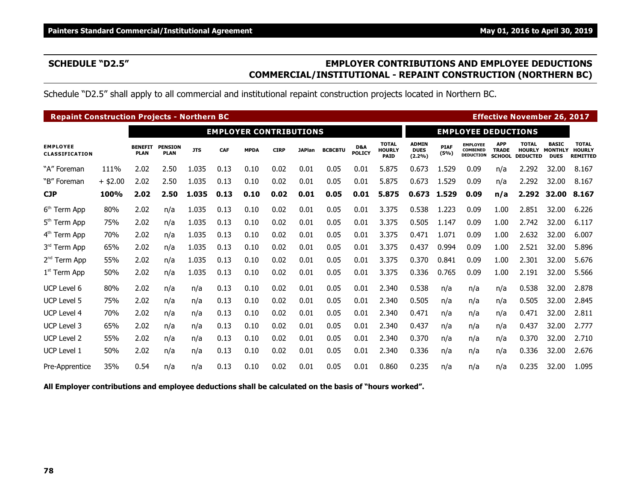# **SCHEDULE "D2.5" EMPLOYER CONTRIBUTIONS AND EMPLOYEE DEDUCTIONS COMMERCIAL/INSTITUTIONAL - REPAINT CONSTRUCTION (NORTHERN BC)**

Schedule "D2.5" shall apply to all commercial and institutional repaint construction projects located in Northern BC.

| <b>Repaint Construction Projects - Northern BC</b> |            |                               |                               |            |                            |             |             |               |                |                      |                                              |                                       |                     |                                                        |                                             | <b>Effective November 26, 2017</b> |                                                      |                                                  |
|----------------------------------------------------|------------|-------------------------------|-------------------------------|------------|----------------------------|-------------|-------------|---------------|----------------|----------------------|----------------------------------------------|---------------------------------------|---------------------|--------------------------------------------------------|---------------------------------------------|------------------------------------|------------------------------------------------------|--------------------------------------------------|
|                                                    |            |                               |                               |            | <b>EMPLOYEE DEDUCTIONS</b> |             |             |               |                |                      |                                              |                                       |                     |                                                        |                                             |                                    |                                                      |                                                  |
| <b>EMPLOYEE</b><br><b>CLASSIFICATION</b>           |            | <b>BENEFIT</b><br><b>PLAN</b> | <b>PENSION</b><br><b>PLAN</b> | <b>JTS</b> | <b>CAF</b>                 | <b>MPDA</b> | <b>CIRP</b> | <b>JAPlan</b> | <b>BCBCBTU</b> | D&A<br><b>POLICY</b> | <b>TOTAL</b><br><b>HOURLY</b><br><b>PAID</b> | <b>ADMIN</b><br><b>DUES</b><br>(2.2%) | <b>PIAF</b><br>(5%) | <b>EMPLOYEE</b><br><b>COMBINED</b><br><b>DEDUCTION</b> | <b>APP</b><br><b>TRADE</b><br><b>SCHOOL</b> | <b>TOTAL</b><br><b>DEDUCTED</b>    | <b>BASIC</b><br><b>HOURLY MONTHLY</b><br><b>DUES</b> | <b>TOTAL</b><br><b>HOURLY</b><br><b>REMITTED</b> |
| "A" Foreman                                        | 111%       | 2.02                          | 2.50                          | 1.035      | 0.13                       | 0.10        | 0.02        | 0.01          | 0.05           | 0.01                 | 5.875                                        | 0.673                                 | 1.529               | 0.09                                                   | n/a                                         | 2.292                              | 32.00                                                | 8.167                                            |
| "B" Foreman                                        | $+$ \$2.00 | 2.02                          | 2.50                          | 1.035      | 0.13                       | 0.10        | 0.02        | 0.01          | 0.05           | 0.01                 | 5.875                                        | 0.673                                 | 1.529               | 0.09                                                   | n/a                                         | 2.292                              | 32.00                                                | 8.167                                            |
| <b>CJP</b>                                         | 100%       | 2.02                          | 2.50                          | 1.035      | 0.13                       | 0.10        | 0.02        | 0.01          | 0.05           | 0.01                 | 5.875                                        | 0.673                                 | 1.529               | 0.09                                                   | n/a                                         | 2.292                              | 32.00                                                | 8.167                                            |
| 6 <sup>th</sup> Term App                           | 80%        | 2.02                          | n/a                           | 1.035      | 0.13                       | 0.10        | 0.02        | 0.01          | 0.05           | 0.01                 | 3.375                                        | 0.538                                 | 1.223               | 0.09                                                   | 1.00                                        | 2.851                              | 32.00                                                | 6.226                                            |
| 5 <sup>th</sup> Term App                           | 75%        | 2.02                          | n/a                           | 1.035      | 0.13                       | 0.10        | 0.02        | 0.01          | 0.05           | 0.01                 | 3.375                                        | 0.505                                 | 1.147               | 0.09                                                   | 1.00                                        | 2.742                              | 32.00                                                | 6.117                                            |
| 4 <sup>th</sup> Term App                           | 70%        | 2.02                          | n/a                           | 1.035      | 0.13                       | 0.10        | 0.02        | 0.01          | 0.05           | 0.01                 | 3.375                                        | 0.471                                 | 1.071               | 0.09                                                   | 1.00                                        | 2.632                              | 32.00                                                | 6.007                                            |
| 3rd Term App                                       | 65%        | 2.02                          | n/a                           | 1.035      | 0.13                       | 0.10        | 0.02        | 0.01          | 0.05           | 0.01                 | 3.375                                        | 0.437                                 | 0.994               | 0.09                                                   | 1.00                                        | 2.521                              | 32.00                                                | 5.896                                            |
| 2 <sup>nd</sup> Term App                           | 55%        | 2.02                          | n/a                           | 1.035      | 0.13                       | 0.10        | 0.02        | 0.01          | 0.05           | 0.01                 | 3.375                                        | 0.370                                 | 0.841               | 0.09                                                   | 1.00                                        | 2.301                              | 32.00                                                | 5.676                                            |
| $1st$ Term App                                     | 50%        | 2.02                          | n/a                           | 1.035      | 0.13                       | 0.10        | 0.02        | 0.01          | 0.05           | 0.01                 | 3.375                                        | 0.336                                 | 0.765               | 0.09                                                   | 1.00                                        | 2.191                              | 32.00                                                | 5.566                                            |
| <b>UCP Level 6</b>                                 | 80%        | 2.02                          | n/a                           | n/a        | 0.13                       | 0.10        | 0.02        | 0.01          | 0.05           | 0.01                 | 2.340                                        | 0.538                                 | n/a                 | n/a                                                    | n/a                                         | 0.538                              | 32.00                                                | 2.878                                            |
| <b>UCP Level 5</b>                                 | 75%        | 2.02                          | n/a                           | n/a        | 0.13                       | 0.10        | 0.02        | 0.01          | 0.05           | 0.01                 | 2.340                                        | 0.505                                 | n/a                 | n/a                                                    | n/a                                         | 0.505                              | 32.00                                                | 2.845                                            |
| <b>UCP Level 4</b>                                 | 70%        | 2.02                          | n/a                           | n/a        | 0.13                       | 0.10        | 0.02        | 0.01          | 0.05           | 0.01                 | 2.340                                        | 0.471                                 | n/a                 | n/a                                                    | n/a                                         | 0.471                              | 32.00                                                | 2.811                                            |
| <b>UCP Level 3</b>                                 | 65%        | 2.02                          | n/a                           | n/a        | 0.13                       | 0.10        | 0.02        | 0.01          | 0.05           | 0.01                 | 2.340                                        | 0.437                                 | n/a                 | n/a                                                    | n/a                                         | 0.437                              | 32.00                                                | 2.777                                            |
| <b>UCP Level 2</b>                                 | 55%        | 2.02                          | n/a                           | n/a        | 0.13                       | 0.10        | 0.02        | 0.01          | 0.05           | 0.01                 | 2.340                                        | 0.370                                 | n/a                 | n/a                                                    | n/a                                         | 0.370                              | 32.00                                                | 2.710                                            |
| <b>UCP Level 1</b>                                 | 50%        | 2.02                          | n/a                           | n/a        | 0.13                       | 0.10        | 0.02        | 0.01          | 0.05           | 0.01                 | 2.340                                        | 0.336                                 | n/a                 | n/a                                                    | n/a                                         | 0.336                              | 32.00                                                | 2.676                                            |
| Pre-Apprentice                                     | 35%        | 0.54                          | n/a                           | n/a        | 0.13                       | 0.10        | 0.02        | 0.01          | 0.05           | 0.01                 | 0.860                                        | 0.235                                 | n/a                 | n/a                                                    | n/a                                         | 0.235                              | 32.00                                                | 1.095                                            |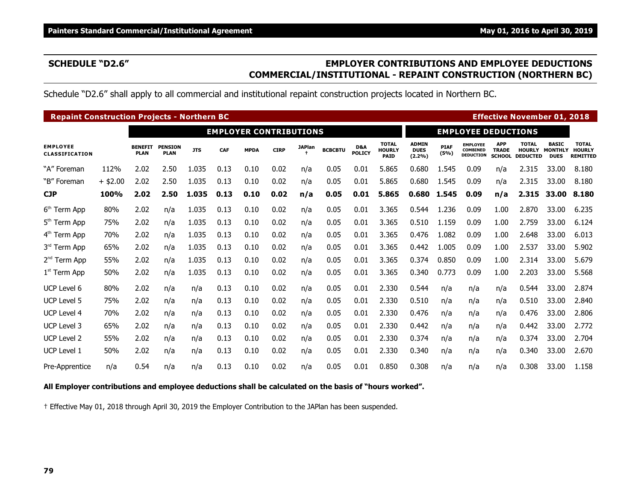# **SCHEDULE "D2.6" EMPLOYER CONTRIBUTIONS AND EMPLOYEE DEDUCTIONS COMMERCIAL/INSTITUTIONAL - REPAINT CONSTRUCTION (NORTHERN BC)**

Schedule "D2.6" shall apply to all commercial and institutional repaint construction projects located in Northern BC.

| <b>Repaint Construction Projects - Northern BC</b> |            |                               |                               |            |            |                            |             |                                 |                |                      |                                              |                                       |                     |                                                        |                                             | <b>Effective November 01, 2018</b> |                                                      |                                                  |
|----------------------------------------------------|------------|-------------------------------|-------------------------------|------------|------------|----------------------------|-------------|---------------------------------|----------------|----------------------|----------------------------------------------|---------------------------------------|---------------------|--------------------------------------------------------|---------------------------------------------|------------------------------------|------------------------------------------------------|--------------------------------------------------|
|                                                    |            |                               |                               |            |            | <b>EMPLOYEE DEDUCTIONS</b> |             |                                 |                |                      |                                              |                                       |                     |                                                        |                                             |                                    |                                                      |                                                  |
| <b>EMPLOYEE</b><br><b>CLASSIFICATION</b>           |            | <b>BENEFIT</b><br><b>PLAN</b> | <b>PENSION</b><br><b>PLAN</b> | <b>JTS</b> | <b>CAF</b> | <b>MPDA</b>                | <b>CIRP</b> | <b>JAPlan</b><br>$\overline{ }$ | <b>BCBCBTU</b> | D&A<br><b>POLICY</b> | <b>TOTAL</b><br><b>HOURLY</b><br><b>PAID</b> | <b>ADMIN</b><br><b>DUES</b><br>(2.2%) | <b>PIAF</b><br>(5%) | <b>EMPLOYEE</b><br><b>COMBINED</b><br><b>DEDUCTION</b> | <b>APP</b><br><b>TRADE</b><br><b>SCHOOL</b> | <b>TOTAL</b><br><b>DEDUCTED</b>    | <b>BASIC</b><br><b>HOURLY MONTHLY</b><br><b>DUES</b> | <b>TOTAL</b><br><b>HOURLY</b><br><b>REMITTED</b> |
| "A" Foreman                                        | 112%       | 2.02                          | 2.50                          | 1.035      | 0.13       | 0.10                       | 0.02        | n/a                             | 0.05           | 0.01                 | 5.865                                        | 0.680                                 | 1.545               | 0.09                                                   | n/a                                         | 2.315                              | 33.00                                                | 8.180                                            |
| "B" Foreman                                        | $+$ \$2.00 | 2.02                          | 2.50                          | 1.035      | 0.13       | 0.10                       | 0.02        | n/a                             | 0.05           | 0.01                 | 5.865                                        | 0.680                                 | 1.545               | 0.09                                                   | n/a                                         | 2.315                              | 33.00                                                | 8.180                                            |
| <b>CJP</b>                                         | 100%       | 2.02                          | 2.50                          | 1.035      | 0.13       | 0.10                       | 0.02        | n/a                             | 0.05           | 0.01                 | 5.865                                        | 0.680                                 | 1.545               | 0.09                                                   | n/a                                         | 2.315                              | 33.00                                                | 8.180                                            |
| 6 <sup>th</sup> Term App                           | 80%        | 2.02                          | n/a                           | 1.035      | 0.13       | 0.10                       | 0.02        | n/a                             | 0.05           | 0.01                 | 3.365                                        | 0.544                                 | 1.236               | 0.09                                                   | 1.00                                        | 2.870                              | 33.00                                                | 6.235                                            |
| $5th$ Term App                                     | 75%        | 2.02                          | n/a                           | 1.035      | 0.13       | 0.10                       | 0.02        | n/a                             | 0.05           | 0.01                 | 3.365                                        | 0.510                                 | 1.159               | 0.09                                                   | 1.00                                        | 2.759                              | 33.00                                                | 6.124                                            |
| 4 <sup>th</sup> Term App                           | 70%        | 2.02                          | n/a                           | 1.035      | 0.13       | 0.10                       | 0.02        | n/a                             | 0.05           | 0.01                 | 3.365                                        | 0.476                                 | 1.082               | 0.09                                                   | 1.00                                        | 2.648                              | 33.00                                                | 6.013                                            |
| 3rd Term App                                       | 65%        | 2.02                          | n/a                           | 1.035      | 0.13       | 0.10                       | 0.02        | n/a                             | 0.05           | 0.01                 | 3.365                                        | 0.442                                 | 1.005               | 0.09                                                   | 1.00                                        | 2.537                              | 33.00                                                | 5.902                                            |
| 2 <sup>nd</sup> Term App                           | 55%        | 2.02                          | n/a                           | 1.035      | 0.13       | 0.10                       | 0.02        | n/a                             | 0.05           | 0.01                 | 3.365                                        | 0.374                                 | 0.850               | 0.09                                                   | 1.00                                        | 2.314                              | 33.00                                                | 5.679                                            |
| $1st$ Term App                                     | 50%        | 2.02                          | n/a                           | 1.035      | 0.13       | 0.10                       | 0.02        | n/a                             | 0.05           | 0.01                 | 3.365                                        | 0.340                                 | 0.773               | 0.09                                                   | 1.00                                        | 2.203                              | 33.00                                                | 5.568                                            |
| <b>UCP Level 6</b>                                 | 80%        | 2.02                          | n/a                           | n/a        | 0.13       | 0.10                       | 0.02        | n/a                             | 0.05           | 0.01                 | 2.330                                        | 0.544                                 | n/a                 | n/a                                                    | n/a                                         | 0.544                              | 33.00                                                | 2.874                                            |
| <b>UCP Level 5</b>                                 | 75%        | 2.02                          | n/a                           | n/a        | 0.13       | 0.10                       | 0.02        | n/a                             | 0.05           | 0.01                 | 2.330                                        | 0.510                                 | n/a                 | n/a                                                    | n/a                                         | 0.510                              | 33.00                                                | 2.840                                            |
| <b>UCP Level 4</b>                                 | 70%        | 2.02                          | n/a                           | n/a        | 0.13       | 0.10                       | 0.02        | n/a                             | 0.05           | 0.01                 | 2.330                                        | 0.476                                 | n/a                 | n/a                                                    | n/a                                         | 0.476                              | 33.00                                                | 2.806                                            |
| UCP Level 3                                        | 65%        | 2.02                          | n/a                           | n/a        | 0.13       | 0.10                       | 0.02        | n/a                             | 0.05           | 0.01                 | 2.330                                        | 0.442                                 | n/a                 | n/a                                                    | n/a                                         | 0.442                              | 33.00                                                | 2.772                                            |
| <b>UCP Level 2</b>                                 | 55%        | 2.02                          | n/a                           | n/a        | 0.13       | 0.10                       | 0.02        | n/a                             | 0.05           | 0.01                 | 2.330                                        | 0.374                                 | n/a                 | n/a                                                    | n/a                                         | 0.374                              | 33.00                                                | 2.704                                            |
| <b>UCP Level 1</b>                                 | 50%        | 2.02                          | n/a                           | n/a        | 0.13       | 0.10                       | 0.02        | n/a                             | 0.05           | 0.01                 | 2.330                                        | 0.340                                 | n/a                 | n/a                                                    | n/a                                         | 0.340                              | 33.00                                                | 2.670                                            |
| Pre-Apprentice                                     | n/a        | 0.54                          | n/a                           | n/a        | 0.13       | 0.10                       | 0.02        | n/a                             | 0.05           | 0.01                 | 0.850                                        | 0.308                                 | n/a                 | n/a                                                    | n/a                                         | 0.308                              | 33.00                                                | 1.158                                            |

### **All Employer contributions and employee deductions shall be calculated on the basis of "hours worked".**

† Effective May 01, 2018 through April 30, 2019 the Employer Contribution to the JAPlan has been suspended.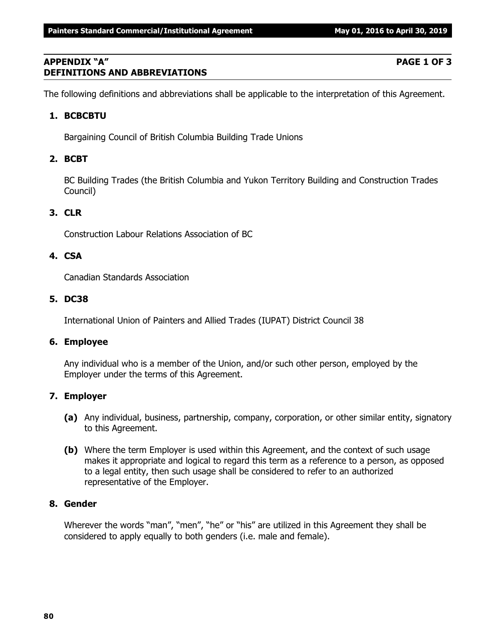## **APPENDIX "A" PAGE 1 OF 3 DEFINITIONS AND ABBREVIATIONS**

The following definitions and abbreviations shall be applicable to the interpretation of this Agreement.

## **1. BCBCBTU**

Bargaining Council of British Columbia Building Trade Unions

## **2. BCBT**

BC Building Trades (the British Columbia and Yukon Territory Building and Construction Trades Council)

## **3. CLR**

Construction Labour Relations Association of BC

## **4. CSA**

Canadian Standards Association

## **5. DC38**

International Union of Painters and Allied Trades (IUPAT) District Council 38

## **6. Employee**

Any individual who is a member of the Union, and/or such other person, employed by the Employer under the terms of this Agreement.

# **7. Employer**

- **(a)** Any individual, business, partnership, company, corporation, or other similar entity, signatory to this Agreement.
- **(b)** Where the term Employer is used within this Agreement, and the context of such usage makes it appropriate and logical to regard this term as a reference to a person, as opposed to a legal entity, then such usage shall be considered to refer to an authorized representative of the Employer.

## **8. Gender**

Wherever the words "man", "men", "he" or "his" are utilized in this Agreement they shall be considered to apply equally to both genders (i.e. male and female).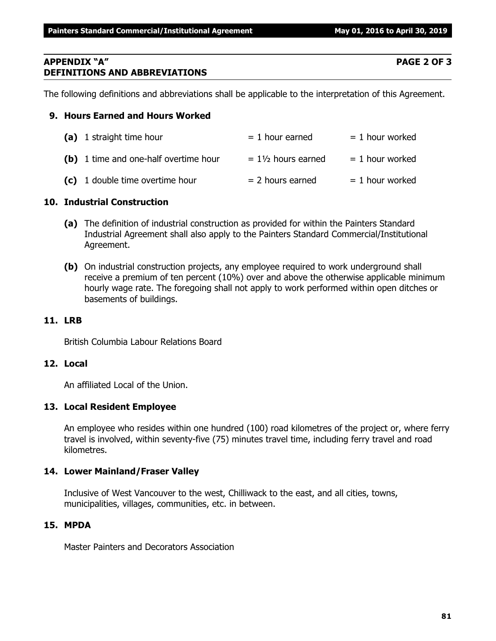## **APPENDIX "A" PAGE 2 OF 3 DEFINITIONS AND ABBREVIATIONS**

The following definitions and abbreviations shall be applicable to the interpretation of this Agreement.

## **9. Hours Earned and Hours Worked**

| (a) 1 straight time hour              | $= 1$ hour earned             | $= 1$ hour worked |
|---------------------------------------|-------------------------------|-------------------|
| (b) 1 time and one-half overtime hour | $= 1\frac{1}{2}$ hours earned | $= 1$ hour worked |
| (c) 1 double time overtime hour       | $= 2$ hours earned            | $= 1$ hour worked |

## **10. Industrial Construction**

- **(a)** The definition of industrial construction as provided for within the Painters Standard Industrial Agreement shall also apply to the Painters Standard Commercial/Institutional Agreement.
- **(b)** On industrial construction projects, any employee required to work underground shall receive a premium of ten percent (10%) over and above the otherwise applicable minimum hourly wage rate. The foregoing shall not apply to work performed within open ditches or basements of buildings.

## **11. LRB**

British Columbia Labour Relations Board

## **12. Local**

An affiliated Local of the Union.

## **13. Local Resident Employee**

An employee who resides within one hundred (100) road kilometres of the project or, where ferry travel is involved, within seventy-five (75) minutes travel time, including ferry travel and road kilometres.

## **14. Lower Mainland/Fraser Valley**

Inclusive of West Vancouver to the west, Chilliwack to the east, and all cities, towns, municipalities, villages, communities, etc. in between.

## **15. MPDA**

Master Painters and Decorators Association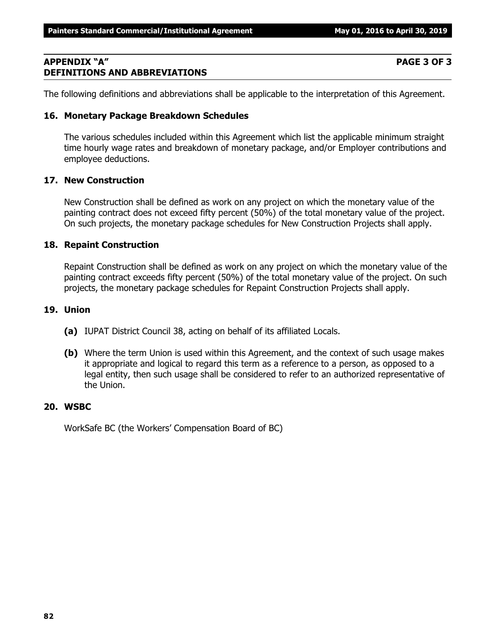### **APPENDIX "A" PAGE 3 OF 3 DEFINITIONS AND ABBREVIATIONS**

The following definitions and abbreviations shall be applicable to the interpretation of this Agreement.

## **16. Monetary Package Breakdown Schedules**

The various schedules included within this Agreement which list the applicable minimum straight time hourly wage rates and breakdown of monetary package, and/or Employer contributions and employee deductions.

## **17. New Construction**

New Construction shall be defined as work on any project on which the monetary value of the painting contract does not exceed fifty percent (50%) of the total monetary value of the project. On such projects, the monetary package schedules for New Construction Projects shall apply.

## **18. Repaint Construction**

Repaint Construction shall be defined as work on any project on which the monetary value of the painting contract exceeds fifty percent (50%) of the total monetary value of the project. On such projects, the monetary package schedules for Repaint Construction Projects shall apply.

## **19. Union**

- **(a)** IUPAT District Council 38, acting on behalf of its affiliated Locals.
- **(b)** Where the term Union is used within this Agreement, and the context of such usage makes it appropriate and logical to regard this term as a reference to a person, as opposed to a legal entity, then such usage shall be considered to refer to an authorized representative of the Union.

## **20. WSBC**

WorkSafe BC (the Workers' Compensation Board of BC)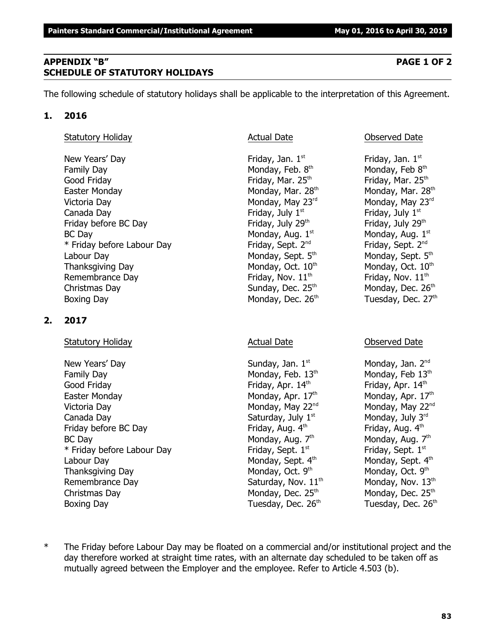## **APPENDIX "B" PAGE 1 OF 2 SCHEDULE OF STATUTORY HOLIDAYS**

The following schedule of statutory holidays shall be applicable to the interpretation of this Agreement.

## **1. 2016**

## Statutory Holiday **Actual Date Conserved Date** Observed Date

New Years' Day **Friday**, Jan. 1<sup>st</sup> Family Day  $M$ onday, Feb.  $8<sup>th</sup>$ Good Friday **Friday** Friday, Mar. 25<sup>th</sup> Friday, Mar. 25<sup>th</sup> Friday, Mar. 25<sup>th</sup> Easter Monday Monday, Mar.  $28<sup>th</sup>$  Monday, Mar.  $28<sup>th</sup>$  Monday, Mar.  $28<sup>th</sup>$ Victoria Day **Monday, May 23<sup>rd</sup> Monday, May 23**<sup>rd</sup> Monday, May 23<sup>rd</sup> Monday, May 23<sup>rd</sup> Canada Day **Friday, July 1<sup>st</sup>** Friday, July 1<sup>st</sup> Friday, July 1<sup>st</sup> Friday before BC Day Friday, July 29<sup>th</sup> Friday, July 29<sup>th</sup> Friday, July 29<sup>th</sup>  $BC$  Day Monday, Aug.  $1<sup>st</sup>$  $*$  Friday before Labour Day Friday, Sept.  $2<sup>nd</sup>$ Labour Day Monday, Sept. 5<sup>th</sup> Monday, Sept. 5<sup>th</sup> Monday, Sept. 5<sup>th</sup> Thanksgiving Day Monday, Oct.  $10<sup>th</sup>$  Monday, Oct.  $10<sup>th</sup>$ Remembrance Day  $Friday$ , Nov.  $11<sup>th</sup>$  Friday, Nov.  $11<sup>th</sup>$ Christmas Day  $S$  Sunday, Dec. 25<sup>th</sup> Monday, Dec. 26<sup>th</sup> Boxing Day Monday, Dec. 26<sup>th</sup> Tuesday, Dec. 27<sup>th</sup>

# **2. 2017**

## Statutory Holiday **Actual Date** Actual Date **Conserved Date** Observed Date **Conserved** Date **Conserved** Date **Conserved** Date

New Years' Day North Sunday, Jan. 1<sup>st</sup> Monday, Jan. 2<sup>nd</sup> Monday, Jan. 2<sup>nd</sup> Family Day Monday, Feb.  $13<sup>th</sup>$  Monday, Feb  $13<sup>th</sup>$  Monday, Feb  $13<sup>th</sup>$ Good Friday **Friday**, Apr. 14<sup>th</sup> Friday, Apr. 14<sup>th</sup> Friday, Apr. 14<sup>th</sup> Easter Monday **Monday, Apr. 17<sup>th</sup>** Monday, Apr. 17<sup>th</sup> Monday, Apr. 17<sup>th</sup> Victoria Day **Monday, May 22<sup>nd</sup> Monday, May 22<sup>nd</sup> Monday, May 22<sup>nd</sup> Monday, May 22<sup>nd</sup>** Canada Day Saturday, July 1st  $S$ aturday, July 1st  $S<sup>rd</sup>$  Monday, July 3<sup>rd</sup> Friday before BC Day  $Friday$ , Aug.  $4<sup>th</sup>$  Friday, Aug.  $4<sup>th</sup>$ BC Day Monday, Aug. 7<sup>th</sup>  $*$  Friday before Labour Day Friday, Sept.  $1<sup>st</sup>$ Labour Day Monday, Sept. 4<sup>th</sup> Monday, Sept. 4<sup>th</sup> Monday, Sept. 4<sup>th</sup> Thanksgiving Day Monday, Oct. 9th Remembrance Day  $Saturday$ , Nov.  $11<sup>th</sup>$  Monday, Nov.  $13<sup>th</sup>$ Christmas Day  $\sim$  Monday, Dec. 25<sup>th</sup> Monday, Dec. 25<sup>th</sup> Monday, Dec. 25<sup>th</sup> Boxing Day **Bridge Community Community** Tuesday, Dec. 26<sup>th</sup> Tuesday, Dec. 26<sup>th</sup>

Friday, Jan.  $1<sup>st</sup>$ Monday, Feb 8th Monday, Aug.  $1<sup>st</sup>$ Friday, Sept. 2<sup>nd</sup>

Monday, Aug.  $7<sup>th</sup>$ Friday, Sept. 1st Monday, Oct. 9<sup>th</sup>

\* The Friday before Labour Day may be floated on a commercial and/or institutional project and the day therefore worked at straight time rates, with an alternate day scheduled to be taken off as mutually agreed between the Employer and the employee. Refer to Article 4.503 (b).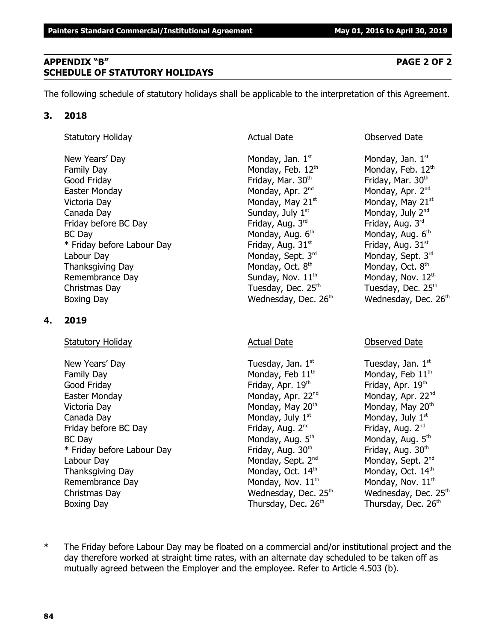# **APPENDIX "B" PAGE 2 OF 2 SCHEDULE OF STATUTORY HOLIDAYS**

The following schedule of statutory holidays shall be applicable to the interpretation of this Agreement.

# **3. 2018**

# Statutory Holiday **Actual Date Actual Date Conserved Date Observed Date**

New Years' Day Monday, Jan.  $1<sup>st</sup>$  Monday, Jan. 1 $<sup>st</sup>$  Monday, Jan. 1 $<sup>st</sup>$ </sup></sup> Family Day Monday, Feb.  $12<sup>th</sup>$  Monday, Feb.  $12<sup>th</sup>$ Good Friday **Friday Friday, Mar. 30<sup>th</sup> Friday, Mar. 30<sup>th</sup> Eriday, Mar. 30<sup>th</sup> the three sets of the three sets of the three sets of the three sets of the three sets of the three sets of three sets of three sets of thr** Easter Monday **Monday, Apr. 2<sup>nd</sup> Monday, Apr. 2**<sup>nd</sup> Monday, Apr. 2<sup>nd</sup> Victoria Day  $\blacksquare$  Monday, May 21st  $\blacksquare$  Monday, May 21st  $\blacksquare$  Monday, May 21st Canada Day Sunday, July 1<sup>st</sup> Monday, July 2<sup>nd</sup> Monday, July 2<sup>nd</sup> Friday before BC Day Friday, Aug. 3<sup>rd</sup> Friday, Aug. 3<sup>rd</sup> Friday, Aug. 3<sup>rd</sup> Friday, Aug. 3<sup>rd</sup> BC Day Monday, Aug. 6<sup>th</sup> \* Friday before Labour Day Friday, Aug.  $31<sup>st</sup>$  Friday, Aug.  $31<sup>st</sup>$ Labour Day Monday, Sept. 3<sup>rd</sup> Monday, Sept. 3<sup>rd</sup> Monday, Sept. 3<sup>rd</sup> Monday, Sept. 3<sup>rd</sup> Thanksgiving Day Monday, Oct. 8<sup>th</sup> Remembrance Day  $Sunday$ , Nov.  $11<sup>th</sup>$  Monday, Nov.  $12<sup>th</sup>$ Christmas Day  $\sim$  Tuesday, Dec. 25<sup>th</sup> Tuesday, Dec. 25<sup>th</sup> Boxing Day **Mathemory Community Community** Wednesday, Dec. 26<sup>th</sup> Wednesday, Dec. 26<sup>th</sup>

# **4. 2019**

# Statutory Holiday **Actual Date** Actual Date **Conserved Date** Observed Date **Conserved** Date **Conserved** Date **Conserved** Date

New Years' Day  $\qquad \qquad$  Tuesday, Jan.  $1^{st}$   $\qquad \qquad$  Tuesday, Jan.  $1^{st}$ Family Day **Monday, Feb 11<sup>th</sup>** Monday, Feb 11<sup>th</sup> Monday, Feb 11<sup>th</sup> Good Friday **Friday**, Apr. 19<sup>th</sup> Friday, Apr. 19<sup>th</sup> Friday, Apr. 19<sup>th</sup> Easter Monday **Monday, Apr. 22<sup>nd</sup> Monday, Apr. 22**<sup>nd</sup> Monday, Apr. 22<sup>nd</sup> Victoria Day **Monday, May 20<sup>th</sup>** Monday, May 20<sup>th</sup> Monday, May 20<sup>th</sup> Canada Day  $\qquad \qquad \qquad \qquad$  Monday, July 1st structure  $\qquad$  Monday, July 1st structure  $\qquad$ Friday before BC Day **Friday, Aug. 2<sup>nd</sup> Friday, Aug. 2<sup>nd</sup> Friday, Aug. 2<sup>nd</sup> Riday, Aug. 2<sup>nd</sup>** BC Day Monday, Aug. 5<sup>th</sup>  $*$  Friday before Labour Day Friday, Aug. 30<sup>th</sup> Friday, Aug. 30<sup>th</sup> Labour Day Monday, Sept. 2<sup>nd</sup> Monday, Sept. 2<sup>nd</sup> Monday, Sept. 2<sup>nd</sup> Thanksgiving Day Monday, Oct.  $14<sup>th</sup>$  Monday, Oct.  $14<sup>th</sup>$  Monday, Oct.  $14<sup>th</sup>$ Remembrance Day Monday, Nov.  $11<sup>th</sup>$  Monday, Nov.  $11<sup>th</sup>$ Christmas Day Medinesday, Dec. 25<sup>th</sup> Wednesday, Dec. 25<sup>th</sup> Wednesday, Dec. 25<sup>th</sup> Boxing Day **Thursday, Dec. 26<sup>th</sup> Thursday, Dec. 26<sup>th</sup> Thursday, Dec. 26<sup>th</sup>** 

Monday, Aug. 6th Monday, Oct. 8<sup>th</sup>

Monday, Aug.  $5<sup>th</sup>$ 

\* The Friday before Labour Day may be floated on a commercial and/or institutional project and the day therefore worked at straight time rates, with an alternate day scheduled to be taken off as mutually agreed between the Employer and the employee. Refer to Article 4.503 (b).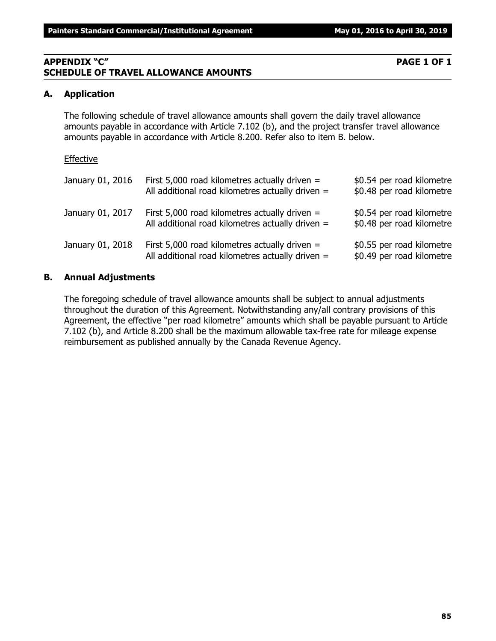## **APPENDIX "C" PAGE 1 OF 1 SCHEDULE OF TRAVEL ALLOWANCE AMOUNTS**

# **A. Application**

The following schedule of travel allowance amounts shall govern the daily travel allowance amounts payable in accordance with Article 7.102 (b), and the project transfer travel allowance amounts payable in accordance with Article 8.200. Refer also to item B. below.

# Effective

| January 01, 2016 | First 5,000 road kilometres actually driven $=$<br>All additional road kilometres actually driven = | \$0.54 per road kilometre<br>\$0.48 per road kilometre |
|------------------|-----------------------------------------------------------------------------------------------------|--------------------------------------------------------|
| January 01, 2017 | First 5,000 road kilometres actually driven $=$<br>All additional road kilometres actually driven = | \$0.54 per road kilometre<br>\$0.48 per road kilometre |
| January 01, 2018 | First 5,000 road kilometres actually driven $=$<br>All additional road kilometres actually driven = | \$0.55 per road kilometre<br>\$0.49 per road kilometre |

## **B. Annual Adjustments**

The foregoing schedule of travel allowance amounts shall be subject to annual adjustments throughout the duration of this Agreement. Notwithstanding any/all contrary provisions of this Agreement, the effective "per road kilometre" amounts which shall be payable pursuant to Article 7.102 (b), and Article 8.200 shall be the maximum allowable tax-free rate for mileage expense reimbursement as published annually by the Canada Revenue Agency.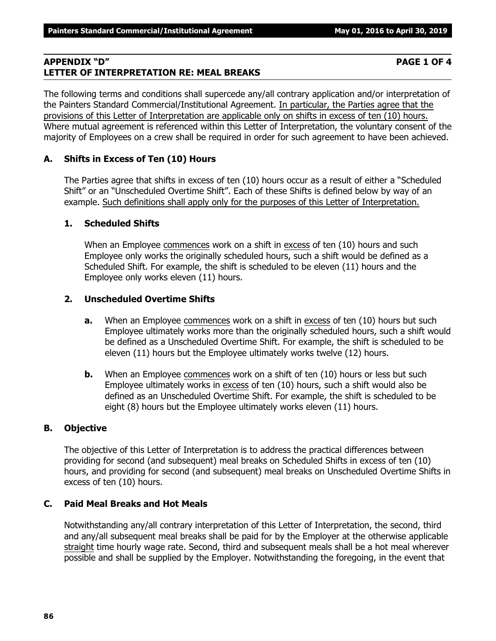## **APPENDIX "D" PAGE 1 OF 4 LETTER OF INTERPRETATION RE: MEAL BREAKS**

The following terms and conditions shall supercede any/all contrary application and/or interpretation of the Painters Standard Commercial/Institutional Agreement. In particular, the Parties agree that the provisions of this Letter of Interpretation are applicable only on shifts in excess of ten (10) hours. Where mutual agreement is referenced within this Letter of Interpretation, the voluntary consent of the majority of Employees on a crew shall be required in order for such agreement to have been achieved.

# **A. Shifts in Excess of Ten (10) Hours**

The Parties agree that shifts in excess of ten (10) hours occur as a result of either a "Scheduled Shift" or an "Unscheduled Overtime Shift". Each of these Shifts is defined below by way of an example. Such definitions shall apply only for the purposes of this Letter of Interpretation.

## **1. Scheduled Shifts**

When an Employee commences work on a shift in excess of ten (10) hours and such Employee only works the originally scheduled hours, such a shift would be defined as a Scheduled Shift. For example, the shift is scheduled to be eleven (11) hours and the Employee only works eleven (11) hours.

## **2. Unscheduled Overtime Shifts**

- **a.** When an Employee commences work on a shift in excess of ten (10) hours but such Employee ultimately works more than the originally scheduled hours, such a shift would be defined as a Unscheduled Overtime Shift. For example, the shift is scheduled to be eleven (11) hours but the Employee ultimately works twelve (12) hours.
- **b.** When an Employee commences work on a shift of ten (10) hours or less but such Employee ultimately works in excess of ten (10) hours, such a shift would also be defined as an Unscheduled Overtime Shift. For example, the shift is scheduled to be eight (8) hours but the Employee ultimately works eleven (11) hours.

## **B. Objective**

The objective of this Letter of Interpretation is to address the practical differences between providing for second (and subsequent) meal breaks on Scheduled Shifts in excess of ten (10) hours, and providing for second (and subsequent) meal breaks on Unscheduled Overtime Shifts in excess of ten (10) hours.

## **C. Paid Meal Breaks and Hot Meals**

Notwithstanding any/all contrary interpretation of this Letter of Interpretation, the second, third and any/all subsequent meal breaks shall be paid for by the Employer at the otherwise applicable straight time hourly wage rate. Second, third and subsequent meals shall be a hot meal wherever possible and shall be supplied by the Employer. Notwithstanding the foregoing, in the event that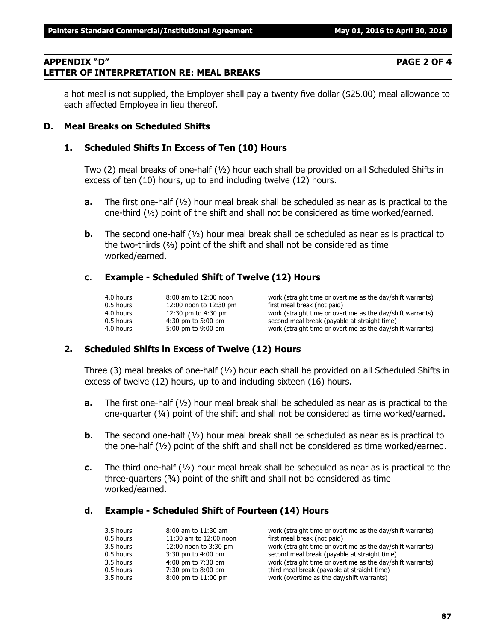## **APPENDIX "D" PAGE 2 OF 4 LETTER OF INTERPRETATION RE: MEAL BREAKS**

a hot meal is not supplied, the Employer shall pay a twenty five dollar (\$25.00) meal allowance to each affected Employee in lieu thereof.

## **D. Meal Breaks on Scheduled Shifts**

## **1. Scheduled Shifts In Excess of Ten (10) Hours**

Two (2) meal breaks of one-half (½) hour each shall be provided on all Scheduled Shifts in excess of ten (10) hours, up to and including twelve (12) hours.

- **a.** The first one-half (½) hour meal break shall be scheduled as near as is practical to the one-third  $(1/3)$  point of the shift and shall not be considered as time worked/earned.
- **b.** The second one-half (½) hour meal break shall be scheduled as near as is practical to the two-thirds  $(2)$  point of the shift and shall not be considered as time worked/earned.

## **c. Example - Scheduled Shift of Twelve (12) Hours**

| 4.0 hours | 8:00 am to 12:00 noon  |
|-----------|------------------------|
| 0.5 hours | 12:00 noon to 12:30 pm |
| 4.0 hours | 12:30 pm to 4:30 pm    |
| 0.5 hours | $4:30$ pm to $5:00$ pm |
| 4.0 hours | 5:00 pm to 9:00 pm     |

work (straight time or overtime as the day/shift warrants) first meal break (not paid) work (straight time or overtime as the day/shift warrants) second meal break (payable at straight time) work (straight time or overtime as the day/shift warrants)

## **2. Scheduled Shifts in Excess of Twelve (12) Hours**

Three (3) meal breaks of one-half  $(y_2)$  hour each shall be provided on all Scheduled Shifts in excess of twelve (12) hours, up to and including sixteen (16) hours.

- **a.** The first one-half (½) hour meal break shall be scheduled as near as is practical to the one-quarter  $(4)$  point of the shift and shall not be considered as time worked/earned.
- **b.** The second one-half (½) hour meal break shall be scheduled as near as is practical to the one-half (½) point of the shift and shall not be considered as time worked/earned.
- **c.** The third one-half (½) hour meal break shall be scheduled as near as is practical to the three-quarters (¾) point of the shift and shall not be considered as time worked/earned.

## **d. Example - Scheduled Shift of Fourteen (14) Hours**

| 3.5 hours | $8:00$ am to $11:30$ am | work (straight time or overtime as the day/shift warrants) |
|-----------|-------------------------|------------------------------------------------------------|
| 0.5 hours | 11:30 am to 12:00 noon  | first meal break (not paid)                                |
| 3.5 hours | 12:00 noon to 3:30 pm   | work (straight time or overtime as the day/shift warrants) |
| 0.5 hours | 3:30 pm to 4:00 pm      | second meal break (payable at straight time)               |
| 3.5 hours | 4:00 pm to 7:30 pm      | work (straight time or overtime as the day/shift warrants) |
| 0.5 hours | 7:30 pm to 8:00 pm      | third meal break (payable at straight time)                |
| 3.5 hours | 8:00 pm to 11:00 pm     | work (overtime as the day/shift warrants)                  |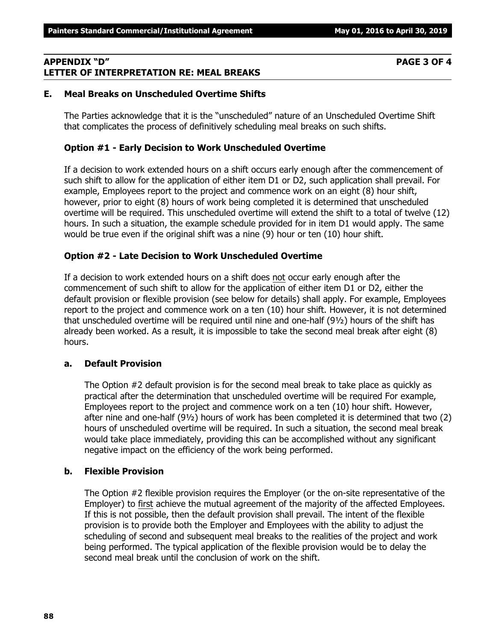## **APPENDIX "D" PAGE 3 OF 4 LETTER OF INTERPRETATION RE: MEAL BREAKS**

## **E. Meal Breaks on Unscheduled Overtime Shifts**

The Parties acknowledge that it is the "unscheduled" nature of an Unscheduled Overtime Shift that complicates the process of definitively scheduling meal breaks on such shifts.

## **Option #1 - Early Decision to Work Unscheduled Overtime**

If a decision to work extended hours on a shift occurs early enough after the commencement of such shift to allow for the application of either item D1 or D2, such application shall prevail. For example, Employees report to the project and commence work on an eight (8) hour shift, however, prior to eight (8) hours of work being completed it is determined that unscheduled overtime will be required. This unscheduled overtime will extend the shift to a total of twelve (12) hours. In such a situation, the example schedule provided for in item D1 would apply. The same would be true even if the original shift was a nine (9) hour or ten (10) hour shift.

## **Option #2 - Late Decision to Work Unscheduled Overtime**

If a decision to work extended hours on a shift does not occur early enough after the commencement of such shift to allow for the application of either item D1 or D2, either the default provision or flexible provision (see below for details) shall apply. For example, Employees report to the project and commence work on a ten (10) hour shift. However, it is not determined that unscheduled overtime will be required until nine and one-half (9½) hours of the shift has already been worked. As a result, it is impossible to take the second meal break after eight (8) hours.

## **a. Default Provision**

The Option #2 default provision is for the second meal break to take place as quickly as practical after the determination that unscheduled overtime will be required For example, Employees report to the project and commence work on a ten (10) hour shift. However, after nine and one-half (9½) hours of work has been completed it is determined that two (2) hours of unscheduled overtime will be required. In such a situation, the second meal break would take place immediately, providing this can be accomplished without any significant negative impact on the efficiency of the work being performed.

## **b. Flexible Provision**

The Option #2 flexible provision requires the Employer (or the on-site representative of the Employer) to first achieve the mutual agreement of the majority of the affected Employees. If this is not possible, then the default provision shall prevail. The intent of the flexible provision is to provide both the Employer and Employees with the ability to adjust the scheduling of second and subsequent meal breaks to the realities of the project and work being performed. The typical application of the flexible provision would be to delay the second meal break until the conclusion of work on the shift.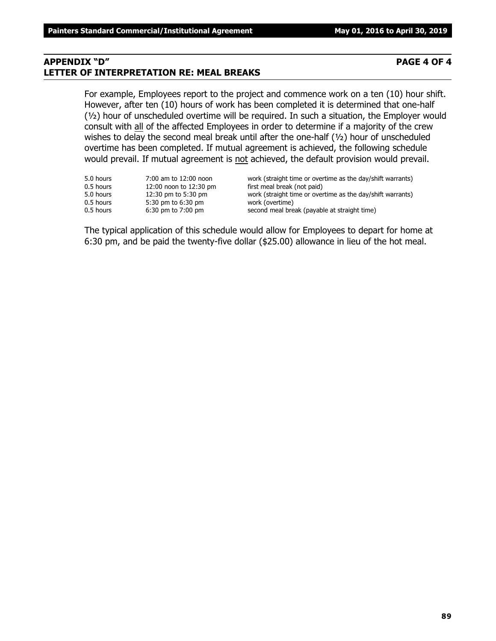## **APPENDIX "D" PAGE 4 OF 4 LETTER OF INTERPRETATION RE: MEAL BREAKS**

For example, Employees report to the project and commence work on a ten (10) hour shift. However, after ten (10) hours of work has been completed it is determined that one-half (½) hour of unscheduled overtime will be required. In such a situation, the Employer would consult with all of the affected Employees in order to determine if a majority of the crew wishes to delay the second meal break until after the one-half (½) hour of unscheduled overtime has been completed. If mutual agreement is achieved, the following schedule would prevail. If mutual agreement is not achieved, the default provision would prevail.

| 7:00 am to 12:00 noon<br>12:00 noon to 12:30 pm<br>12:30 pm to 5:30 pm<br>5:30 pm to 6:30 pm | work (straight time or overtime as the day/shift warrants)<br>first meal break (not paid)<br>work (straight time or overtime as the day/shift warrants)<br>work (overtime) |
|----------------------------------------------------------------------------------------------|----------------------------------------------------------------------------------------------------------------------------------------------------------------------------|
| $6:30$ pm to $7:00$ pm                                                                       | second meal break (payable at straight time)                                                                                                                               |
|                                                                                              |                                                                                                                                                                            |

The typical application of this schedule would allow for Employees to depart for home at 6:30 pm, and be paid the twenty-five dollar (\$25.00) allowance in lieu of the hot meal.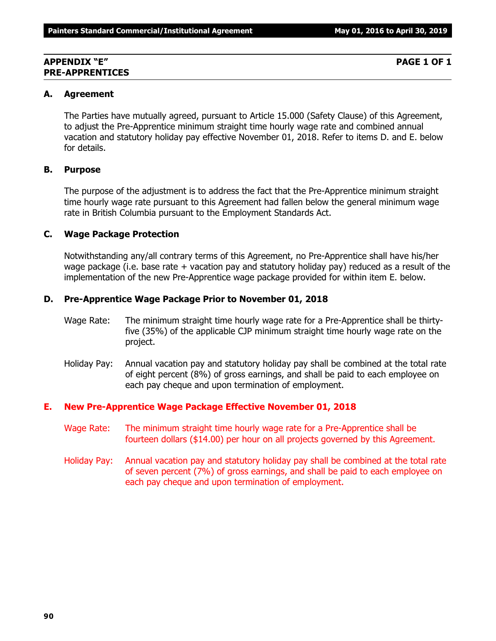### **APPENDIX "E" PAGE 1 OF 1 PRE-APPRENTICES**

## **A. Agreement**

The Parties have mutually agreed, pursuant to Article 15.000 (Safety Clause) of this Agreement, to adjust the Pre-Apprentice minimum straight time hourly wage rate and combined annual vacation and statutory holiday pay effective November 01, 2018. Refer to items D. and E. below for details.

## **B. Purpose**

The purpose of the adjustment is to address the fact that the Pre-Apprentice minimum straight time hourly wage rate pursuant to this Agreement had fallen below the general minimum wage rate in British Columbia pursuant to the Employment Standards Act.

## **C. Wage Package Protection**

Notwithstanding any/all contrary terms of this Agreement, no Pre-Apprentice shall have his/her wage package (i.e. base rate + vacation pay and statutory holiday pay) reduced as a result of the implementation of the new Pre-Apprentice wage package provided for within item E. below.

## **D. Pre-Apprentice Wage Package Prior to November 01, 2018**

- Wage Rate: The minimum straight time hourly wage rate for a Pre-Apprentice shall be thirtyfive (35%) of the applicable CJP minimum straight time hourly wage rate on the project.
- Holiday Pay: Annual vacation pay and statutory holiday pay shall be combined at the total rate of eight percent (8%) of gross earnings, and shall be paid to each employee on each pay cheque and upon termination of employment.

## **E. New Pre-Apprentice Wage Package Effective November 01, 2018**

- Wage Rate: The minimum straight time hourly wage rate for a Pre-Apprentice shall be fourteen dollars (\$14.00) per hour on all projects governed by this Agreement.
- Holiday Pay: Annual vacation pay and statutory holiday pay shall be combined at the total rate of seven percent (7%) of gross earnings, and shall be paid to each employee on each pay cheque and upon termination of employment.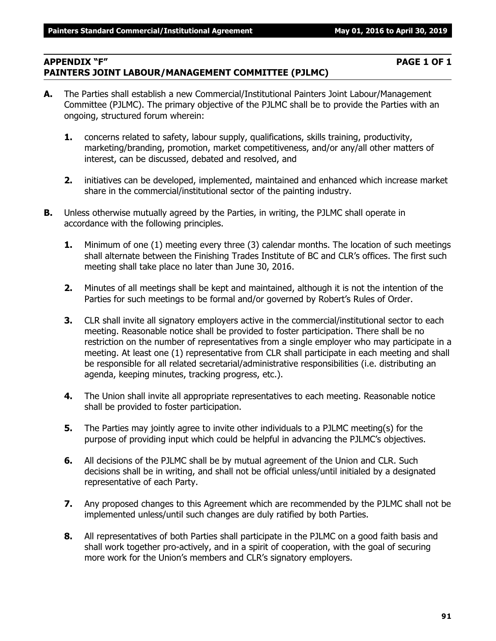## **APPENDIX "F" PAGE 1 OF 1 PAINTERS JOINT LABOUR/MANAGEMENT COMMITTEE (PJLMC)**

- **A.** The Parties shall establish a new Commercial/Institutional Painters Joint Labour/Management Committee (PJLMC). The primary objective of the PJLMC shall be to provide the Parties with an ongoing, structured forum wherein:
	- **1.** concerns related to safety, labour supply, qualifications, skills training, productivity, marketing/branding, promotion, market competitiveness, and/or any/all other matters of interest, can be discussed, debated and resolved, and
	- **2.** initiatives can be developed, implemented, maintained and enhanced which increase market share in the commercial/institutional sector of the painting industry.
- **B.** Unless otherwise mutually agreed by the Parties, in writing, the PJLMC shall operate in accordance with the following principles.
	- **1.** Minimum of one (1) meeting every three (3) calendar months. The location of such meetings shall alternate between the Finishing Trades Institute of BC and CLR's offices. The first such meeting shall take place no later than June 30, 2016.
	- **2.** Minutes of all meetings shall be kept and maintained, although it is not the intention of the Parties for such meetings to be formal and/or governed by Robert's Rules of Order.
	- **3.** CLR shall invite all signatory employers active in the commercial/institutional sector to each meeting. Reasonable notice shall be provided to foster participation. There shall be no restriction on the number of representatives from a single employer who may participate in a meeting. At least one (1) representative from CLR shall participate in each meeting and shall be responsible for all related secretarial/administrative responsibilities (i.e. distributing an agenda, keeping minutes, tracking progress, etc.).
	- **4.** The Union shall invite all appropriate representatives to each meeting. Reasonable notice shall be provided to foster participation.
	- **5.** The Parties may jointly agree to invite other individuals to a PJLMC meeting(s) for the purpose of providing input which could be helpful in advancing the PJLMC's objectives.
	- **6.** All decisions of the PJLMC shall be by mutual agreement of the Union and CLR. Such decisions shall be in writing, and shall not be official unless/until initialed by a designated representative of each Party.
	- **7.** Any proposed changes to this Agreement which are recommended by the PJLMC shall not be implemented unless/until such changes are duly ratified by both Parties.
	- **8.** All representatives of both Parties shall participate in the PJLMC on a good faith basis and shall work together pro-actively, and in a spirit of cooperation, with the goal of securing more work for the Union's members and CLR's signatory employers.